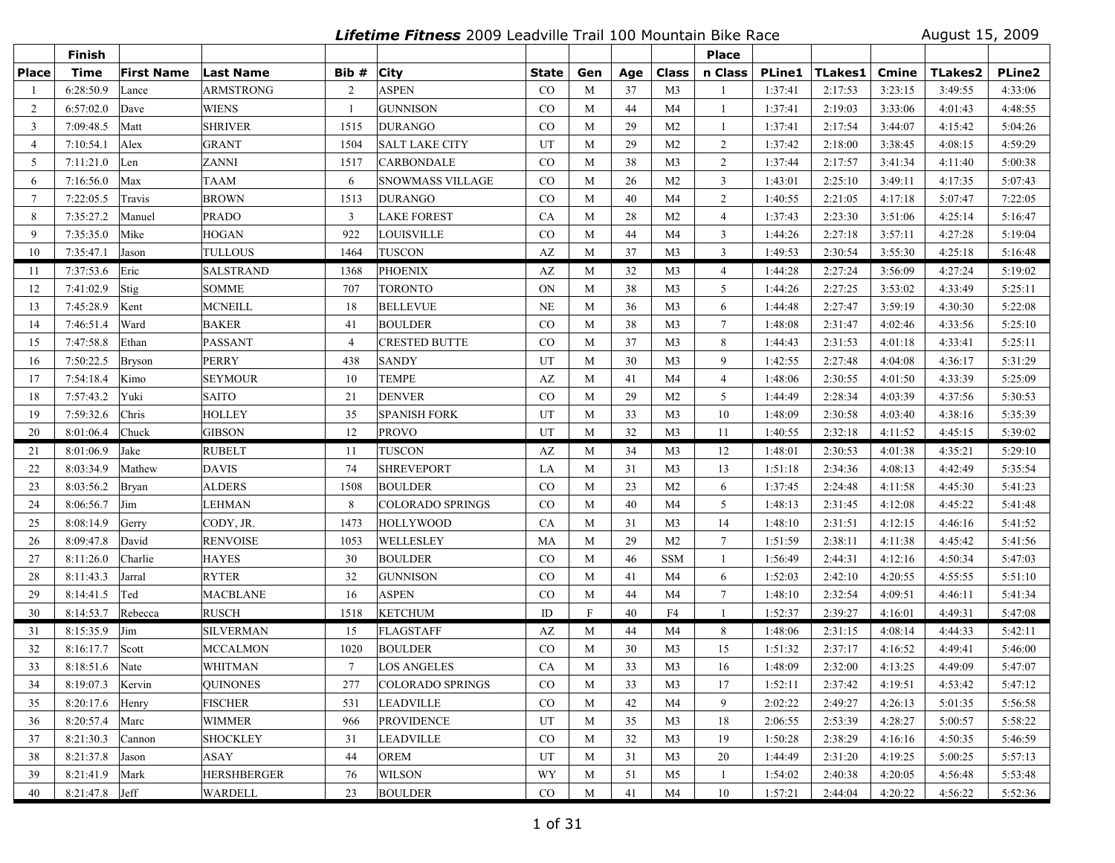**Lifetime Fitness** 2009 Leadville Trail 100 Mountain Bike Race August 15, 2009

|                | Finish             |                   |                  |                 |                         |                        |              |     |                | <b>Place</b>   |               |         |         |                |               |
|----------------|--------------------|-------------------|------------------|-----------------|-------------------------|------------------------|--------------|-----|----------------|----------------|---------------|---------|---------|----------------|---------------|
| <b>Place</b>   | <b>Time</b>        | <b>First Name</b> | <b>Last Name</b> | Bib #           | <b>City</b>             | State                  | Gen          | Age | Class          | n Class        | <b>PLine1</b> | TLakes1 | Cmine   | <b>TLakes2</b> | <b>PLine2</b> |
|                | 6:28:50.9          | Lance             | ARMSTRONG        | 2               | <b>ASPEN</b>            | CO                     | M            | 37  | M <sub>3</sub> |                | 1:37:41       | 2:17:53 | 3:23:15 | 3:49:55        | 4:33:06       |
| 2              | 6:57:02.0          | Dave              | WIENS            | -1              | <b>GUNNISON</b>         | $\rm CO$               | M            | 44  | M4             | -1             | 1:37:41       | 2:19:03 | 3:33:06 | 4:01:43        | 4:48:55       |
| 3              | 7:09:48.5          | Matt              | SHRIVER          | 1515            | <b>DURANGO</b>          | CO                     | M            | 29  | M <sub>2</sub> | 1              | 1:37:41       | 2:17:54 | 3:44:07 | 4:15:42        | 5:04:26       |
| $\overline{4}$ | 7:10:54.1          | Alex              | GRANT            | 1504            | <b>SALT LAKE CITY</b>   | UT                     | M            | 29  | M <sub>2</sub> | 2              | 1:37:42       | 2:18:00 | 3:38:45 | 4:08:15        | 4:59:29       |
| 5              | 7:11:21.0          | Len               | ZANNI            | 1517            | <b>CARBONDALE</b>       | $\rm CO$               | M            | 38  | M <sub>3</sub> | 2              | 1:37:44       | 2:17:57 | 3:41:34 | 4:11:40        | 5:00:38       |
| 6              | 7:16:56.0          | Max               | <b>TAAM</b>      | 6               | <b>SNOWMASS VILLAGE</b> | $\rm CO$               | M            | 26  | M <sub>2</sub> | 3              | 1:43:01       | 2:25:10 | 3:49:11 | 4:17:35        | 5:07:43       |
| $\tau$         | 7:22:05.5          | Travis            | <b>BROWN</b>     | 1513            | <b>DURANGO</b>          | $\rm CO$               | M            | 40  | M <sub>4</sub> | 2              | 1:40:55       | 2:21:05 | 4:17:18 | 5:07:47        | 7:22:05       |
| 8              | 7:35:27.2          | Manuel            | <b>PRADO</b>     | 3               | <b>LAKE FOREST</b>      | CA                     | M            | 28  | M <sub>2</sub> | $\overline{4}$ | 1:37:43       | 2:23:30 | 3:51:06 | 4:25:14        | 5:16:47       |
| 9              | 7:35:35.0          | Mike              | <b>HOGAN</b>     | 922             | LOUISVILLE              | CO                     | M            | 44  | M <sub>4</sub> | 3              | 1:44:26       | 2:27:18 | 3:57:11 | 4:27:28        | 5:19:04       |
| 10             | 7:35:47.1          | Jason             | <b>TULLOUS</b>   | 1464            | <b>TUSCON</b>           | $\mathbf{A}\mathbf{Z}$ | M            | 37  | M <sub>3</sub> | $\overline{3}$ | 1:49:53       | 2:30:54 | 3:55:30 | 4:25:18        | 5:16:48       |
| 11             | 7:37:53.6          | Eric              | <b>SALSTRAND</b> | 1368            | <b>PHOENIX</b>          | AZ                     | M            | 32  | M3             | 4              | 1:44:28       | 2:27:24 | 3:56:09 | 4:27:24        | 5:19:02       |
| 12             | 7:41:02.9          | Stig              | <b>SOMME</b>     | 707             | <b>TORONTO</b>          | ON                     | M            | 38  | M <sub>3</sub> | 5              | 1:44:26       | 2:27:25 | 3:53:02 | 4:33:49        | 5:25:11       |
| 13             | 7:45:28.9          | Kent              | <b>MCNEILL</b>   | 18              | <b>BELLEVUE</b>         | <b>NE</b>              | M            | 36  | M <sub>3</sub> | 6              | 1:44:48       | 2:27:47 | 3:59:19 | 4:30:30        | 5:22:08       |
| 14             | 7:46:51.4          | Ward              | <b>BAKER</b>     | 41              | <b>BOULDER</b>          | $\rm CO$               | M            | 38  | M <sub>3</sub> | $\tau$         | 1:48:08       | 2:31:47 | 4:02:46 | 4:33:56        | 5:25:10       |
| 15             | 7:47:58.8          | Ethan             | <b>PASSANT</b>   | $\overline{4}$  | <b>CRESTED BUTTE</b>    | $\rm CO$               | M            | 37  | M <sub>3</sub> | 8              | 1:44:43       | 2:31:53 | 4:01:18 | 4:33:41        | 5:25:11       |
| 16             | 7:50:22.5          | Bryson            | <b>PERRY</b>     | 438             | <b>SANDY</b>            | UT                     | M            | 30  | M <sub>3</sub> | 9              | 1:42:55       | 2:27:48 | 4:04:08 | 4:36:17        | 5:31:29       |
| 17             | 7:54:18.4          | Kimo              | <b>SEYMOUR</b>   | 10              | <b>TEMPE</b>            | $\mathbf{A}\mathbf{Z}$ | M            | 41  | M <sub>4</sub> | $\overline{4}$ | 1:48:06       | 2:30:55 | 4:01:50 | 4:33:39        | 5:25:09       |
| 18             | 7:57:43.2          | Yuki              | <b>SAITO</b>     | 21              | <b>DENVER</b>           | $\rm CO$               | M            | 29  | M2             | 5              | 1:44:49       | 2:28:34 | 4:03:39 | 4:37:56        | 5:30:53       |
| 19             | 7:59:32.6          | Chris             | <b>HOLLEY</b>    | 35              | <b>SPANISH FORK</b>     | UT                     | M            | 33  | M <sub>3</sub> | 10             | 1:48:09       | 2:30:58 | 4:03:40 | 4:38:16        | 5:35:39       |
| 20             | 8:01:06.4          | Chuck             | <b>GIBSON</b>    | 12              | <b>PROVO</b>            | UT                     | M            | 32  | M <sub>3</sub> | 11             | 1:40:55       | 2:32:18 | 4:11:52 | 4:45:15        | 5:39:02       |
| 21             | 8:01:06.9          | Jake              | <b>RUBELT</b>    | 11              | <b>TUSCON</b>           | AZ                     | M            | 34  | M3             | 12             | 1:48:01       | 2:30:53 | 4:01:38 | 4:35:21        | 5:29:10       |
| 22             | 8:03:34.9          | Mathew            | <b>DAVIS</b>     | 74              | <b>SHREVEPORT</b>       | LA                     | M            | 31  | M <sub>3</sub> | 13             | 1:51:18       | 2:34:36 | 4:08:13 | 4:42:49        | 5:35:54       |
| 23             | 8:03:56.2          | Bryan             | ALDERS           | 1508            | <b>BOULDER</b>          | $\rm CO$               | M            | 23  | M <sub>2</sub> | 6              | 1:37:45       | 2:24:48 | 4:11:58 | 4:45:30        | 5:41:23       |
| 24             | 8:06:56.7          | Jim               | LEHMAN           | 8               | <b>COLORADO SPRINGS</b> | $\rm CO$               | M            | 40  | M <sub>4</sub> | 5              | 1:48:13       | 2:31:45 | 4:12:08 | 4:45:22        | 5:41:48       |
| 25             | 8:08:14.9          | Gerry             | CODY, JR.        | 1473            | <b>HOLLYWOOD</b>        | <b>CA</b>              | M            | 31  | M3             | 14             | 1:48:10       | 2:31:51 | 4:12:15 | 4:46:16        | 5:41:52       |
| 26             | 8:09:47.8          | David             | <b>RENVOISE</b>  | 1053            | WELLESLEY               | MA                     | M            | 29  | M <sub>2</sub> | $\tau$         | 1:51:59       | 2:38:11 | 4:11:38 | 4:45:42        | 5:41:56       |
| 27             | 8:11:26.0          | Charlie           | <b>HAYES</b>     | 30              | <b>BOULDER</b>          | $\rm CO$               | M            | 46  | <b>SSM</b>     | -1             | 1:56:49       | 2:44:31 | 4:12:16 | 4:50:34        | 5:47:03       |
| 28             | 8:11:43.3          | Jarral            | <b>RYTER</b>     | 32              | <b>GUNNISON</b>         | CO                     | M            | 41  | M <sub>4</sub> | 6              | 1:52:03       | 2:42:10 | 4:20:55 | 4:55:55        | 5:51:10       |
| 29             | 8:14:41.5          | Ted               | <b>MACBLANE</b>  | 16              | <b>ASPEN</b>            | $\rm CO$               | M            | 44  | M4             | $\tau$         | 1:48:10       | 2:32:54 | 4:09:51 | 4:46:11        | 5:41:34       |
| 30             | 8:14:53.7          | Rebecca           | <b>RUSCH</b>     | 1518            | <b>KETCHUM</b>          | $\mathbf{ID}$          | $\mathbf{F}$ | 40  | F4             | $\mathbf{1}$   | 1:52:37       | 2:39:27 | 4:16:01 | 4:49:31        | 5:47:08       |
| 31             | 8:15:35.9          | Jim               | SILVERMAN        | 15              | <b>FLAGSTAFF</b>        | AZ                     | M            | 44  | M4             | 8              | 1:48:06       | 2:31:15 | 4:08:14 | 4:44:33        | 5:42:11       |
| 32             | 8:16:17.7          | Scott             | <b>MCCALMON</b>  | 1020            | <b>BOULDER</b>          | CO                     | M            | 30  | M <sub>3</sub> | 15             | 1:51:32       | 2:37:17 | 4:16:52 | 4:49:41        | 5:46:00       |
| 33             | 8:18:51.6          | Nate              | <b>WHITMAN</b>   | $7\phantom{.0}$ | <b>LOS ANGELES</b>      | CA                     | M            | 33  | M <sub>3</sub> | 16             | 1:48:09       | 2:32:00 | 4:13:25 | 4:49:09        | 5:47:07       |
| 34             | 8:19:07.3   Kervin |                   | QUINONES         | 277             | COLORADO SPRINGS        | $_{\rm CO}$            | M            | 33  | M3             | 17             | 1:52:11       | 2:37:42 | 4:19:51 | 4:53:42        | 5:47:12       |
| 35             | 8:20:17.6          | Henry             | <b>FISCHER</b>   | 531             | <b>LEADVILLE</b>        | $\rm CO$               | M            | 42  | M4             | 9              | 2:02:22       | 2:49:27 | 4:26:13 | 5:01:35        | 5:56:58       |
| 36             | 8:20:57.4          | Marc              | <b>WIMMER</b>    | 966             | <b>PROVIDENCE</b>       | UT                     | M            | 35  | M <sub>3</sub> | 18             | 2:06:55       | 2:53:39 | 4:28:27 | 5:00:57        | 5:58:22       |
| 37             | 8:21:30.3          | Cannon            | <b>SHOCKLEY</b>  | 31              | <b>LEADVILLE</b>        | $\rm CO$               | M            | 32  | M3             | 19             | 1:50:28       | 2:38:29 | 4:16:16 | 4:50:35        | 5:46:59       |
| 38             | 8:21:37.8          | Jason             | <b>ASAY</b>      | 44              | <b>OREM</b>             | UT                     | M            | 31  | M <sub>3</sub> | 20             | 1:44:49       | 2:31:20 | 4:19:25 | 5:00:25        | 5:57:13       |
| 39             | 8:21:41.9          | Mark              | HERSHBERGER      | 76              | <b>WILSON</b>           | <b>WY</b>              | M            | 51  | M5             | 1              | 1:54:02       | 2:40:38 | 4:20:05 | 4:56:48        | 5:53:48       |
| 40             | $8:21:47.8$ Jeff   |                   | <b>WARDELL</b>   | 23              | <b>BOULDER</b>          | CO                     | M            | 41  | M4             | 10             | 1:57:21       | 2:44:04 | 4:20:22 | 4:56:22        | 5:52:36       |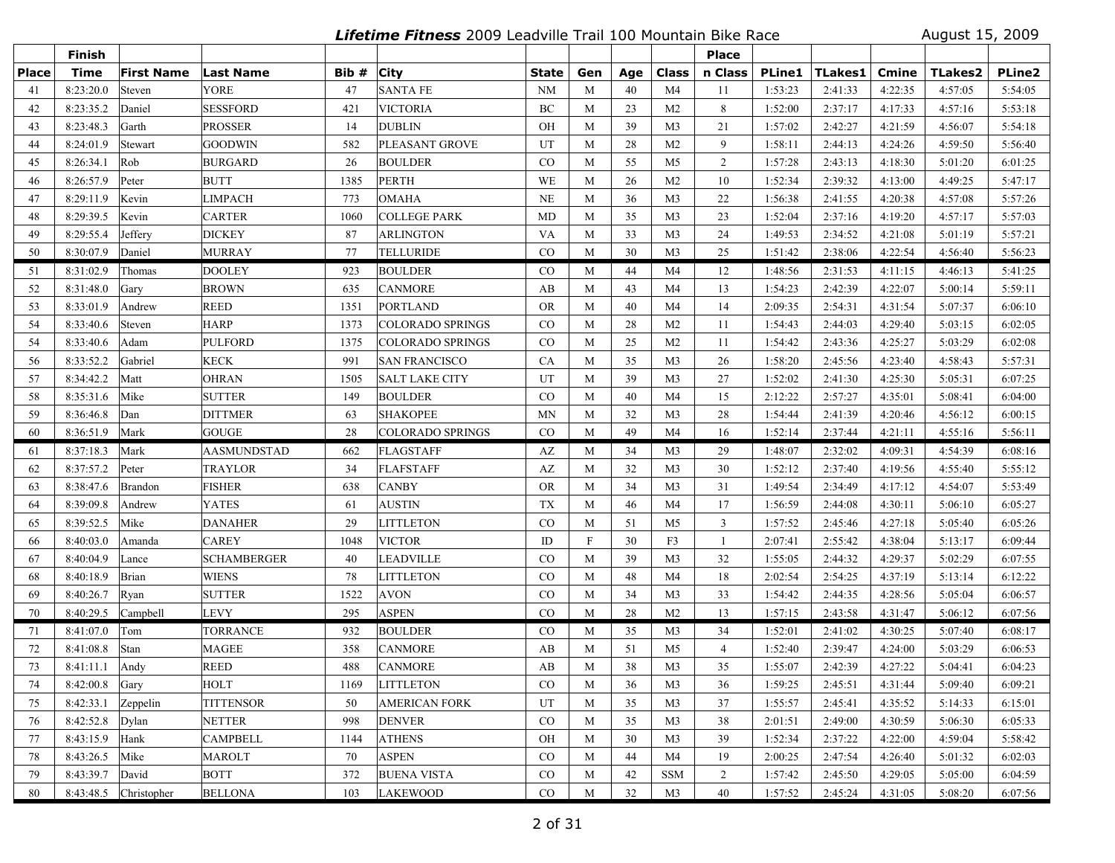**Lifetime Fitness** 2009 Leadville Trail 100 Mountain Bike Race August 15, 2009

|              | <b>Finish</b>    |                       |                  |       |                         |                     |     |        |                | <b>Place</b>   |               |         |         |                |               |
|--------------|------------------|-----------------------|------------------|-------|-------------------------|---------------------|-----|--------|----------------|----------------|---------------|---------|---------|----------------|---------------|
| <b>Place</b> | <b>Time</b>      | <b>First Name</b>     | <b>Last Name</b> | Bib # | <b>City</b>             | <b>State</b>        | Gen | Age    | Class          | n Class        | <b>PLine1</b> | TLakes1 | Cmine   | <b>TLakes2</b> | <b>PLine2</b> |
| 41           | 8:23:20.0        | Steven                | <b>YORE</b>      | 47    | <b>SANTA FE</b>         | NM                  | M   | 40     | M4             | 11             | 1:53:23       | 2:41:33 | 4:22:35 | 4:57:05        | 5:54:05       |
| 42           | 8:23:35.2        | Daniel                | <b>SESSFORD</b>  | 421   | <b>VICTORIA</b>         | $\operatorname{BC}$ | M   | 23     | M <sub>2</sub> | 8              | 1:52:00       | 2:37:17 | 4:17:33 | 4:57:16        | 5:53:18       |
| 43           | 8:23:48.3        | Garth                 | <b>PROSSER</b>   | 14    | <b>DUBLIN</b>           | OH                  | M   | 39     | M <sub>3</sub> | 21             | 1:57:02       | 2:42:27 | 4:21:59 | 4:56:07        | 5:54:18       |
| 44           | 8:24:01.9        | Stewart               | GOODWIN          | 582   | PLEASANT GROVE          | UT                  | M   | 28     | M <sub>2</sub> | 9              | 1:58:11       | 2:44:13 | 4:24:26 | 4:59:50        | 5:56:40       |
| 45           | 8:26:34.1        | Rob                   | <b>BURGARD</b>   | 26    | <b>BOULDER</b>          | $\rm CO$            | M   | 55     | M <sub>5</sub> | 2              | 1:57:28       | 2:43:13 | 4:18:30 | 5:01:20        | 6:01:25       |
| 46           | 8:26:57.9        | Peter                 | BUTT             | 1385  | <b>PERTH</b>            | WE                  | M   | 26     | M <sub>2</sub> | 10             | 1:52:34       | 2:39:32 | 4:13:00 | 4:49:25        | 5:47:17       |
| 47           | 8:29:11.9        | Kevin                 | <b>LIMPACH</b>   | 773   | <b>OMAHA</b>            | <b>NE</b>           | M   | 36     | M <sub>3</sub> | 22             | 1:56:38       | 2:41:55 | 4:20:38 | 4:57:08        | 5:57:26       |
| 48           | 8:29:39.5        | Kevin                 | <b>CARTER</b>    | 1060  | <b>COLLEGE PARK</b>     | MD                  | M   | 35     | M <sub>3</sub> | 23             | 1:52:04       | 2:37:16 | 4:19:20 | 4:57:17        | 5:57:03       |
| 49           | 8:29:55.4        | Jeffery               | <b>DICKEY</b>    | 87    | <b>ARLINGTON</b>        | VA                  | M   | 33     | M <sub>3</sub> | 24             | 1:49:53       | 2:34:52 | 4:21:08 | 5:01:19        | 5:57:21       |
| 50           | 8:30:07.9        | Daniel                | <b>MURRAY</b>    | 77    | TELLURIDE               | CO                  | M   | 30     | M <sub>3</sub> | 25             | 1:51:42       | 2:38:06 | 4:22:54 | 4:56:40        | 5:56:23       |
| 51           | 8:31:02.9        | Thomas                | <b>DOOLEY</b>    | 923   | <b>BOULDER</b>          | CO                  | M   | 44     | M <sub>4</sub> | 12             | 1:48:56       | 2:31:53 | 4:11:15 | 4:46:13        | 5:41:25       |
| 52           | 8:31:48.0        | Gary                  | BROWN            | 635   | <b>CANMORE</b>          | AB                  | M   | 43     | M4             | 13             | 1:54:23       | 2:42:39 | 4:22:07 | 5:00:14        | 5:59:11       |
| 53           | 8:33:01.9        | Andrew                | <b>REED</b>      | 1351  | <b>PORTLAND</b>         | <b>OR</b>           | M   | 40     | M4             | 14             | 2:09:35       | 2:54:31 | 4:31:54 | 5:07:37        | 6:06:10       |
| 54           | 8:33:40.6        | Steven                | HARP             | 1373  | COLORADO SPRINGS        | $\rm CO$            | M   | 28     | M <sub>2</sub> | 11             | 1:54:43       | 2:44:03 | 4:29:40 | 5:03:15        | 6:02:05       |
| 54           | 8:33:40.6        | Adam                  | <b>PULFORD</b>   | 1375  | COLORADO SPRINGS        | $\rm CO$            | M   | 25     | M <sub>2</sub> | 11             | 1:54:42       | 2:43:36 | 4:25:27 | 5:03:29        | 6:02:08       |
| 56           | 8:33:52.2        | Gabriel               | <b>KECK</b>      | 991   | <b>SAN FRANCISCO</b>    | CA                  | M   | 35     | M <sub>3</sub> | 26             | 1:58:20       | 2:45:56 | 4:23:40 | 4:58:43        | 5:57:31       |
| 57           | 8:34:42.2        | Matt                  | <b>OHRAN</b>     | 1505  | <b>SALT LAKE CITY</b>   | UT                  | M   | 39     | M <sub>3</sub> | 27             | 1:52:02       | 2:41:30 | 4:25:30 | 5:05:31        | 6:07:25       |
| 58           | 8:35:31.6        | Mike                  | <b>SUTTER</b>    | 149   | <b>BOULDER</b>          | $\rm CO$            | M   | 40     | M4             | 15             | 2:12:22       | 2:57:27 | 4:35:01 | 5:08:41        | 6:04:00       |
| 59           | 8:36:46.8        | Dan                   | DITTMER          | 63    | <b>SHAKOPEE</b>         | MN                  | M   | 32     | M <sub>3</sub> | 28             | 1:54:44       | 2:41:39 | 4:20:46 | 4:56:12        | 6:00:15       |
| 60           | 8:36:51.9        | Mark                  | GOUGE            | 28    | <b>COLORADO SPRINGS</b> | CO                  | M   | 49     | M <sub>4</sub> | 16             | 1:52:14       | 2:37:44 | 4:21:11 | 4:55:16        | 5:56:11       |
| 61           | 8:37:18.3        | Mark                  | AASMUNDSTAD      | 662   | <b>FLAGSTAFF</b>        | AZ                  | M   | 34     | M <sub>3</sub> | 29             | 1:48:07       | 2:32:02 | 4:09:31 | 4:54:39        | 6:08:16       |
| 62           | 8:37:57.2        | Peter                 | TRAYLOR          | 34    | <b>FLAFSTAFF</b>        | AZ                  | M   | 32     | M <sub>3</sub> | 30             | 1:52:12       | 2:37:40 | 4:19:56 | 4:55:40        | 5:55:12       |
| 63           | 8:38:47.6        | Brandon               | <b>FISHER</b>    | 638   | <b>CANBY</b>            | <b>OR</b>           | M   | 34     | M <sub>3</sub> | 31             | 1:49:54       | 2:34:49 | 4:17:12 | 4:54:07        | 5:53:49       |
| 64           | 8:39:09.8        | Andrew                | <b>YATES</b>     | 61    | <b>AUSTIN</b>           | <b>TX</b>           | M   | 46     | M <sub>4</sub> | 17             | 1:56:59       | 2:44:08 | 4:30:11 | 5:06:10        | 6:05:27       |
| 65           | 8:39:52.5        | Mike                  | DANAHER          | 29    | <b>LITTLETON</b>        | CO                  | M   | 51     | M <sub>5</sub> | 3              | 1:57:52       | 2:45:46 | 4:27:18 | 5:05:40        | 6:05:26       |
| 66           | 8:40:03.0        | Amanda                | CAREY            | 1048  | <b>VICTOR</b>           | ID                  | F   | 30     | F3             | 1              | 2:07:41       | 2:55:42 | 4:38:04 | 5:13:17        | 6:09:44       |
| 67           | 8:40:04.9        | Lance                 | SCHAMBERGER      | 40    | <b>LEADVILLE</b>        | $\rm CO$            | M   | 39     | M <sub>3</sub> | 32             | 1:55:05       | 2:44:32 | 4:29:37 | 5:02:29        | 6:07:55       |
| 68           | 8:40:18.9        | <b>Brian</b>          | <b>WIENS</b>     | 78    | <b>LITTLETON</b>        | CO                  | M   | 48     | M <sub>4</sub> | 18             | 2:02:54       | 2:54:25 | 4:37:19 | 5:13:14        | 6:12:22       |
| 69           | 8:40:26.7        | Ryan                  | <b>SUTTER</b>    | 1522  | <b>AVON</b>             | CO                  | M   | 34     | M3             | 33             | 1:54:42       | 2:44:35 | 4:28:56 | 5:05:04        | 6:06:57       |
| 70           | 8:40:29.5        | Campbell              | <b>LEVY</b>      | 295   | <b>ASPEN</b>            | CO                  | M   | 28     | M <sub>2</sub> | 13             | 1:57:15       | 2:43:58 | 4:31:47 | 5:06:12        | 6:07:56       |
| 71           | 8:41:07.0        | Tom                   | <b>TORRANCE</b>  | 932   | <b>BOULDER</b>          | $\rm CO$            | M   | 35     | M3             | 34             | 1:52:01       | 2:41:02 | 4:30:25 | 5:07:40        | 6:08:17       |
| 72           | 8:41:08.8        | Stan                  | <b>MAGEE</b>     | 358   | <b>CANMORE</b>          | AB                  | M   | 51     | M <sub>5</sub> | $\overline{4}$ | 1:52:40       | 2:39:47 | 4:24:00 | 5:03:29        | 6:06:53       |
| 73           | 8:41:11.1        | Andy                  | REED             | 488   | <b>CANMORE</b>          | AB                  | M   | 38     | M <sub>3</sub> | 35             | 1:55:07       | 2:42:39 | 4:27:22 | 5:04:41        | 6:04:23       |
| 74           | $8:42:00.8$ Gary |                       | <b>HOLT</b>      | 1169  | <b>LITTLETON</b>        | CO                  | M   | 36     | M3             | 36             | 1:59:25       | 2:45:51 | 4:31:44 | 5:09:40        | 6:09:21       |
| 75           | 8:42:33.1        | Zeppelin              | <b>TITTENSOR</b> | 50    | <b>AMERICAN FORK</b>    | UT                  | M   | 35     | M <sub>3</sub> | 37             | 1:55:57       | 2:45:41 | 4:35:52 | 5:14:33        | 6:15:01       |
| 76           | 8:42:52.8        | Dylan                 | <b>NETTER</b>    | 998   | <b>DENVER</b>           | CO                  | M   | 35     | M <sub>3</sub> | 38             | 2:01:51       | 2:49:00 | 4:30:59 | 5:06:30        | 6:05:33       |
| 77           | 8:43:15.9        | Hank                  | <b>CAMPBELL</b>  | 1144  | <b>ATHENS</b>           | OH                  | M   | 30     | M <sub>3</sub> | 39             | 1:52:34       | 2:37:22 | 4:22:00 | 4:59:04        | 5:58:42       |
| 78           | 8:43:26.5        | Mike                  | MAROLT           | 70    | <b>ASPEN</b>            | CO                  | M   | 44     | M <sub>4</sub> | 19             | 2:00:25       | 2:47:54 | 4:26:40 | 5:01:32        | 6:02:03       |
| 79           | 8:43:39.7        | David                 | BOTT             | 372   | <b>BUENA VISTA</b>      | $\rm CO$            | M   | 42     | <b>SSM</b>     | $\overline{2}$ | 1:57:42       | 2:45:50 | 4:29:05 | 5:05:00        | 6:04:59       |
| 80           |                  | 8:43:48.5 Christopher | <b>BELLONA</b>   | 103   | <b>LAKEWOOD</b>         | CO                  | M   | $32\,$ | M <sub>3</sub> | 40             | 1:57:52       | 2:45:24 | 4:31:05 | 5:08:20        | 6:07:56       |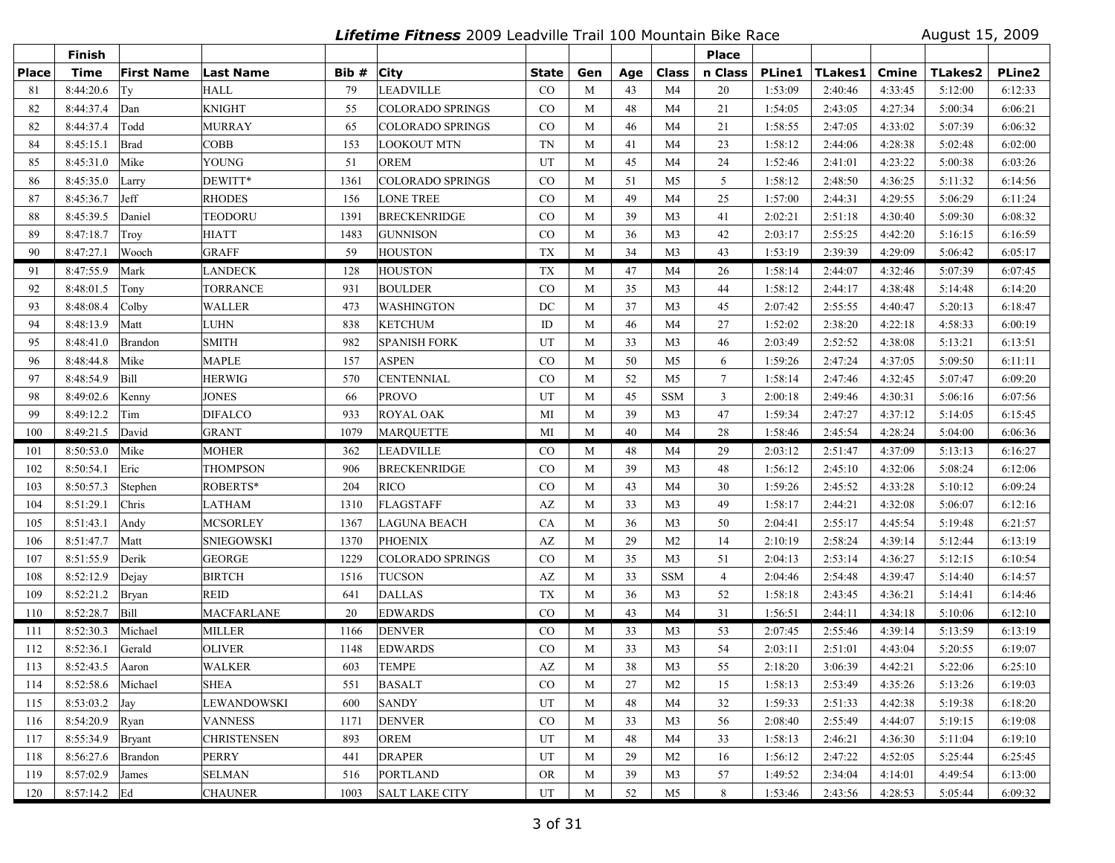**Lifetime Fitness** 2009 Leadville Trail 100 Mountain Bike Race August 15, 2009

|              | Finish              |                   |                    |      |                         |              |     |     |                | <b>Place</b>    |               |                |              |                |               |
|--------------|---------------------|-------------------|--------------------|------|-------------------------|--------------|-----|-----|----------------|-----------------|---------------|----------------|--------------|----------------|---------------|
| <b>Place</b> | <b>Time</b>         | <b>First Name</b> | <b>Last Name</b>   | Bib# | <b>City</b>             | <b>State</b> | Gen | Age | Class          | n Class         | <b>PLine1</b> | <b>TLakes1</b> | <b>Cmine</b> | <b>TLakes2</b> | <b>PLine2</b> |
| 81           | 8:44:20.6           | Ty                | <b>HALL</b>        | 79   | <b>LEADVILLE</b>        | CO           | M   | 43  | M <sub>4</sub> | 20              | 1:53:09       | 2:40:46        | 4:33:45      | 5:12:00        | 6:12:33       |
| 82           | 8:44:37.4           | Dan               | <b>KNIGHT</b>      | 55   | <b>COLORADO SPRINGS</b> | $\rm CO$     | M   | 48  | M4             | 21              | 1:54:05       | 2:43:05        | 4:27:34      | 5:00:34        | 6:06:21       |
| 82           | 8:44:37.4           | Todd              | <b>MURRAY</b>      | 65   | <b>COLORADO SPRINGS</b> | $\rm CO$     | M   | 46  | M4             | 21              | 1:58:55       | 2:47:05        | 4:33:02      | 5:07:39        | 6:06:32       |
| 84           | 8:45:15.1           | Brad              | <b>COBB</b>        | 153  | <b>LOOKOUT MTN</b>      | <b>TN</b>    | M   | 41  | M <sub>4</sub> | 23              | 1:58:12       | 2:44:06        | 4:28:38      | 5:02:48        | 6:02:00       |
| 85           | 8:45:31.0           | Mike              | <b>YOUNG</b>       | 51   | <b>OREM</b>             | UT           | M   | 45  | M <sub>4</sub> | 24              | 1:52:46       | 2:41:01        | 4:23:22      | 5:00:38        | 6:03:26       |
| 86           | 8:45:35.0           | Larry             | DEWITT*            | 1361 | <b>COLORADO SPRINGS</b> | $\rm CO$     | M   | 51  | M5             | 5               | 1:58:12       | 2:48:50        | 4:36:25      | 5:11:32        | 6:14:56       |
| 87           | 8:45:36.7           | Jeff              | <b>RHODES</b>      | 156  | <b>LONE TREE</b>        | CO           | M   | 49  | M4             | 25              | 1:57:00       | 2:44:31        | 4:29:55      | 5:06:29        | 6:11:24       |
| 88           | 8:45:39.5           | Daniel            | TEODORU            | 1391 | <b>BRECKENRIDGE</b>     | CO           | M   | 39  | M <sub>3</sub> | 41              | 2:02:21       | 2:51:18        | 4:30:40      | 5:09:30        | 6:08:32       |
| 89           | 8:47:18.7           | Troy              | <b>HIATT</b>       | 1483 | <b>GUNNISON</b>         | $\rm CO$     | M   | 36  | M <sub>3</sub> | 42              | 2:03:17       | 2:55:25        | 4:42:20      | 5:16:15        | 6:16:59       |
| 90           | 8:47:27.1           | Wooch             | GRAFF              | 59   | <b>HOUSTON</b>          | <b>TX</b>    | M   | 34  | M <sub>3</sub> | 43              | 1:53:19       | 2:39:39        | 4:29:09      | 5:06:42        | 6:05:17       |
| 91           | 8:47:55.9           | Mark              | LANDECK            | 128  | <b>HOUSTON</b>          | <b>TX</b>    | M   | 47  | M4             | 26              | 1:58:14       | 2:44:07        | 4:32:46      | 5:07:39        | 6:07:45       |
| 92           | 8:48:01.5           | Tony              | TORRANCE           | 931  | <b>BOULDER</b>          | CO           | M   | 35  | M <sub>3</sub> | 44              | 1:58:12       | 2:44:17        | 4:38:48      | 5:14:48        | 6:14:20       |
| 93           | 8:48:08.4           | $\vert$ Colby     | <b>WALLER</b>      | 473  | <b>WASHINGTON</b>       | DC           | M   | 37  | M <sub>3</sub> | 45              | 2:07:42       | 2:55:55        | 4:40:47      | 5:20:13        | 6:18:47       |
| 94           | 8:48:13.9           | Matt              | LUHN               | 838  | <b>KETCHUM</b>          | ID           | M   | 46  | M4             | 27              | 1:52:02       | 2:38:20        | 4:22:18      | 4:58:33        | 6:00:19       |
| 95           | 8:48:41.0           | Brandon           | <b>SMITH</b>       | 982  | <b>SPANISH FORK</b>     | UT           | M   | 33  | M <sub>3</sub> | 46              | 2:03:49       | 2:52:52        | 4:38:08      | 5:13:21        | 6:13:51       |
| 96           | 8:48:44.8           | Mike              | MAPLE              | 157  | <b>ASPEN</b>            | $\rm CO$     | M   | 50  | M <sub>5</sub> | 6               | 1:59:26       | 2:47:24        | 4:37:05      | 5:09:50        | 6:11:11       |
| 97           | 8:48:54.9           | Bill              | <b>HERWIG</b>      | 570  | <b>CENTENNIAL</b>       | CO           | M   | 52  | M <sub>5</sub> | $7\phantom{.0}$ | 1:58:14       | 2:47:46        | 4:32:45      | 5:07:47        | 6:09:20       |
| 98           | 8:49:02.6           | Kenny             | <b>JONES</b>       | 66   | <b>PROVO</b>            | UT           | M   | 45  | <b>SSM</b>     | $\mathbf{3}$    | 2:00:18       | 2:49:46        | 4:30:31      | 5:06:16        | 6:07:56       |
| 99           | 8:49:12.2           | Tim               | <b>DIFALCO</b>     | 933  | <b>ROYAL OAK</b>        | MI           | M   | 39  | M <sub>3</sub> | 47              | 1:59:34       | 2:47:27        | 4:37:12      | 5:14:05        | 6:15:45       |
| 100          | 8:49:21.5           | David             | <b>GRANT</b>       | 1079 | <b>MARQUETTE</b>        | MI           | M   | 40  | M <sub>4</sub> | 28              | 1:58:46       | 2:45:54        | 4:28:24      | 5:04:00        | 6:06:36       |
| 101          | 8:50:53.0           | Mike              | <b>MOHER</b>       | 362  | <b>LEADVILLE</b>        | $\rm CO$     | M   | 48  | M4             | 29              | 2:03:12       | 2:51:47        | 4:37:09      | 5:13:13        | 6:16:27       |
| 102          | 8:50:54.1           | Eric              | <b>THOMPSON</b>    | 906  | <b>BRECKENRIDGE</b>     | CO           | M   | 39  | M <sub>3</sub> | 48              | 1:56:12       | 2:45:10        | 4:32:06      | 5:08:24        | 6:12:06       |
| 103          | 8:50:57.3           | Stephen           | ROBERTS*           | 204  | <b>RICO</b>             | CO           | M   | 43  | M <sub>4</sub> | 30              | 1:59:26       | 2:45:52        | 4:33:28      | 5:10:12        | 6:09:24       |
| 104          | 8:51:29.1           | Chris             | <b>LATHAM</b>      | 1310 | <b>FLAGSTAFF</b>        | AZ           | M   | 33  | M <sub>3</sub> | 49              | 1:58:17       | 2:44:21        | 4:32:08      | 5:06:07        | 6:12:16       |
| 105          | 8:51:43.1           | Andy              | MCSORLEY           | 1367 | <b>LAGUNA BEACH</b>     | CA           | M   | 36  | M <sub>3</sub> | 50              | 2:04:41       | 2:55:17        | 4:45:54      | 5:19:48        | 6:21:57       |
| 106          | 8:51:47.7           | Matt              | <b>SNIEGOWSKI</b>  | 1370 | <b>PHOENIX</b>          | AZ           | M   | 29  | M <sub>2</sub> | 14              | 2:10:19       | 2:58:24        | 4:39:14      | 5:12:44        | 6:13:19       |
| 107          | 8:51:55.9           | Derik             | GEORGE             | 1229 | <b>COLORADO SPRINGS</b> | $\rm CO$     | M   | 35  | M <sub>3</sub> | 51              | 2:04:13       | 2:53:14        | 4:36:27      | 5:12:15        | 6:10:54       |
| 108          | 8:52:12.9           | Dejay             | <b>BIRTCH</b>      | 1516 | <b>TUCSON</b>           | AZ           | M   | 33  | <b>SSM</b>     | $\overline{4}$  | 2:04:46       | 2:54:48        | 4:39:47      | 5:14:40        | 6:14:57       |
| 109          | 8:52:21.2           | Bryan             | <b>REID</b>        | 641  | <b>DALLAS</b>           | <b>TX</b>    | M   | 36  | M <sub>3</sub> | 52              | 1:58:18       | 2:43:45        | 4:36:21      | 5:14:41        | 6:14:46       |
| 110          | 8:52:28.7           | Bill              | <b>MACFARLANE</b>  | 20   | <b>EDWARDS</b>          | CO           | M   | 43  | M <sub>4</sub> | 31              | 1:56:51       | 2:44:11        | 4:34:18      | 5:10:06        | 6:12:10       |
| -111         | 8:52:30.3           | Michael           | <b>MILLER</b>      | 1166 | <b>DENVER</b>           | $\rm CO$     | M   | 33  | M3             | 53              | 2:07:45       | 2:55:46        | 4:39:14      | 5:13:59        | 6:13:19       |
| 112          | 8:52:36.1           | Gerald            | <b>OLIVER</b>      | 1148 | <b>EDWARDS</b>          | CO           | M   | 33  | M <sub>3</sub> | 54              | 2:03:11       | 2:51:01        | 4:43:04      | 5:20:55        | 6:19:07       |
| 113          | 8:52:43.5           | Aaron             | <b>WALKER</b>      | 603  | TEMPE                   | AZ           | M   | 38  | M <sub>3</sub> | 55              | 2:18:20       | 3:06:39        | 4:42:21      | 5:22:06        | 6:25:10       |
| 114          | 8:52:58.6   Michael |                   | SHEA               | 551  | <b>BASALT</b>           | CO           | M   | 27  | M <sub>2</sub> | 15              | 1:58:13       | 2:53:49        | 4:35:26      | 5:13:26        | 6:19:03       |
| 115          | 8:53:03.2           | Jay               | LEWANDOWSKI        | 600  | <b>SANDY</b>            | UT           | M   | 48  | M4             | 32              | 1:59:33       | 2:51:33        | 4:42:38      | 5:19:38        | 6:18:20       |
| 116          | 8:54:20.9           | Ryan              | <b>VANNESS</b>     | 1171 | <b>DENVER</b>           | $\rm CO$     | M   | 33  | M3             | 56              | 2:08:40       | 2:55:49        | 4:44:07      | 5:19:15        | 6:19:08       |
| 117          | 8:55:34.9           | Bryant            | <b>CHRISTENSEN</b> | 893  | <b>OREM</b>             | UT           | M   | 48  | M4             | 33              | 1:58:13       | 2:46:21        | 4:36:30      | 5:11:04        | 6:19:10       |
| 118          | 8:56:27.6           | Brandon           | PERRY              | 441  | <b>DRAPER</b>           | UT           | M   | 29  | M <sub>2</sub> | 16              | 1:56:12       | 2:47:22        | 4:52:05      | 5:25:44        | 6:25:45       |
| 119          | 8:57:02.9           | James             | <b>SELMAN</b>      | 516  | <b>PORTLAND</b>         | <b>OR</b>    | M   | 39  | M3             | 57              | 1:49:52       | 2:34:04        | 4:14:01      | 4:49:54        | 6:13:00       |
| 120          | 8:57:14.2 Ed        |                   | <b>CHAUNER</b>     | 1003 | <b>SALT LAKE CITY</b>   | UT           | M   | 52  | M5             | 8               | 1:53:46       | 2:43:56        | 4:28:53      | 5:05:44        | 6:09:32       |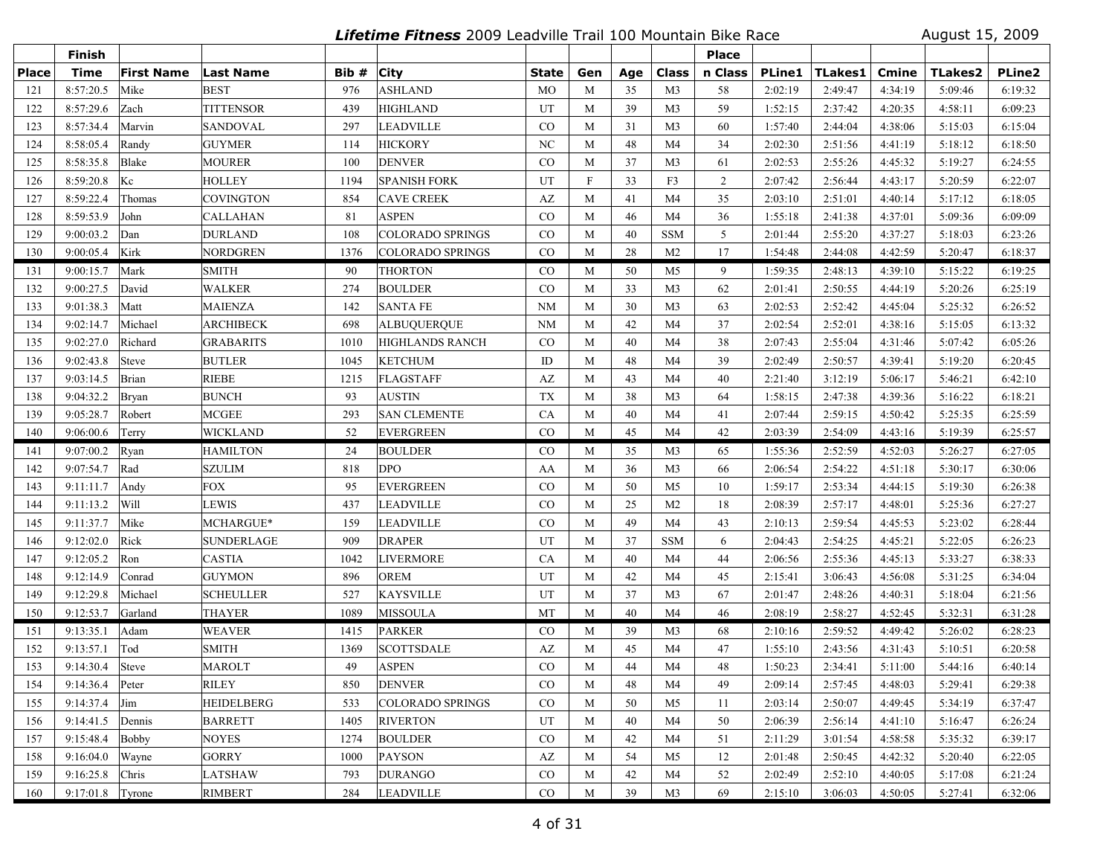**Lifetime Fitness** 2009 Leadville Trail 100 Mountain Bike Race August 15, 2009

|              | <b>Finish</b>     |                   |                   |       |                         |              |              |     |                | <b>Place</b> |               |                |         |                |               |
|--------------|-------------------|-------------------|-------------------|-------|-------------------------|--------------|--------------|-----|----------------|--------------|---------------|----------------|---------|----------------|---------------|
| <b>Place</b> | <b>Time</b>       | <b>First Name</b> | Last Name         | Bib # | <b>City</b>             | <b>State</b> | Gen          | Age | Class          | n Class      | <b>PLine1</b> | <b>TLakes1</b> | Cmine   | <b>TLakes2</b> | <b>PLine2</b> |
| 121          | 8:57:20.5         | Mike              | <b>BEST</b>       | 976   | <b>ASHLAND</b>          | <b>MO</b>    | M            | 35  | M <sub>3</sub> | 58           | 2:02:19       | 2:49:47        | 4:34:19 | 5:09:46        | 6:19:32       |
| 122          | 8:57:29.6         | Zach              | <b>TITTENSOR</b>  | 439   | <b>HIGHLAND</b>         | UT           | M            | 39  | M <sub>3</sub> | 59           | 1:52:15       | 2:37:42        | 4:20:35 | 4:58:11        | 6:09:23       |
| 123          | 8:57:34.4         | Marvin            | <b>SANDOVAL</b>   | 297   | LEADVILLE               | CO           | M            | 31  | M <sub>3</sub> | 60           | 1:57:40       | 2:44:04        | 4:38:06 | 5:15:03        | 6:15:04       |
| 124          | 8:58:05.4         | Randy             | <b>GUYMER</b>     | 114   | <b>HICKORY</b>          | NC           | M            | 48  | M <sub>4</sub> | 34           | 2:02:30       | 2:51:56        | 4:41:19 | 5:18:12        | 6:18:50       |
| 125          | 8:58:35.8         | Blake             | <b>MOURER</b>     | 100   | <b>DENVER</b>           | $_{\rm CO}$  | M            | 37  | M <sub>3</sub> | 61           | 2:02:53       | 2:55:26        | 4:45:32 | 5:19:27        | 6:24:55       |
| 126          | 8:59:20.8         | Kc                | <b>HOLLEY</b>     | 1194  | <b>SPANISH FORK</b>     | UT           | $\mathbf{F}$ | 33  | F3             | 2            | 2:07:42       | 2:56:44        | 4:43:17 | 5:20:59        | 6:22:07       |
| 127          | 8:59:22.4         | Thomas            | <b>COVINGTON</b>  | 854   | <b>CAVE CREEK</b>       | AZ           | M            | 41  | M4             | 35           | 2:03:10       | 2:51:01        | 4:40:14 | 5:17:12        | 6:18:05       |
| 128          | 8:59:53.9         | John              | <b>CALLAHAN</b>   | 81    | <b>ASPEN</b>            | CO           | M            | 46  | M4             | 36           | 1:55:18       | 2:41:38        | 4:37:01 | 5:09:36        | 6:09:09       |
| 129          | 9:00:03.2         | Dan               | <b>DURLAND</b>    | 108   | <b>COLORADO SPRINGS</b> | $\rm CO$     | M            | 40  | <b>SSM</b>     | 5            | 2:01:44       | 2:55:20        | 4:37:27 | 5:18:03        | 6:23:26       |
| 130          | 9:00:05.4         | Kirk              | NORDGREN          | 1376  | <b>COLORADO SPRINGS</b> | CO           | M            | 28  | M <sub>2</sub> | 17           | 1:54:48       | 2:44:08        | 4:42:59 | 5:20:47        | 6:18:37       |
| 131          | 9:00:15.7         | Mark              | <b>SMITH</b>      | 90    | <b>THORTON</b>          | $\rm CO$     | M            | 50  | M5             | 9            | 1:59:35       | 2:48:13        | 4:39:10 | 5:15:22        | 6:19:25       |
| 132          | 9:00:27.5         | David             | <b>WALKER</b>     | 274   | <b>BOULDER</b>          | $\rm CO$     | M            | 33  | M <sub>3</sub> | 62           | 2:01:41       | 2:50:55        | 4:44:19 | 5:20:26        | 6:25:19       |
| 133          | 9:01:38.3         | Matt              | <b>MAIENZA</b>    | 142   | <b>SANTA FE</b>         | <b>NM</b>    | M            | 30  | M <sub>3</sub> | 63           | 2:02:53       | 2:52:42        | 4:45:04 | 5:25:32        | 6:26:52       |
| 134          | 9:02:14.7         | Michael           | <b>ARCHIBECK</b>  | 698   | <b>ALBUQUERQUE</b>      | <b>NM</b>    | M            | 42  | M4             | 37           | 2:02:54       | 2:52:01        | 4:38:16 | 5:15:05        | 6:13:32       |
| 135          | 9:02:27.0         | Richard           | <b>GRABARITS</b>  | 1010  | HIGHLANDS RANCH         | $\rm CO$     | M            | 40  | M4             | 38           | 2:07:43       | 2:55:04        | 4:31:46 | 5:07:42        | 6:05:26       |
| 136          | 9:02:43.8         | Steve             | <b>BUTLER</b>     | 1045  | <b>KETCHUM</b>          | ID           | M            | 48  | M4             | 39           | 2:02:49       | 2:50:57        | 4:39:41 | 5:19:20        | 6:20:45       |
| 137          | 9:03:14.5         | Brian             | <b>RIEBE</b>      | 1215  | <b>FLAGSTAFF</b>        | AZ           | M            | 43  | M <sub>4</sub> | 40           | 2:21:40       | 3:12:19        | 5:06:17 | 5:46:21        | 6:42:10       |
| 138          | 9:04:32.2         | Bryan             | <b>BUNCH</b>      | 93    | <b>AUSTIN</b>           | TX           | M            | 38  | M3             | 64           | 1:58:15       | 2:47:38        | 4:39:36 | 5:16:22        | 6:18:21       |
| 139          | 9:05:28.7         | Robert            | <b>MCGEE</b>      | 293   | <b>SAN CLEMENTE</b>     | CA           | M            | 40  | M <sub>4</sub> | 41           | 2:07:44       | 2:59:15        | 4:50:42 | 5:25:35        | 6:25:59       |
| 140          | 9:06:00.6         | Terry             | <b>WICKLAND</b>   | 52    | <b>EVERGREEN</b>        | $_{\rm CO}$  | M            | 45  | M <sub>4</sub> | 42           | 2:03:39       | 2:54:09        | 4:43:16 | 5:19:39        | 6:25:57       |
| 141          | 9:07:00.2         | Ryan              | <b>HAMILTON</b>   | 24    | <b>BOULDER</b>          | $\rm CO$     | M            | 35  | M3             | 65           | 1:55:36       | 2:52:59        | 4:52:03 | 5:26:27        | 6:27:05       |
| 142          | 9:07:54.7         | Rad               | <b>SZULIM</b>     | 818   | <b>DPO</b>              | AA           | M            | 36  | M <sub>3</sub> | 66           | 2:06:54       | 2:54:22        | 4:51:18 | 5:30:17        | 6:30:06       |
| 143          | 9:11:11.7         | Andy              | <b>FOX</b>        | 95    | <b>EVERGREEN</b>        | CO           | M            | 50  | M5             | 10           | 1:59:17       | 2:53:34        | 4:44:15 | 5:19:30        | 6:26:38       |
| 144          | 9:11:13.2         | Will              | LEWIS             | 437   | LEADVILLE               | $_{\rm CO}$  | M            | 25  | M <sub>2</sub> | 18           | 2:08:39       | 2:57:17        | 4:48:01 | 5:25:36        | 6:27:27       |
| 145          | 9:11:37.7         | Mike              | MCHARGUE*         | 159   | LEADVILLE               | CO           | M            | 49  | M <sub>4</sub> | 43           | 2:10:13       | 2:59:54        | 4:45:53 | 5:23:02        | 6:28:44       |
| 146          | 9:12:02.0         | Rick              | <b>SUNDERLAGE</b> | 909   | <b>DRAPER</b>           | UT           | M            | 37  | <b>SSM</b>     | 6            | 2:04:43       | 2:54:25        | 4:45:21 | 5:22:05        | 6:26:23       |
| 147          | 9:12:05.2         | Ron               | <b>CASTIA</b>     | 1042  | LIVERMORE               | CA           | M            | 40  | M4             | 44           | 2:06:56       | 2:55:36        | 4:45:13 | 5:33:27        | 6:38:33       |
| 148          | 9:12:14.9         | Conrad            | <b>GUYMON</b>     | 896   | <b>OREM</b>             | UT           | M            | 42  | M4             | 45           | 2:15:41       | 3:06:43        | 4:56:08 | 5:31:25        | 6:34:04       |
| 149          | 9:12:29.8         | Michael           | <b>SCHEULLER</b>  | 527   | <b>KAYSVILLE</b>        | UT           | M            | 37  | M3             | 67           | 2:01:47       | 2:48:26        | 4:40:31 | 5:18:04        | 6:21:56       |
| 150          | 9:12:53.7         | Garland           | <b>THAYER</b>     | 1089  | <b>MISSOULA</b>         | MT           | M            | 40  | M4             | 46           | 2:08:19       | 2:58:27        | 4:52:45 | 5:32:31        | 6:31:28       |
| 151          | 9:13:35.1         | Adam              | <b>WEAVER</b>     | 1415  | <b>PARKER</b>           | $\rm CO$     | M            | 39  | M3             | 68           | 2:10:16       | 2:59:52        | 4:49:42 | 5:26:02        | 6:28:23       |
| 152          | 9:13:57.1         | Tod               | <b>SMITH</b>      | 1369  | <b>SCOTTSDALE</b>       | AZ           | M            | 45  | M4             | 47           | 1:55:10       | 2:43:56        | 4:31:43 | 5:10:51        | 6:20:58       |
| 153          | 9:14:30.4         | Steve             | <b>MAROLT</b>     | 49    | ASPEN                   | CO           | M            | 44  | M4             | 48           | 1:50:23       | 2:34:41        | 5:11:00 | 5:44:16        | 6:40:14       |
| 154          | $9:14:36.4$ Peter |                   | <b>RILEY</b>      | 850   | <b>DENVER</b>           | $_{\rm CO}$  | M            | 48  | M4             | 49           | 2:09:14       | 2:57:45        | 4:48:03 | 5:29:41        | 6:29:38       |
| 155          | 9:14:37.4         | Jim               | <b>HEIDELBERG</b> | 533   | <b>COLORADO SPRINGS</b> | $_{\rm CO}$  | M            | 50  | M5             | 11           | 2:03:14       | 2:50:07        | 4:49:45 | 5:34:19        | 6:37:47       |
| 156          | 9:14:41.5         | Dennis            | <b>BARRETT</b>    | 1405  | <b>RIVERTON</b>         | UT           | M            | 40  | M4             | 50           | 2:06:39       | 2:56:14        | 4:41:10 | 5:16:47        | 6:26:24       |
| 157          | 9:15:48.4         | Bobby             | <b>NOYES</b>      | 1274  | <b>BOULDER</b>          | $\rm CO$     | M            | 42  | M4             | 51           | 2:11:29       | 3:01:54        | 4:58:58 | 5:35:32        | 6:39:17       |
| 158          | 9:16:04.0         | Wayne             | <b>GORRY</b>      | 1000  | <b>PAYSON</b>           | AZ           | M            | 54  | M5             | 12           | 2:01:48       | 2:50:45        | 4:42:32 | 5:20:40        | 6:22:05       |
| 159          | 9:16:25.8         | Chris             | <b>LATSHAW</b>    | 793   | <b>DURANGO</b>          | $\rm CO$     | M            | 42  | M4             | 52           | 2:02:49       | 2:52:10        | 4:40:05 | 5:17:08        | 6:21:24       |
| 160          | 9:17:01.8 Tyrone  |                   | <b>RIMBERT</b>    | 284   | <b>LEADVILLE</b>        | CO           | M            | 39  | M <sub>3</sub> | 69           | 2:15:10       | 3:06:03        | 4:50:05 | 5:27:41        | 6:32:06       |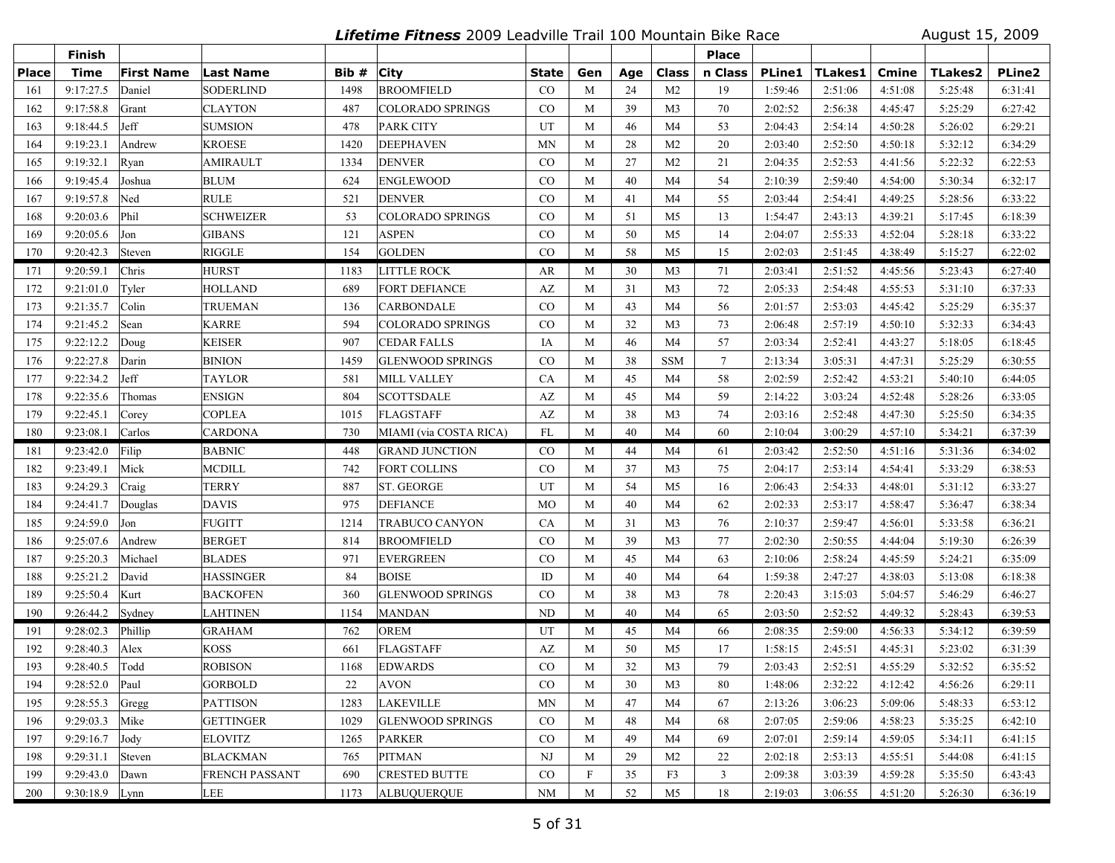**Lifetime Fitness** 2009 Leadville Trail 100 Mountain Bike Race August 15, 2009

|              | Finish         |                   |                       |       |                         |             |     |     |                | <b>Place</b>    |               |                |              |                |               |
|--------------|----------------|-------------------|-----------------------|-------|-------------------------|-------------|-----|-----|----------------|-----------------|---------------|----------------|--------------|----------------|---------------|
| <b>Place</b> | <b>Time</b>    | <b>First Name</b> | <b>Last Name</b>      | Bib # | <b>City</b>             | State       | Gen | Age | Class          | n Class         | <b>PLine1</b> | <b>TLakes1</b> | <b>Cmine</b> | <b>TLakes2</b> | <b>PLine2</b> |
| 161          | 9:17:27.5      | Daniel            | SODERLIND             | 1498  | <b>BROOMFIELD</b>       | CO          | M   | 24  | M <sub>2</sub> | 19              | 1:59:46       | 2:51:06        | 4:51:08      | 5:25:48        | 6:31:41       |
| 162          | 9:17:58.8      | Grant             | CLAYTON               | 487   | <b>COLORADO SPRINGS</b> | CO          | M   | 39  | M <sub>3</sub> | 70              | 2:02:52       | 2:56:38        | 4:45:47      | 5:25:29        | 6:27:42       |
| 163          | 9:18:44.5      | Jeff              | <b>SUMSION</b>        | 478   | <b>PARK CITY</b>        | UT          | M   | 46  | M <sub>4</sub> | 53              | 2:04:43       | 2:54:14        | 4:50:28      | 5:26:02        | 6:29:21       |
| 164          | 9:19:23.1      | Andrew            | <b>KROESE</b>         | 1420  | <b>DEEPHAVEN</b>        | <b>MN</b>   | M   | 28  | M <sub>2</sub> | 20              | 2:03:40       | 2:52:50        | 4:50:18      | 5:32:12        | 6:34:29       |
| 165          | 9:19:32.1      | Ryan              | <b>AMIRAULT</b>       | 1334  | <b>DENVER</b>           | CO          | M   | 27  | M <sub>2</sub> | 21              | 2:04:35       | 2:52:53        | 4:41:56      | 5:22:32        | 6:22:53       |
| 166          | 9:19:45.4      | Joshua            | <b>BLUM</b>           | 624   | <b>ENGLEWOOD</b>        | $\rm CO$    | M   | 40  | M4             | 54              | 2:10:39       | 2:59:40        | 4:54:00      | 5:30:34        | 6:32:17       |
| 167          | 9:19:57.8      | Ned               | <b>RULE</b>           | 521   | <b>DENVER</b>           | CO          | M   | 41  | M <sub>4</sub> | 55              | 2:03:44       | 2:54:41        | 4:49:25      | 5:28:56        | 6:33:22       |
| 168          | 9:20:03.6      | Phil              | <b>SCHWEIZER</b>      | 53    | COLORADO SPRINGS        | $\rm CO$    | M   | 51  | M <sub>5</sub> | 13              | 1:54:47       | 2:43:13        | 4:39:21      | 5:17:45        | 6:18:39       |
| 169          | 9:20:05.6      | Jon               | <b>GIBANS</b>         | 121   | ASPEN                   | CO          | M   | 50  | M <sub>5</sub> | 14              | 2:04:07       | 2:55:33        | 4:52:04      | 5:28:18        | 6:33:22       |
| 170          | 9:20:42.3      | Steven            | RIGGLE                | 154   | <b>GOLDEN</b>           | CO          | M   | 58  | M <sub>5</sub> | 15              | 2:02:03       | 2:51:45        | 4:38:49      | 5:15:27        | 6:22:02       |
| 171          | 9:20:59.1      | Chris             | <b>HURST</b>          | 1183  | <b>LITTLE ROCK</b>      | AR          | M   | 30  | M <sub>3</sub> | 71              | 2:03:41       | 2:51:52        | 4:45:56      | 5:23:43        | 6:27:40       |
| 172          | 9:21:01.0      | Tyler             | <b>HOLLAND</b>        | 689   | <b>FORT DEFIANCE</b>    | AZ          | M   | 31  | M <sub>3</sub> | 72              | 2:05:33       | 2:54:48        | 4:55:53      | 5:31:10        | 6:37:33       |
| 173          | 9:21:35.7      | Colin             | <b>TRUEMAN</b>        | 136   | CARBONDALE              | $\rm CO$    | M   | 43  | M4             | 56              | 2:01:57       | 2:53:03        | 4:45:42      | 5:25:29        | 6:35:37       |
| 174          | 9:21:45.2      | Sean              | <b>KARRE</b>          | 594   | <b>COLORADO SPRINGS</b> | $\rm CO$    | M   | 32  | M <sub>3</sub> | 73              | 2:06:48       | 2:57:19        | 4:50:10      | 5:32:33        | 6:34:43       |
| 175          | 9:22:12.2      | Doug              | <b>KEISER</b>         | 907   | <b>CEDAR FALLS</b>      | IA          | M   | 46  | M4             | 57              | 2:03:34       | 2:52:41        | 4:43:27      | 5:18:05        | 6:18:45       |
| 176          | 9:22:27.8      | Darin             | <b>BINION</b>         | 1459  | <b>GLENWOOD SPRINGS</b> | CO          | M   | 38  | <b>SSM</b>     | $7\phantom{.0}$ | 2:13:34       | 3:05:31        | 4:47:31      | 5:25:29        | 6:30:55       |
| 177          | 9:22:34.2      | Jeff              | TAYLOR                | 581   | <b>MILL VALLEY</b>      | CA          | M   | 45  | M4             | 58              | 2:02:59       | 2:52:42        | 4:53:21      | 5:40:10        | 6:44:05       |
| 178          | 9:22:35.6      | Thomas            | <b>ENSIGN</b>         | 804   | <b>SCOTTSDALE</b>       | AZ          | M   | 45  | M4             | 59              | 2:14:22       | 3:03:24        | 4:52:48      | 5:28:26        | 6:33:05       |
| 179          | 9:22:45.1      | Corey             | <b>COPLEA</b>         | 1015  | <b>FLAGSTAFF</b>        | AZ          | M   | 38  | M <sub>3</sub> | 74              | 2:03:16       | 2:52:48        | 4:47:30      | 5:25:50        | 6:34:35       |
| 180          | 9:23:08.1      | Carlos            | <b>CARDONA</b>        | 730   | MIAMI (via COSTA RICA)  | FL          | M   | 40  | M <sub>4</sub> | 60              | 2:10:04       | 3:00:29        | 4:57:10      | 5:34:21        | 6:37:39       |
| 181          | 9:23:42.0      | Filip             | <b>BABNIC</b>         | 448   | <b>GRAND JUNCTION</b>   | $\rm CO$    | M   | 44  | M4             | 61              | 2:03:42       | 2:52:50        | 4:51:16      | 5:31:36        | 6:34:02       |
| 182          | 9:23:49.1      | Mick              | <b>MCDILL</b>         | 742   | FORT COLLINS            | $\rm CO$    | M   | 37  | M <sub>3</sub> | 75              | 2:04:17       | 2:53:14        | 4:54:41      | 5:33:29        | 6:38:53       |
| 183          | 9:24:29.3      | Craig             | <b>TERRY</b>          | 887   | <b>ST. GEORGE</b>       | UT          | M   | 54  | M <sub>5</sub> | 16              | 2:06:43       | 2:54:33        | 4:48:01      | 5:31:12        | 6:33:27       |
| 184          | 9:24:41.7      | Douglas           | <b>DAVIS</b>          | 975   | <b>DEFIANCE</b>         | <b>MO</b>   | M   | 40  | M <sub>4</sub> | 62              | 2:02:33       | 2:53:17        | 4:58:47      | 5:36:47        | 6:38:34       |
| 185          | 9:24:59.0      | Jon               | <b>FUGITT</b>         | 1214  | TRABUCO CANYON          | CA          | M   | 31  | M <sub>3</sub> | 76              | 2:10:37       | 2:59:47        | 4:56:01      | 5:33:58        | 6:36:21       |
| 186          | 9:25:07.6      | Andrew            | <b>BERGET</b>         | 814   | <b>BROOMFIELD</b>       | $\rm CO$    | M   | 39  | M <sub>3</sub> | 77              | 2:02:30       | 2:50:55        | 4:44:04      | 5:19:30        | 6:26:39       |
| 187          | 9:25:20.3      | Michael           | <b>BLADES</b>         | 971   | <b>EVERGREEN</b>        | $\rm CO$    | M   | 45  | M <sub>4</sub> | 63              | 2:10:06       | 2:58:24        | 4:45:59      | 5:24:21        | 6:35:09       |
| 188          | 9:25:21.2      | David             | <b>HASSINGER</b>      | 84    | <b>BOISE</b>            | ID          | M   | 40  | M4             | 64              | 1:59:38       | 2:47:27        | 4:38:03      | 5:13:08        | 6:18:38       |
| 189          | 9:25:50.4      | Kurt              | <b>BACKOFEN</b>       | 360   | <b>GLENWOOD SPRINGS</b> | $\rm CO$    | M   | 38  | M <sub>3</sub> | 78              | 2:20:43       | 3:15:03        | 5:04:57      | 5:46:29        | 6:46:27       |
| 190          | 9:26:44.2      | Sydney            | <b>LAHTINEN</b>       | 1154  | <b>MANDAN</b>           | ND          | M   | 40  | M4             | 65              | 2:03:50       | 2:52:52        | 4:49:32      | 5:28:43        | 6:39:53       |
| 191          | 9:28:02.3      | Phillip           | <b>GRAHAM</b>         | 762   | <b>OREM</b>             | UT          | M   | 45  | M4             | 66              | 2:08:35       | 2:59:00        | 4:56:33      | 5:34:12        | 6:39:59       |
| 192          | 9:28:40.3      | Alex              | <b>KOSS</b>           | 661   | <b>FLAGSTAFF</b>        | AZ          | M   | 50  | M <sub>5</sub> | 17              | 1:58:15       | 2:45:51        | 4:45:31      | 5:23:02        | 6:31:39       |
| 193          | 9:28:40.5      | Todd              | <b>ROBISON</b>        | 1168  | <b>EDWARDS</b>          | CO          | M   | 32  | M <sub>3</sub> | 79              | 2:03:43       | 2:52:51        | 4:55:29      | 5:32:52        | 6:35:52       |
| 194          | 9:28:52.0 Paul |                   | GORBOLD               | 22    | AVON                    | $_{\rm CO}$ | M   | 30  | M3             | 80              | 1:48:06       | 2:32:22        | 4:12:42      | 4:56:26        | 6:29:11       |
| 195          | 9:28:55.3      | Gregg             | <b>PATTISON</b>       | 1283  | <b>LAKEVILLE</b>        | <b>MN</b>   | M   | 47  | M4             | 67              | 2:13:26       | 3:06:23        | 5:09:06      | 5:48:33        | 6:53:12       |
| 196          | 9:29:03.3      | Mike              | <b>GETTINGER</b>      | 1029  | <b>GLENWOOD SPRINGS</b> | $\rm CO$    | M   | 48  | M4             | 68              | 2:07:05       | 2:59:06        | 4:58:23      | 5:35:25        | 6:42:10       |
| 197          | 9:29:16.7      | Jody              | <b>ELOVITZ</b>        | 1265  | <b>PARKER</b>           | $\rm CO$    | M   | 49  | M4             | 69              | 2:07:01       | 2:59:14        | 4:59:05      | 5:34:11        | 6:41:15       |
| 198          | 9:29:31.1      | Steven            | <b>BLACKMAN</b>       | 765   | <b>PITMAN</b>           | NJ          | M   | 29  | M <sub>2</sub> | 22              | 2:02:18       | 2:53:13        | 4:55:51      | 5:44:08        | 6:41:15       |
| 199          | 9:29:43.0      | Dawn              | <b>FRENCH PASSANT</b> | 690   | <b>CRESTED BUTTE</b>    | $\rm CO$    | F   | 35  | F3             | $\overline{3}$  | 2:09:38       | 3:03:39        | 4:59:28      | 5:35:50        | 6:43:43       |
| 200          | 9:30:18.9 Lynn |                   | LEE                   | 1173  | <b>ALBUQUERQUE</b>      | NM          | M   | 52  | M5             | 18              | 2:19:03       | 3:06:55        | 4:51:20      | 5:26:30        | 6:36:19       |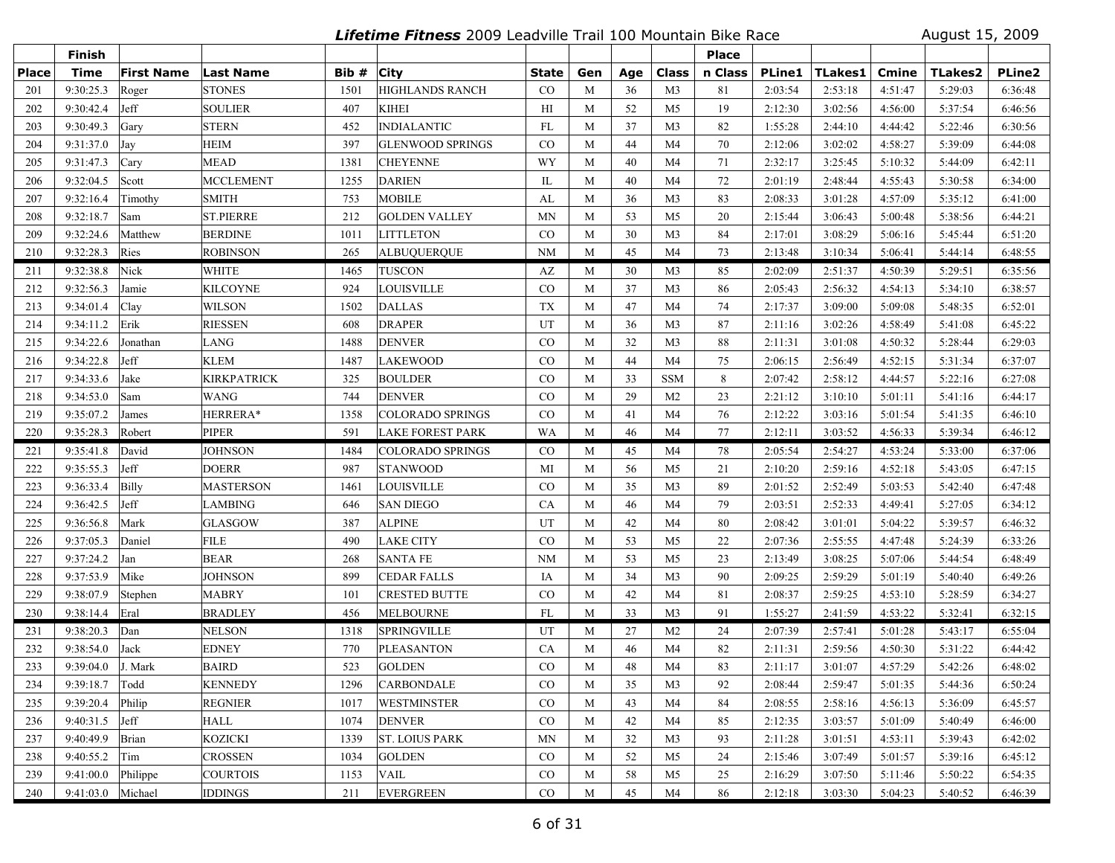**Lifetime Fitness** 2009 Leadville Trail 100 Mountain Bike Race August 15, 2009

|              | Finish            |                   |                    |       |                         |             |     |     |                | <b>Place</b> |               |         |         |                |         |
|--------------|-------------------|-------------------|--------------------|-------|-------------------------|-------------|-----|-----|----------------|--------------|---------------|---------|---------|----------------|---------|
| <b>Place</b> | <b>Time</b>       | <b>First Name</b> | <b>Last Name</b>   | Bib # | <b>City</b>             | State       | Gen | Age | Class          | n Class      | <b>PLine1</b> | TLakes1 | Cmine   | <b>TLakes2</b> | PLine2  |
| 201          | 9:30:25.3         | Roger             | <b>STONES</b>      | 1501  | <b>HIGHLANDS RANCH</b>  | CO          | M   | 36  | M <sub>3</sub> | 81           | 2:03:54       | 2:53:18 | 4:51:47 | 5:29:03        | 6:36:48 |
| 202          | 9:30:42.4         | Jeff              | SOULIER            | 407   | <b>KIHEI</b>            | HI          | M   | 52  | M <sub>5</sub> | 19           | 2:12:30       | 3:02:56 | 4:56:00 | 5:37:54        | 6:46:56 |
| 203          | 9:30:49.3         | Gary              | <b>STERN</b>       | 452   | <b>INDIALANTIC</b>      | FL          | M   | 37  | M <sub>3</sub> | 82           | 1:55:28       | 2:44:10 | 4:44:42 | 5:22:46        | 6:30:56 |
| 204          | 9:31:37.0         | Jay               | <b>HEIM</b>        | 397   | <b>GLENWOOD SPRINGS</b> | $_{\rm CO}$ | M   | 44  | M <sub>4</sub> | 70           | 2:12:06       | 3:02:02 | 4:58:27 | 5:39:09        | 6:44:08 |
| 205          | 9:31:47.3         | Cary              | MEAD               | 1381  | <b>CHEYENNE</b>         | WY          | M   | 40  | M <sub>4</sub> | 71           | 2:32:17       | 3:25:45 | 5:10:32 | 5:44:09        | 6:42:11 |
| 206          | 9:32:04.5         | Scott             | <b>MCCLEMENT</b>   | 1255  | <b>DARIEN</b>           | IL          | M   | 40  | M4             | 72           | 2:01:19       | 2:48:44 | 4:55:43 | 5:30:58        | 6:34:00 |
| 207          | 9:32:16.4         | Timothy           | <b>SMITH</b>       | 753   | <b>MOBILE</b>           | AL          | M   | 36  | M <sub>3</sub> | 83           | 2:08:33       | 3:01:28 | 4:57:09 | 5:35:12        | 6:41:00 |
| 208          | 9:32:18.7         | Sam               | <b>ST.PIERRE</b>   | 212   | <b>GOLDEN VALLEY</b>    | <b>MN</b>   | M   | 53  | M <sub>5</sub> | 20           | 2:15:44       | 3:06:43 | 5:00:48 | 5:38:56        | 6:44:21 |
| 209          | 9:32:24.6         | Matthew           | <b>BERDINE</b>     | 1011  | <b>LITTLETON</b>        | $\rm CO$    | M   | 30  | M <sub>3</sub> | 84           | 2:17:01       | 3:08:29 | 5:06:16 | 5:45:44        | 6:51:20 |
| 210          | 9:32:28.3         | Ries              | <b>ROBINSON</b>    | 265   | <b>ALBUOUEROUE</b>      | <b>NM</b>   | M   | 45  | M <sub>4</sub> | 73           | 2:13:48       | 3:10:34 | 5:06:41 | 5:44:14        | 6:48:55 |
| 211          | 9:32:38.8         | Nick              | <b>WHITE</b>       | 1465  | <b>TUSCON</b>           | AZ          | M   | 30  | M3             | 85           | 2:02:09       | 2:51:37 | 4:50:39 | 5:29:51        | 6:35:56 |
| 212          | 9:32:56.3         | Jamie             | KILCOYNE           | 924   | <b>LOUISVILLE</b>       | $\rm CO$    | M   | 37  | M <sub>3</sub> | 86           | 2:05:43       | 2:56:32 | 4:54:13 | 5:34:10        | 6:38:57 |
| 213          | 9:34:01.4         | Clay              | <b>WILSON</b>      | 1502  | <b>DALLAS</b>           | <b>TX</b>   | M   | 47  | M4             | 74           | 2:17:37       | 3:09:00 | 5:09:08 | 5:48:35        | 6:52:01 |
| 214          | 9:34:11.2         | Erik              | <b>RIESSEN</b>     | 608   | <b>DRAPER</b>           | UT          | M   | 36  | M <sub>3</sub> | 87           | 2:11:16       | 3:02:26 | 4:58:49 | 5:41:08        | 6:45:22 |
| 215          | 9:34:22.6         | Jonathan          | <b>LANG</b>        | 1488  | <b>DENVER</b>           | CO          | M   | 32  | M <sub>3</sub> | 88           | 2:11:31       | 3:01:08 | 4:50:32 | 5:28:44        | 6:29:03 |
| 216          | 9:34:22.8         | Jeff              | <b>KLEM</b>        | 1487  | <b>LAKEWOOD</b>         | CO          | M   | 44  | M <sub>4</sub> | 75           | 2:06:15       | 2:56:49 | 4:52:15 | 5:31:34        | 6:37:07 |
| 217          | 9:34:33.6         | Jake              | <b>KIRKPATRICK</b> | 325   | <b>BOULDER</b>          | CO          | M   | 33  | <b>SSM</b>     | 8            | 2:07:42       | 2:58:12 | 4:44:57 | 5:22:16        | 6:27:08 |
| 218          | 9:34:53.0         | Sam               | WANG               | 744   | <b>DENVER</b>           | $\rm CO$    | M   | 29  | M <sub>2</sub> | 23           | 2:21:12       | 3:10:10 | 5:01:11 | 5:41:16        | 6:44:17 |
| 219          | 9:35:07.2         | James             | HERRERA*           | 1358  | <b>COLORADO SPRINGS</b> | $\rm CO$    | M   | 41  | M <sub>4</sub> | 76           | 2:12:22       | 3:03:16 | 5:01:54 | 5:41:35        | 6:46:10 |
| 220          | 9:35:28.3         | Robert            | <b>PIPER</b>       | 591   | <b>LAKE FOREST PARK</b> | WA          | M   | 46  | M <sub>4</sub> | 77           | 2:12:11       | 3:03:52 | 4:56:33 | 5:39:34        | 6:46:12 |
| 221          | 9:35:41.8         | David             | <b>JOHNSON</b>     | 1484  | COLORADO SPRINGS        | $\rm CO$    | M   | 45  | M4             | 78           | 2:05:54       | 2:54:27 | 4:53:24 | 5:33:00        | 6:37:06 |
| 222          | 9:35:55.3         | Jeff              | <b>DOERR</b>       | 987   | <b>STANWOOD</b>         | MI          | M   | 56  | M5             | 21           | 2:10:20       | 2:59:16 | 4:52:18 | 5:43:05        | 6:47:15 |
| 223          | 9:36:33.4         | Billy             | MASTERSON          | 1461  | <b>LOUISVILLE</b>       | CO          | M   | 35  | M <sub>3</sub> | 89           | 2:01:52       | 2:52:49 | 5:03:53 | 5:42:40        | 6:47:48 |
| 224          | 9:36:42.5         | Jeff              | <b>LAMBING</b>     | 646   | <b>SAN DIEGO</b>        | <b>CA</b>   | M   | 46  | M <sub>4</sub> | 79           | 2:03:51       | 2:52:33 | 4:49:41 | 5:27:05        | 6:34:12 |
| 225          | 9:36:56.8         | Mark              | GLASGOW            | 387   | <b>ALPINE</b>           | UT          | M   | 42  | M4             | 80           | 2:08:42       | 3:01:01 | 5:04:22 | 5:39:57        | 6:46:32 |
| 226          | 9:37:05.3         | Daniel            | <b>FILE</b>        | 490   | <b>LAKE CITY</b>        | CO          | M   | 53  | M5             | 22           | 2:07:36       | 2:55:55 | 4:47:48 | 5:24:39        | 6:33:26 |
| 227          | 9:37:24.2         | Jan               | <b>BEAR</b>        | 268   | <b>SANTA FE</b>         | <b>NM</b>   | M   | 53  | M5             | 23           | 2:13:49       | 3:08:25 | 5:07:06 | 5:44:54        | 6:48:49 |
| 228          | 9:37:53.9         | Mike              | <b>JOHNSON</b>     | 899   | <b>CEDAR FALLS</b>      | IA          | M   | 34  | M <sub>3</sub> | 90           | 2:09:25       | 2:59:29 | 5:01:19 | 5:40:40        | 6:49:26 |
| 229          | 9:38:07.9         | Stephen           | <b>MABRY</b>       | 101   | <b>CRESTED BUTTE</b>    | $\rm CO$    | M   | 42  | M4             | 81           | 2:08:37       | 2:59:25 | 4:53:10 | 5:28:59        | 6:34:27 |
| 230          | 9:38:14.4         | Eral              | <b>BRADLEY</b>     | 456   | <b>MELBOURNE</b>        | FL          | M   | 33  | M <sub>3</sub> | 91           | 1:55:27       | 2:41:59 | 4:53:22 | 5:32:41        | 6:32:15 |
| 231          | 9:38:20.3         | Dan               | <b>NELSON</b>      | 1318  | <b>SPRINGVILLE</b>      | UT          | M   | 27  | M <sub>2</sub> | 24           | 2:07:39       | 2:57:41 | 5:01:28 | 5:43:17        | 6:55:04 |
| 232          | 9:38:54.0         | Jack              | <b>EDNEY</b>       | 770   | <b>PLEASANTON</b>       | CA          | M   | 46  | M4             | 82           | 2:11:31       | 2:59:56 | 4:50:30 | 5:31:22        | 6:44:42 |
| 233          | 9:39:04.0         | J. Mark           | <b>BAIRD</b>       | 523   | <b>GOLDEN</b>           | CO          | M   | 48  | M <sub>4</sub> | 83           | 2:11:17       | 3:01:07 | 4:57:29 | 5:42:26        | 6:48:02 |
| 234          | 9:39:18.7 Todd    |                   | <b>KENNEDY</b>     | 1296  | <b>CARBONDALE</b>       | CO          | M   | 35  | M3             | 92           | 2:08:44       | 2:59:47 | 5:01:35 | 5:44:36        | 6:50:24 |
| 235          | 9:39:20.4         | Philip            | <b>REGNIER</b>     | 1017  | <b>WESTMINSTER</b>      | $\rm CO$    | M   | 43  | M4             | 84           | 2:08:55       | 2:58:16 | 4:56:13 | 5:36:09        | 6:45:57 |
| 236          | 9:40:31.5         | Jeff              | HALL               | 1074  | <b>DENVER</b>           | CO          | M   | 42  | M4             | 85           | 2:12:35       | 3:03:57 | 5:01:09 | 5:40:49        | 6:46:00 |
| 237          | 9:40:49.9         | Brian             | <b>KOZICKI</b>     | 1339  | <b>ST. LOIUS PARK</b>   | MN          | M   | 32  | M3             | 93           | 2:11:28       | 3:01:51 | 4:53:11 | 5:39:43        | 6:42:02 |
| 238          | 9:40:55.2         | Tim               | <b>CROSSEN</b>     | 1034  | <b>GOLDEN</b>           | $\rm CO$    | M   | 52  | M5             | 24           | 2:15:46       | 3:07:49 | 5:01:57 | 5:39:16        | 6:45:12 |
| 239          | 9:41:00.0         | Philippe          | <b>COURTOIS</b>    | 1153  | <b>VAIL</b>             | $\rm CO$    | M   | 58  | M5             | 25           | 2:16:29       | 3:07:50 | 5:11:46 | 5:50:22        | 6:54:35 |
| 240          | 9:41:03.0 Michael |                   | <b>IDDINGS</b>     | 211   | <b>EVERGREEN</b>        | CO          | M   | 45  | M4             | 86           | 2:12:18       | 3:03:30 | 5:04:23 | 5:40:52        | 6:46:39 |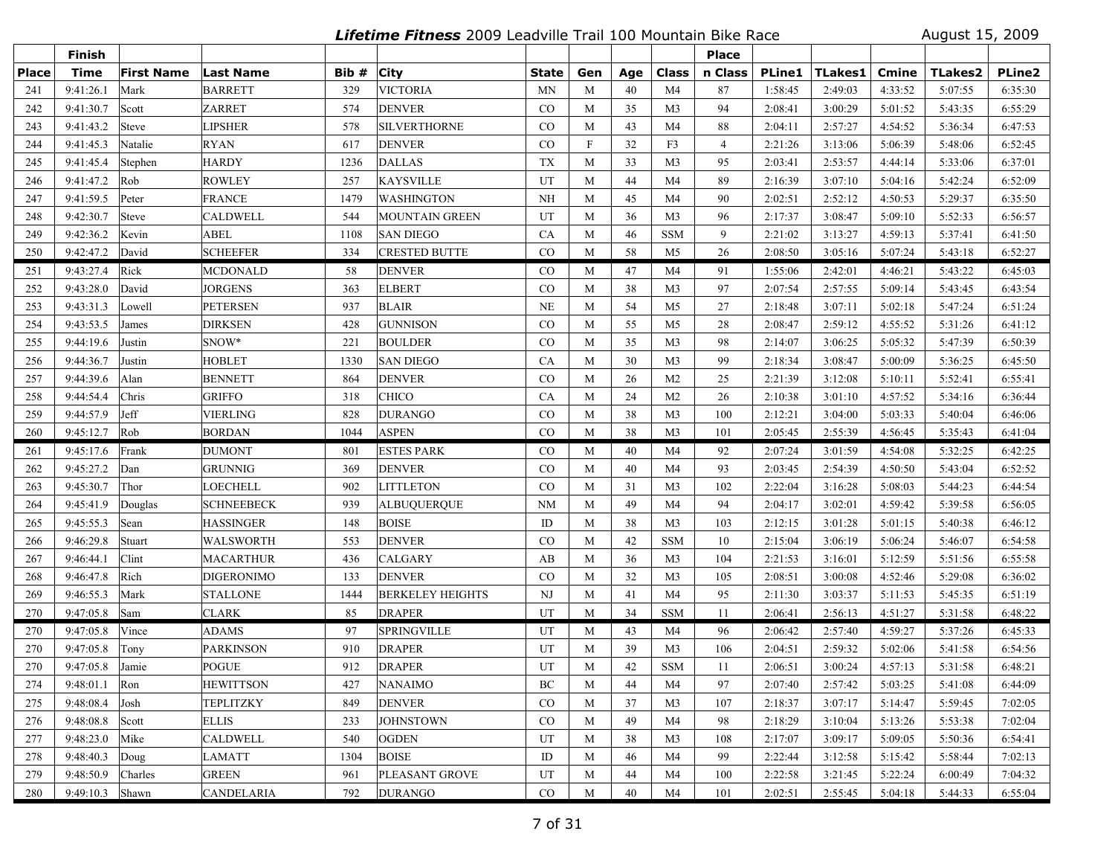**Lifetime Fitness** 2009 Leadville Trail 100 Mountain Bike Race August 15, 2009

|              | Finish          |                   |                   |       |                         |             |             |     |                | <b>Place</b>   |               |                |         |                |         |
|--------------|-----------------|-------------------|-------------------|-------|-------------------------|-------------|-------------|-----|----------------|----------------|---------------|----------------|---------|----------------|---------|
| <b>Place</b> | <b>Time</b>     | <b>First Name</b> | <b>Last Name</b>  | Bib # | <b>City</b>             | State       | Gen         | Age | Class          | n Class        | <b>PLine1</b> | <b>TLakes1</b> | Cmine   | <b>TLakes2</b> | PLine2  |
| 241          | 9:41:26.1       | Mark              | <b>BARRETT</b>    | 329   | <b>VICTORIA</b>         | <b>MN</b>   | M           | 40  | M4             | 87             | 1:58:45       | 2:49:03        | 4:33:52 | 5:07:55        | 6:35:30 |
| 242          | 9:41:30.7       | Scott             | <b>ZARRET</b>     | 574   | <b>DENVER</b>           | CO          | M           | 35  | M <sub>3</sub> | 94             | 2:08:41       | 3:00:29        | 5:01:52 | 5:43:35        | 6:55:29 |
| 243          | 9:41:43.2       | Steve             | <b>LIPSHER</b>    | 578   | <b>SILVERTHORNE</b>     | $_{\rm CO}$ | M           | 43  | M <sub>4</sub> | 88             | 2:04:11       | 2:57:27        | 4:54:52 | 5:36:34        | 6:47:53 |
| 244          | 9:41:45.3       | Natalie           | <b>RYAN</b>       | 617   | <b>DENVER</b>           | CO          | $\mathbf F$ | 32  | F3             | $\overline{4}$ | 2:21:26       | 3:13:06        | 5:06:39 | 5:48:06        | 6:52:45 |
| 245          | 9:41:45.4       | Stephen           | <b>HARDY</b>      | 1236  | <b>DALLAS</b>           | <b>TX</b>   | M           | 33  | M <sub>3</sub> | 95             | 2:03:41       | 2:53:57        | 4:44:14 | 5:33:06        | 6:37:01 |
| 246          | 9:41:47.2       | Rob               | <b>ROWLEY</b>     | 257   | <b>KAYSVILLE</b>        | UT          | M           | 44  | M4             | 89             | 2:16:39       | 3:07:10        | 5:04:16 | 5:42:24        | 6:52:09 |
| 247          | 9:41:59.5       | Peter             | <b>FRANCE</b>     | 1479  | <b>WASHINGTON</b>       | <b>NH</b>   | M           | 45  | M <sub>4</sub> | 90             | 2:02:51       | 2:52:12        | 4:50:53 | 5:29:37        | 6:35:50 |
| 248          | 9:42:30.7       | Steve             | <b>CALDWELL</b>   | 544   | <b>MOUNTAIN GREEN</b>   | UT          | M           | 36  | M <sub>3</sub> | 96             | 2:17:37       | 3:08:47        | 5:09:10 | 5:52:33        | 6:56:57 |
| 249          | 9:42:36.2       | Kevin             | ABEL              | 1108  | <b>SAN DIEGO</b>        | <b>CA</b>   | M           | 46  | <b>SSM</b>     | 9              | 2:21:02       | 3:13:27        | 4:59:13 | 5:37:41        | 6:41:50 |
| 250          | 9:42:47.2       | David             | <b>SCHEEFER</b>   | 334   | <b>CRESTED BUTTE</b>    | CO          | M           | 58  | M <sub>5</sub> | 26             | 2:08:50       | 3:05:16        | 5:07:24 | 5:43:18        | 6:52:27 |
| 251          | 9:43:27.4       | Rick              | MCDONALD          | 58    | <b>DENVER</b>           | $_{\rm CO}$ | M           | 47  | M <sub>4</sub> | 91             | 1:55:06       | 2:42:01        | 4:46:21 | 5:43:22        | 6:45:03 |
| 252          | 9:43:28.0       | David             | <b>JORGENS</b>    | 363   | <b>ELBERT</b>           | CO          | M           | 38  | M <sub>3</sub> | 97             | 2:07:54       | 2:57:55        | 5:09:14 | 5:43:45        | 6:43:54 |
| 253          | 9:43:31.3       | Lowell            | <b>PETERSEN</b>   | 937   | <b>BLAIR</b>            | <b>NE</b>   | M           | 54  | M5             | 27             | 2:18:48       | 3:07:11        | 5:02:18 | 5:47:24        | 6:51:24 |
| 254          | 9:43:53.5       | James             | <b>DIRKSEN</b>    | 428   | <b>GUNNISON</b>         | $\rm CO$    | M           | 55  | M <sub>5</sub> | 28             | 2:08:47       | 2:59:12        | 4:55:52 | 5:31:26        | 6:41:12 |
| 255          | 9:44:19.6       | Justin            | SNOW*             | 221   | <b>BOULDER</b>          | CO          | M           | 35  | M <sub>3</sub> | 98             | 2:14:07       | 3:06:25        | 5:05:32 | 5:47:39        | 6:50:39 |
| 256          | 9:44:36.7       | Justin            | <b>HOBLET</b>     | 1330  | <b>SAN DIEGO</b>        | CA          | M           | 30  | M <sub>3</sub> | 99             | 2:18:34       | 3:08:47        | 5:00:09 | 5:36:25        | 6:45:50 |
| 257          | 9:44:39.6       | Alan              | <b>BENNETT</b>    | 864   | <b>DENVER</b>           | CO          | M           | 26  | M <sub>2</sub> | 25             | 2:21:39       | 3:12:08        | 5:10:11 | 5:52:41        | 6:55:41 |
| 258          | 9:44:54.4       | Chris             | <b>GRIFFO</b>     | 318   | <b>CHICO</b>            | CA          | M           | 24  | M <sub>2</sub> | 26             | 2:10:38       | 3:01:10        | 4:57:52 | 5:34:16        | 6:36:44 |
| 259          | 9:44:57.9       | Jeff              | VIERLING          | 828   | <b>DURANGO</b>          | $\rm CO$    | M           | 38  | M <sub>3</sub> | 100            | 2:12:21       | 3:04:00        | 5:03:33 | 5:40:04        | 6:46:06 |
| 260          | 9:45:12.7       | Rob               | <b>BORDAN</b>     | 1044  | <b>ASPEN</b>            | CO          | M           | 38  | M <sub>3</sub> | 101            | 2:05:45       | 2:55:39        | 4:56:45 | 5:35:43        | 6:41:04 |
| 261          | 9:45:17.6       | Frank             | <b>DUMONT</b>     | 801   | <b>ESTES PARK</b>       | $\rm CO$    | M           | 40  | M4             | 92             | 2:07:24       | 3:01:59        | 4:54:08 | 5:32:25        | 6:42:25 |
| 262          | 9:45:27.2       | Dan               | <b>GRUNNIG</b>    | 369   | <b>DENVER</b>           | $\rm CO$    | M           | 40  | M4             | 93             | 2:03:45       | 2:54:39        | 4:50:50 | 5:43:04        | 6:52:52 |
| 263          | 9:45:30.7       | Thor              | LOECHELL          | 902   | <b>LITTLETON</b>        | $\rm CO$    | M           | 31  | M <sub>3</sub> | 102            | 2:22:04       | 3:16:28        | 5:08:03 | 5:44:23        | 6:44:54 |
| 264          | 9:45:41.9       | Douglas           | <b>SCHNEEBECK</b> | 939   | <b>ALBUQUERQUE</b>      | <b>NM</b>   | M           | 49  | M <sub>4</sub> | 94             | 2:04:17       | 3:02:01        | 4:59:42 | 5:39:58        | 6:56:05 |
| 265          | 9:45:55.3       | Sean              | <b>HASSINGER</b>  | 148   | <b>BOISE</b>            | ID          | M           | 38  | M <sub>3</sub> | 103            | 2:12:15       | 3:01:28        | 5:01:15 | 5:40:38        | 6:46:12 |
| 266          | 9:46:29.8       | Stuart            | WALSWORTH         | 553   | <b>DENVER</b>           | CO          | M           | 42  | <b>SSM</b>     | 10             | 2:15:04       | 3:06:19        | 5:06:24 | 5:46:07        | 6:54:58 |
| 267          | 9:46:44.1       | Clint             | <b>MACARTHUR</b>  | 436   | <b>CALGARY</b>          | AB          | M           | 36  | M <sub>3</sub> | 104            | 2:21:53       | 3:16:01        | 5:12:59 | 5:51:56        | 6:55:58 |
| 268          | 9:46:47.8       | Rich              | <b>DIGERONIMO</b> | 133   | <b>DENVER</b>           | CO          | M           | 32  | M <sub>3</sub> | 105            | 2:08:51       | 3:00:08        | 4:52:46 | 5:29:08        | 6:36:02 |
| 269          | 9:46:55.3       | Mark              | <b>STALLONE</b>   | 1444  | <b>BERKELEY HEIGHTS</b> | NJ          | M           | 41  | M4             | 95             | 2:11:30       | 3:03:37        | 5:11:53 | 5:45:35        | 6:51:19 |
| 270          | 9:47:05.8       | Sam               | <b>CLARK</b>      | 85    | <b>DRAPER</b>           | UT          | M           | 34  | <b>SSM</b>     | 11             | 2:06:41       | 2:56:13        | 4:51:27 | 5:31:58        | 6:48:22 |
| 270          | 9:47:05.8       | Vince             | ADAMS             | 97    | <b>SPRINGVILLE</b>      | UT          | M           | 43  | M4             | 96             | 2:06:42       | 2:57:40        | 4:59:27 | 5:37:26        | 6:45:33 |
| 270          | 9:47:05.8       | Tony              | <b>PARKINSON</b>  | 910   | <b>DRAPER</b>           | UT          | M           | 39  | M <sub>3</sub> | 106            | 2:04:51       | 2:59:32        | 5:02:06 | 5:41:58        | 6:54:56 |
| 270          | 9:47:05.8       | Jamie             | <b>POGUE</b>      | 912   | <b>DRAPER</b>           | UT          | M           | 42  | <b>SSM</b>     | 11             | 2:06:51       | 3:00:24        | 4:57:13 | 5:31:58        | 6:48:21 |
| 274          | $9:48:01.1$ Ron |                   | <b>HEWITTSON</b>  | 427   | NANAIMO                 | BC          | M           | 44  | M4             | 97             | 2:07:40       | 2:57:42        | 5:03:25 | 5:41:08        | 6:44:09 |
| 275          | 9:48:08.4       | Josh              | <b>TEPLITZKY</b>  | 849   | <b>DENVER</b>           | $\rm CO$    | M           | 37  | M <sub>3</sub> | 107            | 2:18:37       | 3:07:17        | 5:14:47 | 5:59:45        | 7:02:05 |
| 276          | 9:48:08.8       | Scott             | <b>ELLIS</b>      | 233   | <b>JOHNSTOWN</b>        | $\rm CO$    | M           | 49  | M4             | 98             | 2:18:29       | 3:10:04        | 5:13:26 | 5:53:38        | 7:02:04 |
| 277          | 9:48:23.0       | Mike              | <b>CALDWELL</b>   | 540   | <b>OGDEN</b>            | UT          | M           | 38  | M <sub>3</sub> | 108            | 2:17:07       | 3:09:17        | 5:09:05 | 5:50:36        | 6:54:41 |
| 278          | 9:48:40.3       | Doug              | <b>LAMATT</b>     | 1304  | <b>BOISE</b>            | ID          | M           | 46  | M4             | 99             | 2:22:44       | 3:12:58        | 5:15:42 | 5:58:44        | 7:02:13 |
| 279          | 9:48:50.9       | Charles           | <b>GREEN</b>      | 961   | PLEASANT GROVE          | UT          | M           | 44  | M4             | 100            | 2:22:58       | 3:21:45        | 5:22:24 | 6:00:49        | 7:04:32 |
| 280          | 9:49:10.3       | Shawn             | CANDELARIA        | 792   | <b>DURANGO</b>          | $\rm CO$    | M           | 40  | M4             | 101            | 2:02:51       | 2:55:45        | 5:04:18 | 5:44:33        | 6:55:04 |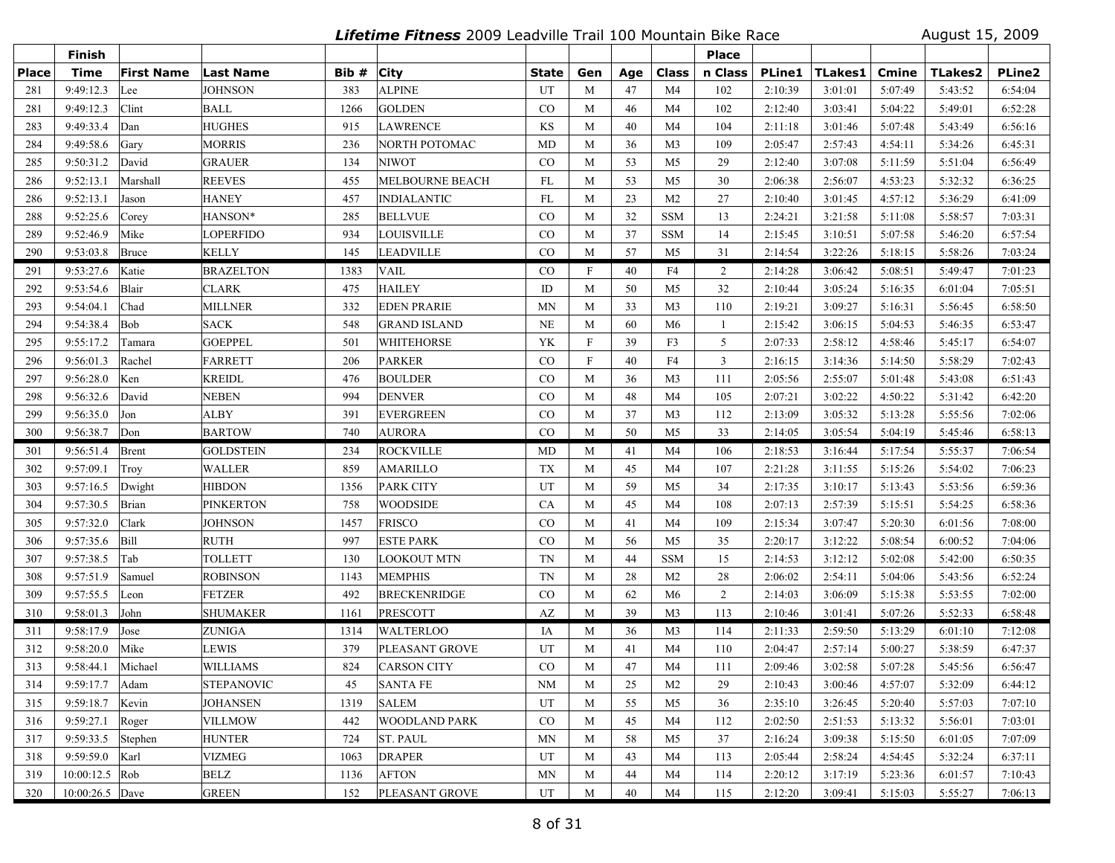**Lifetime Fitness** 2009 Leadville Trail 100 Mountain Bike Race August 15, 2009

|              | Finish            |                   |                   |       |                        |             |                           |     |                | <b>Place</b>   |               |         |         |                |         |
|--------------|-------------------|-------------------|-------------------|-------|------------------------|-------------|---------------------------|-----|----------------|----------------|---------------|---------|---------|----------------|---------|
| <b>Place</b> | <b>Time</b>       | <b>First Name</b> | <b>Last Name</b>  | Bib # | <b>City</b>            | State       | Gen                       | Age | Class          | n Class        | <b>PLine1</b> | TLakes1 | Cmine   | <b>TLakes2</b> | PLine2  |
| 281          | 9:49:12.3         | Lee               | <b>JOHNSON</b>    | 383   | <b>ALPINE</b>          | UT          | M                         | 47  | M <sub>4</sub> | 102            | 2:10:39       | 3:01:01 | 5:07:49 | 5:43:52        | 6:54:04 |
| 281          | 9:49:12.3         | Clint             | BALL              | 1266  | <b>GOLDEN</b>          | $\rm CO$    | M                         | 46  | M <sub>4</sub> | 102            | 2:12:40       | 3:03:41 | 5:04:22 | 5:49:01        | 6:52:28 |
| 283          | 9:49:33.4         | Dan               | <b>HUGHES</b>     | 915   | <b>LAWRENCE</b>        | KS          | M                         | 40  | M4             | 104            | 2:11:18       | 3:01:46 | 5:07:48 | 5:43:49        | 6:56:16 |
| 284          | 9:49:58.6         | Gary              | MORRIS            | 236   | NORTH POTOMAC          | MD          | M                         | 36  | M <sub>3</sub> | 109            | 2:05:47       | 2:57:43 | 4:54:11 | 5:34:26        | 6:45:31 |
| 285          | 9:50:31.2         | David             | <b>GRAUER</b>     | 134   | <b>NIWOT</b>           | $\rm CO$    | M                         | 53  | M <sub>5</sub> | 29             | 2:12:40       | 3:07:08 | 5:11:59 | 5:51:04        | 6:56:49 |
| 286          | 9:52:13.1         | Marshall          | <b>REEVES</b>     | 455   | <b>MELBOURNE BEACH</b> | FL          | M                         | 53  | M5             | 30             | 2:06:38       | 2:56:07 | 4:53:23 | 5:32:32        | 6:36:25 |
| 286          | 9:52:13.1         | Jason             | <b>HANEY</b>      | 457   | <b>INDIALANTIC</b>     | FL          | M                         | 23  | M <sub>2</sub> | 27             | 2:10:40       | 3:01:45 | 4:57:12 | 5:36:29        | 6:41:09 |
| 288          | 9:52:25.6         | Corey             | HANSON*           | 285   | <b>BELLVUE</b>         | CO          | M                         | 32  | <b>SSM</b>     | 13             | 2:24:21       | 3:21:58 | 5:11:08 | 5:58:57        | 7:03:31 |
| 289          | 9:52:46.9         | Mike              | LOPERFIDO         | 934   | <b>LOUISVILLE</b>      | CO          | M                         | 37  | <b>SSM</b>     | 14             | 2:15:45       | 3:10:51 | 5:07:58 | 5:46:20        | 6:57:54 |
| 290          | 9:53:03.8         | Bruce             | KELLY             | 145   | <b>LEADVILLE</b>       | CO          | M                         | 57  | M <sub>5</sub> | 31             | 2:14:54       | 3:22:26 | 5:18:15 | 5:58:26        | 7:03:24 |
| 291          | 9:53:27.6         | Katie             | <b>BRAZELTON</b>  | 1383  | <b>VAIL</b>            | $_{\rm CO}$ | $\mathbf F$               | 40  | F4             | 2              | 2:14:28       | 3:06:42 | 5:08:51 | 5:49:47        | 7:01:23 |
| 292          | 9:53:54.6         | Blair             | CLARK             | 475   | <b>HAILEY</b>          | ID          | M                         | 50  | M <sub>5</sub> | 32             | 2:10:44       | 3:05:24 | 5:16:35 | 6:01:04        | 7:05:51 |
| 293          | 9:54:04.1         | Chad              | <b>MILLNER</b>    | 332   | <b>EDEN PRARIE</b>     | <b>MN</b>   | M                         | 33  | M <sub>3</sub> | 110            | 2:19:21       | 3:09:27 | 5:16:31 | 5:56:45        | 6:58:50 |
| 294          | 9:54:38.4         | Bob               | <b>SACK</b>       | 548   | <b>GRAND ISLAND</b>    | <b>NE</b>   | M                         | 60  | M6             | 1              | 2:15:42       | 3:06:15 | 5:04:53 | 5:46:35        | 6:53:47 |
| 295          | 9:55:17.2         | Tamara            | <b>GOEPPEL</b>    | 501   | WHITEHORSE             | YK          | $\boldsymbol{\mathrm{F}}$ | 39  | F3             | 5              | 2:07:33       | 2:58:12 | 4:58:46 | 5:45:17        | 6:54:07 |
| 296          | 9:56:01.3         | Rachel            | <b>FARRETT</b>    | 206   | <b>PARKER</b>          | CO          | $\mathbf F$               | 40  | F <sub>4</sub> | $\overline{3}$ | 2:16:15       | 3:14:36 | 5:14:50 | 5:58:29        | 7:02:43 |
| 297          | 9:56:28.0         | Ken               | <b>KREIDL</b>     | 476   | <b>BOULDER</b>         | CO          | M                         | 36  | M <sub>3</sub> | 111            | 2:05:56       | 2:55:07 | 5:01:48 | 5:43:08        | 6:51:43 |
| 298          | 9:56:32.6         | David             | <b>NEBEN</b>      | 994   | <b>DENVER</b>          | $\rm CO$    | M                         | 48  | M4             | 105            | 2:07:21       | 3:02:22 | 4:50:22 | 5:31:42        | 6:42:20 |
| 299          | 9:56:35.0         | Jon               | ALBY              | 391   | <b>EVERGREEN</b>       | CO          | M                         | 37  | M <sub>3</sub> | 112            | 2:13:09       | 3:05:32 | 5:13:28 | 5:55:56        | 7:02:06 |
| 300          | 9:56:38.7         | Don               | <b>BARTOW</b>     | 740   | <b>AURORA</b>          | CO          | M                         | 50  | M <sub>5</sub> | 33             | 2:14:05       | 3:05:54 | 5:04:19 | 5:45:46        | 6:58:13 |
| 301          | 9:56:51.4         | Brent             | GOLDSTEIN         | 234   | <b>ROCKVILLE</b>       | MD          | M                         | 41  | M4             | 106            | 2:18:53       | 3:16:44 | 5:17:54 | 5:55:37        | 7:06:54 |
| 302          | 9:57:09.1         | Troy              | WALLER            | 859   | <b>AMARILLO</b>        | TX          | M                         | 45  | M4             | 107            | 2:21:28       | 3:11:55 | 5:15:26 | 5:54:02        | 7:06:23 |
| 303          | 9:57:16.5         | Dwight            | HIBDON            | 1356  | <b>PARK CITY</b>       | UT          | M                         | 59  | M <sub>5</sub> | 34             | 2:17:35       | 3:10:17 | 5:13:43 | 5:53:56        | 6:59:36 |
| 304          | 9:57:30.5         | Brian             | <b>PINKERTON</b>  | 758   | <b>WOODSIDE</b>        | CA          | M                         | 45  | M <sub>4</sub> | 108            | 2:07:13       | 2:57:39 | 5:15:51 | 5:54:25        | 6:58:36 |
| 305          | 9:57:32.0         | Clark             | <b>JOHNSON</b>    | 1457  | <b>FRISCO</b>          | CO          | M                         | 41  | M4             | 109            | 2:15:34       | 3:07:47 | 5:20:30 | 6:01:56        | 7:08:00 |
| 306          | 9:57:35.6         | <b>Bill</b>       | RUTH              | 997   | <b>ESTE PARK</b>       | $\rm CO$    | M                         | 56  | M5             | 35             | 2:20:17       | 3:12:22 | 5:08:54 | 6:00:52        | 7:04:06 |
| 307          | 9:57:38.5         | Tab               | <b>TOLLETT</b>    | 130   | <b>LOOKOUT MTN</b>     | TN          | M                         | 44  | <b>SSM</b>     | 15             | 2:14:53       | 3:12:12 | 5:02:08 | 5:42:00        | 6:50:35 |
| 308          | 9:57:51.9         | Samuel            | <b>ROBINSON</b>   | 1143  | <b>MEMPHIS</b>         | TN          | M                         | 28  | M <sub>2</sub> | 28             | 2:06:02       | 2:54:11 | 5:04:06 | 5:43:56        | 6:52:24 |
| 309          | 9:57:55.5         | Leon              | <b>FETZER</b>     | 492   | <b>BRECKENRIDGE</b>    | $\rm CO$    | M                         | 62  | M6             | 2              | 2:14:03       | 3:06:09 | 5:15:38 | 5:53:55        | 7:02:00 |
| 310          | 9:58:01.3         | John              | <b>SHUMAKER</b>   | 1161  | <b>PRESCOTT</b>        | AZ          | M                         | 39  | M <sub>3</sub> | 113            | 2:10:46       | 3:01:41 | 5:07:26 | 5:52:33        | 6:58:48 |
| 311          | 9:58:17.9         | Jose              | <b>ZUNIGA</b>     | 1314  | <b>WALTERLOO</b>       | IA          | M                         | 36  | M <sub>3</sub> | 114            | 2:11:33       | 2:59:50 | 5:13:29 | 6:01:10        | 7:12:08 |
| 312          | 9:58:20.0         | Mike              | LEWIS             | 379   | PLEASANT GROVE         | UT          | M                         | 41  | M <sub>4</sub> | 110            | 2:04:47       | 2:57:14 | 5:00:27 | 5:38:59        | 6:47:37 |
| 313          | 9:58:44.1         | Michael           | WILLIAMS          | 824   | <b>CARSON CITY</b>     | CO          | M                         | 47  | M4             | 111            | 2:09:46       | 3:02:58 | 5:07:28 | 5:45:56        | 6:56:47 |
| 314          | $9:59:17.7$  Adam |                   | <b>STEPANOVIC</b> | 45    | <b>SANTA FE</b>        | NM          | M                         | 25  | M2             | 29             | 2:10:43       | 3:00:46 | 4:57:07 | 5:32:09        | 6:44:12 |
| 315          | 9:59:18.7         | Kevin             | <b>JOHANSEN</b>   | 1319  | <b>SALEM</b>           | UT          | M                         | 55  | M <sub>5</sub> | 36             | 2:35:10       | 3:26:45 | 5:20:40 | 5:57:03        | 7:07:10 |
| 316          | 9:59:27.1         | Roger             | <b>VILLMOW</b>    | 442   | <b>WOODLAND PARK</b>   | $\rm CO$    | M                         | 45  | M4             | 112            | 2:02:50       | 2:51:53 | 5:13:32 | 5:56:01        | 7:03:01 |
| 317          | 9:59:33.5         | Stephen           | <b>HUNTER</b>     | 724   | <b>ST. PAUL</b>        | MN          | M                         | 58  | M5             | 37             | 2:16:24       | 3:09:38 | 5:15:50 | 6:01:05        | 7:07:09 |
| 318          | 9:59:59.0 Karl    |                   | <b>VIZMEG</b>     | 1063  | <b>DRAPER</b>          | UT          | M                         | 43  | M4             | 113            | 2:05:44       | 2:58:24 | 4:54:45 | 5:32:24        | 6:37:11 |
| 319          | $10:00:12.5$ Rob  |                   | <b>BELZ</b>       | 1136  | <b>AFTON</b>           | <b>MN</b>   | M                         | 44  | M4             | 114            | 2:20:12       | 3:17:19 | 5:23:36 | 6:01:57        | 7:10:43 |
| 320          | 10:00:26.5 Dave   |                   | GREEN             | 152   | PLEASANT GROVE         | UT          | M                         | 40  | M4             | 115            | 2:12:20       | 3:09:41 | 5:15:03 | 5:55:27        | 7:06:13 |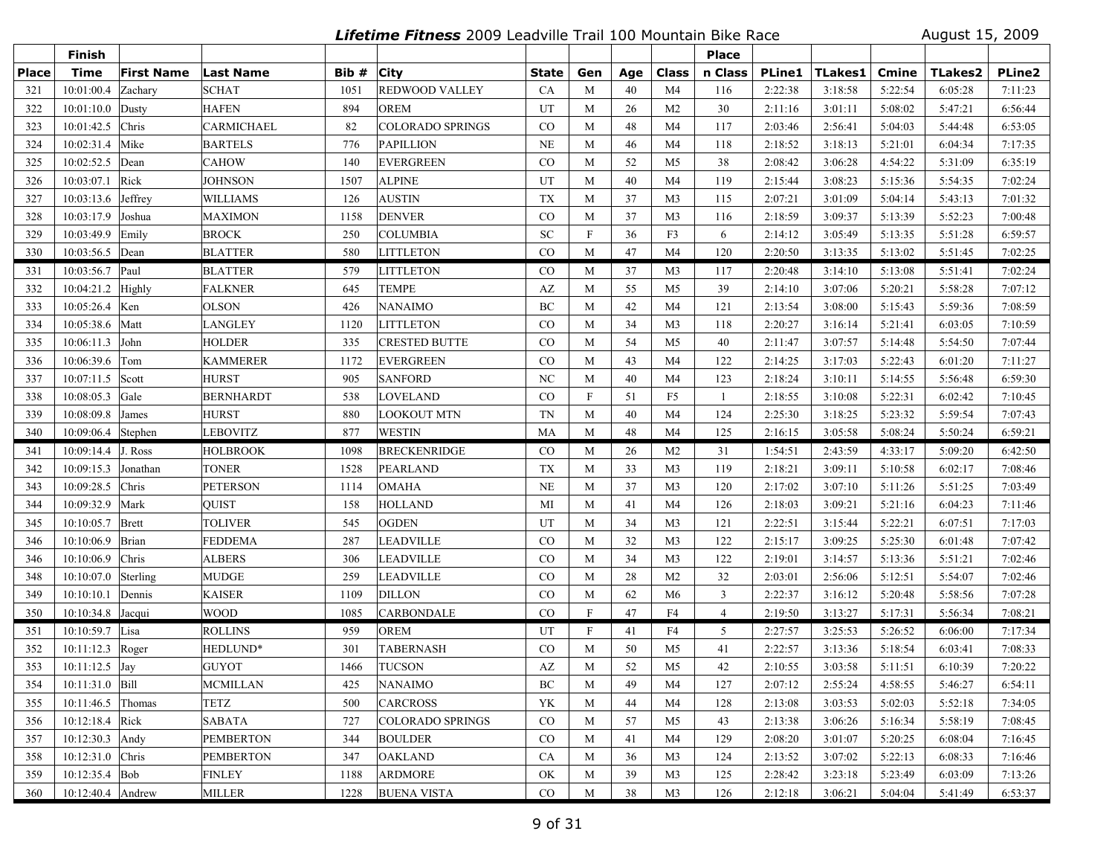**Lifetime Fitness** 2009 Leadville Trail 100 Mountain Bike Race August 15, 2009

|              | <b>Finish</b>         |                   |                  |       |                         |              |                           |     |                | <b>Place</b>   |               |         |         |                |               |
|--------------|-----------------------|-------------------|------------------|-------|-------------------------|--------------|---------------------------|-----|----------------|----------------|---------------|---------|---------|----------------|---------------|
| <b>Place</b> | <b>Time</b>           | <b>First Name</b> | Last Name        | Bib # | <b>City</b>             | <b>State</b> | Gen                       | Age | <b>Class</b>   | n Class        | <b>PLine1</b> | TLakes1 | Cmine   | <b>TLakes2</b> | <b>PLine2</b> |
| 321          | 10:01:00.4            | Zachary           | <b>SCHAT</b>     | 1051  | <b>REDWOOD VALLEY</b>   | CA           | M                         | 40  | M4             | 116            | 2:22:38       | 3:18:58 | 5:22:54 | 6:05:28        | 7:11:23       |
| 322          | 10:01:10.0            | Dusty             | <b>HAFEN</b>     | 894   | <b>OREM</b>             | UT           | M                         | 26  | M <sub>2</sub> | 30             | 2:11:16       | 3:01:11 | 5:08:02 | 5:47:21        | 6:56:44       |
| 323          | 10:01:42.5            | Chris             | CARMICHAEL       | 82    | <b>COLORADO SPRINGS</b> | $_{\rm CO}$  | M                         | 48  | M <sub>4</sub> | 117            | 2:03:46       | 2:56:41 | 5:04:03 | 5:44:48        | 6:53:05       |
| 324          | 10:02:31.4            | Mike              | <b>BARTELS</b>   | 776   | <b>PAPILLION</b>        | <b>NE</b>    | M                         | 46  | M <sub>4</sub> | 118            | 2:18:52       | 3:18:13 | 5:21:01 | 6:04:34        | 7:17:35       |
| 325          | 10:02:52.5            | Dean              | <b>CAHOW</b>     | 140   | <b>EVERGREEN</b>        | $\rm CO$     | M                         | 52  | M5             | 38             | 2:08:42       | 3:06:28 | 4:54:22 | 5:31:09        | 6:35:19       |
| 326          | 10:03:07.1            | Rick              | <b>JOHNSON</b>   | 1507  | <b>ALPINE</b>           | UT           | M                         | 40  | M4             | 119            | 2:15:44       | 3:08:23 | 5:15:36 | 5:54:35        | 7:02:24       |
| 327          | 10:03:13.6            | Jeffrey           | <b>WILLIAMS</b>  | 126   | <b>AUSTIN</b>           | <b>TX</b>    | M                         | 37  | M <sub>3</sub> | 115            | 2:07:21       | 3:01:09 | 5:04:14 | 5:43:13        | 7:01:32       |
| 328          | 10:03:17.9            | Joshua            | <b>MAXIMON</b>   | 1158  | <b>DENVER</b>           | CO           | M                         | 37  | M <sub>3</sub> | 116            | 2:18:59       | 3:09:37 | 5:13:39 | 5:52:23        | 7:00:48       |
| 329          | 10:03:49.9            | Emily             | <b>BROCK</b>     | 250   | <b>COLUMBIA</b>         | <b>SC</b>    | $\boldsymbol{\mathrm{F}}$ | 36  | F3             | 6              | 2:14:12       | 3:05:49 | 5:13:35 | 5:51:28        | 6:59:57       |
| 330          | 10:03:56.5 Dean       |                   | <b>BLATTER</b>   | 580   | <b>LITTLETON</b>        | CO           | M                         | 47  | M <sub>4</sub> | 120            | 2:20:50       | 3:13:35 | 5:13:02 | 5:51:45        | 7:02:25       |
| 331          | 10:03:56.7            | Paul              | <b>BLATTER</b>   | 579   | <b>LITTLETON</b>        | $\rm CO$     | M                         | 37  | M <sub>3</sub> | 117            | 2:20:48       | 3:14:10 | 5:13:08 | 5:51:41        | 7:02:24       |
| 332          | 10:04:21.2            | Highly            | <b>FALKNER</b>   | 645   | <b>TEMPE</b>            | AZ           | M                         | 55  | M <sub>5</sub> | 39             | 2:14:10       | 3:07:06 | 5:20:21 | 5:58:28        | 7:07:12       |
| 333          | $10:05:26.4$ Ken      |                   | <b>OLSON</b>     | 426   | <b>NANAIMO</b>          | BC           | M                         | 42  | M4             | 121            | 2:13:54       | 3:08:00 | 5:15:43 | 5:59:36        | 7:08:59       |
| 334          | 10:05:38.6            | Matt              | <b>LANGLEY</b>   | 1120  | <b>LITTLETON</b>        | CO           | M                         | 34  | M <sub>3</sub> | 118            | 2:20:27       | 3:16:14 | 5:21:41 | 6:03:05        | 7:10:59       |
| 335          | 10:06:11.3            | John              | <b>HOLDER</b>    | 335   | <b>CRESTED BUTTE</b>    | $\rm CO$     | M                         | 54  | M <sub>5</sub> | 40             | 2:11:47       | 3:07:57 | 5:14:48 | 5:54:50        | 7:07:44       |
| 336          | 10:06:39.6            | Tom               | <b>KAMMERER</b>  | 1172  | <b>EVERGREEN</b>        | CO           | M                         | 43  | M4             | 122            | 2:14:25       | 3:17:03 | 5:22:43 | 6:01:20        | 7:11:27       |
| 337          | 10:07:11.5            | Scott             | <b>HURST</b>     | 905   | <b>SANFORD</b>          | NC           | M                         | 40  | M4             | 123            | 2:18:24       | 3:10:11 | 5:14:55 | 5:56:48        | 6:59:30       |
| 338          | 10:08:05.3            | Gale              | <b>BERNHARDT</b> | 538   | LOVELAND                | CO           | $\boldsymbol{\mathrm{F}}$ | 51  | F <sub>5</sub> | 1              | 2:18:55       | 3:10:08 | 5:22:31 | 6:02:42        | 7:10:45       |
| 339          | 10:08:09.8            | James             | <b>HURST</b>     | 880   | <b>LOOKOUT MTN</b>      | <b>TN</b>    | M                         | 40  | M <sub>4</sub> | 124            | 2:25:30       | 3:18:25 | 5:23:32 | 5:59:54        | 7:07:43       |
| 340          | 10:09:06.4            | Stephen           | <b>LEBOVITZ</b>  | 877   | <b>WESTIN</b>           | MA           | M                         | 48  | M4             | 125            | 2:16:15       | 3:05:58 | 5:08:24 | 5:50:24        | 6:59:21       |
| 341          | $10:09:14.4$ J. Ross  |                   | <b>HOLBROOK</b>  | 1098  | <b>BRECKENRIDGE</b>     | $_{\rm CO}$  | M                         | 26  | M <sub>2</sub> | 31             | 1:54:51       | 2:43:59 | 4:33:17 | 5:09:20        | 6:42:50       |
| 342          | 10:09:15.3            | Jonathan          | <b>TONER</b>     | 1528  | <b>PEARLAND</b>         | <b>TX</b>    | M                         | 33  | M <sub>3</sub> | 119            | 2:18:21       | 3:09:11 | 5:10:58 | 6:02:17        | 7:08:46       |
| 343          | 10:09:28.5            | Chris             | <b>PETERSON</b>  | 1114  | <b>OMAHA</b>            | <b>NE</b>    | M                         | 37  | M <sub>3</sub> | 120            | 2:17:02       | 3:07:10 | 5:11:26 | 5:51:25        | 7:03:49       |
| 344          | 10:09:32.9            | Mark              | QUIST            | 158   | <b>HOLLAND</b>          | MI           | M                         | 41  | M4             | 126            | 2:18:03       | 3:09:21 | 5:21:16 | 6:04:23        | 7:11:46       |
| 345          | 10:10:05.7            | Brett             | <b>TOLIVER</b>   | 545   | <b>OGDEN</b>            | UT           | M                         | 34  | M <sub>3</sub> | 121            | 2:22:51       | 3:15:44 | 5:22:21 | 6:07:51        | 7:17:03       |
| 346          | 10:10:06.9            | Brian             | <b>FEDDEMA</b>   | 287   | LEADVILLE               | $_{\rm CO}$  | M                         | 32  | M3             | 122            | 2:15:17       | 3:09:25 | 5:25:30 | 6:01:48        | 7:07:42       |
| 346          | 10:10:06.9            | Chris             | <b>ALBERS</b>    | 306   | LEADVILLE               | $_{\rm CO}$  | M                         | 34  | M <sub>3</sub> | 122            | 2:19:01       | 3:14:57 | 5:13:36 | 5:51:21        | 7:02:46       |
| 348          | 10:10:07.0            | Sterling          | <b>MUDGE</b>     | 259   | <b>LEADVILLE</b>        | CO           | M                         | 28  | M <sub>2</sub> | 32             | 2:03:01       | 2:56:06 | 5:12:51 | 5:54:07        | 7:02:46       |
| 349          | 10:10:10.1            | Dennis            | <b>KAISER</b>    | 1109  | <b>DILLON</b>           | CO           | M                         | 62  | M6             | $\mathbf{3}$   | 2:22:37       | 3:16:12 | 5:20:48 | 5:58:56        | 7:07:28       |
| 350          | 10:10:34.8 Jacqui     |                   | <b>WOOD</b>      | 1085  | <b>CARBONDALE</b>       | CO           | $\mathbf{F}$              | 47  | F <sub>4</sub> | $\overline{4}$ | 2:19:50       | 3:13:27 | 5:17:31 | 5:56:34        | 7:08:21       |
| 351          | 10:10:59.7 Lisa       |                   | <b>ROLLINS</b>   | 959   | <b>OREM</b>             | UT           | $\mathbf{F}$              | 41  | F4             | 5              | 2:27:57       | 3:25:53 | 5:26:52 | 6:06:00        | 7:17:34       |
| 352          | 10:11:12.3            | Roger             | HEDLUND*         | 301   | <b>TABERNASH</b>        | CO           | M                         | 50  | M5             | 41             | 2:22:57       | 3:13:36 | 5:18:54 | 6:03:41        | 7:08:33       |
| 353          | $10:11:12.5$ Jay      |                   | <b>GUYOT</b>     | 1466  | <b>TUCSON</b>           | AZ           | M                         | 52  | M <sub>5</sub> | 42             | 2:10:55       | 3:03:58 | 5:11:51 | 6:10:39        | 7:20:22       |
| 354          | 10:11:31.0 Bill       |                   | <b>MCMILLAN</b>  | 425   | <b>NANAIMO</b>          | BC           | M                         | 49  | M4             | 127            | 2:07:12       | 2:55:24 | 4:58:55 | 5:46:27        | 6:54:11       |
| 355          | $10:11:46.5$ Thomas   |                   | <b>TETZ</b>      | 500   | <b>CARCROSS</b>         | YK           | M                         | 44  | M4             | 128            | 2:13:08       | 3:03:53 | 5:02:03 | 5:52:18        | 7:34:05       |
| 356          | $10:12:18.4$ Rick     |                   | <b>SABATA</b>    | 727   | <b>COLORADO SPRINGS</b> | $\rm CO$     | M                         | 57  | M5             | 43             | 2:13:38       | 3:06:26 | 5:16:34 | 5:58:19        | 7:08:45       |
| 357          | 10:12:30.3 Andy       |                   | <b>PEMBERTON</b> | 344   | <b>BOULDER</b>          | $\rm CO$     | M                         | 41  | M4             | 129            | 2:08:20       | 3:01:07 | 5:20:25 | 6:08:04        | 7:16:45       |
| 358          | 10:12:31.0 Chris      |                   | <b>PEMBERTON</b> | 347   | <b>OAKLAND</b>          | CA           | M                         | 36  | M3             | 124            | 2:13:52       | 3:07:02 | 5:22:13 | 6:08:33        | 7:16:46       |
| 359          | $10:12:35.4$ Bob      |                   | <b>FINLEY</b>    | 1188  | <b>ARDMORE</b>          | OK           | M                         | 39  | M3             | 125            | 2:28:42       | 3:23:18 | 5:23:49 | 6:03:09        | 7:13:26       |
| 360          | 10:12:40.4 $ $ Andrew |                   | <b>MILLER</b>    | 1228  | <b>BUENA VISTA</b>      | $\rm CO$     | M                         | 38  | M3             | 126            | 2:12:18       | 3:06:21 | 5:04:04 | 5:41:49        | 6:53:37       |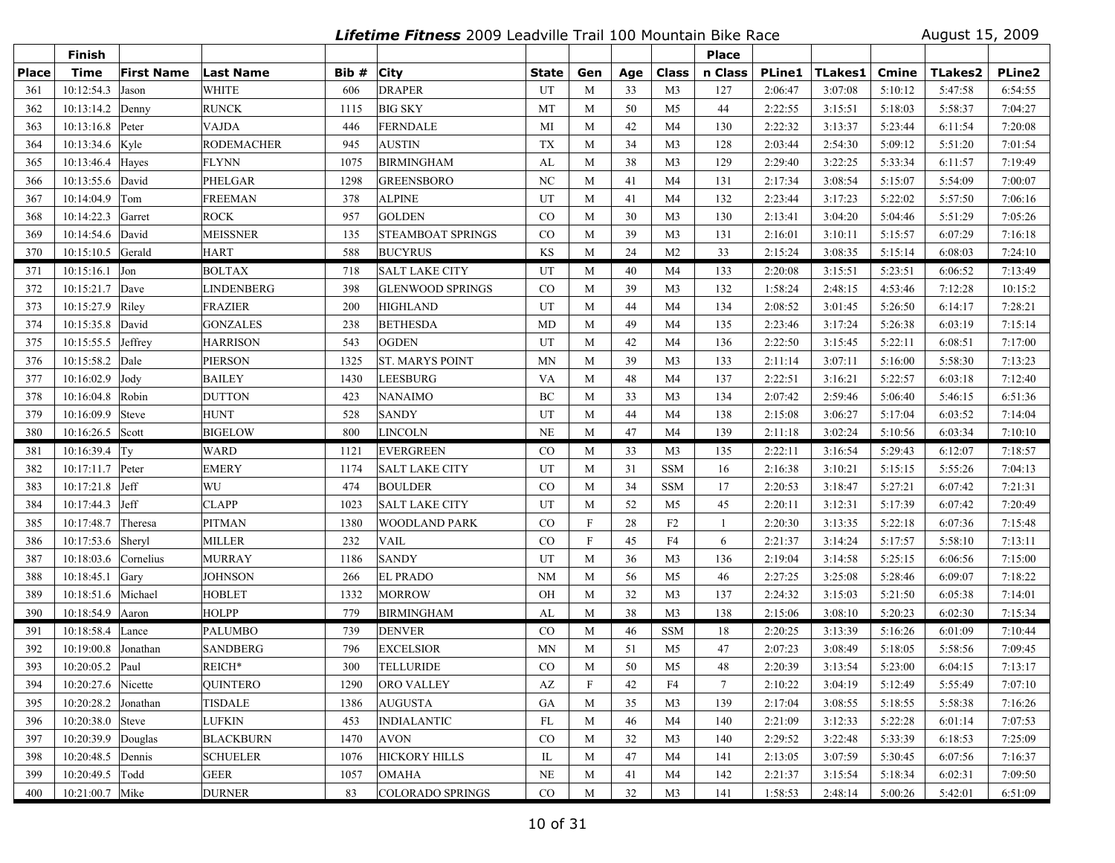**Lifetime Fitness** 2009 Leadville Trail 100 Mountain Bike Race August 15, 2009

|              | Finish                          |                   |                   |       |                          |                |             |     |                | <b>Place</b> |               |                |              |                |               |
|--------------|---------------------------------|-------------------|-------------------|-------|--------------------------|----------------|-------------|-----|----------------|--------------|---------------|----------------|--------------|----------------|---------------|
| <b>Place</b> | Time                            | <b>First Name</b> | <b>Last Name</b>  | Bib # | <b>City</b>              | State          | Gen         | Age | Class          | n Class      | <b>PLine1</b> | <b>TLakes1</b> | <b>Cmine</b> | <b>TLakes2</b> | <b>PLine2</b> |
| 361          | 10:12:54.3                      | Jason             | WHITE             | 606   | <b>DRAPER</b>            | UT             | M           | 33  | M <sub>3</sub> | 127          | 2:06:47       | 3:07:08        | 5:10:12      | 5:47:58        | 6:54:55       |
| 362          | 10:13:14.2                      | Denny             | <b>RUNCK</b>      | 1115  | <b>BIG SKY</b>           | MT             | M           | 50  | M <sub>5</sub> | 44           | 2:22:55       | 3:15:51        | 5:18:03      | 5:58:37        | 7:04:27       |
| 363          | 10:13:16.8 Peter                |                   | VAJDA             | 446   | <b>FERNDALE</b>          | MI             | M           | 42  | M4             | 130          | 2:22:32       | 3:13:37        | 5:23:44      | 6:11:54        | 7:20:08       |
| 364          | 10:13:34.6 Kyle                 |                   | <b>RODEMACHER</b> | 945   | <b>AUSTIN</b>            | <b>TX</b>      | M           | 34  | M <sub>3</sub> | 128          | 2:03:44       | 2:54:30        | 5:09:12      | 5:51:20        | 7:01:54       |
| 365          | 10:13:46.4                      | Hayes             | <b>FLYNN</b>      | 1075  | <b>BIRMINGHAM</b>        | AL             | M           | 38  | M <sub>3</sub> | 129          | 2:29:40       | 3:22:25        | 5:33:34      | 6:11:57        | 7:19:49       |
| 366          | 10:13:55.6                      | David             | PHELGAR           | 1298  | <b>GREENSBORO</b>        | N <sub>C</sub> | M           | 41  | M4             | 131          | 2:17:34       | 3:08:54        | 5:15:07      | 5:54:09        | 7:00:07       |
| 367          | 10:14:04.9                      | Tom               | <b>FREEMAN</b>    | 378   | <b>ALPINE</b>            | UT             | M           | 41  | M4             | 132          | 2:23:44       | 3:17:23        | 5:22:02      | 5:57:50        | 7:06:16       |
| 368          | 10:14:22.3                      | Garret            | <b>ROCK</b>       | 957   | <b>GOLDEN</b>            | CO             | M           | 30  | M <sub>3</sub> | 130          | 2:13:41       | 3:04:20        | 5:04:46      | 5:51:29        | 7:05:26       |
| 369          | 10:14:54.6 David                |                   | <b>MEISSNER</b>   | 135   | <b>STEAMBOAT SPRINGS</b> | $\rm CO$       | M           | 39  | M <sub>3</sub> | 131          | 2:16:01       | 3:10:11        | 5:15:57      | 6:07:29        | 7:16:18       |
| 370          | 10:15:10.5 Gerald               |                   | <b>HART</b>       | 588   | <b>BUCYRUS</b>           | KS             | M           | 24  | M <sub>2</sub> | 33           | 2:15:24       | 3:08:35        | 5:15:14      | 6:08:03        | 7:24:10       |
| 371          | $10:15:16.1$ Jon                |                   | <b>BOLTAX</b>     | 718   | <b>SALT LAKE CITY</b>    | UT             | M           | 40  | M4             | 133          | 2:20:08       | 3:15:51        | 5:23:51      | 6:06:52        | 7:13:49       |
| 372          | 10:15:21.7 Dave                 |                   | LINDENBERG        | 398   | GLENWOOD SPRINGS         | $\rm CO$       | M           | 39  | M <sub>3</sub> | 132          | 1:58:24       | 2:48:15        | 4:53:46      | 7:12:28        | 10:15:2       |
| 373          | 10:15:27.9                      | Riley             | <b>FRAZIER</b>    | 200   | <b>HIGHLAND</b>          | UT             | M           | 44  | M <sub>4</sub> | 134          | 2:08:52       | 3:01:45        | 5:26:50      | 6:14:17        | 7:28:21       |
| 374          | 10:15:35.8 David                |                   | <b>GONZALES</b>   | 238   | <b>BETHESDA</b>          | MD             | M           | 49  | M4             | 135          | 2:23:46       | 3:17:24        | 5:26:38      | 6:03:19        | 7:15:14       |
| 375          | 10:15:55.5 Jeffrey              |                   | <b>HARRISON</b>   | 543   | <b>OGDEN</b>             | UT             | M           | 42  | M <sub>4</sub> | 136          | 2:22:50       | 3:15:45        | 5:22:11      | 6:08:51        | 7:17:00       |
| 376          | 10:15:58.2 Dale                 |                   | <b>PIERSON</b>    | 1325  | <b>ST. MARYS POINT</b>   | <b>MN</b>      | M           | 39  | M <sub>3</sub> | 133          | 2:11:14       | 3:07:11        | 5:16:00      | 5:58:30        | 7:13:23       |
| 377          | $10:16:02.9$ Jody               |                   | <b>BAILEY</b>     | 1430  | <b>LEESBURG</b>          | VA             | M           | 48  | M <sub>4</sub> | 137          | 2:22:51       | 3:16:21        | 5:22:57      | 6:03:18        | 7:12:40       |
| 378          | 10:16:04.8 Robin                |                   | <b>DUTTON</b>     | 423   | <b>NANAIMO</b>           | BC             | M           | 33  | M <sub>3</sub> | 134          | 2:07:42       | 2:59:46        | 5:06:40      | 5:46:15        | 6:51:36       |
| 379          | 10:16:09.9                      | Steve             | <b>HUNT</b>       | 528   | <b>SANDY</b>             | UT             | M           | 44  | M4             | 138          | 2:15:08       | 3:06:27        | 5:17:04      | 6:03:52        | 7:14:04       |
| 380          | $10:16:26.5$ Scott              |                   | <b>BIGELOW</b>    | 800   | <b>LINCOLN</b>           | <b>NE</b>      | M           | 47  | M4             | 139          | 2:11:18       | 3:02:24        | 5:10:56      | 6:03:34        | 7:10:10       |
| 381          | $10:16:39.4$ Ty                 |                   | <b>WARD</b>       | 1121  | <b>EVERGREEN</b>         | $_{\rm CO}$    | M           | 33  | M <sub>3</sub> | 135          | 2:22:11       | 3:16:54        | 5:29:43      | 6:12:07        | 7:18:57       |
| 382          | 10:17:11.7 Peter                |                   | <b>EMERY</b>      | 1174  | SALT LAKE CITY           | UT             | M           | 31  | <b>SSM</b>     | 16           | 2:16:38       | 3:10:21        | 5:15:15      | 5:55:26        | 7:04:13       |
| 383          | $10:17:21.8$ Jeff               |                   | WU                | 474   | <b>BOULDER</b>           | $_{\rm CO}$    | M           | 34  | <b>SSM</b>     | 17           | 2:20:53       | 3:18:47        | 5:27:21      | 6:07:42        | 7:21:31       |
| 384          | 10:17:44.3 Jeff                 |                   | <b>CLAPP</b>      | 1023  | <b>SALT LAKE CITY</b>    | UT             | M           | 52  | M <sub>5</sub> | 45           | 2:20:11       | 3:12:31        | 5:17:39      | 6:07:42        | 7:20:49       |
| 385          | 10:17:48.7                      | Theresa           | <b>PITMAN</b>     | 1380  | <b>WOODLAND PARK</b>     | $\rm CO$       | $\mathbf F$ | 28  | F <sub>2</sub> | 1            | 2:20:30       | 3:13:35        | 5:22:18      | 6:07:36        | 7:15:48       |
| 386          | 10:17:53.6 Sheryl               |                   | MILLER            | 232   | <b>VAIL</b>              | $\rm CO$       | $\mathbf F$ | 45  | F4             | 6            | 2:21:37       | 3:14:24        | 5:17:57      | 5:58:10        | 7:13:11       |
| 387          | 10:18:03.6                      | Cornelius         | <b>MURRAY</b>     | 1186  | <b>SANDY</b>             | UT             | M           | 36  | M3             | 136          | 2:19:04       | 3:14:58        | 5:25:15      | 6:06:56        | 7:15:00       |
| 388          | 10:18:45.1                      | Gary              | <b>JOHNSON</b>    | 266   | <b>EL PRADO</b>          | <b>NM</b>      | M           | 56  | M <sub>5</sub> | 46           | 2:27:25       | 3:25:08        | 5:28:46      | 6:09:07        | 7:18:22       |
| 389          | 10:18:51.6 Michael              |                   | <b>HOBLET</b>     | 1332  | <b>MORROW</b>            | OH             | M           | 32  | M <sub>3</sub> | 137          | 2:24:32       | 3:15:03        | 5:21:50      | 6:05:38        | 7:14:01       |
| 390          | 10:18:54.9 Aaron                |                   | <b>HOLPP</b>      | 779   | <b>BIRMINGHAM</b>        | AL             | M           | 38  | M <sub>3</sub> | 138          | 2:15:06       | 3:08:10        | 5:20:23      | 6:02:30        | 7:15:34       |
| 391          | 10:18:58.4 Lance                |                   | <b>PALUMBO</b>    | 739   | <b>DENVER</b>            | $\rm CO$       | M           | 46  | <b>SSM</b>     | 18           | 2:20:25       | 3:13:39        | 5:16:26      | 6:01:09        | 7:10:44       |
| 392          | 10:19:00.8                      | Jonathan          | <b>SANDBERG</b>   | 796   | <b>EXCELSIOR</b>         | <b>MN</b>      | M           | 51  | M <sub>5</sub> | 47           | 2:07:23       | 3:08:49        | 5:18:05      | 5:58:56        | 7:09:45       |
| 393          | 10:20:05.2                      | Paul              | REICH*            | 300   | TELLURIDE                | $\rm CO$       | M           | 50  | M5             | 48           | 2:20:39       | 3:13:54        | 5:23:00      | 6:04:15        | 7:13:17       |
| 394          | 10:20:27.6 Nicette              |                   | <b>QUINTERO</b>   | 1290  | <b>ORO VALLEY</b>        | AZ             | F           | 42  | F4             | $\tau$       | 2:10:22       | 3:04:19        | 5:12:49      | 5:55:49        | 7:07:10       |
| 395          | $10:20:28.2$ Jonathan           |                   | TISDALE           | 1386  | <b>AUGUSTA</b>           | GA             | M           | 35  | M3             | 139          | 2:17:04       | 3:08:55        | 5:18:55      | 5:58:38        | 7:16:26       |
| 396          | $10:20:38.0$ Steve              |                   | <b>LUFKIN</b>     | 453   | <b>INDIALANTIC</b>       | FL             | M           | 46  | M4             | 140          | 2:21:09       | 3:12:33        | 5:22:28      | 6:01:14        | 7:07:53       |
| 397          | 10:20:39.9 Douglas              |                   | <b>BLACKBURN</b>  | 1470  | <b>AVON</b>              | $\rm CO$       | M           | 32  | M3             | 140          | 2:29:52       | 3:22:48        | 5:33:39      | 6:18:53        | 7:25:09       |
| 398          | 10:20:48.5 Dennis               |                   | <b>SCHUELER</b>   | 1076  | <b>HICKORY HILLS</b>     | IL             | M           | 47  | M4             | 141          | 2:13:05       | 3:07:59        | 5:30:45      | 6:07:56        | 7:16:37       |
| 399          | 10:20:49.5 $\sqrt{\text{Todd}}$ |                   | <b>GEER</b>       | 1057  | <b>OMAHA</b>             | <b>NE</b>      | M           | 41  | M4             | 142          | 2:21:37       | 3:15:54        | 5:18:34      | 6:02:31        | 7:09:50       |
| 400          | 10:21:00.7 Mike                 |                   | <b>DURNER</b>     | 83    | <b>COLORADO SPRINGS</b>  | $\rm CO$       | M           | 32  | M <sub>3</sub> | 141          | 1:58:53       | 2:48:14        | 5:00:26      | 5:42:01        | 6:51:09       |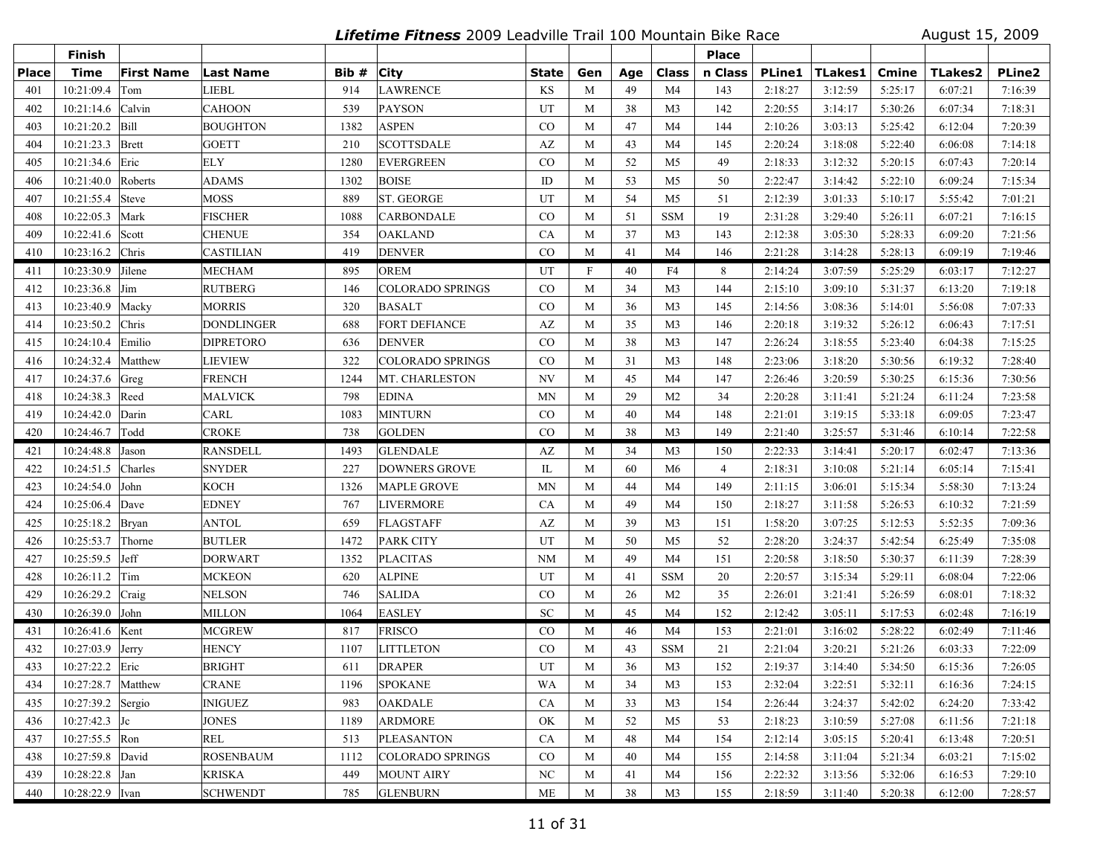**Lifetime Fitness** 2009 Leadville Trail 100 Mountain Bike Race August 15, 2009

|              | Finish               |                   |                   |       |                         |           |     |     |                | <b>Place</b>   |               |         |         |                |         |
|--------------|----------------------|-------------------|-------------------|-------|-------------------------|-----------|-----|-----|----------------|----------------|---------------|---------|---------|----------------|---------|
| <b>Place</b> | <b>Time</b>          | <b>First Name</b> | <b>Last Name</b>  | Bib # | <b>City</b>             | State     | Gen | Age | Class          | n Class        | <b>PLine1</b> | TLakes1 | Cmine   | <b>TLakes2</b> | PLine2  |
| 401          | 10:21:09.4           | Tom               | <b>LIEBL</b>      | 914   | <b>LAWRENCE</b>         | KS        | M   | 49  | M <sub>4</sub> | 143            | 2:18:27       | 3:12:59 | 5:25:17 | 6:07:21        | 7:16:39 |
| 402          | 10:21:14.6           | Calvin            | <b>CAHOON</b>     | 539   | <b>PAYSON</b>           | UT        | M   | 38  | M <sub>3</sub> | 142            | 2:20:55       | 3:14:17 | 5:30:26 | 6:07:34        | 7:18:31 |
| 403          | 10:21:20.2 Bill      |                   | <b>BOUGHTON</b>   | 1382  | <b>ASPEN</b>            | CO        | M   | 47  | M <sub>4</sub> | 144            | 2:10:26       | 3:03:13 | 5:25:42 | 6:12:04        | 7:20:39 |
| 404          | $10:21:23.3$ Brett   |                   | <b>GOETT</b>      | 210   | <b>SCOTTSDALE</b>       | AZ        | M   | 43  | M <sub>4</sub> | 145            | 2:20:24       | 3:18:08 | 5:22:40 | 6:06:08        | 7:14:18 |
| 405          | 10:21:34.6           | Eric              | <b>ELY</b>        | 1280  | <b>EVERGREEN</b>        | CO        | M   | 52  | M <sub>5</sub> | 49             | 2:18:33       | 3:12:32 | 5:20:15 | 6:07:43        | 7:20:14 |
| 406          | 10:21:40.0 Roberts   |                   | ADAMS             | 1302  | <b>BOISE</b>            | ID        | M   | 53  | M5             | 50             | 2:22:47       | 3:14:42 | 5:22:10 | 6:09:24        | 7:15:34 |
| 407          | 10:21:55.4 Steve     |                   | MOSS              | 889   | <b>ST. GEORGE</b>       | UT        | M   | 54  | M <sub>5</sub> | 51             | 2:12:39       | 3:01:33 | 5:10:17 | 5:55:42        | 7:01:21 |
| 408          | 10:22:05.3 Mark      |                   | <b>FISCHER</b>    | 1088  | <b>CARBONDALE</b>       | $\rm CO$  | M   | 51  | <b>SSM</b>     | 19             | 2:31:28       | 3:29:40 | 5:26:11 | 6:07:21        | 7:16:15 |
| 409          | 10:22:41.6           | Scott             | <b>CHENUE</b>     | 354   | <b>OAKLAND</b>          | CA        | M   | 37  | M <sub>3</sub> | 143            | 2:12:38       | 3:05:30 | 5:28:33 | 6:09:20        | 7:21:56 |
| 410          | 10:23:16.2 Chris     |                   | <b>CASTILIAN</b>  | 419   | <b>DENVER</b>           | CO        | M   | 41  | M <sub>4</sub> | 146            | 2:21:28       | 3:14:28 | 5:28:13 | 6:09:19        | 7:19:46 |
| 411          | 10:23:30.9           | Jilene            | <b>MECHAM</b>     | 895   | <b>OREM</b>             | UT        | F   | 40  | F4             | 8              | 2:14:24       | 3:07:59 | 5:25:29 | 6:03:17        | 7:12:27 |
| 412          | 10:23:36.8           | Jim               | <b>RUTBERG</b>    | 146   | <b>COLORADO SPRINGS</b> | $\rm CO$  | M   | 34  | M <sub>3</sub> | 144            | 2:15:10       | 3:09:10 | 5:31:37 | 6:13:20        | 7:19:18 |
| 413          | 10:23:40.9           | Macky             | <b>MORRIS</b>     | 320   | <b>BASALT</b>           | CO        | M   | 36  | M <sub>3</sub> | 145            | 2:14:56       | 3:08:36 | 5:14:01 | 5:56:08        | 7:07:33 |
| 414          | 10:23:50.2           | Chris             | <b>DONDLINGER</b> | 688   | <b>FORT DEFIANCE</b>    | AZ        | M   | 35  | M <sub>3</sub> | 146            | 2:20:18       | 3:19:32 | 5:26:12 | 6:06:43        | 7:17:51 |
| 415          | 10:24:10.4 Emilio    |                   | <b>DIPRETORO</b>  | 636   | <b>DENVER</b>           | CO        | M   | 38  | M <sub>3</sub> | 147            | 2:26:24       | 3:18:55 | 5:23:40 | 6:04:38        | 7:15:25 |
| 416          | 10:24:32.4           | Matthew           | <b>LIEVIEW</b>    | 322   | <b>COLORADO SPRINGS</b> | $\rm CO$  | M   | 31  | M <sub>3</sub> | 148            | 2:23:06       | 3:18:20 | 5:30:56 | 6:19:32        | 7:28:40 |
| 417          | 10:24:37.6 Greg      |                   | <b>FRENCH</b>     | 1244  | MT. CHARLESTON          | NV        | M   | 45  | M <sub>4</sub> | 147            | 2:26:46       | 3:20:59 | 5:30:25 | 6:15:36        | 7:30:56 |
| 418          | 10:24:38.3 Reed      |                   | <b>MALVICK</b>    | 798   | <b>EDINA</b>            | <b>MN</b> | M   | 29  | M <sub>2</sub> | 34             | 2:20:28       | 3:11:41 | 5:21:24 | 6:11:24        | 7:23:58 |
| 419          | 10:24:42.0           | Darin             | CARL              | 1083  | <b>MINTURN</b>          | CO        | M   | 40  | M <sub>4</sub> | 148            | 2:21:01       | 3:19:15 | 5:33:18 | 6:09:05        | 7:23:47 |
| 420          | 10:24:46.7           | Todd              | <b>CROKE</b>      | 738   | <b>GOLDEN</b>           | CO        | M   | 38  | M <sub>3</sub> | 149            | 2:21:40       | 3:25:57 | 5:31:46 | 6:10:14        | 7:22:58 |
| 421          | $10:24:48.8$ Jason   |                   | <b>RANSDELL</b>   | 1493  | <b>GLENDALE</b>         | AZ        | M   | 34  | M3             | 150            | 2:22:33       | 3:14:41 | 5:20:17 | 6:02:47        | 7:13:36 |
| 422          | 10:24:51.5           | Charles           | <b>SNYDER</b>     | 227   | <b>DOWNERS GROVE</b>    | IL        | M   | 60  | M6             | $\overline{4}$ | 2:18:31       | 3:10:08 | 5:21:14 | 6:05:14        | 7:15:41 |
| 423          | 10:24:54.0 John      |                   | <b>KOCH</b>       | 1326  | <b>MAPLE GROVE</b>      | <b>MN</b> | M   | 44  | M <sub>4</sub> | 149            | 2:11:15       | 3:06:01 | 5:15:34 | 5:58:30        | 7:13:24 |
| 424          | 10:25:06.4           | Dave              | <b>EDNEY</b>      | 767   | <b>LIVERMORE</b>        | <b>CA</b> | M   | 49  | M <sub>4</sub> | 150            | 2:18:27       | 3:11:58 | 5:26:53 | 6:10:32        | 7:21:59 |
| 425          | 10:25:18.2           | Bryan             | <b>ANTOL</b>      | 659   | <b>FLAGSTAFF</b>        | AZ        | M   | 39  | M3             | 151            | 1:58:20       | 3:07:25 | 5:12:53 | 5:52:35        | 7:09:36 |
| 426          | 10:25:53.7           | Thorne            | <b>BUTLER</b>     | 1472  | PARK CITY               | UT        | M   | 50  | M5             | 52             | 2:28:20       | 3:24:37 | 5:42:54 | 6:25:49        | 7:35:08 |
| 427          | 10:25:59.5           | Jeff              | <b>DORWART</b>    | 1352  | <b>PLACITAS</b>         | <b>NM</b> | M   | 49  | M <sub>4</sub> | 151            | 2:20:58       | 3:18:50 | 5:30:37 | 6:11:39        | 7:28:39 |
| 428          | 10:26:11.2           | Tim               | <b>MCKEON</b>     | 620   | <b>ALPINE</b>           | UT        | M   | 41  | <b>SSM</b>     | 20             | 2:20:57       | 3:15:34 | 5:29:11 | 6:08:04        | 7:22:06 |
| 429          | 10:26:29.2           | Craig             | <b>NELSON</b>     | 746   | <b>SALIDA</b>           | $\rm CO$  | M   | 26  | M <sub>2</sub> | 35             | 2:26:01       | 3:21:41 | 5:26:59 | 6:08:01        | 7:18:32 |
| 430          | 10:26:39.0 John      |                   | <b>MILLON</b>     | 1064  | <b>EASLEY</b>           | <b>SC</b> | M   | 45  | M4             | 152            | 2:12:42       | 3:05:11 | 5:17:53 | 6:02:48        | 7:16:19 |
| 431          | 10:26:41.6 Kent      |                   | MCGREW            | 817   | <b>FRISCO</b>           | $\rm CO$  | M   | 46  | M4             | 153            | 2:21:01       | 3:16:02 | 5:28:22 | 6:02:49        | 7:11:46 |
| 432          | 10:27:03.9           | Jerry             | <b>HENCY</b>      | 1107  | <b>LITTLETON</b>        | CO        | M   | 43  | <b>SSM</b>     | 21             | 2:21:04       | 3:20:21 | 5:21:26 | 6:03:33        | 7:22:09 |
| 433          | 10:27:22.2 Eric      |                   | <b>BRIGHT</b>     | 611   | <b>DRAPER</b>           | UT        | M   | 36  | M <sub>3</sub> | 152            | 2:19:37       | 3:14:40 | 5:34:50 | 6:15:36        | 7:26:05 |
| 434          | 10:27:28.7   Matthew |                   | <b>CRANE</b>      | 1196  | <b>SPOKANE</b>          | WA        | M   | 34  | M3             | 153            | 2:32:04       | 3:22:51 | 5:32:11 | 6:16:36        | 7:24:15 |
| 435          | 10:27:39.2 Sergio    |                   | INIGUEZ           | 983   | <b>OAKDALE</b>          | CA        | M   | 33  | M <sub>3</sub> | 154            | 2:26:44       | 3:24:37 | 5:42:02 | 6:24:20        | 7:33:42 |
| 436          | $10:27:42.3$ Jc      |                   | <b>JONES</b>      | 1189  | <b>ARDMORE</b>          | OK        | M   | 52  | M5             | 53             | 2:18:23       | 3:10:59 | 5:27:08 | 6:11:56        | 7:21:18 |
| 437          | $10:27:55.5$ Ron     |                   | <b>REL</b>        | 513   | <b>PLEASANTON</b>       | CA        | M   | 48  | M4             | 154            | 2:12:14       | 3:05:15 | 5:20:41 | 6:13:48        | 7:20:51 |
| 438          | 10:27:59.8 David     |                   | <b>ROSENBAUM</b>  | 1112  | COLORADO SPRINGS        | $\rm CO$  | M   | 40  | M4             | 155            | 2:14:58       | 3:11:04 | 5:21:34 | 6:03:21        | 7:15:02 |
| 439          | $10:28:22.8$ Jan     |                   | <b>KRISKA</b>     | 449   | <b>MOUNT AIRY</b>       | NC        | M   | 41  | M4             | 156            | 2:22:32       | 3:13:56 | 5:32:06 | 6:16:53        | 7:29:10 |
| 440          | 10:28:22.9  Ivan     |                   | <b>SCHWENDT</b>   | 785   | <b>GLENBURN</b>         | $ME$      | M   | 38  | M <sub>3</sub> | 155            | 2:18:59       | 3:11:40 | 5:20:38 | 6:12:00        | 7:28:57 |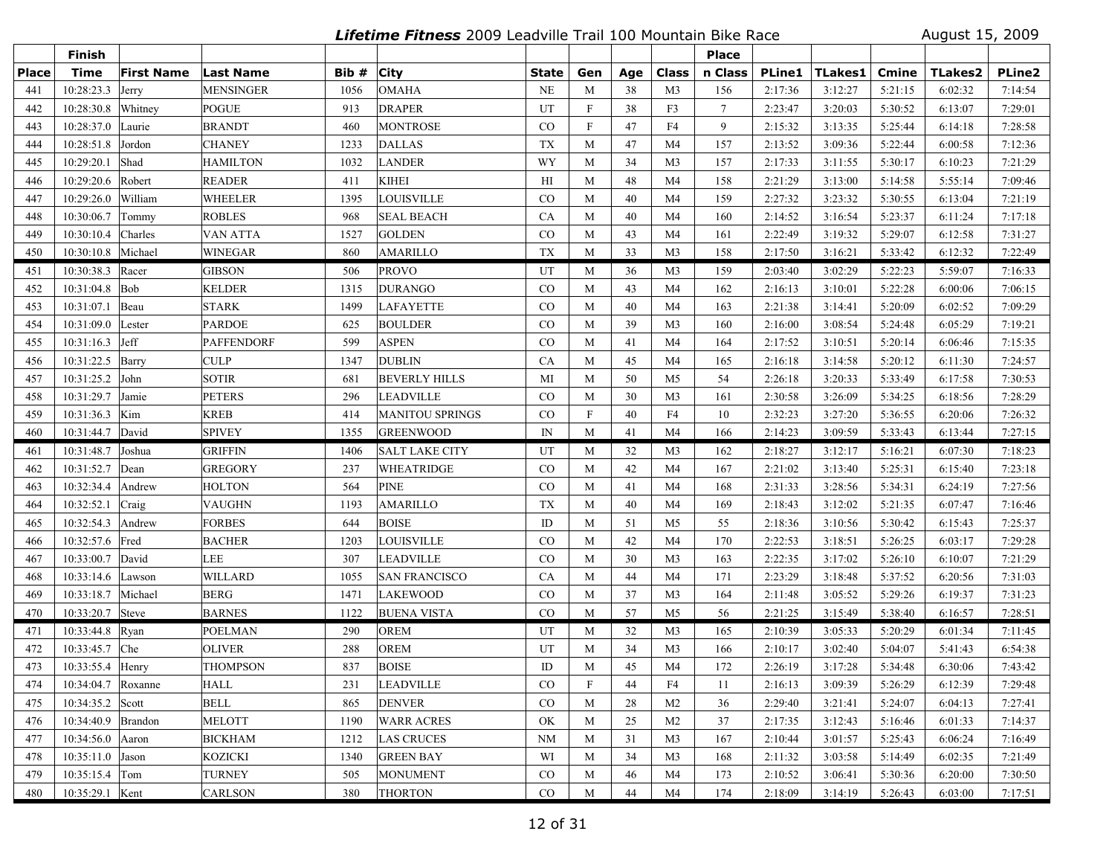**Lifetime Fitness** 2009 Leadville Trail 100 Mountain Bike Race August 15, 2009

|              | Finish             |                   |                   |       |                        |               |                           |     |                | <b>Place</b>    |               |         |         |                |         |
|--------------|--------------------|-------------------|-------------------|-------|------------------------|---------------|---------------------------|-----|----------------|-----------------|---------------|---------|---------|----------------|---------|
| <b>Place</b> | <b>Time</b>        | <b>First Name</b> | <b>Last Name</b>  | Bib # | <b>City</b>            | State         | Gen                       | Age | Class          | n Class         | <b>PLine1</b> | TLakes1 | Cmine   | <b>TLakes2</b> | PLine2  |
| 441          | 10:28:23.3         | Jerry             | <b>MENSINGER</b>  | 1056  | <b>OMAHA</b>           | <b>NE</b>     | M                         | 38  | M <sub>3</sub> | 156             | 2:17:36       | 3:12:27 | 5:21:15 | 6:02:32        | 7:14:54 |
| 442          | 10:28:30.8         | Whitney           | POGUE             | 913   | <b>DRAPER</b>          | UT            | $\boldsymbol{\mathrm{F}}$ | 38  | F3             | $7\overline{ }$ | 2:23:47       | 3:20:03 | 5:30:52 | 6:13:07        | 7:29:01 |
| 443          | 10:28:37.0         | Laurie            | <b>BRANDT</b>     | 460   | <b>MONTROSE</b>        | CO            | $\boldsymbol{\mathrm{F}}$ | 47  | F4             | 9               | 2:15:32       | 3:13:35 | 5:25:44 | 6:14:18        | 7:28:58 |
| 444          | 10:28:51.8         | Jordon            | <b>CHANEY</b>     | 1233  | <b>DALLAS</b>          | <b>TX</b>     | M                         | 47  | M <sub>4</sub> | 157             | 2:13:52       | 3:09:36 | 5:22:44 | 6:00:58        | 7:12:36 |
| 445          | 10:29:20.1         | Shad              | <b>HAMILTON</b>   | 1032  | <b>LANDER</b>          | WY            | M                         | 34  | M <sub>3</sub> | 157             | 2:17:33       | 3:11:55 | 5:30:17 | 6:10:23        | 7:21:29 |
| 446          | 10:29:20.6         | Robert            | <b>READER</b>     | 411   | <b>KIHEI</b>           | H I           | M                         | 48  | M4             | 158             | 2:21:29       | 3:13:00 | 5:14:58 | 5:55:14        | 7:09:46 |
| 447          | 10:29:26.0         | William           | <b>WHEELER</b>    | 1395  | LOUISVILLE             | $\rm CO$      | M                         | 40  | M <sub>4</sub> | 159             | 2:27:32       | 3:23:32 | 5:30:55 | 6:13:04        | 7:21:19 |
| 448          | 10:30:06.7         | Tommy             | <b>ROBLES</b>     | 968   | <b>SEAL BEACH</b>      | CA            | M                         | 40  | M <sub>4</sub> | 160             | 2:14:52       | 3:16:54 | 5:23:37 | 6:11:24        | 7:17:18 |
| 449          | 10:30:10.4         | Charles           | VAN ATTA          | 1527  | <b>GOLDEN</b>          | CO            | M                         | 43  | M <sub>4</sub> | 161             | 2:22:49       | 3:19:32 | 5:29:07 | 6:12:58        | 7:31:27 |
| 450          | 10:30:10.8 Michael |                   | <b>WINEGAR</b>    | 860   | <b>AMARILLO</b>        | TX            | M                         | 33  | M <sub>3</sub> | 158             | 2:17:50       | 3:16:21 | 5:33:42 | 6:12:32        | 7:22:49 |
| 451          | 10:30:38.3 Racer   |                   | <b>GIBSON</b>     | 506   | <b>PROVO</b>           | UT            | M                         | 36  | M3             | 159             | 2:03:40       | 3:02:29 | 5:22:23 | 5:59:07        | 7:16:33 |
| 452          | $10:31:04.8$ Bob   |                   | <b>KELDER</b>     | 1315  | <b>DURANGO</b>         | $\rm CO$      | M                         | 43  | M <sub>4</sub> | 162             | 2:16:13       | 3:10:01 | 5:22:28 | 6:00:06        | 7:06:15 |
| 453          | 10:31:07.1         | Beau              | <b>STARK</b>      | 1499  | <b>LAFAYETTE</b>       | CO            | M                         | 40  | M4             | 163             | 2:21:38       | 3:14:41 | 5:20:09 | 6:02:52        | 7:09:29 |
| 454          | 10:31:09.0 Lester  |                   | <b>PARDOE</b>     | 625   | <b>BOULDER</b>         | CO            | M                         | 39  | M <sub>3</sub> | 160             | 2:16:00       | 3:08:54 | 5:24:48 | 6:05:29        | 7:19:21 |
| 455          | $10:31:16.3$ Jeff  |                   | <b>PAFFENDORF</b> | 599   | <b>ASPEN</b>           | CO            | M                         | 41  | M <sub>4</sub> | 164             | 2:17:52       | 3:10:51 | 5:20:14 | 6:06:46        | 7:15:35 |
| 456          | 10:31:22.5 Barry   |                   | <b>CULP</b>       | 1347  | <b>DUBLIN</b>          | CA            | M                         | 45  | M <sub>4</sub> | 165             | 2:16:18       | 3:14:58 | 5:20:12 | 6:11:30        | 7:24:57 |
| 457          | 10:31:25.2 John    |                   | <b>SOTIR</b>      | 681   | <b>BEVERLY HILLS</b>   | MI            | M                         | 50  | M <sub>5</sub> | 54              | 2:26:18       | 3:20:33 | 5:33:49 | 6:17:58        | 7:30:53 |
| 458          | 10:31:29.7         | Jamie             | <b>PETERS</b>     | 296   | <b>LEADVILLE</b>       | $\rm CO$      | M                         | 30  | M3             | 161             | 2:30:58       | 3:26:09 | 5:34:25 | 6:18:56        | 7:28:29 |
| 459          | 10:31:36.3         | Kim               | <b>KREB</b>       | 414   | <b>MANITOU SPRINGS</b> | $\rm CO$      | $\mathbf F$               | 40  | F4             | 10              | 2:32:23       | 3:27:20 | 5:36:55 | 6:20:06        | 7:26:32 |
| 460          | 10:31:44.7 David   |                   | <b>SPIVEY</b>     | 1355  | <b>GREENWOOD</b>       | IN            | M                         | 41  | M <sub>4</sub> | 166             | 2:14:23       | 3:09:59 | 5:33:43 | 6:13:44        | 7:27:15 |
| 461          | 10:31:48.7         | Joshua            | <b>GRIFFIN</b>    | 1406  | <b>SALT LAKE CITY</b>  | UT            | M                         | 32  | M3             | 162             | 2:18:27       | 3:12:17 | 5:16:21 | 6:07:30        | 7:18:23 |
| 462          | 10:31:52.7         | Dean              | <b>GREGORY</b>    | 237   | <b>WHEATRIDGE</b>      | $\rm CO$      | M                         | 42  | M <sub>4</sub> | 167             | 2:21:02       | 3:13:40 | 5:25:31 | 6:15:40        | 7:23:18 |
| 463          | 10:32:34.4         | Andrew            | <b>HOLTON</b>     | 564   | <b>PINE</b>            | CO            | M                         | 41  | M <sub>4</sub> | 168             | 2:31:33       | 3:28:56 | 5:34:31 | 6:24:19        | 7:27:56 |
| 464          | 10:32:52.1         | Craig             | <b>VAUGHN</b>     | 1193  | <b>AMARILLO</b>        | <b>TX</b>     | M                         | 40  | M <sub>4</sub> | 169             | 2:18:43       | 3:12:02 | 5:21:35 | 6:07:47        | 7:16:46 |
| 465          | 10:32:54.3         | Andrew            | <b>FORBES</b>     | 644   | <b>BOISE</b>           | ID            | M                         | 51  | M5             | 55              | 2:18:36       | 3:10:56 | 5:30:42 | 6:15:43        | 7:25:37 |
| 466          | 10:32:57.6         | Fred              | <b>BACHER</b>     | 1203  | <b>LOUISVILLE</b>      | CO            | M                         | 42  | M4             | 170             | 2:22:53       | 3:18:51 | 5:26:25 | 6:03:17        | 7:29:28 |
| 467          | 10:33:00.7         | David             | LEE               | 307   | <b>LEADVILLE</b>       | $_{\rm CO}$   | M                         | 30  | M3             | 163             | 2:22:35       | 3:17:02 | 5:26:10 | 6:10:07        | 7:21:29 |
| 468          | 10:33:14.6         | Lawson            | <b>WILLARD</b>    | 1055  | <b>SAN FRANCISCO</b>   | CA            | M                         | 44  | M <sub>4</sub> | 171             | 2:23:29       | 3:18:48 | 5:37:52 | 6:20:56        | 7:31:03 |
| 469          | 10:33:18.7         | Michael           | <b>BERG</b>       | 1471  | <b>LAKEWOOD</b>        | CO            | M                         | 37  | M3             | 164             | 2:11:48       | 3:05:52 | 5:29:26 | 6:19:37        | 7:31:23 |
| 470          | 10:33:20.7 Steve   |                   | <b>BARNES</b>     | 1122  | <b>BUENA VISTA</b>     | CO            | M                         | 57  | M <sub>5</sub> | 56              | 2:21:25       | 3:15:49 | 5:38:40 | 6:16:57        | 7:28:51 |
| 471          | 10:33:44.8 Ryan    |                   | <b>POELMAN</b>    | 290   | <b>OREM</b>            | UT            | M                         | 32  | M <sub>3</sub> | 165             | 2:10:39       | 3:05:33 | 5:20:29 | 6:01:34        | 7:11:45 |
| 472          | 10:33:45.7         | Che               | <b>OLIVER</b>     | 288   | <b>OREM</b>            | UT            | M                         | 34  | M <sub>3</sub> | 166             | 2:10:17       | 3:02:40 | 5:04:07 | 5:41:43        | 6:54:38 |
| 473          | 10:33:55.4 Henry   |                   | THOMPSON          | 837   | <b>BOISE</b>           | $\mathbf{ID}$ | M                         | 45  | M <sub>4</sub> | 172             | 2:26:19       | 3:17:28 | 5:34:48 | 6:30:06        | 7:43:42 |
| 474          | 10:34:04.7 Roxanne |                   | HALL              | 231   | <b>LEADVILLE</b>       | CO            | F                         | 44  | F4             | 11              | 2:16:13       | 3:09:39 | 5:26:29 | 6:12:39        | 7:29:48 |
| 475          | 10:34:35.2 Scott   |                   | <b>BELL</b>       | 865   | <b>DENVER</b>          | $\rm CO$      | M                         | 28  | M <sub>2</sub> | 36              | 2:29:40       | 3:21:41 | 5:24:07 | 6:04:13        | 7:27:41 |
| 476          | 10:34:40.9 Brandon |                   | <b>MELOTT</b>     | 1190  | <b>WARR ACRES</b>      | OK            | M                         | 25  | M <sub>2</sub> | 37              | 2:17:35       | 3:12:43 | 5:16:46 | 6:01:33        | 7:14:37 |
| 477          | 10:34:56.0 Aaron   |                   | <b>BICKHAM</b>    | 1212  | <b>LAS CRUCES</b>      | NM            | M                         | 31  | M3             | 167             | 2:10:44       | 3:01:57 | 5:25:43 | 6:06:24        | 7:16:49 |
| 478          | $10:35:11.0$ Jason |                   | <b>KOZICKI</b>    | 1340  | <b>GREEN BAY</b>       | WI            | M                         | 34  | M <sub>3</sub> | 168             | 2:11:32       | 3:03:58 | 5:14:49 | 6:02:35        | 7:21:49 |
| 479          | $10:35:15.4$ Tom   |                   | <b>TURNEY</b>     | 505   | <b>MONUMENT</b>        | $\rm CO$      | M                         | 46  | M <sub>4</sub> | 173             | 2:10:52       | 3:06:41 | 5:30:36 | 6:20:00        | 7:30:50 |
| 480          | 10:35:29.1 Kent    |                   | CARLSON           | 380   | <b>THORTON</b>         | CO            | M                         | 44  | M4             | 174             | 2:18:09       | 3:14:19 | 5:26:43 | 6:03:00        | 7:17:51 |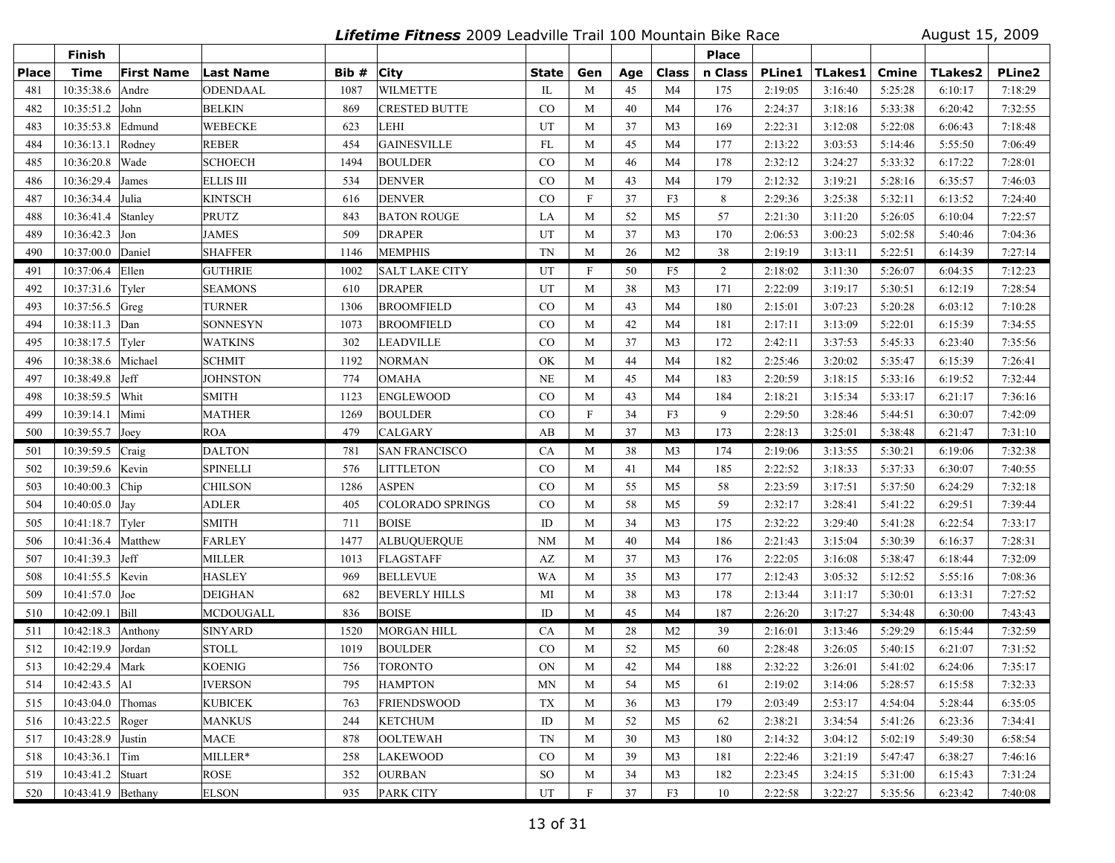**Lifetime Fitness** 2009 Leadville Trail 100 Mountain Bike Race August 15, 2009

|              | <b>Finish</b>           |                   |                  |       |                         |               |                           |     |                | <b>Place</b> |               |                             |         |                |               |
|--------------|-------------------------|-------------------|------------------|-------|-------------------------|---------------|---------------------------|-----|----------------|--------------|---------------|-----------------------------|---------|----------------|---------------|
| <b>Place</b> | <b>Time</b>             | <b>First Name</b> | <b>Last Name</b> | Bib # | <b>City</b>             | State         | Gen                       | Age | <b>Class</b>   | n Class      | <b>PLine1</b> | $\mid$ TLakes $\bm{1} \mid$ | Cmine   | <b>TLakes2</b> | <b>PLine2</b> |
| 481          | 10:35:38.6              | Andre             | <b>ODENDAAL</b>  | 1087  | <b>WILMETTE</b>         | $\mathbb{L}$  | M                         | 45  | M <sub>4</sub> | 175          | 2:19:05       | 3:16:40                     | 5:25:28 | 6:10:17        | 7:18:29       |
| 482          | 10:35:51.2              | John              | BELKIN           | 869   | <b>CRESTED BUTTE</b>    | $\rm CO$      | M                         | 40  | M4             | 176          | 2:24:37       | 3:18:16                     | 5:33:38 | 6:20:42        | 7:32:55       |
| 483          | 10:35:53.8              | Edmund            | <b>WEBECKE</b>   | 623   | LEHI                    | UT            | M                         | 37  | M <sub>3</sub> | 169          | 2:22:31       | 3:12:08                     | 5:22:08 | 6:06:43        | 7:18:48       |
| 484          | 10:36:13.1              | Rodney            | <b>REBER</b>     | 454   | <b>GAINESVILLE</b>      | FL            | M                         | 45  | M4             | 177          | 2:13:22       | 3:03:53                     | 5:14:46 | 5:55:50        | 7:06:49       |
| 485          | 10:36:20.8              | Wade              | <b>SCHOECH</b>   | 1494  | <b>BOULDER</b>          | CO            | M                         | 46  | M4             | 178          | 2:32:12       | 3:24:27                     | 5:33:32 | 6:17:22        | 7:28:01       |
| 486          | 10:36:29.4              | James             | <b>ELLIS III</b> | 534   | <b>DENVER</b>           | CO            | M                         | 43  | M4             | 179          | 2:12:32       | 3:19:21                     | 5:28:16 | 6:35:57        | 7:46:03       |
| 487          | 10:36:34.4 Julia        |                   | <b>KINTSCH</b>   | 616   | <b>DENVER</b>           | $\rm CO$      | $\mathbf F$               | 37  | F3             | 8            | 2:29:36       | 3:25:38                     | 5:32:11 | 6:13:52        | 7:24:40       |
| 488          | 10:36:41.4              | Stanley           | <b>PRUTZ</b>     | 843   | <b>BATON ROUGE</b>      | LA            | M                         | 52  | M <sub>5</sub> | 57           | 2:21:30       | 3:11:20                     | 5:26:05 | 6:10:04        | 7:22:57       |
| 489          | $10:36:42.3$ Jon        |                   | <b>JAMES</b>     | 509   | <b>DRAPER</b>           | UT            | M                         | 37  | M <sub>3</sub> | 170          | 2:06:53       | 3:00:23                     | 5:02:58 | 5:40:46        | 7:04:36       |
| 490          | 10:37:00.0 Daniel       |                   | <b>SHAFFER</b>   | 1146  | <b>MEMPHIS</b>          | TN            | M                         | 26  | M <sub>2</sub> | 38           | 2:19:19       | 3:13:11                     | 5:22:51 | 6:14:39        | 7:27:14       |
| 491          | 10:37:06.4 Ellen        |                   | GUTHRIE          | 1002  | <b>SALT LAKE CITY</b>   | UT            | $\boldsymbol{\mathrm{F}}$ | 50  | F <sub>5</sub> | 2            | 2:18:02       | 3:11:30                     | 5:26:07 | 6:04:35        | 7:12:23       |
| 492          | 10:37:31.6              | Tyler             | SEAMONS          | 610   | <b>DRAPER</b>           | UT            | M                         | 38  | M <sub>3</sub> | 171          | 2:22:09       | 3:19:17                     | 5:30:51 | 6:12:19        | 7:28:54       |
| 493          | 10:37:56.5              | Greg              | <b>TURNER</b>    | 1306  | <b>BROOMFIELD</b>       | CO            | M                         | 43  | M4             | 180          | 2:15:01       | 3:07:23                     | 5:20:28 | 6:03:12        | 7:10:28       |
| 494          | 10:38:11.3 Dan          |                   | <b>SONNESYN</b>  | 1073  | <b>BROOMFIELD</b>       | $\rm CO$      | M                         | 42  | M4             | 181          | 2:17:11       | 3:13:09                     | 5:22:01 | 6:15:39        | 7:34:55       |
| 495          | 10:38:17.5              | Tyler             | <b>WATKINS</b>   | 302   | <b>LEADVILLE</b>        | CO            | M                         | 37  | M <sub>3</sub> | 172          | 2:42:11       | 3:37:53                     | 5:45:33 | 6:23:40        | 7:35:56       |
| 496          | 10:38:38.6              | Michael           | <b>SCHMIT</b>    | 1192  | <b>NORMAN</b>           | OK            | M                         | 44  | M4             | 182          | 2:25:46       | 3:20:02                     | 5:35:47 | 6:15:39        | 7:26:41       |
| 497          | 10:38:49.8              | Jeff              | <b>JOHNSTON</b>  | 774   | <b>OMAHA</b>            | <b>NE</b>     | M                         | 45  | M <sub>4</sub> | 183          | 2:20:59       | 3:18:15                     | 5:33:16 | 6:19:52        | 7:32:44       |
| 498          | 10:38:59.5              | Whit              | SMITH            | 1123  | <b>ENGLEWOOD</b>        | $\rm CO$      | M                         | 43  | M4             | 184          | 2:18:21       | 3:15:34                     | 5:33:17 | 6:21:17        | 7:36:16       |
| 499          | 10:39:14.1              | Mimi              | <b>MATHER</b>    | 1269  | <b>BOULDER</b>          | CO            | $\mathbf F$               | 34  | F3             | 9            | 2:29:50       | 3:28:46                     | 5:44:51 | 6:30:07        | 7:42:09       |
| 500          | $10:39:55.7$ Joey       |                   | <b>ROA</b>       | 479   | <b>CALGARY</b>          | AB            | M                         | 37  | M <sub>3</sub> | 173          | 2:28:13       | 3:25:01                     | 5:38:48 | 6:21:47        | 7:31:10       |
| 501          | 10:39:59.5 Craig        |                   | <b>DALTON</b>    | 781   | <b>SAN FRANCISCO</b>    | <b>CA</b>     | M                         | 38  | M <sub>3</sub> | 174          | 2:19:06       | 3:13:55                     | 5:30:21 | 6:19:06        | 7:32:38       |
| 502          | 10:39:59.6              | Kevin             | <b>SPINELLI</b>  | 576   | <b>LITTLETON</b>        | $\rm CO$      | M                         | 41  | M4             | 185          | 2:22:52       | 3:18:33                     | 5:37:33 | 6:30:07        | 7:40:55       |
| 503          | 10:40:00.3              | Chip              | <b>CHILSON</b>   | 1286  | <b>ASPEN</b>            | $\rm CO$      | M                         | 55  | M <sub>5</sub> | 58           | 2:23:59       | 3:17:51                     | 5:37:50 | 6:24:29        | 7:32:18       |
| 504          | 10:40:05.0              | $\int$ Jay        | <b>ADLER</b>     | 405   | <b>COLORADO SPRINGS</b> | $\rm CO$      | M                         | 58  | M <sub>5</sub> | 59           | 2:32:17       | 3:28:41                     | 5:41:22 | 6:29:51        | 7:39:44       |
| 505          | 10:41:18.7              | Tyler             | <b>SMITH</b>     | 711   | <b>BOISE</b>            | ID            | M                         | 34  | M <sub>3</sub> | 175          | 2:32:22       | 3:29:40                     | 5:41:28 | 6:22:54        | 7:33:17       |
| 506          | 10:41:36.4              | Matthew           | FARLEY           | 1477  | <b>ALBUQUERQUE</b>      | <b>NM</b>     | M                         | 40  | M4             | 186          | 2:21:43       | 3:15:04                     | 5:30:39 | 6:16:37        | 7:28:31       |
| 507          | 10:41:39.3              | Jeff              | <b>MILLER</b>    | 1013  | FLAGSTAFF               | AZ            | M                         | 37  | M <sub>3</sub> | 176          | 2:22:05       | 3:16:08                     | 5:38:47 | 6:18:44        | 7:32:09       |
| 508          | 10:41:55.5 Kevin        |                   | <b>HASLEY</b>    | 969   | <b>BELLEVUE</b>         | WA            | M                         | 35  | M <sub>3</sub> | 177          | 2:12:43       | 3:05:32                     | 5:12:52 | 5:55:16        | 7:08:36       |
| 509          | $10:41:57.0$ Joe        |                   | <b>DEIGHAN</b>   | 682   | <b>BEVERLY HILLS</b>    | MI            | M                         | 38  | M <sub>3</sub> | 178          | 2:13:44       | 3:11:17                     | 5:30:01 | 6:13:31        | 7:27:52       |
| 510          | 10:42:09.1 Bill         |                   | <b>MCDOUGALL</b> | 836   | <b>BOISE</b>            | $\rm ID$      | M                         | 45  | M <sub>4</sub> | 187          | 2:26:20       | 3:17:27                     | 5:34:48 | 6:30:00        | 7:43:43       |
| 511          | 10:42:18.3              | Anthony           | <b>SINYARD</b>   | 1520  | <b>MORGAN HILL</b>      | CA            | M                         | 28  | M <sub>2</sub> | 39           | 2:16:01       | 3:13:46                     | 5:29:29 | 6:15:44        | 7:32:59       |
| 512          | 10:42:19.9              | Jordan            | <b>STOLL</b>     | 1019  | <b>BOULDER</b>          | CO            | M                         | 52  | M <sub>5</sub> | 60           | 2:28:48       | 3:26:05                     | 5:40:15 | 6:21:07        | 7:31:52       |
| 513          | 10:42:29.4 Mark         |                   | <b>KOENIG</b>    | 756   | <b>TORONTO</b>          | ON            | M                         | 42  | M <sub>4</sub> | 188          | 2:32:22       | 3:26:01                     | 5:41:02 | 6:24:06        | 7:35:17       |
| 514          | $10:42:43.5$ Al         |                   | <b>IVERSON</b>   | 795   | <b>HAMPTON</b>          | ΜN            | M                         | 54  | M5             | 61           | 2:19:02       | 3:14:06                     | 5:28:57 | 6:15:58        | 7:32:33       |
| 515          | $10:43:04.0$ Thomas     |                   | <b>KUBICEK</b>   | 763   | <b>FRIENDSWOOD</b>      | <b>TX</b>     | M                         | 36  | M <sub>3</sub> | 179          | 2:03:49       | 2:53:17                     | 4:54:04 | 5:28:44        | 6:35:05       |
| 516          | 10:43:22.5 Roger        |                   | <b>MANKUS</b>    | 244   | <b>KETCHUM</b>          | ID            | M                         | 52  | M5             | 62           | 2:38:21       | 3:34:54                     | 5:41:26 | 6:23:36        | 7:34:41       |
| 517          | 10:43:28.9 Justin       |                   | MACE             | 878   | <b>OOLTEWAH</b>         | <b>TN</b>     | M                         | 30  | M <sub>3</sub> | 180          | 2:14:32       | 3:04:12                     | 5:02:19 | 5:49:30        | 6:58:54       |
| 518          | 10:43:36.1 $\text{Tim}$ |                   | MILLER*          | 258   | <b>LAKEWOOD</b>         | $\rm CO$      | M                         | 39  | M <sub>3</sub> | 181          | 2:22:46       | 3:21:19                     | 5:47:47 | 6:38:27        | 7:46:16       |
| 519          | 10:43:41.2 Stuart       |                   | <b>ROSE</b>      | 352   | <b>OURBAN</b>           | <sub>SO</sub> | M                         | 34  | M <sub>3</sub> | 182          | 2:23:45       | 3:24:15                     | 5:31:00 | 6:15:43        | 7:31:24       |
| 520          | 10:43:41.9 Bethany      |                   | <b>ELSON</b>     | 935   | PARK CITY               | UT            | F                         | 37  | F3             | 10           | 2:22:58       | 3:22:27                     | 5:35:56 | 6:23:42        | 7:40:08       |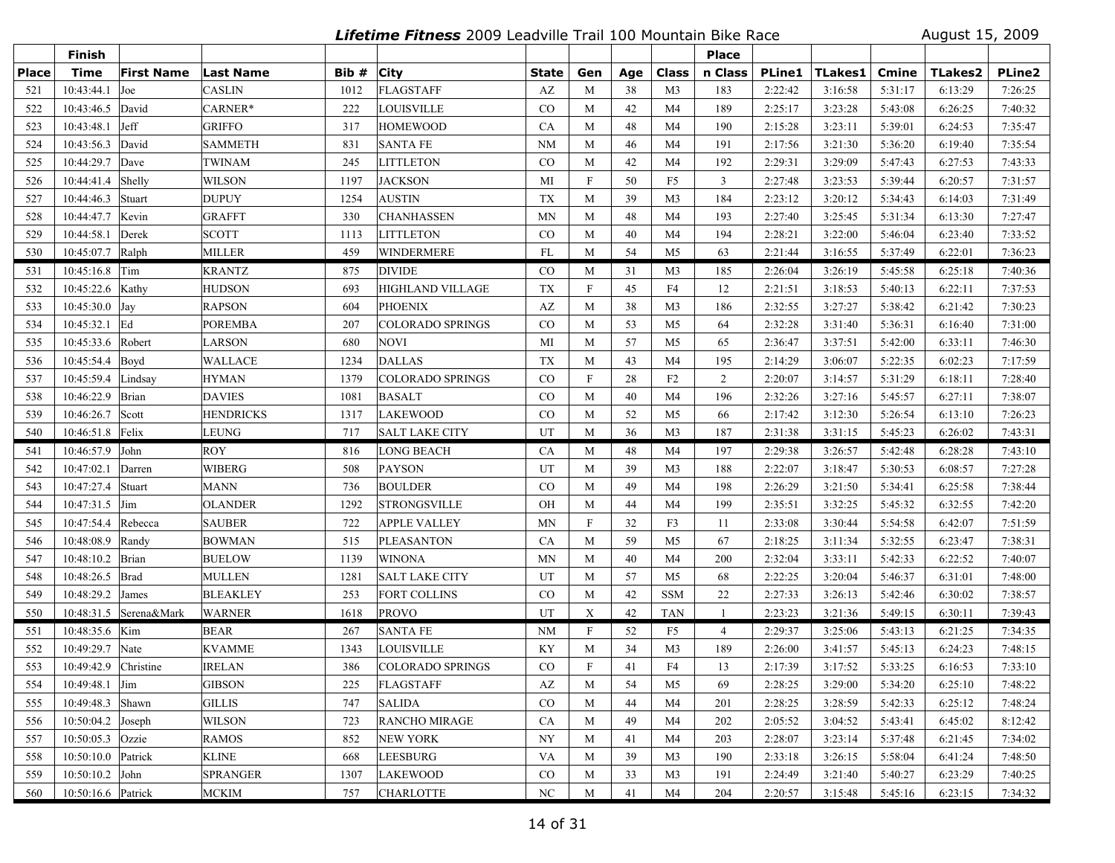**Lifetime Fitness** 2009 Leadville Trail 100 Mountain Bike Race August 15, 2009

|              | <b>Finish</b>       |                         |                  |       |                         |           |                           |     |                | <b>Place</b>   |               |                |         |                |               |
|--------------|---------------------|-------------------------|------------------|-------|-------------------------|-----------|---------------------------|-----|----------------|----------------|---------------|----------------|---------|----------------|---------------|
| <b>Place</b> | <b>Time</b>         | <b>First Name</b>       | <b>Last Name</b> | Bib # | <b>City</b>             | State     | Gen                       | Age | Class          | n Class        | <b>PLine1</b> | <b>TLakes1</b> | Cmine   | <b>TLakes2</b> | <b>PLine2</b> |
| 521          | 10:43:44.1          | Joe                     | CASLIN           | 1012  | FLAGSTAFF               | AZ        | M                         | 38  | M <sub>3</sub> | 183            | 2:22:42       | 3:16:58        | 5:31:17 | 6:13:29        | 7:26:25       |
| 522          | 10:43:46.5          | David                   | CARNER*          | 222   | <b>LOUISVILLE</b>       | CO        | M                         | 42  | M <sub>4</sub> | 189            | 2:25:17       | 3:23:28        | 5:43:08 | 6:26:25        | 7:40:32       |
| 523          | 10:43:48.1          | Jeff                    | <b>GRIFFO</b>    | 317   | <b>HOMEWOOD</b>         | CA        | M                         | 48  | M4             | 190            | 2:15:28       | 3:23:11        | 5:39:01 | 6:24:53        | 7:35:47       |
| 524          | 10:43:56.3          | David                   | <b>SAMMETH</b>   | 831   | <b>SANTA FE</b>         | <b>NM</b> | M                         | 46  | M4             | 191            | 2:17:56       | 3:21:30        | 5:36:20 | 6:19:40        | 7:35:54       |
| 525          | 10:44:29.7          | Dave                    | <b>TWINAM</b>    | 245   | <b>LITTLETON</b>        | $\rm CO$  | M                         | 42  | M <sub>4</sub> | 192            | 2:29:31       | 3:29:09        | 5:47:43 | 6:27:53        | 7:43:33       |
| 526          | 10:44:41.4          | Shelly                  | <b>WILSON</b>    | 1197  | <b>JACKSON</b>          | MI        | $\boldsymbol{\mathrm{F}}$ | 50  | F <sub>5</sub> | $\overline{3}$ | 2:27:48       | 3:23:53        | 5:39:44 | 6:20:57        | 7:31:57       |
| 527          | 10:44:46.3          | Stuart                  | <b>DUPUY</b>     | 1254  | <b>AUSTIN</b>           | TX        | M                         | 39  | M <sub>3</sub> | 184            | 2:23:12       | 3:20:12        | 5:34:43 | 6:14:03        | 7:31:49       |
| 528          | 10:44:47.7          | Kevin                   | <b>GRAFFT</b>    | 330   | <b>CHANHASSEN</b>       | <b>MN</b> | M                         | 48  | M <sub>4</sub> | 193            | 2:27:40       | 3:25:45        | 5:31:34 | 6:13:30        | 7:27:47       |
| 529          | 10:44:58.1          | Derek                   | <b>SCOTT</b>     | 1113  | <b>LITTLETON</b>        | $\rm CO$  | M                         | 40  | M <sub>4</sub> | 194            | 2:28:21       | 3:22:00        | 5:46:04 | 6:23:40        | 7:33:52       |
| 530          | 10:45:07.7 Ralph    |                         | <b>MILLER</b>    | 459   | <b>WINDERMERE</b>       | FL        | M                         | 54  | M <sub>5</sub> | 63             | 2:21:44       | 3:16:55        | 5:37:49 | 6:22:01        | 7:36:23       |
| 531          | 10:45:16.8 Tim      |                         | <b>KRANTZ</b>    | 875   | <b>DIVIDE</b>           | $\rm CO$  | M                         | 31  | M3             | 185            | 2:26:04       | 3:26:19        | 5:45:58 | 6:25:18        | 7:40:36       |
| 532          | 10:45:22.6 Kathy    |                         | <b>HUDSON</b>    | 693   | <b>HIGHLAND VILLAGE</b> | <b>TX</b> | $\mathbf F$               | 45  | F4             | 12             | 2:21:51       | 3:18:53        | 5:40:13 | 6:22:11        | 7:37:53       |
| 533          | 10:45:30.0 Jay      |                         | <b>RAPSON</b>    | 604   | <b>PHOENIX</b>          | AZ        | M                         | 38  | M <sub>3</sub> | 186            | 2:32:55       | 3:27:27        | 5:38:42 | 6:21:42        | 7:30:23       |
| 534          | $10:45:32.1$ Ed     |                         | <b>POREMBA</b>   | 207   | <b>COLORADO SPRINGS</b> | CO        | M                         | 53  | M5             | 64             | 2:32:28       | 3:31:40        | 5:36:31 | 6:16:40        | 7:31:00       |
| 535          | 10:45:33.6 Robert   |                         | <b>LARSON</b>    | 680   | <b>NOVI</b>             | MI        | M                         | 57  | M <sub>5</sub> | 65             | 2:36:47       | 3:37:51        | 5:42:00 | 6:33:11        | 7:46:30       |
| 536          | 10:45:54.4 Boyd     |                         | <b>WALLACE</b>   | 1234  | <b>DALLAS</b>           | <b>TX</b> | M                         | 43  | M <sub>4</sub> | 195            | 2:14:29       | 3:06:07        | 5:22:35 | 6:02:23        | 7:17:59       |
| 537          | 10:45:59.4          | Lindsay                 | <b>HYMAN</b>     | 1379  | <b>COLORADO SPRINGS</b> | $\rm CO$  | $\mathbf F$               | 28  | F <sub>2</sub> | 2              | 2:20:07       | 3:14:57        | 5:31:29 | 6:18:11        | 7:28:40       |
| 538          | 10:46:22.9          | Brian                   | <b>DAVIES</b>    | 1081  | <b>BASALT</b>           | CO        | M                         | 40  | M <sub>4</sub> | 196            | 2:32:26       | 3:27:16        | 5:45:57 | 6:27:11        | 7:38:07       |
| 539          | 10:46:26.7          | Scott                   | <b>HENDRICKS</b> | 1317  | <b>LAKEWOOD</b>         | CO        | M                         | 52  | M5             | 66             | 2:17:42       | 3:12:30        | 5:26:54 | 6:13:10        | 7:26:23       |
| 540          | 10:46:51.8 Felix    |                         | <b>LEUNG</b>     | 717   | <b>SALT LAKE CITY</b>   | UT        | M                         | 36  | M <sub>3</sub> | 187            | 2:31:38       | 3:31:15        | 5:45:23 | 6:26:02        | 7:43:31       |
| 541          | 10:46:57.9 John     |                         | <b>ROY</b>       | 816   | <b>LONG BEACH</b>       | <b>CA</b> | M                         | 48  | M4             | 197            | 2:29:38       | 3:26:57        | 5:42:48 | 6:28:28        | 7:43:10       |
| 542          | 10:47:02.1          | Darren                  | <b>WIBERG</b>    | 508   | <b>PAYSON</b>           | UT        | M                         | 39  | M <sub>3</sub> | 188            | 2:22:07       | 3:18:47        | 5:30:53 | 6:08:57        | 7:27:28       |
| 543          | 10:47:27.4          | Stuart                  | MANN             | 736   | <b>BOULDER</b>          | CO        | M                         | 49  | M <sub>4</sub> | 198            | 2:26:29       | 3:21:50        | 5:34:41 | 6:25:58        | 7:38:44       |
| 544          | 10:47:31.5          | Jim                     | <b>OLANDER</b>   | 1292  | <b>STRONGSVILLE</b>     | OH        | M                         | 44  | M <sub>4</sub> | 199            | 2:35:51       | 3:32:25        | 5:45:32 | 6:32:55        | 7:42:20       |
| 545          | 10:47:54.4          | Rebecca                 | <b>SAUBER</b>    | 722   | <b>APPLE VALLEY</b>     | <b>MN</b> | $\mathbf F$               | 32  | F3             | 11             | 2:33:08       | 3:30:44        | 5:54:58 | 6:42:07        | 7:51:59       |
| 546          | 10:48:08.9          | Randy                   | <b>BOWMAN</b>    | 515   | <b>PLEASANTON</b>       | CA        | M                         | 59  | M <sub>5</sub> | 67             | 2:18:25       | 3:11:34        | 5:32:55 | 6:23:47        | 7:38:31       |
| 547          | 10:48:10.2          | Brian                   | <b>BUELOW</b>    | 1139  | <b>WINONA</b>           | <b>MN</b> | M                         | 40  | M4             | 200            | 2:32:04       | 3:33:11        | 5:42:33 | 6:22:52        | 7:40:07       |
| 548          | 10:48:26.5          | Brad                    | <b>MULLEN</b>    | 1281  | <b>SALT LAKE CITY</b>   | UT        | M                         | 57  | M <sub>5</sub> | 68             | 2:22:25       | 3:20:04        | 5:46:37 | 6:31:01        | 7:48:00       |
| 549          | 10:48:29.2          | James                   | <b>BLEAKLEY</b>  | 253   | <b>FORT COLLINS</b>     | CO        | M                         | 42  | <b>SSM</b>     | 22             | 2:27:33       | 3:26:13        | 5:42:46 | 6:30:02        | 7:38:57       |
| 550          |                     | 10:48:31.5  Serena&Mark | <b>WARNER</b>    | 1618  | <b>PROVO</b>            | UT        | X                         | 42  | <b>TAN</b>     | -1             | 2:23:23       | 3:21:36        | 5:49:15 | 6:30:11        | 7:39:43       |
| 551          | 10:48:35.6 Kim      |                         | <b>BEAR</b>      | 267   | <b>SANTA FE</b>         | <b>NM</b> | F                         | 52  | F <sub>5</sub> | $\overline{4}$ | 2:29:37       | 3:25:06        | 5:43:13 | 6:21:25        | 7:34:35       |
| 552          | 10:49:29.7          | Nate                    | <b>KVAMME</b>    | 1343  | <b>LOUISVILLE</b>       | KY        | M                         | 34  | M <sub>3</sub> | 189            | 2:26:00       | 3:41:57        | 5:45:13 | 6:24:23        | 7:48:15       |
| 553          | 10:49:42.9          | Christine               | IRELAN           | 386   | COLORADO SPRINGS        | $\rm CO$  | $\mathbf F$               | 41  | F4             | 13             | 2:17:39       | 3:17:52        | 5:33:25 | 6:16:53        | 7:33:10       |
| 554          | 10:49:48.1 Jim      |                         | <b>GIBSON</b>    | 225   | <b>FLAGSTAFF</b>        | AZ        | M                         | 54  | M5             | 69             | 2:28:25       | 3:29:00        | 5:34:20 | 6:25:10        | 7:48:22       |
| 555          | 10:49:48.3 Shawn    |                         | <b>GILLIS</b>    | 747   | <b>SALIDA</b>           | CO        | M                         | 44  | M4             | 201            | 2:28:25       | 3:28:59        | 5:42:33 | 6:25:12        | 7:48:24       |
| 556          | $10:50:04.2$ Joseph |                         | <b>WILSON</b>    | 723   | RANCHO MIRAGE           | CA        | M                         | 49  | M4             | 202            | 2:05:52       | 3:04:52        | 5:43:41 | 6:45:02        | 8:12:42       |
| 557          | 10:50:05.3 Ozzie    |                         | <b>RAMOS</b>     | 852   | <b>NEW YORK</b>         | NY        | M                         | 41  | M4             | 203            | 2:28:07       | 3:23:14        | 5:37:48 | 6:21:45        | 7:34:02       |
| 558          | 10:50:10.0 Patrick  |                         | <b>KLINE</b>     | 668   | <b>LEESBURG</b>         | VA        | M                         | 39  | M3             | 190            | 2:33:18       | 3:26:15        | 5:58:04 | 6:41:24        | 7:48:50       |
| 559          | $10:50:10.2$ John   |                         | <b>SPRANGER</b>  | 1307  | <b>LAKEWOOD</b>         | $\rm CO$  | M                         | 33  | M <sub>3</sub> | 191            | 2:24:49       | 3:21:40        | 5:40:27 | 6:23:29        | 7:40:25       |
| 560          | 10:50:16.6 Patrick  |                         | <b>MCKIM</b>     | 757   | <b>CHARLOTTE</b>        | NC        | M                         | 41  | M4             | 204            | 2:20:57       | 3:15:48        | 5:45:16 | 6:23:15        | 7:34:32       |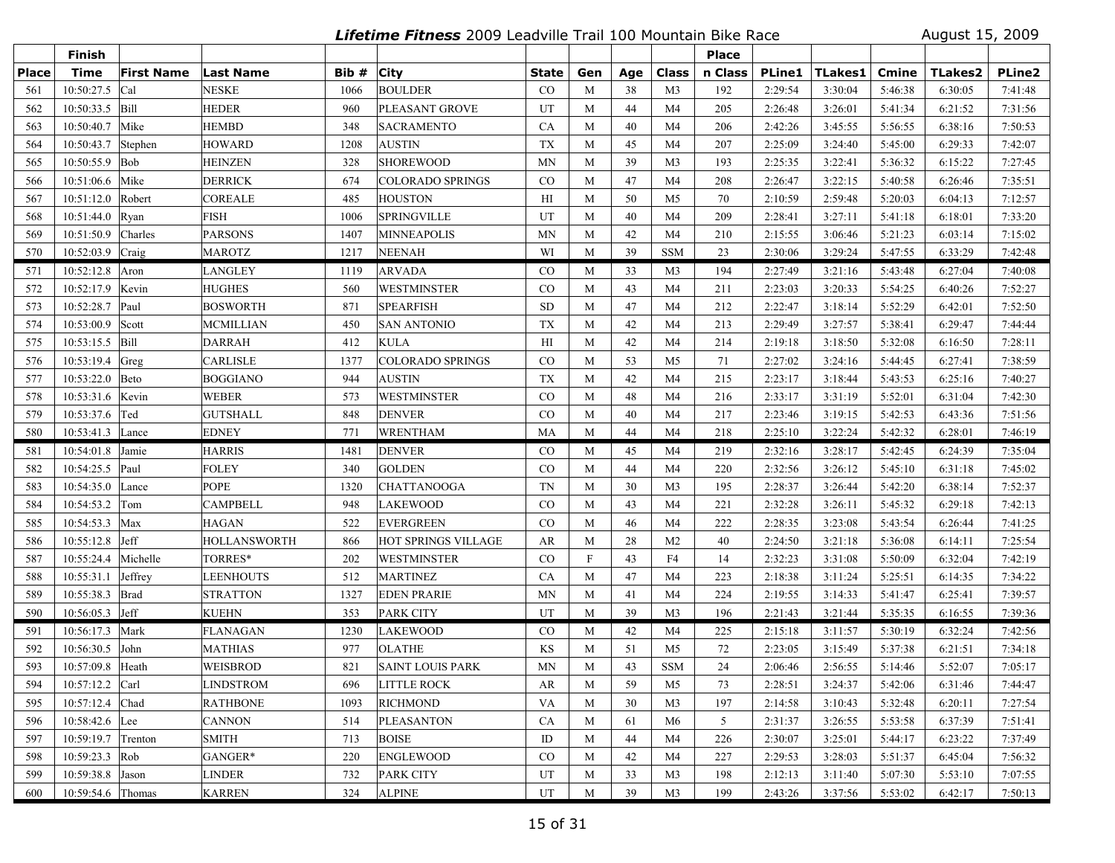**Lifetime Fitness** 2009 Leadville Trail 100 Mountain Bike Race August 15, 2009

|              | Finish            |                   |                 |       |                         |           |              |     |                | <b>Place</b> |               |                |         |         |         |
|--------------|-------------------|-------------------|-----------------|-------|-------------------------|-----------|--------------|-----|----------------|--------------|---------------|----------------|---------|---------|---------|
| <b>Place</b> | <b>Time</b>       | <b>First Name</b> | Last Name       | Bib # | <b>City</b>             | State     | Gen          | Age | Class          | n Class      | <b>PLine1</b> | <b>TLakes1</b> | Cmine   | TLakes2 | PLine2  |
| 561          | 10:50:27.5        | Cal               | NESKE           | 1066  | <b>BOULDER</b>          | CO        | M            | 38  | M <sub>3</sub> | 192          | 2:29:54       | 3:30:04        | 5:46:38 | 6:30:05 | 7:41:48 |
| 562          | 10:50:33.5        | Bill              | <b>HEDER</b>    | 960   | PLEASANT GROVE          | UT        | M            | 44  | M <sub>4</sub> | 205          | 2:26:48       | 3:26:01        | 5:41:34 | 6:21:52 | 7:31:56 |
| 563          | 10:50:40.7        | Mike              | <b>HEMBD</b>    | 348   | <b>SACRAMENTO</b>       | CA        | M            | 40  | M4             | 206          | 2:42:26       | 3:45:55        | 5:56:55 | 6:38:16 | 7:50:53 |
| 564          | 10:50:43.7        | Stephen           | HOWARD          | 1208  | <b>AUSTIN</b>           | <b>TX</b> | M            | 45  | M4             | 207          | 2:25:09       | 3:24:40        | 5:45:00 | 6:29:33 | 7:42:07 |
| 565          | 10:50:55.9        | Bob               | HEINZEN         | 328   | <b>SHOREWOOD</b>        | <b>MN</b> | M            | 39  | M <sub>3</sub> | 193          | 2:25:35       | 3:22:41        | 5:36:32 | 6:15:22 | 7:27:45 |
| 566          | 10:51:06.6        | Mike              | <b>DERRICK</b>  | 674   | <b>COLORADO SPRINGS</b> | $\rm CO$  | M            | 47  | M4             | 208          | 2:26:47       | 3:22:15        | 5:40:58 | 6:26:46 | 7:35:51 |
| 567          | 10:51:12.0        | Robert            | <b>COREALE</b>  | 485   | <b>HOUSTON</b>          | H         | M            | 50  | M5             | 70           | 2:10:59       | 2:59:48        | 5:20:03 | 6:04:13 | 7:12:57 |
| 568          | 10:51:44.0        | Ryan              | FISH            | 1006  | <b>SPRINGVILLE</b>      | UT        | M            | 40  | M <sub>4</sub> | 209          | 2:28:41       | 3:27:11        | 5:41:18 | 6:18:01 | 7:33:20 |
| 569          | 10:51:50.9        | Charles           | <b>PARSONS</b>  | 1407  | <b>MINNEAPOLIS</b>      | <b>MN</b> | M            | 42  | M <sub>4</sub> | 210          | 2:15:55       | 3:06:46        | 5:21:23 | 6:03:14 | 7:15:02 |
| 570          | 10:52:03.9        | Craig             | MAROTZ          | 1217  | <b>NEENAH</b>           | WI        | M            | 39  | <b>SSM</b>     | 23           | 2:30:06       | 3:29:24        | 5:47:55 | 6:33:29 | 7:42:48 |
| 571          | 10:52:12.8        | Aron              | LANGLEY         | 1119  | <b>ARVADA</b>           | $\rm CO$  | M            | 33  | M3             | 194          | 2:27:49       | 3:21:16        | 5:43:48 | 6:27:04 | 7:40:08 |
| 572          | 10:52:17.9        | Kevin             | HUGHES          | 560   | <b>WESTMINSTER</b>      | $\rm CO$  | M            | 43  | M <sub>4</sub> | 211          | 2:23:03       | 3:20:33        | 5:54:25 | 6:40:26 | 7:52:27 |
| 573          | 10:52:28.7        | Paul              | BOSWORTH        | 871   | <b>SPEARFISH</b>        | <b>SD</b> | M            | 47  | M4             | 212          | 2:22:47       | 3:18:14        | 5:52:29 | 6:42:01 | 7:52:50 |
| 574          | 10:53:00.9        | Scott             | MCMILLIAN       | 450   | <b>SAN ANTONIO</b>      | TX        | M            | 42  | M4             | 213          | 2:29:49       | 3:27:57        | 5:38:41 | 6:29:47 | 7:44:44 |
| 575          | 10:53:15.5        | Bill              | <b>DARRAH</b>   | 412   | <b>KULA</b>             | H         | M            | 42  | M <sub>4</sub> | 214          | 2:19:18       | 3:18:50        | 5:32:08 | 6:16:50 | 7:28:11 |
| 576          | 10:53:19.4        | Greg              | CARLISLE        | 1377  | <b>COLORADO SPRINGS</b> | $\rm CO$  | M            | 53  | M <sub>5</sub> | 71           | 2:27:02       | 3:24:16        | 5:44:45 | 6:27:41 | 7:38:59 |
| 577          | 10:53:22.0        | Beto              | <b>BOGGIANO</b> | 944   | <b>AUSTIN</b>           | TX        | M            | 42  | M4             | 215          | 2:23:17       | 3:18:44        | 5:43:53 | 6:25:16 | 7:40:27 |
| 578          | 10:53:31.6        | Kevin             | WEBER           | 573   | <b>WESTMINSTER</b>      | CO        | M            | 48  | M4             | 216          | 2:33:17       | 3:31:19        | 5:52:01 | 6:31:04 | 7:42:30 |
| 579          | 10:53:37.6        | Ted               | GUTSHALL        | 848   | <b>DENVER</b>           | CO        | M            | 40  | M4             | 217          | 2:23:46       | 3:19:15        | 5:42:53 | 6:43:36 | 7:51:56 |
| 580          | 10:53:41.3        | Lance             | <b>EDNEY</b>    | 771   | <b>WRENTHAM</b>         | MA        | M            | 44  | M <sub>4</sub> | 218          | 2:25:10       | 3:22:24        | 5:42:32 | 6:28:01 | 7:46:19 |
| 581          | 10:54:01.8        | Jamie             | HARRIS          | 1481  | <b>DENVER</b>           | $\rm CO$  | M            | 45  | M4             | 219          | 2:32:16       | 3:28:17        | 5:42:45 | 6:24:39 | 7:35:04 |
| 582          | 10:54:25.5        | Paul              | FOLEY           | 340   | <b>GOLDEN</b>           | $\rm CO$  | M            | 44  | M4             | 220          | 2:32:56       | 3:26:12        | 5:45:10 | 6:31:18 | 7:45:02 |
| 583          | 10:54:35.0        | Lance             | POPE            | 1320  | <b>CHATTANOOGA</b>      | <b>TN</b> | M            | 30  | M <sub>3</sub> | 195          | 2:28:37       | 3:26:44        | 5:42:20 | 6:38:14 | 7:52:37 |
| 584          | 10:54:53.2        | Tom               | CAMPBELL        | 948   | <b>LAKEWOOD</b>         | $\rm CO$  | M            | 43  | M <sub>4</sub> | 221          | 2:32:28       | 3:26:11        | 5:45:32 | 6:29:18 | 7:42:13 |
| 585          | 10:54:53.3        | Max               | HAGAN           | 522   | <b>EVERGREEN</b>        | $\rm CO$  | M            | 46  | M4             | 222          | 2:28:35       | 3:23:08        | 5:43:54 | 6:26:44 | 7:41:25 |
| 586          | 10:55:12.8        | Jeff              | HOLLANSWORTH    | 866   | HOT SPRINGS VILLAGE     | AR        | M            | 28  | M <sub>2</sub> | 40           | 2:24:50       | 3:21:18        | 5:36:08 | 6:14:11 | 7:25:54 |
| 587          | 10:55:24.4        | Michelle          | TORRES*         | 202   | <b>WESTMINSTER</b>      | $\rm CO$  | $\mathbf{F}$ | 43  | F4             | 14           | 2:32:23       | 3:31:08        | 5:50:09 | 6:32:04 | 7:42:19 |
| 588          | 10:55:31.1        | Jeffrey           | LEENHOUTS       | 512   | <b>MARTINEZ</b>         | <b>CA</b> | M            | 47  | M4             | 223          | 2:18:38       | 3:11:24        | 5:25:51 | 6:14:35 | 7:34:22 |
| 589          | 10:55:38.3        | Brad              | <b>STRATTON</b> | 1327  | <b>EDEN PRARIE</b>      | <b>MN</b> | M            | 41  | M4             | 224          | 2:19:55       | 3:14:33        | 5:41:47 | 6:25:41 | 7:39:57 |
| 590          | $10:56:05.3$ Jeff |                   | <b>KUEHN</b>    | 353   | <b>PARK CITY</b>        | UT        | M            | 39  | M <sub>3</sub> | 196          | 2:21:43       | 3:21:44        | 5:35:35 | 6:16:55 | 7:39:36 |
| 591          | 10:56:17.3        | Mark              | <b>FLANAGAN</b> | 1230  | <b>LAKEWOOD</b>         | $\rm CO$  | M            | 42  | M4             | 225          | 2:15:18       | 3:11:57        | 5:30:19 | 6:32:24 | 7:42:56 |
| 592          | 10:56:30.5        | John              | MATHIAS         | 977   | <b>OLATHE</b>           | KS        | M            | 51  | M5             | 72           | 2:23:05       | 3:15:49        | 5:37:38 | 6:21:51 | 7:34:18 |
| 593          | 10:57:09.8        | Heath             | WEISBROD        | 821   | <b>SAINT LOUIS PARK</b> | <b>MN</b> | M            | 43  | <b>SSM</b>     | 24           | 2:06:46       | 2:56:55        | 5:14:46 | 5:52:07 | 7:05:17 |
| 594          | 10:57:12.2 Carl   |                   | LINDSTROM       | 696   | <b>LITTLE ROCK</b>      | AR        | M            | 59  | M5             | 73           | 2:28:51       | 3:24:37        | 5:42:06 | 6:31:46 | 7:44:47 |
| 595          | 10:57:12.4        | Chad              | <b>RATHBONE</b> | 1093  | <b>RICHMOND</b>         | <b>VA</b> | M            | 30  | M <sub>3</sub> | 197          | 2:14:58       | 3:10:43        | 5:32:48 | 6:20:11 | 7:27:54 |
| 596          | 10:58:42.6 Lee    |                   | <b>CANNON</b>   | 514   | <b>PLEASANTON</b>       | CA        | M            | 61  | M6             | 5            | 2:31:37       | 3:26:55        | 5:53:58 | 6:37:39 | 7:51:41 |
| 597          | 10:59:19.7        | Trenton           | <b>SMITH</b>    | 713   | <b>BOISE</b>            | ID        | M            | 44  | M4             | 226          | 2:30:07       | 3:25:01        | 5:44:17 | 6:23:22 | 7:37:49 |
| 598          | $10:59:23.3$ Rob  |                   | GANGER*         | 220   | <b>ENGLEWOOD</b>        | $\rm CO$  | M            | 42  | M4             | 227          | 2:29:53       | 3:28:03        | 5:51:37 | 6:45:04 | 7:56:32 |
| 599          | 10:59:38.8 Jason  |                   | <b>LINDER</b>   | 732   | <b>PARK CITY</b>        | UT        | M            | 33  | M <sub>3</sub> | 198          | 2:12:13       | 3:11:40        | 5:07:30 | 5:53:10 | 7:07:55 |
| 600          | 10:59:54.6 Thomas |                   | <b>KARREN</b>   | 324   | <b>ALPINE</b>           | UT        | M            | 39  | M <sub>3</sub> | 199          | 2:43:26       | 3:37:56        | 5:53:02 | 6:42:17 | 7:50:13 |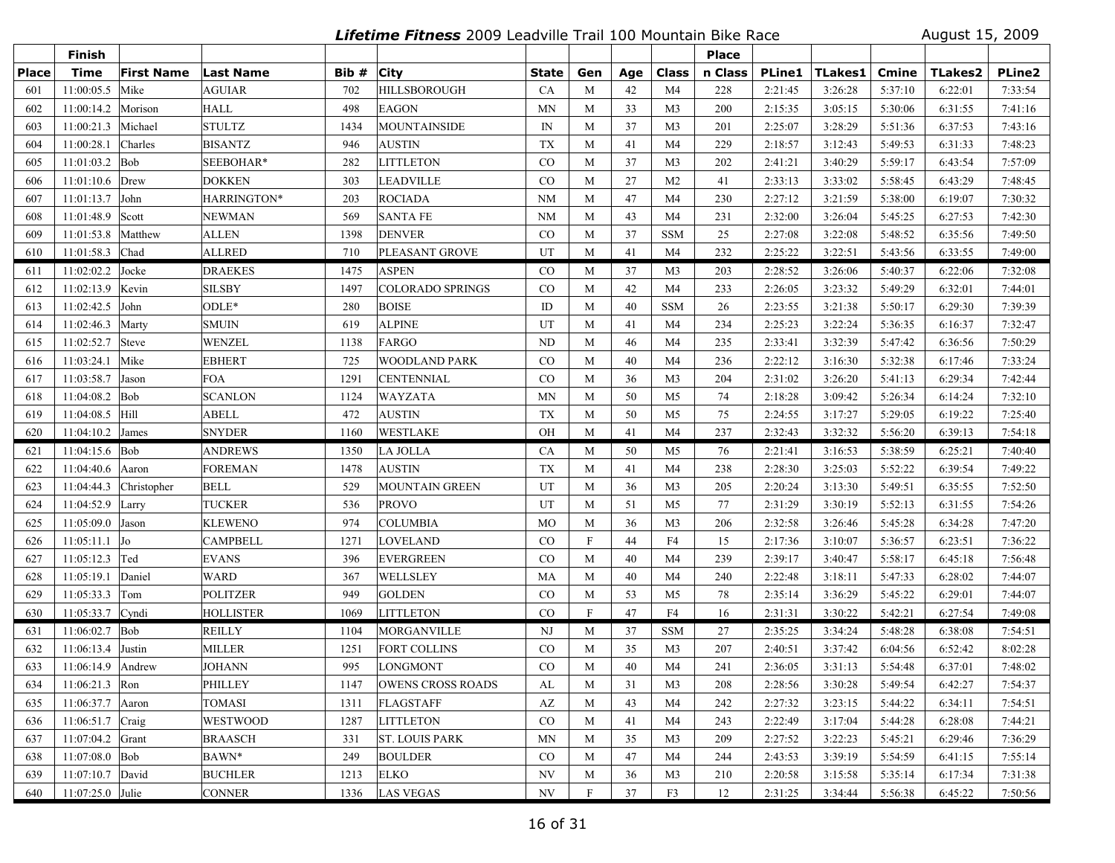**Lifetime Fitness** 2009 Leadville Trail 100 Mountain Bike Race August 15, 2009

|              | Finish           |                   |                  |       |                          |                          |              |     |                | <b>Place</b> |               |                |         |                |               |
|--------------|------------------|-------------------|------------------|-------|--------------------------|--------------------------|--------------|-----|----------------|--------------|---------------|----------------|---------|----------------|---------------|
| <b>Place</b> | <b>Time</b>      | <b>First Name</b> | Last Name        | Bib # | <b>City</b>              | <b>State</b>             | Gen          | Age | Class          | n Class      | <b>PLine1</b> | <b>TLakes1</b> | Cmine   | <b>TLakes2</b> | <b>PLine2</b> |
| 601          | 11:00:05.5       | Mike              | <b>AGUIAR</b>    | 702   | HILLSBOROUGH             | CA                       | M            | 42  | M <sub>4</sub> | 228          | 2:21:45       | 3:26:28        | 5:37:10 | 6:22:01        | 7:33:54       |
| 602          | 11:00:14.2       | Morison           | <b>HALL</b>      | 498   | <b>EAGON</b>             | MN                       | M            | 33  | M <sub>3</sub> | 200          | 2:15:35       | 3:05:15        | 5:30:06 | 6:31:55        | 7:41:16       |
| 603          | 11:00:21.3       | Michael           | <b>STULTZ</b>    | 1434  | <b>MOUNTAINSIDE</b>      | IN                       | M            | 37  | M <sub>3</sub> | 201          | 2:25:07       | 3:28:29        | 5:51:36 | 6:37:53        | 7:43:16       |
| 604          | 11:00:28.1       | Charles           | <b>BISANTZ</b>   | 946   | <b>AUSTIN</b>            | <b>TX</b>                | M            | 41  | M <sub>4</sub> | 229          | 2:18:57       | 3:12:43        | 5:49:53 | 6:31:33        | 7:48:23       |
| 605          | 11:01:03.2       | Bob               | SEEBOHAR*        | 282   | LITTLETON                | $\rm CO$                 | M            | 37  | M <sub>3</sub> | 202          | 2:41:21       | 3:40:29        | 5:59:17 | 6:43:54        | 7:57:09       |
| 606          | 11:01:10.6       | Drew              | <b>DOKKEN</b>    | 303   | <b>LEADVILLE</b>         | CO                       | M            | 27  | M <sub>2</sub> | 41           | 2:33:13       | 3:33:02        | 5:58:45 | 6:43:29        | 7:48:45       |
| 607          | 11:01:13.7       | John              | HARRINGTON*      | 203   | <b>ROCIADA</b>           | <b>NM</b>                | M            | 47  | M4             | 230          | 2:27:12       | 3:21:59        | 5:38:00 | 6:19:07        | 7:30:32       |
| 608          | 11:01:48.9       | Scott             | NEWMAN           | 569   | <b>SANTA FE</b>          | <b>NM</b>                | M            | 43  | M4             | 231          | 2:32:00       | 3:26:04        | 5:45:25 | 6:27:53        | 7:42:30       |
| 609          | 11:01:53.8       | Matthew           | <b>ALLEN</b>     | 1398  | <b>DENVER</b>            | $_{\rm CO}$              | M            | 37  | <b>SSM</b>     | 25           | 2:27:08       | 3:22:08        | 5:48:52 | 6:35:56        | 7:49:50       |
| 610          | 11:01:58.3 Chad  |                   | ALLRED           | 710   | PLEASANT GROVE           | UT                       | M            | 41  | M4             | 232          | 2:25:22       | 3:22:51        | 5:43:56 | 6:33:55        | 7:49:00       |
| 611          | 11:02:02.2       | Jocke             | <b>DRAEKES</b>   | 1475  | <b>ASPEN</b>             | $\rm CO$                 | M            | 37  | M3             | 203          | 2:28:52       | 3:26:06        | 5:40:37 | 6:22:06        | 7:32:08       |
| 612          | 11:02:13.9       | Kevin             | <b>SILSBY</b>    | 1497  | COLORADO SPRINGS         | $\rm CO$                 | M            | 42  | M4             | 233          | 2:26:05       | 3:23:32        | 5:49:29 | 6:32:01        | 7:44:01       |
| 613          | 11:02:42.5       | John              | $ODLE*$          | 280   | <b>BOISE</b>             | ID                       | M            | 40  | <b>SSM</b>     | 26           | 2:23:55       | 3:21:38        | 5:50:17 | 6:29:30        | 7:39:39       |
| 614          | 11:02:46.3       | Marty             | <b>SMUIN</b>     | 619   | <b>ALPINE</b>            | UT                       | M            | 41  | M4             | 234          | 2:25:23       | 3:22:24        | 5:36:35 | 6:16:37        | 7:32:47       |
| 615          | 11:02:52.7       | Steve             | <b>WENZEL</b>    | 1138  | FARGO                    | ND                       | M            | 46  | M4             | 235          | 2:33:41       | 3:32:39        | 5:47:42 | 6:36:56        | 7:50:29       |
| 616          | 11:03:24.1       | Mike              | <b>EBHERT</b>    | 725   | <b>WOODLAND PARK</b>     | CO                       | M            | 40  | M4             | 236          | 2:22:12       | 3:16:30        | 5:32:38 | 6:17:46        | 7:33:24       |
| 617          | 11:03:58.7       | Jason             | <b>FOA</b>       | 1291  | <b>CENTENNIAL</b>        | CO                       | M            | 36  | M <sub>3</sub> | 204          | 2:31:02       | 3:26:20        | 5:41:13 | 6:29:34        | 7:42:44       |
| 618          | 11:04:08.2       | Bob               | <b>SCANLON</b>   | 1124  | WAYZATA                  | MN                       | M            | 50  | M5             | 74           | 2:18:28       | 3:09:42        | 5:26:34 | 6:14:24        | 7:32:10       |
| 619          | 11:04:08.5       | Hill              | <b>ABELL</b>     | 472   | <b>AUSTIN</b>            | <b>TX</b>                | M            | 50  | M5             | 75           | 2:24:55       | 3:17:27        | 5:29:05 | 6:19:22        | 7:25:40       |
| 620          | 11:04:10.2 James |                   | <b>SNYDER</b>    | 1160  | <b>WESTLAKE</b>          | OH                       | M            | 41  | M <sub>4</sub> | 237          | 2:32:43       | 3:32:32        | 5:56:20 | 6:39:13        | 7:54:18       |
| 621          | $11:04:15.6$ Bob |                   | <b>ANDREWS</b>   | 1350  | LA JOLLA                 | <b>CA</b>                | M            | 50  | M5             | 76           | 2:21:41       | 3:16:53        | 5:38:59 | 6:25:21        | 7:40:40       |
| 622          | 11:04:40.6       | Aaron             | <b>FOREMAN</b>   | 1478  | <b>AUSTIN</b>            | TX                       | M            | 41  | M4             | 238          | 2:28:30       | 3:25:03        | 5:52:22 | 6:39:54        | 7:49:22       |
| 623          | 11:04:44.3       | Christopher       | <b>BELL</b>      | 529   | <b>MOUNTAIN GREEN</b>    | UT                       | M            | 36  | M <sub>3</sub> | 205          | 2:20:24       | 3:13:30        | 5:49:51 | 6:35:55        | 7:52:50       |
| 624          | 11:04:52.9       | Larry             | <b>TUCKER</b>    | 536   | <b>PROVO</b>             | UT                       | M            | 51  | M <sub>5</sub> | 77           | 2:31:29       | 3:30:19        | 5:52:13 | 6:31:55        | 7:54:26       |
| 625          | 11:05:09.0       | Jason             | <b>KLEWENO</b>   | 974   | <b>COLUMBIA</b>          | <b>MO</b>                | M            | 36  | M <sub>3</sub> | 206          | 2:32:58       | 3:26:46        | 5:45:28 | 6:34:28        | 7:47:20       |
| 626          | 11:05:11.1       | J <sub>o</sub>    | <b>CAMPBELL</b>  | 1271  | LOVELAND                 | $_{\rm CO}$              | F            | 44  | F4             | 15           | 2:17:36       | 3:10:07        | 5:36:57 | 6:23:51        | 7:36:22       |
| 627          | 11:05:12.3       | Ted               | <b>EVANS</b>     | 396   | <b>EVERGREEN</b>         | $\rm CO$                 | M            | 40  | M4             | 239          | 2:39:17       | 3:40:47        | 5:58:17 | 6:45:18        | 7:56:48       |
| 628          | 11:05:19.1       | Daniel            | <b>WARD</b>      | 367   | WELLSLEY                 | MA                       | M            | 40  | M <sub>4</sub> | 240          | 2:22:48       | 3:18:11        | 5:47:33 | 6:28:02        | 7:44:07       |
| 629          | 11:05:33.3       | Tom               | <b>POLITZER</b>  | 949   | <b>GOLDEN</b>            | $\rm CO$                 | M            | 53  | M5             | 78           | 2:35:14       | 3:36:29        | 5:45:22 | 6:29:01        | 7:44:07       |
| 630          | 11:05:33.7       | Cyndi             | <b>HOLLISTER</b> | 1069  | <b>LITTLETON</b>         | CO                       | $\mathbf{F}$ | 47  | F4             | 16           | 2:31:31       | 3:30:22        | 5:42:21 | 6:27:54        | 7:49:08       |
| 631          | 11:06:02.7       | Bob               | <b>REILLY</b>    | 1104  | <b>MORGANVILLE</b>       | <b>NJ</b>                | M            | 37  | <b>SSM</b>     | 27           | 2:35:25       | 3:34:24        | 5:48:28 | 6:38:08        | 7:54:51       |
| 632          | 11:06:13.4       | Justin            | <b>MILLER</b>    | 1251  | <b>FORT COLLINS</b>      | CO                       | M            | 35  | M <sub>3</sub> | 207          | 2:40:51       | 3:37:42        | 6:04:56 | 6:52:42        | 8:02:28       |
| 633          | 11:06:14.9       | Andrew            | <b>JOHANN</b>    | 995   | LONGMONT                 | CO                       | M            | 40  | M4             | 241          | 2:36:05       | 3:31:13        | 5:54:48 | 6:37:01        | 7:48:02       |
| 634          | $11:06:21.3$ Ron |                   | PHILLEY          | 1147  | <b>OWENS CROSS ROADS</b> | AL                       | M            | 31  | M <sub>3</sub> | 208          | 2:28:56       | 3:30:28        | 5:49:54 | 6:42:27        | 7:54:37       |
| 635          | 11:06:37.7       | Aaron             | <b>TOMASI</b>    | 1311  | <b>FLAGSTAFF</b>         | AZ                       | M            | 43  | M <sub>4</sub> | 242          | 2:27:32       | 3:23:15        | 5:44:22 | 6:34:11        | 7:54:51       |
| 636          | 11:06:51.7       | Craig             | <b>WESTWOOD</b>  | 1287  | <b>LITTLETON</b>         | $_{\rm CO}$              | M            | 41  | M4             | 243          | 2:22:49       | 3:17:04        | 5:44:28 | 6:28:08        | 7:44:21       |
| 637          | 11:07:04.2 Grant |                   | <b>BRAASCH</b>   | 331   | <b>ST. LOUIS PARK</b>    | MN                       | M            | 35  | M <sub>3</sub> | 209          | 2:27:52       | 3:22:23        | 5:45:21 | 6:29:46        | 7:36:29       |
| 638          | $11:07:08.0$ Bob |                   | BAWN*            | 249   | <b>BOULDER</b>           | $\rm CO$                 | M            | 47  | M4             | 244          | 2:43:53       | 3:39:19        | 5:54:59 | 6:41:15        | 7:55:14       |
| 639          | 11:07:10.7 David |                   | <b>BUCHLER</b>   | 1213  | ELKO                     | NV                       | M            | 36  | M3             | 210          | 2:20:58       | 3:15:58        | 5:35:14 | 6:17:34        | 7:31:38       |
| 640          | 11:07:25.0 Julie |                   | <b>CONNER</b>    | 1336  | <b>LAS VEGAS</b>         | $\ensuremath{\text{NV}}$ | $\mathbf{F}$ | 37  | F <sub>3</sub> | 12           | 2:31:25       | 3:34:44        | 5:56:38 | 6:45:22        | 7:50:56       |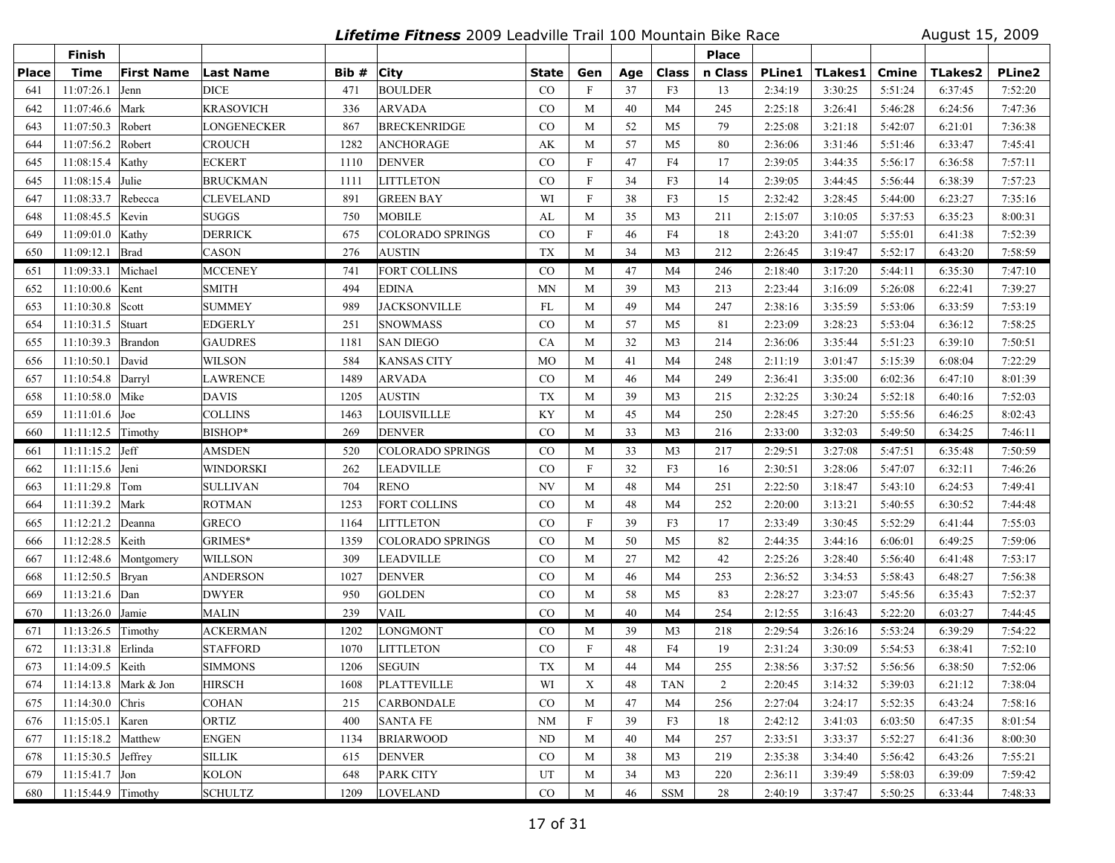**Lifetime Fitness** 2009 Leadville Trail 100 Mountain Bike Race August 15, 2009

|              | Finish               |                         |                  |       |                         |              |                           |     |                | <b>Place</b>   |               |         |         |                |         |
|--------------|----------------------|-------------------------|------------------|-------|-------------------------|--------------|---------------------------|-----|----------------|----------------|---------------|---------|---------|----------------|---------|
| <b>Place</b> | <b>Time</b>          | <b>First Name</b>       | <b>Last Name</b> | Bib # | <b>City</b>             | <b>State</b> | Gen                       | Age | Class          | n Class        | <b>PLine1</b> | TLakes1 | Cmine   | <b>TLakes2</b> | PLine2  |
| 641          | 11:07:26.1           | Jenn                    | DICE             | 471   | <b>BOULDER</b>          | CO           | $\mathbf{F}$              | 37  | F <sub>3</sub> | 13             | 2:34:19       | 3:30:25 | 5:51:24 | 6:37:45        | 7:52:20 |
| 642          | 11:07:46.6           | Mark                    | <b>KRASOVICH</b> | 336   | <b>ARVADA</b>           | CO           | M                         | 40  | M <sub>4</sub> | 245            | 2:25:18       | 3:26:41 | 5:46:28 | 6:24:56        | 7:47:36 |
| 643          | 11:07:50.3           | Robert                  | LONGENECKER      | 867   | <b>BRECKENRIDGE</b>     | CO           | M                         | 52  | M <sub>5</sub> | 79             | 2:25:08       | 3:21:18 | 5:42:07 | 6:21:01        | 7:36:38 |
| 644          | 11:07:56.2           | Robert                  | CROUCH           | 1282  | <b>ANCHORAGE</b>        | AK           | M                         | 57  | M <sub>5</sub> | 80             | 2:36:06       | 3:31:46 | 5:51:46 | 6:33:47        | 7:45:41 |
| 645          | 11:08:15.4           | Kathy                   | ECKERT           | 1110  | <b>DENVER</b>           | CO           | $\boldsymbol{\mathrm{F}}$ | 47  | F4             | 17             | 2:39:05       | 3:44:35 | 5:56:17 | 6:36:58        | 7:57:11 |
| 645          | 11:08:15.4           | Julie                   | <b>BRUCKMAN</b>  | 1111  | <b>LITTLETON</b>        | CO           | $\boldsymbol{\mathrm{F}}$ | 34  | F3             | 14             | 2:39:05       | 3:44:45 | 5:56:44 | 6:38:39        | 7:57:23 |
| 647          | 11:08:33.7           | Rebecca                 | <b>CLEVELAND</b> | 891   | <b>GREEN BAY</b>        | WI           | $\boldsymbol{\mathrm{F}}$ | 38  | F3             | 15             | 2:32:42       | 3:28:45 | 5:44:00 | 6:23:27        | 7:35:16 |
| 648          | 11:08:45.5           | Kevin                   | <b>SUGGS</b>     | 750   | <b>MOBILE</b>           | AL           | M                         | 35  | M <sub>3</sub> | 211            | 2:15:07       | 3:10:05 | 5:37:53 | 6:35:23        | 8:00:31 |
| 649          | 11:09:01.0           | Kathy                   | <b>DERRICK</b>   | 675   | <b>COLORADO SPRINGS</b> | $\rm CO$     | $\mathbf F$               | 46  | F4             | 18             | 2:43:20       | 3:41:07 | 5:55:01 | 6:41:38        | 7:52:39 |
| 650          | 11:09:12.1           | Brad                    | CASON            | 276   | <b>AUSTIN</b>           | <b>TX</b>    | M                         | 34  | M <sub>3</sub> | 212            | 2:26:45       | 3:19:47 | 5:52:17 | 6:43:20        | 7:58:59 |
| 651          | 11:09:33.1           | Michael                 | <b>MCCENEY</b>   | 741   | <b>FORT COLLINS</b>     | $\rm CO$     | M                         | 47  | M <sub>4</sub> | 246            | 2:18:40       | 3:17:20 | 5:44:11 | 6:35:30        | 7:47:10 |
| 652          | 11:10:00.6           | Kent                    | SMITH            | 494   | <b>EDINA</b>            | MN           | M                         | 39  | M <sub>3</sub> | 213            | 2:23:44       | 3:16:09 | 5:26:08 | 6:22:41        | 7:39:27 |
| 653          | 11:10:30.8           | Scott                   | <b>SUMMEY</b>    | 989   | <b>JACKSONVILLE</b>     | FL           | M                         | 49  | M <sub>4</sub> | 247            | 2:38:16       | 3:35:59 | 5:53:06 | 6:33:59        | 7:53:19 |
| 654          | 11:10:31.5           | Stuart                  | EDGERLY          | 251   | <b>SNOWMASS</b>         | CO           | M                         | 57  | M <sub>5</sub> | 81             | 2:23:09       | 3:28:23 | 5:53:04 | 6:36:12        | 7:58:25 |
| 655          | 11:10:39.3           | Brandon                 | <b>GAUDRES</b>   | 1181  | <b>SAN DIEGO</b>        | CA           | M                         | 32  | M <sub>3</sub> | 214            | 2:36:06       | 3:35:44 | 5:51:23 | 6:39:10        | 7:50:51 |
| 656          | 11:10:50.1           | David                   | WILSON           | 584   | <b>KANSAS CITY</b>      | <b>MO</b>    | M                         | 41  | M <sub>4</sub> | 248            | 2:11:19       | 3:01:47 | 5:15:39 | 6:08:04        | 7:22:29 |
| 657          | 11:10:54.8           | Darryl                  | LAWRENCE         | 1489  | <b>ARVADA</b>           | CO           | M                         | 46  | M <sub>4</sub> | 249            | 2:36:41       | 3:35:00 | 6:02:36 | 6:47:10        | 8:01:39 |
| 658          | 11:10:58.0           | Mike                    | DAVIS            | 1205  | <b>AUSTIN</b>           | TX           | M                         | 39  | M3             | 215            | 2:32:25       | 3:30:24 | 5:52:18 | 6:40:16        | 7:52:03 |
| 659          | 11:11:01.6           | Joe                     | <b>COLLINS</b>   | 1463  | <b>LOUISVILLLE</b>      | KY           | M                         | 45  | M <sub>4</sub> | 250            | 2:28:45       | 3:27:20 | 5:55:56 | 6:46:25        | 8:02:43 |
| 660          | $11:11:12.5$ Timothy |                         | BISHOP*          | 269   | <b>DENVER</b>           | CO           | M                         | 33  | M <sub>3</sub> | 216            | 2:33:00       | 3:32:03 | 5:49:50 | 6:34:25        | 7:46:11 |
| 661          | $11:11:15.2$ Jeff    |                         | AMSDEN           | 520   | <b>COLORADO SPRINGS</b> | $_{\rm CO}$  | M                         | 33  | M3             | 217            | 2:29:51       | 3:27:08 | 5:47:51 | 6:35:48        | 7:50:59 |
| 662          | $11:11:15.6$ Jeni    |                         | WINDORSKI        | 262   | <b>LEADVILLE</b>        | $\rm CO$     | $\boldsymbol{\mathrm{F}}$ | 32  | F3             | 16             | 2:30:51       | 3:28:06 | 5:47:07 | 6:32:11        | 7:46:26 |
| 663          | 11:11:29.8           | Tom                     | <b>SULLIVAN</b>  | 704   | <b>RENO</b>             | NV           | M                         | 48  | M <sub>4</sub> | 251            | 2:22:50       | 3:18:47 | 5:43:10 | 6:24:53        | 7:49:41 |
| 664          | 11:11:39.2           | Mark                    | <b>ROTMAN</b>    | 1253  | <b>FORT COLLINS</b>     | $\rm CO$     | M                         | 48  | M <sub>4</sub> | 252            | 2:20:00       | 3:13:21 | 5:40:55 | 6:30:52        | 7:44:48 |
| 665          | 11:12:21.2           | Deanna                  | <b>GRECO</b>     | 1164  | <b>LITTLETON</b>        | $\rm CO$     | $\mathbf F$               | 39  | F3             | 17             | 2:33:49       | 3:30:45 | 5:52:29 | 6:41:44        | 7:55:03 |
| 666          | 11:12:28.5           | Keith                   | GRIMES*          | 1359  | <b>COLORADO SPRINGS</b> | $\rm CO$     | M                         | 50  | M <sub>5</sub> | 82             | 2:44:35       | 3:44:16 | 6:06:01 | 6:49:25        | 7:59:06 |
| 667          | 11:12:48.6           | Montgomery              | WILLSON          | 309   | <b>LEADVILLE</b>        | $\rm CO$     | M                         | 27  | M <sub>2</sub> | 42             | 2:25:26       | 3:28:40 | 5:56:40 | 6:41:48        | 7:53:17 |
| 668          | 11:12:50.5           | Bryan                   | ANDERSON         | 1027  | <b>DENVER</b>           | CO           | M                         | 46  | M4             | 253            | 2:36:52       | 3:34:53 | 5:58:43 | 6:48:27        | 7:56:38 |
| 669          | 11:13:21.6           | Dan                     | DWYER            | 950   | <b>GOLDEN</b>           | CO           | M                         | 58  | M5             | 83             | 2:28:27       | 3:23:07 | 5:45:56 | 6:35:43        | 7:52:37 |
| 670          | 11:13:26.0 Jamie     |                         | <b>MALIN</b>     | 239   | <b>VAIL</b>             | CO           | M                         | 40  | M <sub>4</sub> | 254            | 2:12:55       | 3:16:43 | 5:22:20 | 6:03:27        | 7:44:45 |
| 671          | 11:13:26.5           | Timothy                 | ACKERMAN         | 1202  | <b>LONGMONT</b>         | $\rm CO$     | M                         | 39  | M3             | 218            | 2:29:54       | 3:26:16 | 5:53:24 | 6:39:29        | 7:54:22 |
| 672          | 11:13:31.8           | Erlinda                 | <b>STAFFORD</b>  | 1070  | <b>LITTLETON</b>        | CO           | $\mathbf F$               | 48  | F4             | 19             | 2:31:24       | 3:30:09 | 5:54:53 | 6:38:41        | 7:52:10 |
| 673          | 11:14:09.5           | Keith                   | SIMMONS          | 1206  | <b>SEGUIN</b>           | <b>TX</b>    | M                         | 44  | M4             | 255            | 2:38:56       | 3:37:52 | 5:56:56 | 6:38:50        | 7:52:06 |
| 674          |                      | 11:14:13.8   Mark & Jon | <b>HIRSCH</b>    | 1608  | PLATTEVILLE             | WI           | X                         | 48  | TAN            | $\overline{2}$ | 2:20:45       | 3:14:32 | 5:39:03 | 6:21:12        | 7:38:04 |
| 675          | $11:14:30.0$ Chris   |                         | <b>COHAN</b>     | 215   | <b>CARBONDALE</b>       | $\rm CO$     | M                         | 47  | M4             | 256            | 2:27:04       | 3:24:17 | 5:52:35 | 6:43:24        | 7:58:16 |
| 676          | 11:15:05.1 Karen     |                         | ORTIZ            | 400   | <b>SANTA FE</b>         | <b>NM</b>    | F                         | 39  | F3             | 18             | 2:42:12       | 3:41:03 | 6:03:50 | 6:47:35        | 8:01:54 |
| 677          | $11:15:18.2$ Matthew |                         | <b>ENGEN</b>     | 1134  | <b>BRIARWOOD</b>        | ND           | M                         | 40  | M4             | 257            | 2:33:51       | 3:33:37 | 5:52:27 | 6:41:36        | 8:00:30 |
| 678          | 11:15:30.5 $Jeffrey$ |                         | <b>SILLIK</b>    | 615   | <b>DENVER</b>           | CO           | M                         | 38  | M <sub>3</sub> | 219            | 2:35:38       | 3:34:40 | 5:56:42 | 6:43:26        | 7:55:21 |
| 679          | $11:15:41.7$ Jon     |                         | <b>KOLON</b>     | 648   | <b>PARK CITY</b>        | UT           | M                         | 34  | M <sub>3</sub> | 220            | 2:36:11       | 3:39:49 | 5:58:03 | 6:39:09        | 7:59:42 |
| 680          | $11:15:44.9$ Timothy |                         | <b>SCHULTZ</b>   | 1209  | LOVELAND                | $_{\rm CO}$  | M                         | 46  | SSM            | 28             | 2:40:19       | 3:37:47 | 5:50:25 | 6:33:44        | 7:48:33 |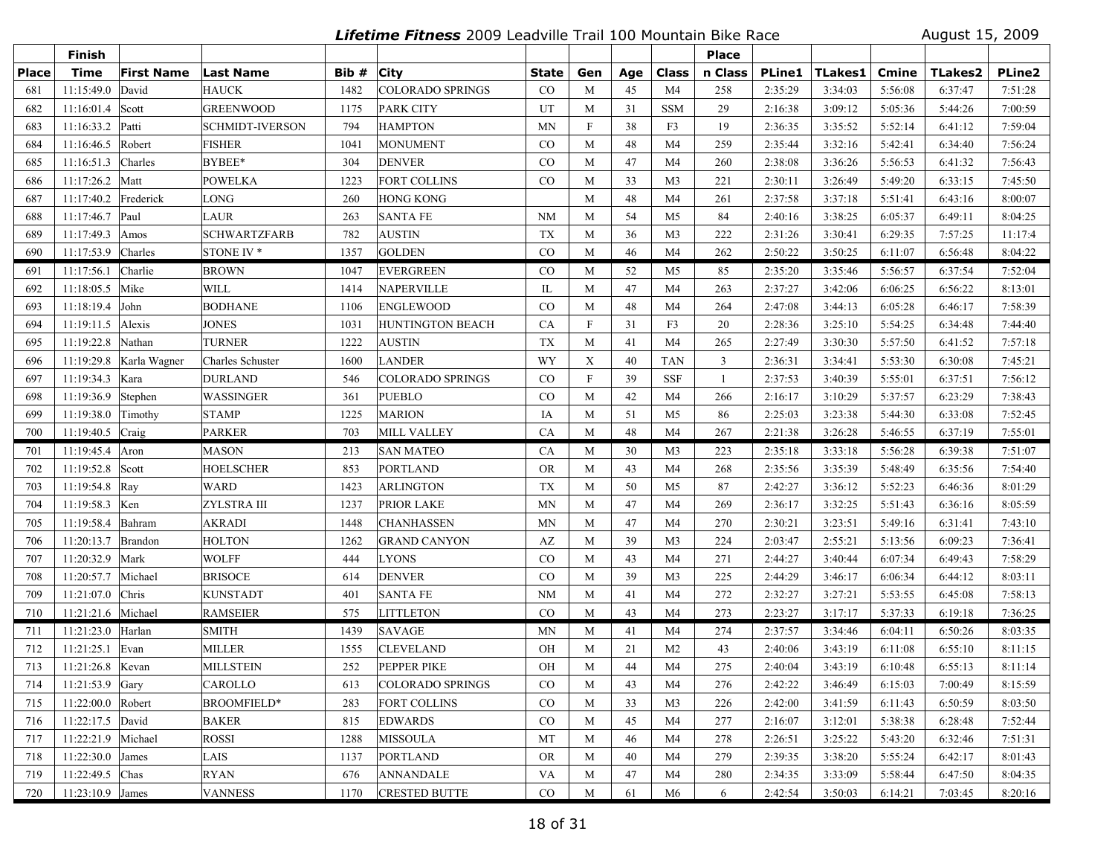**Lifetime Fitness** 2009 Leadville Trail 100 Mountain Bike Race August 15, 2009

|              | <b>Finish</b>      |                   |                        |       |                         |              |                           |     |                | <b>Place</b> |               |         |         |                |               |
|--------------|--------------------|-------------------|------------------------|-------|-------------------------|--------------|---------------------------|-----|----------------|--------------|---------------|---------|---------|----------------|---------------|
| <b>Place</b> | <b>Time</b>        | <b>First Name</b> | Last Name              | Bib # | <b>City</b>             | <b>State</b> | Gen                       | Age | Class          | n Class      | <b>PLine1</b> | TLakes1 | Cmine   | <b>TLakes2</b> | <b>PLine2</b> |
| 681          | 11:15:49.0         | David             | <b>HAUCK</b>           | 1482  | <b>COLORADO SPRINGS</b> | $\rm CO$     | M                         | 45  | M <sub>4</sub> | 258          | 2:35:29       | 3:34:03 | 5:56:08 | 6:37:47        | 7:51:28       |
| 682          | 11:16:01.4         | Scott             | <b>GREENWOOD</b>       | 1175  | <b>PARK CITY</b>        | UT           | M                         | 31  | <b>SSM</b>     | 29           | 2:16:38       | 3:09:12 | 5:05:36 | 5:44:26        | 7:00:59       |
| 683          | 11:16:33.2         | Patti             | <b>SCHMIDT-IVERSON</b> | 794   | <b>HAMPTON</b>          | MN           | F                         | 38  | F3             | 19           | 2:36:35       | 3:35:52 | 5:52:14 | 6:41:12        | 7:59:04       |
| 684          | 11:16:46.5         | Robert            | <b>FISHER</b>          | 1041  | <b>MONUMENT</b>         | $\rm CO$     | M                         | 48  | M <sub>4</sub> | 259          | 2:35:44       | 3:32:16 | 5:42:41 | 6:34:40        | 7:56:24       |
| 685          | 11:16:51.3         | Charles           | BYBEE*                 | 304   | <b>DENVER</b>           | CO           | M                         | 47  | M4             | 260          | 2:38:08       | 3:36:26 | 5:56:53 | 6:41:32        | 7:56:43       |
| 686          | 11:17:26.2         | Matt              | <b>POWELKA</b>         | 1223  | <b>FORT COLLINS</b>     | CO           | M                         | 33  | M <sub>3</sub> | 221          | 2:30:11       | 3:26:49 | 5:49:20 | 6:33:15        | 7:45:50       |
| 687          | 11:17:40.2         | Frederick         | LONG                   | 260   | <b>HONG KONG</b>        |              | M                         | 48  | M4             | 261          | 2:37:58       | 3:37:18 | 5:51:41 | 6:43:16        | 8:00:07       |
| 688          | 11:17:46.7         | Paul              | LAUR                   | 263   | <b>SANTA FE</b>         | <b>NM</b>    | M                         | 54  | M <sub>5</sub> | 84           | 2:40:16       | 3:38:25 | 6:05:37 | 6:49:11        | 8:04:25       |
| 689          | 11:17:49.3         | Amos              | <b>SCHWARTZFARB</b>    | 782   | <b>AUSTIN</b>           | <b>TX</b>    | M                         | 36  | M <sub>3</sub> | 222          | 2:31:26       | 3:30:41 | 6:29:35 | 7:57:25        | 11:17:4       |
| 690          | 11:17:53.9         | Charles           | STONE IV <sup>*</sup>  | 1357  | <b>GOLDEN</b>           | CO           | M                         | 46  | M <sub>4</sub> | 262          | 2:50:22       | 3:50:25 | 6:11:07 | 6:56:48        | 8:04:22       |
| 691          | 11:17:56.1         | Charlie           | <b>BROWN</b>           | 1047  | <b>EVERGREEN</b>        | $\rm CO$     | M                         | 52  | M5             | 85           | 2:35:20       | 3:35:46 | 5:56:57 | 6:37:54        | 7:52:04       |
| 692          | 11:18:05.5         | Mike              | WILL                   | 1414  | NAPERVILLE              | IL           | M                         | 47  | M4             | 263          | 2:37:27       | 3:42:06 | 6:06:25 | 6:56:22        | 8:13:01       |
| 693          | 11:18:19.4         | John              | <b>BODHANE</b>         | 1106  | <b>ENGLEWOOD</b>        | CO           | M                         | 48  | M4             | 264          | 2:47:08       | 3:44:13 | 6:05:28 | 6:46:17        | 7:58:39       |
| 694          | 11:19:11.5         | Alexis            | <b>JONES</b>           | 1031  | <b>HUNTINGTON BEACH</b> | CA           | $\mathbf{F}$              | 31  | F3             | 20           | 2:28:36       | 3:25:10 | 5:54:25 | 6:34:48        | 7:44:40       |
| 695          | 11:19:22.8         | Nathan            | <b>TURNER</b>          | 1222  | AUSTIN                  | <b>TX</b>    | M                         | 41  | M4             | 265          | 2:27:49       | 3:30:30 | 5:57:50 | 6:41:52        | 7:57:18       |
| 696          | 11:19:29.8         | Karla Wagner      | Charles Schuster       | 1600  | LANDER                  | WY           | $\boldsymbol{X}$          | 40  | <b>TAN</b>     | $\mathbf{3}$ | 2:36:31       | 3:34:41 | 5:53:30 | 6:30:08        | 7:45:21       |
| 697          | 11:19:34.3         | Kara              | <b>DURLAND</b>         | 546   | <b>COLORADO SPRINGS</b> | $\rm CO$     | $\boldsymbol{\mathrm{F}}$ | 39  | <b>SSF</b>     | 1            | 2:37:53       | 3:40:39 | 5:55:01 | 6:37:51        | 7:56:12       |
| 698          | 11:19:36.9         | Stephen           | WASSINGER              | 361   | <b>PUEBLO</b>           | $\rm CO$     | M                         | 42  | M4             | 266          | 2:16:17       | 3:10:29 | 5:37:57 | 6:23:29        | 7:38:43       |
| 699          | 11:19:38.0         | Timothy           | <b>STAMP</b>           | 1225  | <b>MARION</b>           | IA           | M                         | 51  | M <sub>5</sub> | 86           | 2:25:03       | 3:23:38 | 5:44:30 | 6:33:08        | 7:52:45       |
| 700          | 11:19:40.5         | Craig             | <b>PARKER</b>          | 703   | <b>MILL VALLEY</b>      | CA           | M                         | 48  | M <sub>4</sub> | 267          | 2:21:38       | 3:26:28 | 5:46:55 | 6:37:19        | 7:55:01       |
| 701          | 11:19:45.4 Aron    |                   | <b>MASON</b>           | 213   | <b>SAN MATEO</b>        | CA           | M                         | 30  | M <sub>3</sub> | 223          | 2:35:18       | 3:33:18 | 5:56:28 | 6:39:38        | 7:51:07       |
| 702          | 11:19:52.8         | Scott             | <b>HOELSCHER</b>       | 853   | <b>PORTLAND</b>         | <b>OR</b>    | M                         | 43  | M4             | 268          | 2:35:56       | 3:35:39 | 5:48:49 | 6:35:56        | 7:54:40       |
| 703          | 11:19:54.8 Ray     |                   | <b>WARD</b>            | 1423  | <b>ARLINGTON</b>        | <b>TX</b>    | M                         | 50  | M <sub>5</sub> | 87           | 2:42:27       | 3:36:12 | 5:52:23 | 6:46:36        | 8:01:29       |
| 704          | 11:19:58.3         | Ken               | ZYLSTRA III            | 1237  | PRIOR LAKE              | MN           | M                         | 47  | M4             | 269          | 2:36:17       | 3:32:25 | 5:51:43 | 6:36:16        | 8:05:59       |
| 705          | 11:19:58.4         | Bahram            | <b>AKRADI</b>          | 1448  | <b>CHANHASSEN</b>       | MN           | M                         | 47  | M4             | 270          | 2:30:21       | 3:23:51 | 5:49:16 | 6:31:41        | 7:43:10       |
| 706          | 11:20:13.7         | Brandon           | <b>HOLTON</b>          | 1262  | <b>GRAND CANYON</b>     | AZ           | M                         | 39  | M <sub>3</sub> | 224          | 2:03:47       | 2:55:21 | 5:13:56 | 6:09:23        | 7:36:41       |
| 707          | 11:20:32.9         | Mark              | <b>WOLFF</b>           | 444   | <b>LYONS</b>            | CO           | M                         | 43  | M4             | 271          | 2:44:27       | 3:40:44 | 6:07:34 | 6:49:43        | 7:58:29       |
| 708          | 11:20:57.7         | Michael           | <b>BRISOCE</b>         | 614   | <b>DENVER</b>           | $\rm CO$     | M                         | 39  | M <sub>3</sub> | 225          | 2:44:29       | 3:46:17 | 6:06:34 | 6:44:12        | 8:03:11       |
| 709          | 11:21:07.0         | Chris             | <b>KUNSTADT</b>        | 401   | <b>SANTA FE</b>         | <b>NM</b>    | M                         | 41  | M4             | 272          | 2:32:27       | 3:27:21 | 5:53:55 | 6:45:08        | 7:58:13       |
| 710          | 11:21:21.6         | Michael           | <b>RAMSEIER</b>        | 575   | <b>LITTLETON</b>        | $\rm CO$     | M                         | 43  | M <sub>4</sub> | 273          | 2:23:27       | 3:17:17 | 5:37:33 | 6:19:18        | 7:36:25       |
| 711          | 11:21:23.0 Harlan  |                   | <b>SMITH</b>           | 1439  | <b>SAVAGE</b>           | <b>MN</b>    | M                         | 41  | M4             | 274          | 2:37:57       | 3:34:46 | 6:04:11 | 6:50:26        | 8:03:35       |
| 712          | 11:21:25.1         | Evan              | <b>MILLER</b>          | 1555  | <b>CLEVELAND</b>        | OH           | M                         | 21  | M <sub>2</sub> | 43           | 2:40:06       | 3:43:19 | 6:11:08 | 6:55:10        | 8:11:15       |
| 713          | 11:21:26.8 Kevan   |                   | <b>MILLSTEIN</b>       | 252   | PEPPER PIKE             | OH           | M                         | 44  | M4             | 275          | 2:40:04       | 3:43:19 | 6:10:48 | 6:55:13        | 8:11:14       |
| 714          | 11:21:53.9 Gary    |                   | <b>CAROLLO</b>         | 613   | COLORADO SPRINGS        | CO.          | M                         | 43  | M4             | 276          | 2:42:22       | 3:46:49 | 6:15:03 | 7:00:49        | 8:15:59       |
| 715          | 11:22:00.0 Robert  |                   | <b>BROOMFIELD*</b>     | 283   | <b>FORT COLLINS</b>     | $\rm CO$     | M                         | 33  | M <sub>3</sub> | 226          | 2:42:00       | 3:41:59 | 6:11:43 | 6:50:59        | 8:03:50       |
| 716          | 11:22:17.5 David   |                   | <b>BAKER</b>           | 815   | <b>EDWARDS</b>          | $\rm CO$     | M                         | 45  | M4             | 277          | 2:16:07       | 3:12:01 | 5:38:38 | 6:28:48        | 7:52:44       |
| 717          | 11:22:21.9         | Michael           | ROSSI                  | 1288  | <b>MISSOULA</b>         | MT           | M                         | 46  | M4             | 278          | 2:26:51       | 3:25:22 | 5:43:20 | 6:32:46        | 7:51:31       |
| 718          | 11:22:30.0 James   |                   | LAIS                   | 1137  | <b>PORTLAND</b>         | <b>OR</b>    | M                         | 40  | M4             | 279          | 2:39:35       | 3:38:20 | 5:55:24 | 6:42:17        | 8:01:43       |
| 719          | 11:22:49.5 Chas    |                   | <b>RYAN</b>            | 676   | <b>ANNANDALE</b>        | VA           | M                         | 47  | M4             | 280          | 2:34:35       | 3:33:09 | 5:58:44 | 6:47:50        | 8:04:35       |
| 720          | $11:23:10.9$ James |                   | <b>VANNESS</b>         | 1170  | <b>CRESTED BUTTE</b>    | $\rm CO$     | M                         | 61  | M6             | 6            | 2:42:54       | 3:50:03 | 6:14:21 | 7:03:45        | 8:20:16       |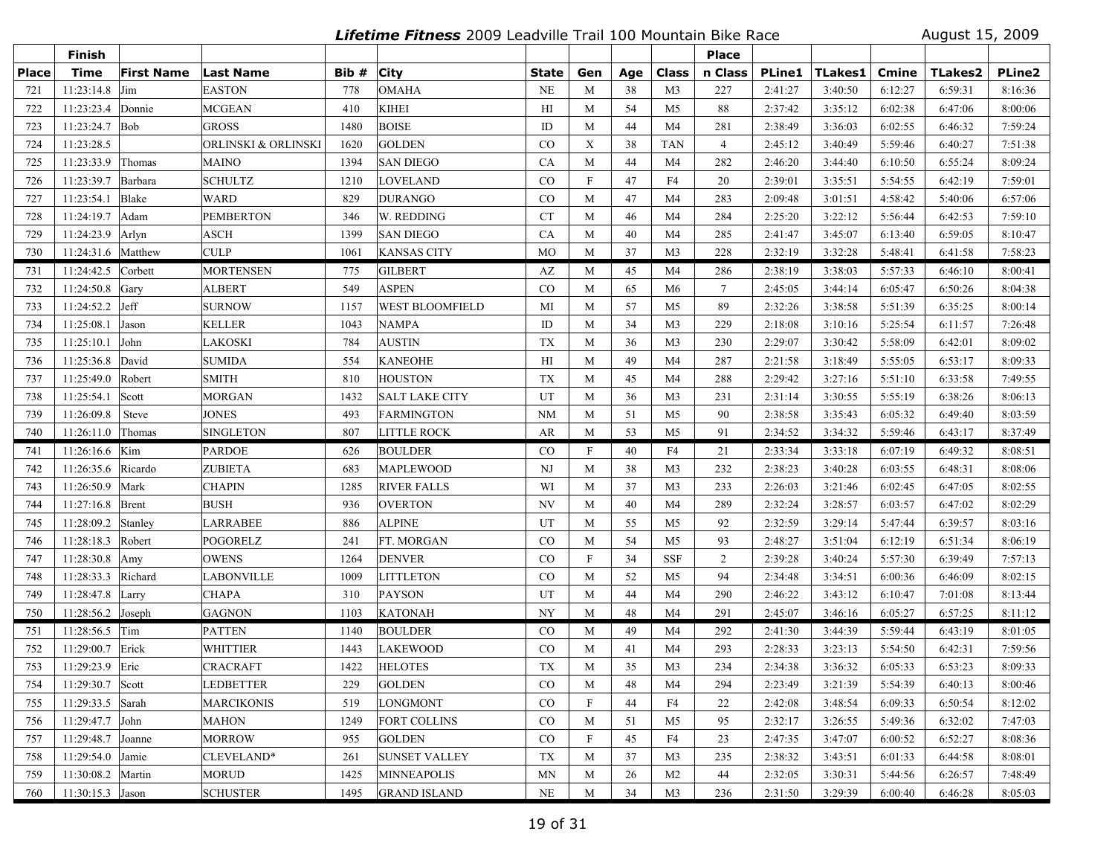**Lifetime Fitness** 2009 Leadville Trail 100 Mountain Bike Race August 15, 2009

|              | Finish                  |                   |                     |       |                        |           |                           |     |                | <b>Place</b>    |               |         |         |                |               |
|--------------|-------------------------|-------------------|---------------------|-------|------------------------|-----------|---------------------------|-----|----------------|-----------------|---------------|---------|---------|----------------|---------------|
| <b>Place</b> | <b>Time</b>             | <b>First Name</b> | <b>Last Name</b>    | Bib # | <b>City</b>            | State     | Gen                       | Age | Class          | n Class         | <b>PLine1</b> | TLakes1 | Cmine   | <b>TLakes2</b> | <b>PLine2</b> |
| 721          | 11:23:14.8              | Jim               | EASTON              | 778   | <b>OMAHA</b>           | <b>NE</b> | M                         | 38  | M <sub>3</sub> | 227             | 2:41:27       | 3:40:50 | 6:12:27 | 6:59:31        | 8:16:36       |
| 722          | 11:23:23.4 Donnie       |                   | MCGEAN              | 410   | <b>KIHEI</b>           | H         | M                         | 54  | M <sub>5</sub> | 88              | 2:37:42       | 3:35:12 | 6:02:38 | 6:47:06        | 8:00:06       |
| 723          | 11:23:24.7 Bob          |                   | GROSS               | 1480  | <b>BOISE</b>           | ID        | M                         | 44  | M4             | 281             | 2:38:49       | 3:36:03 | 6:02:55 | 6:46:32        | 7:59:24       |
| 724          | 11:23:28.5              |                   | ORLINSKI & ORLINSKI | 1620  | <b>GOLDEN</b>          | CO        | $\mathbf X$               | 38  | <b>TAN</b>     | $\overline{4}$  | 2:45:12       | 3:40:49 | 5:59:46 | 6:40:27        | 7:51:38       |
| 725          | 11:23:33.9              | Thomas            | MAINO               | 1394  | <b>SAN DIEGO</b>       | CA        | M                         | 44  | M <sub>4</sub> | 282             | 2:46:20       | 3:44:40 | 6:10:50 | 6:55:24        | 8:09:24       |
| 726          | 11:23:39.7              | Barbara           | <b>SCHULTZ</b>      | 1210  | <b>LOVELAND</b>        | CO        | $\boldsymbol{\mathrm{F}}$ | 47  | F4             | 20              | 2:39:01       | 3:35:51 | 5:54:55 | 6:42:19        | 7:59:01       |
| 727          | 11:23:54.1              | Blake             | WARD                | 829   | <b>DURANGO</b>         | CO        | M                         | 47  | M <sub>4</sub> | 283             | 2:09:48       | 3:01:51 | 4:58:42 | 5:40:06        | 6:57:06       |
| 728          | 11:24:19.7              | Adam              | <b>PEMBERTON</b>    | 346   | W. REDDING             | <b>CT</b> | M                         | 46  | M <sub>4</sub> | 284             | 2:25:20       | 3:22:12 | 5:56:44 | 6:42:53        | 7:59:10       |
| 729          | 11:24:23.9 Arlyn        |                   | ASCH                | 1399  | <b>SAN DIEGO</b>       | CA        | M                         | 40  | M <sub>4</sub> | 285             | 2:41:47       | 3:45:07 | 6:13:40 | 6:59:05        | 8:10:47       |
| 730          | 11:24:31.6 Matthew      |                   | CULP                | 1061  | <b>KANSAS CITY</b>     | <b>MO</b> | M                         | 37  | M <sub>3</sub> | 228             | 2:32:19       | 3:32:28 | 5:48:41 | 6:41:58        | 7:58:23       |
| 731          | 11:24:42.5              | Corbett           | MORTENSEN           | 775   | <b>GILBERT</b>         | AZ        | M                         | 45  | M <sub>4</sub> | 286             | 2:38:19       | 3:38:03 | 5:57:33 | 6:46:10        | 8:00:41       |
| 732          | 11:24:50.8              | Gary              | ALBERT              | 549   | <b>ASPEN</b>           | $\rm CO$  | M                         | 65  | M6             | $7\phantom{.0}$ | 2:45:05       | 3:44:14 | 6:05:47 | 6:50:26        | 8:04:38       |
| 733          | 11:24:52.2              | Jeff              | <b>SURNOW</b>       | 1157  | <b>WEST BLOOMFIELD</b> | MI        | M                         | 57  | M5             | 89              | 2:32:26       | 3:38:58 | 5:51:39 | 6:35:25        | 8:00:14       |
| 734          | 11:25:08.1              | Jason             | <b>KELLER</b>       | 1043  | <b>NAMPA</b>           | $\rm ID$  | M                         | 34  | M <sub>3</sub> | 229             | 2:18:08       | 3:10:16 | 5:25:54 | 6:11:57        | 7:26:48       |
| 735          | 11:25:10.1              | John              | LAKOSKI             | 784   | <b>AUSTIN</b>          | <b>TX</b> | M                         | 36  | M <sub>3</sub> | 230             | 2:29:07       | 3:30:42 | 5:58:09 | 6:42:01        | 8:09:02       |
| 736          | 11:25:36.8              | David             | <b>SUMIDA</b>       | 554   | <b>KANEOHE</b>         | H         | M                         | 49  | M <sub>4</sub> | 287             | 2:21:58       | 3:18:49 | 5:55:05 | 6:53:17        | 8:09:33       |
| 737          | 11:25:49.0              | Robert            | <b>SMITH</b>        | 810   | <b>HOUSTON</b>         | <b>TX</b> | M                         | 45  | M <sub>4</sub> | 288             | 2:29:42       | 3:27:16 | 5:51:10 | 6:33:58        | 7:49:55       |
| 738          | 11:25:54.1              | Scott             | <b>MORGAN</b>       | 1432  | <b>SALT LAKE CITY</b>  | UT        | M                         | 36  | M3             | 231             | 2:31:14       | 3:30:55 | 5:55:19 | 6:38:26        | 8:06:13       |
| 739          | 11:26:09.8              | <b>Steve</b>      | <b>JONES</b>        | 493   | <b>FARMINGTON</b>      | <b>NM</b> | M                         | 51  | M <sub>5</sub> | 90              | 2:38:58       | 3:35:43 | 6:05:32 | 6:49:40        | 8:03:59       |
| 740          | 11:26:11.0              | Thomas            | <b>SINGLETON</b>    | 807   | <b>LITTLE ROCK</b>     | AR        | M                         | 53  | M <sub>5</sub> | 91              | 2:34:52       | 3:34:32 | 5:59:46 | 6:43:17        | 8:37:49       |
| 741          | 11:26:16.6 Kim          |                   | <b>PARDOE</b>       | 626   | <b>BOULDER</b>         | $\rm CO$  | F                         | 40  | F4             | 21              | 2:33:34       | 3:33:18 | 6:07:19 | 6:49:32        | 8:08:51       |
| 742          | 11:26:35.6 Ricardo      |                   | <b>ZUBIETA</b>      | 683   | MAPLEWOOD              | NJ        | M                         | 38  | M <sub>3</sub> | 232             | 2:38:23       | 3:40:28 | 6:03:55 | 6:48:31        | 8:08:06       |
| 743          | 11:26:50.9              | Mark              | CHAPIN              | 1285  | <b>RIVER FALLS</b>     | WI        | M                         | 37  | M <sub>3</sub> | 233             | 2:26:03       | 3:21:46 | 6:02:45 | 6:47:05        | 8:02:55       |
| 744          | 11:27:16.8              | Brent             | <b>BUSH</b>         | 936   | <b>OVERTON</b>         | NV        | M                         | 40  | M <sub>4</sub> | 289             | 2:32:24       | 3:28:57 | 6:03:57 | 6:47:02        | 8:02:29       |
| 745          | 11:28:09.2              | Stanley           | LARRABEE            | 886   | <b>ALPINE</b>          | UT        | M                         | 55  | M5             | 92              | 2:32:59       | 3:29:14 | 5:47:44 | 6:39:57        | 8:03:16       |
| 746          | 11:28:18.3 Robert       |                   | POGORELZ            | 241   | FT. MORGAN             | CO        | M                         | 54  | M5             | 93              | 2:48:27       | 3:51:04 | 6:12:19 | 6:51:34        | 8:06:19       |
| 747          | 11:28:30.8              | Amy               | OWENS               | 1264  | <b>DENVER</b>          | $\rm CO$  | $\mathbf F$               | 34  | <b>SSF</b>     | 2               | 2:39:28       | 3:40:24 | 5:57:30 | 6:39:49        | 7:57:13       |
| 748          | 11:28:33.3              | Richard           | LABONVILLE          | 1009  | <b>LITTLETON</b>       | CO        | M                         | 52  | M <sub>5</sub> | 94              | 2:34:48       | 3:34:51 | 6:00:36 | 6:46:09        | 8:02:15       |
| 749          | 11:28:47.8 Larry        |                   | CHAPA               | 310   | <b>PAYSON</b>          | UT        | M                         | 44  | M4             | 290             | 2:46:22       | 3:43:12 | 6:10:47 | 7:01:08        | 8:13:44       |
| 750          | 11:28:56.2 Joseph       |                   | <b>GAGNON</b>       | 1103  | <b>KATONAH</b>         | NY        | M                         | 48  | M <sub>4</sub> | 291             | 2:45:07       | 3:46:16 | 6:05:27 | 6:57:25        | 8:11:12       |
| 751          | 11:28:56.5 $\text{Tim}$ |                   | <b>PATTEN</b>       | 1140  | <b>BOULDER</b>         | $\rm CO$  | M                         | 49  | M4             | 292             | 2:41:30       | 3:44:39 | 5:59:44 | 6:43:19        | 8:01:05       |
| 752          | 11:29:00.7              | Erick             | <b>WHITTIER</b>     | 1443  | <b>LAKEWOOD</b>        | CO        | M                         | 41  | M <sub>4</sub> | 293             | 2:28:33       | 3:23:13 | 5:54:50 | 6:42:31        | 7:59:56       |
| 753          | 11:29:23.9 Eric         |                   | CRACRAFT            | 1422  | <b>HELOTES</b>         | <b>TX</b> | M                         | 35  | M <sub>3</sub> | 234             | 2:34:38       | 3:36:32 | 6:05:33 | 6:53:23        | 8:09:33       |
| 754          | 11:29:30.7 Scott        |                   | LEDBETTER           | 229   | <b>GOLDEN</b>          | CO        | M                         | 48  | M4             | 294             | 2:23:49       | 3:21:39 | 5:54:39 | 6:40:13        | 8:00:46       |
| 755          | 11:29:33.5 Sarah        |                   | MARCIKONIS          | 519   | LONGMONT               | $\rm CO$  | F                         | 44  | F4             | 22              | 2:42:08       | 3:48:54 | 6:09:33 | 6:50:54        | 8:12:02       |
| 756          | 11:29:47.7 John         |                   | MAHON               | 1249  | <b>FORT COLLINS</b>    | $\rm CO$  | M                         | 51  | M5             | 95              | 2:32:17       | 3:26:55 | 5:49:36 | 6:32:02        | 7:47:03       |
| 757          | 11:29:48.7 Joanne       |                   | <b>MORROW</b>       | 955   | <b>GOLDEN</b>          | $\rm CO$  | F                         | 45  | F4             | 23              | 2:47:35       | 3:47:07 | 6:00:52 | 6:52:27        | 8:08:36       |
| 758          | 11:29:54.0 Jamie        |                   | CLEVELAND*          | 261   | <b>SUNSET VALLEY</b>   | TX        | M                         | 37  | M <sub>3</sub> | 235             | 2:38:32       | 3:43:51 | 6:01:33 | 6:44:58        | 8:08:01       |
| 759          | 11:30:08.2   Martin     |                   | MORUD               | 1425  | <b>MINNEAPOLIS</b>     | MN        | M                         | 26  | M <sub>2</sub> | 44              | 2:32:05       | 3:30:31 | 5:44:56 | 6:26:57        | 7:48:49       |
| 760          | $11:30:15.3$ Jason      |                   | <b>SCHUSTER</b>     | 1495  | <b>GRAND ISLAND</b>    | <b>NE</b> | M                         | 34  | M <sub>3</sub> | 236             | 2:31:50       | 3:29:39 | 6:00:40 | 6:46:28        | 8:05:03       |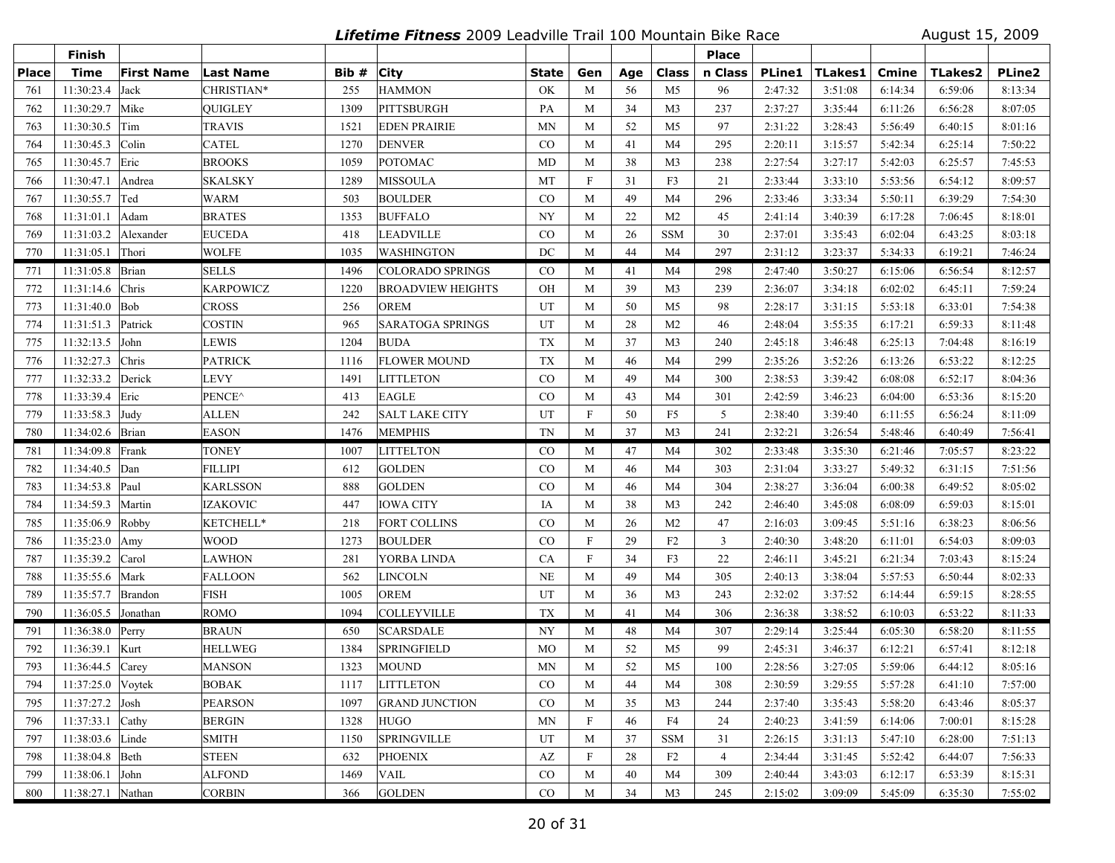**Lifetime Fitness** 2009 Leadville Trail 100 Mountain Bike Race August 15, 2009

|              | Finish              |                   |                  |       |                          |              |                           |     |                | <b>Place</b>   |               |         |         |         |               |
|--------------|---------------------|-------------------|------------------|-------|--------------------------|--------------|---------------------------|-----|----------------|----------------|---------------|---------|---------|---------|---------------|
| <b>Place</b> | <b>Time</b>         | <b>First Name</b> | <b>Last Name</b> | Bib # | <b>City</b>              | <b>State</b> | Gen                       | Age | Class          | n Class        | <b>PLine1</b> | TLakes1 | Cmine   | TLakes2 | <b>PLine2</b> |
| 761          | 11:30:23.4          | Jack              | CHRISTIAN*       | 255   | <b>HAMMON</b>            | OK           | M                         | 56  | M <sub>5</sub> | 96             | 2:47:32       | 3:51:08 | 6:14:34 | 6:59:06 | 8:13:34       |
| 762          | 11:30:29.7          | Mike              | OUIGLEY          | 1309  | PITTSBURGH               | PA           | M                         | 34  | M <sub>3</sub> | 237            | 2:37:27       | 3:35:44 | 6:11:26 | 6:56:28 | 8:07:05       |
| 763          | 11:30:30.5          | Tim               | TRAVIS           | 1521  | <b>EDEN PRAIRIE</b>      | MN           | M                         | 52  | M <sub>5</sub> | 97             | 2:31:22       | 3:28:43 | 5:56:49 | 6:40:15 | 8:01:16       |
| 764          | 11:30:45.3          | Colin             | <b>CATEL</b>     | 1270  | <b>DENVER</b>            | $\rm CO$     | M                         | 41  | M4             | 295            | 2:20:11       | 3:15:57 | 5:42:34 | 6:25:14 | 7:50:22       |
| 765          | 11:30:45.7          | Eric              | <b>BROOKS</b>    | 1059  | POTOMAC                  | <b>MD</b>    | M                         | 38  | M <sub>3</sub> | 238            | 2:27:54       | 3:27:17 | 5:42:03 | 6:25:57 | 7:45:53       |
| 766          | 11:30:47.1          | Andrea            | <b>SKALSKY</b>   | 1289  | <b>MISSOULA</b>          | MT           | $\boldsymbol{\mathrm{F}}$ | 31  | F3             | 21             | 2:33:44       | 3:33:10 | 5:53:56 | 6:54:12 | 8:09:57       |
| 767          | 11:30:55.7          | Ted               | WARM             | 503   | <b>BOULDER</b>           | CO           | M                         | 49  | M <sub>4</sub> | 296            | 2:33:46       | 3:33:34 | 5:50:11 | 6:39:29 | 7:54:30       |
| 768          | 11:31:01.1          | Adam              | <b>BRATES</b>    | 1353  | <b>BUFFALO</b>           | <b>NY</b>    | M                         | 22  | M <sub>2</sub> | 45             | 2:41:14       | 3:40:39 | 6:17:28 | 7:06:45 | 8:18:01       |
| 769          | 11:31:03.2          | Alexander         | <b>EUCEDA</b>    | 418   | <b>LEADVILLE</b>         | $\rm CO$     | M                         | 26  | <b>SSM</b>     | 30             | 2:37:01       | 3:35:43 | 6:02:04 | 6:43:25 | 8:03:18       |
| 770          | 11:31:05.1 Thori    |                   | WOLFE            | 1035  | <b>WASHINGTON</b>        | DC           | M                         | 44  | M4             | 297            | 2:31:12       | 3:23:37 | 5:34:33 | 6:19:21 | 7:46:24       |
| 771          | 11:31:05.8 Brian    |                   | SELLS            | 1496  | <b>COLORADO SPRINGS</b>  | $\rm CO$     | M                         | 41  | M4             | 298            | 2:47:40       | 3:50:27 | 6:15:06 | 6:56:54 | 8:12:57       |
| 772          | 11:31:14.6          | Chris             | KARPOWICZ        | 1220  | <b>BROADVIEW HEIGHTS</b> | OH           | M                         | 39  | M <sub>3</sub> | 239            | 2:36:07       | 3:34:18 | 6:02:02 | 6:45:11 | 7:59:24       |
| 773          | 11:31:40.0          | Bob               | <b>CROSS</b>     | 256   | <b>OREM</b>              | UT           | M                         | 50  | M <sub>5</sub> | 98             | 2:28:17       | 3:31:15 | 5:53:18 | 6:33:01 | 7:54:38       |
| 774          | 11:31:51.3          | Patrick           | <b>COSTIN</b>    | 965   | <b>SARATOGA SPRINGS</b>  | UT           | M                         | 28  | M <sub>2</sub> | 46             | 2:48:04       | 3:55:35 | 6:17:21 | 6:59:33 | 8:11:48       |
| 775          | 11:32:13.5          | John              | <b>LEWIS</b>     | 1204  | <b>BUDA</b>              | <b>TX</b>    | M                         | 37  | M <sub>3</sub> | 240            | 2:45:18       | 3:46:48 | 6:25:13 | 7:04:48 | 8:16:19       |
| 776          | 11:32:27.3          | Chris             | <b>PATRICK</b>   | 1116  | <b>FLOWER MOUND</b>      | <b>TX</b>    | M                         | 46  | M4             | 299            | 2:35:26       | 3:52:26 | 6:13:26 | 6:53:22 | 8:12:25       |
| 777          | 11:32:33.2          | Derick            | <b>LEVY</b>      | 1491  | <b>LITTLETON</b>         | CO           | M                         | 49  | M4             | 300            | 2:38:53       | 3:39:42 | 6:08:08 | 6:52:17 | 8:04:36       |
| 778          | 11:33:39.4          | Eric              | PENCE^           | 413   | <b>EAGLE</b>             | $\rm CO$     | M                         | 43  | M4             | 301            | 2:42:59       | 3:46:23 | 6:04:00 | 6:53:36 | 8:15:20       |
| 779          | 11:33:58.3 Judy     |                   | ALLEN            | 242   | <b>SALT LAKE CITY</b>    | UT           | $\mathbf F$               | 50  | F <sub>5</sub> | 5              | 2:38:40       | 3:39:40 | 6:11:55 | 6:56:24 | 8:11:09       |
| 780          | 11:34:02.6 Brian    |                   | <b>EASON</b>     | 1476  | <b>MEMPHIS</b>           | <b>TN</b>    | M                         | 37  | M <sub>3</sub> | 241            | 2:32:21       | 3:26:54 | 5:48:46 | 6:40:49 | 7:56:41       |
| 781          | 11:34:09.8 Frank    |                   | TONEY            | 1007  | <b>LITTELTON</b>         | $_{\rm CO}$  | M                         | 47  | M4             | 302            | 2:33:48       | 3:35:30 | 6:21:46 | 7:05:57 | 8:23:22       |
| 782          | 11:34:40.5          | Dan               | FILLIPI          | 612   | <b>GOLDEN</b>            | CO           | M                         | 46  | M4             | 303            | 2:31:04       | 3:33:27 | 5:49:32 | 6:31:15 | 7:51:56       |
| 783          | 11:34:53.8 Paul     |                   | <b>KARLSSON</b>  | 888   | <b>GOLDEN</b>            | CO           | M                         | 46  | M4             | 304            | 2:38:27       | 3:36:04 | 6:00:38 | 6:49:52 | 8:05:02       |
| 784          | 11:34:59.3          | Martin            | <b>IZAKOVIC</b>  | 447   | <b>IOWA CITY</b>         | IA           | M                         | 38  | M <sub>3</sub> | 242            | 2:46:40       | 3:45:08 | 6:08:09 | 6:59:03 | 8:15:01       |
| 785          | 11:35:06.9          | Robby             | KETCHELL*        | 218   | <b>FORT COLLINS</b>      | $\rm CO$     | M                         | 26  | M <sub>2</sub> | 47             | 2:16:03       | 3:09:45 | 5:51:16 | 6:38:23 | 8:06:56       |
| 786          | 11:35:23.0          | Amy               | WOOD             | 1273  | <b>BOULDER</b>           | $\rm CO$     | F                         | 29  | F2             | 3              | 2:40:30       | 3:48:20 | 6:11:01 | 6:54:03 | 8:09:03       |
| 787          | 11:35:39.2          | Carol             | LAWHON           | 281   | YORBA LINDA              | CA           | $\mathbf F$               | 34  | F3             | 22             | 2:46:11       | 3:45:21 | 6:21:34 | 7:03:43 | 8:15:24       |
| 788          | 11:35:55.6          | Mark              | FALLOON          | 562   | <b>LINCOLN</b>           | <b>NE</b>    | M                         | 49  | M <sub>4</sub> | 305            | 2:40:13       | 3:38:04 | 5:57:53 | 6:50:44 | 8:02:33       |
| 789          | 11:35:57.7          | Brandon           | <b>FISH</b>      | 1005  | <b>OREM</b>              | UT           | M                         | 36  | M3             | 243            | 2:32:02       | 3:37:52 | 6:14:44 | 6:59:15 | 8:28:55       |
| 790          | 11:36:05.5 Jonathan |                   | <b>ROMO</b>      | 1094  | <b>COLLEYVILLE</b>       | <b>TX</b>    | M                         | 41  | M <sub>4</sub> | 306            | 2:36:38       | 3:38:52 | 6:10:03 | 6:53:22 | 8:11:33       |
| 791          | 11:36:38.0 Perry    |                   | BRAUN            | 650   | <b>SCARSDALE</b>         | NY           | M                         | 48  | M4             | 307            | 2:29:14       | 3:25:44 | 6:05:30 | 6:58:20 | 8:11:55       |
| 792          | 11:36:39.1          | Kurt              | <b>HELLWEG</b>   | 1384  | <b>SPRINGFIELD</b>       | MO           | M                         | 52  | M5             | 99             | 2:45:31       | 3:46:37 | 6:12:21 | 6:57:41 | 8:12:18       |
| 793          | 11:36:44.5          | Carey             | <b>MANSON</b>    | 1323  | <b>MOUND</b>             | MN           | M                         | 52  | M <sub>5</sub> | 100            | 2:28:56       | 3:27:05 | 5:59:06 | 6:44:12 | 8:05:16       |
| 794          | $11:37:25.0$ Voytek |                   | <b>BOBAK</b>     | 1117  | <b>LITTLETON</b>         | CO           | M                         | 44  | M4             | 308            | 2:30:59       | 3:29:55 | 5:57:28 | 6:41:10 | 7:57:00       |
| 795          | $11:37:27.2$ Josh   |                   | PEARSON          | 1097  | <b>GRAND JUNCTION</b>    | $\rm CO$     | M                         | 35  | M3             | 244            | 2:37:40       | 3:35:43 | 5:58:20 | 6:43:46 | 8:05:37       |
| 796          | 11:37:33.1 Cathy    |                   | <b>BERGIN</b>    | 1328  | <b>HUGO</b>              | MN           | F                         | 46  | F4             | 24             | 2:40:23       | 3:41:59 | 6:14:06 | 7:00:01 | 8:15:28       |
| 797          | 11:38:03.6 Linde    |                   | <b>SMITH</b>     | 1150  | <b>SPRINGVILLE</b>       | UT           | M                         | 37  | <b>SSM</b>     | 31             | 2:26:15       | 3:31:13 | 5:47:10 | 6:28:00 | 7:51:13       |
| 798          | 11:38:04.8 Beth     |                   | <b>STEEN</b>     | 632   | <b>PHOENIX</b>           | AZ           | F                         | 28  | F <sub>2</sub> | $\overline{4}$ | 2:34:44       | 3:31:45 | 5:52:42 | 6:44:07 | 7:56:33       |
| 799          | $11:38:06.1$ John   |                   | <b>ALFOND</b>    | 1469  | <b>VAIL</b>              | $\rm CO$     | M                         | 40  | M4             | 309            | 2:40:44       | 3:43:03 | 6:12:17 | 6:53:39 | 8:15:31       |
| 800          | 11:38:27.1 Nathan   |                   | <b>CORBIN</b>    | 366   | <b>GOLDEN</b>            | CO           | M                         | 34  | M <sub>3</sub> | 245            | 2:15:02       | 3:09:09 | 5:45:09 | 6:35:30 | 7:55:02       |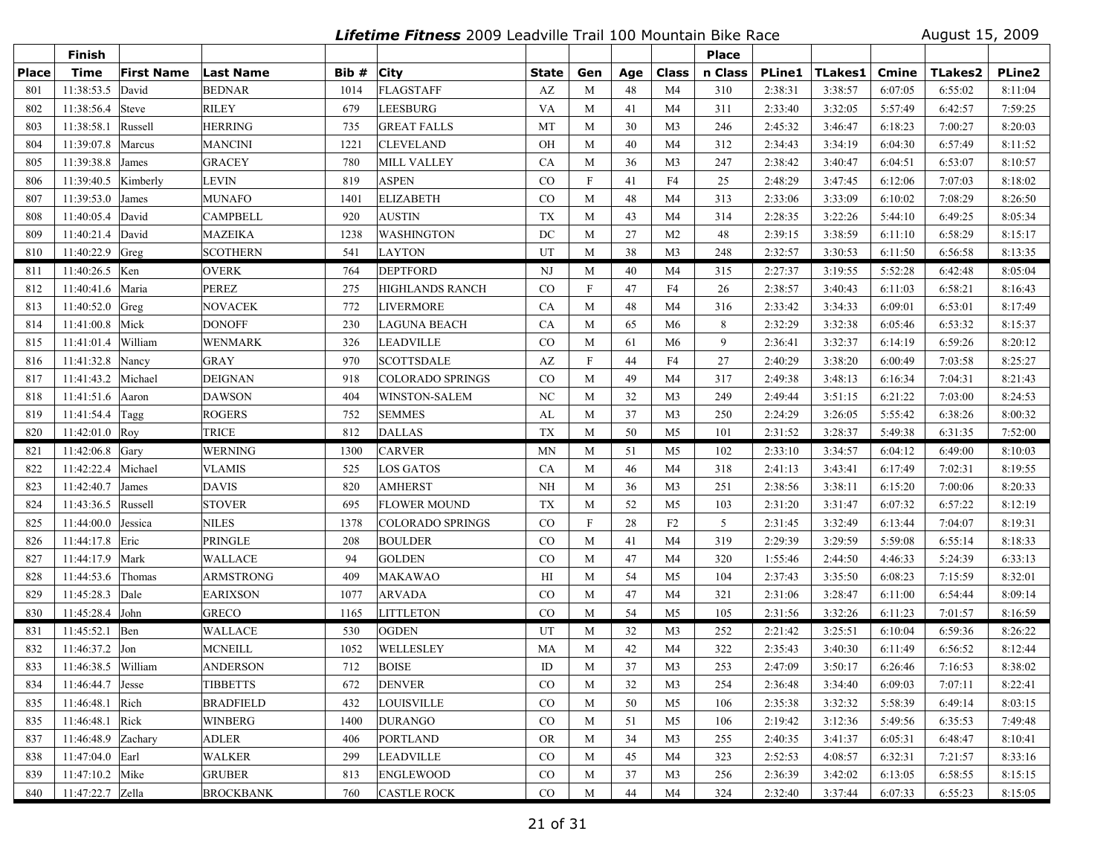**Lifetime Fitness** 2009 Leadville Trail 100 Mountain Bike Race August 15, 2009

|              | Finish                   |                   |                  |       |                         |                        |                           |     |                | <b>Place</b> |               |         |         |                |               |
|--------------|--------------------------|-------------------|------------------|-------|-------------------------|------------------------|---------------------------|-----|----------------|--------------|---------------|---------|---------|----------------|---------------|
| <b>Place</b> | <b>Time</b>              | <b>First Name</b> | <b>Last Name</b> | Bib # | <b>City</b>             | State                  | Gen                       | Age | Class          | n Class      | <b>PLine1</b> | TLakes1 | Cmine   | <b>TLakes2</b> | <b>PLine2</b> |
| 801          | 11:38:53.5               | David             | <b>BEDNAR</b>    | 1014  | FLAGSTAFF               | $\mathbf{A}\mathbf{Z}$ | M                         | 48  | M <sub>4</sub> | 310          | 2:38:31       | 3:38:57 | 6:07:05 | 6:55:02        | 8:11:04       |
| 802          | 11:38:56.4 Steve         |                   | <b>RILEY</b>     | 679   | <b>LEESBURG</b>         | VA                     | M                         | 41  | M <sub>4</sub> | 311          | 2:33:40       | 3:32:05 | 5:57:49 | 6:42:57        | 7:59:25       |
| 803          | 11:38:58.1               | Russell           | <b>HERRING</b>   | 735   | <b>GREAT FALLS</b>      | MT                     | M                         | 30  | M <sub>3</sub> | 246          | 2:45:32       | 3:46:47 | 6:18:23 | 7:00:27        | 8:20:03       |
| 804          | 11:39:07.8               | Marcus            | <b>MANCINI</b>   | 1221  | <b>CLEVELAND</b>        | OH                     | M                         | 40  | M <sub>4</sub> | 312          | 2:34:43       | 3:34:19 | 6:04:30 | 6:57:49        | 8:11:52       |
| 805          | 11:39:38.8               | James             | <b>GRACEY</b>    | 780   | <b>MILL VALLEY</b>      | <b>CA</b>              | M                         | 36  | M <sub>3</sub> | 247          | 2:38:42       | 3:40:47 | 6:04:51 | 6:53:07        | 8:10:57       |
| 806          | 11:39:40.5               | Kimberly          | LEVIN            | 819   | <b>ASPEN</b>            | CO                     | $\boldsymbol{\mathrm{F}}$ | 41  | F4             | 25           | 2:48:29       | 3:47:45 | 6:12:06 | 7:07:03        | 8:18:02       |
| 807          | 11:39:53.0               | James             | MUNAFO           | 1401  | <b>ELIZABETH</b>        | CO                     | M                         | 48  | M <sub>4</sub> | 313          | 2:33:06       | 3:33:09 | 6:10:02 | 7:08:29        | 8:26:50       |
| 808          | 11:40:05.4 David         |                   | <b>CAMPBELL</b>  | 920   | <b>AUSTIN</b>           | <b>TX</b>              | M                         | 43  | M <sub>4</sub> | 314          | 2:28:35       | 3:22:26 | 5:44:10 | 6:49:25        | 8:05:34       |
| 809          | 11:40:21.4               | David             | <b>MAZEIKA</b>   | 1238  | <b>WASHINGTON</b>       | DC                     | M                         | 27  | M <sub>2</sub> | 48           | 2:39:15       | 3:38:59 | 6:11:10 | 6:58:29        | 8:15:17       |
| 810          | 11:40:22.9 Greg          |                   | <b>SCOTHERN</b>  | 541   | <b>LAYTON</b>           | UT                     | M                         | 38  | M <sub>3</sub> | 248          | 2:32:57       | 3:30:53 | 6:11:50 | 6:56:58        | 8:13:35       |
| 811          | 11:40:26.5 Ken           |                   | <b>OVERK</b>     | 764   | <b>DEPTFORD</b>         | NJ                     | M                         | 40  | M4             | 315          | 2:27:37       | 3:19:55 | 5:52:28 | 6:42:48        | 8:05:04       |
| 812          | 11:40:41.6               | Maria             | PEREZ            | 275   | <b>HIGHLANDS RANCH</b>  | $\rm CO$               | $\mathbf F$               | 47  | F4             | 26           | 2:38:57       | 3:40:43 | 6:11:03 | 6:58:21        | 8:16:43       |
| 813          | 11:40:52.0               | Greg              | <b>NOVACEK</b>   | 772   | <b>LIVERMORE</b>        | CA                     | M                         | 48  | M4             | 316          | 2:33:42       | 3:34:33 | 6:09:01 | 6:53:01        | 8:17:49       |
| 814          | 11:41:00.8 Mick          |                   | <b>DONOFF</b>    | 230   | <b>LAGUNA BEACH</b>     | CA                     | M                         | 65  | M6             | 8            | 2:32:29       | 3:32:38 | 6:05:46 | 6:53:32        | 8:15:37       |
| 815          | 11:41:01.4               | William           | <b>WENMARK</b>   | 326   | <b>LEADVILLE</b>        | CO                     | M                         | 61  | M6             | 9            | 2:36:41       | 3:32:37 | 6:14:19 | 6:59:26        | 8:20:12       |
| 816          | 11:41:32.8               | Nancy             | GRAY             | 970   | <b>SCOTTSDALE</b>       | AZ                     | $\mathbf F$               | 44  | F4             | 27           | 2:40:29       | 3:38:20 | 6:00:49 | 7:03:58        | 8:25:27       |
| 817          | 11:41:43.2               | Michael           | <b>DEIGNAN</b>   | 918   | <b>COLORADO SPRINGS</b> | CO                     | M                         | 49  | M <sub>4</sub> | 317          | 2:49:38       | 3:48:13 | 6:16:34 | 7:04:31        | 8:21:43       |
| 818          | 11:41:51.6 Aaron         |                   | <b>DAWSON</b>    | 404   | WINSTON-SALEM           | NC                     | M                         | 32  | M <sub>3</sub> | 249          | 2:49:44       | 3:51:15 | 6:21:22 | 7:03:00        | 8:24:53       |
| 819          | 11:41:54.4               | Tagg              | <b>ROGERS</b>    | 752   | <b>SEMMES</b>           | AL                     | M                         | 37  | M <sub>3</sub> | 250          | 2:24:29       | 3:26:05 | 5:55:42 | 6:38:26        | 8:00:32       |
| 820          | $11:42:01.0$ Roy         |                   | <b>TRICE</b>     | 812   | <b>DALLAS</b>           | <b>TX</b>              | M                         | 50  | M <sub>5</sub> | 101          | 2:31:52       | 3:28:37 | 5:49:38 | 6:31:35        | 7:52:00       |
| 821          | 11:42:06.8 $\sqrt{Gary}$ |                   | <b>WERNING</b>   | 1300  | <b>CARVER</b>           | MN                     | M                         | 51  | M5             | 102          | 2:33:10       | 3:34:57 | 6:04:12 | 6:49:00        | 8:10:03       |
| 822          | 11:42:22.4               | Michael           | <b>VLAMIS</b>    | 525   | <b>LOS GATOS</b>        | CA                     | M                         | 46  | M <sub>4</sub> | 318          | 2:41:13       | 3:43:41 | 6:17:49 | 7:02:31        | 8:19:55       |
| 823          | 11:42:40.7               | James             | <b>DAVIS</b>     | 820   | <b>AMHERST</b>          | NH                     | M                         | 36  | M <sub>3</sub> | 251          | 2:38:56       | 3:38:11 | 6:15:20 | 7:00:06        | 8:20:33       |
| 824          | 11:43:36.5               | Russell           | <b>STOVER</b>    | 695   | <b>FLOWER MOUND</b>     | TX                     | M                         | 52  | M <sub>5</sub> | 103          | 2:31:20       | 3:31:47 | 6:07:32 | 6:57:22        | 8:12:19       |
| 825          | 11:44:00.0               | Jessica           | NILES            | 1378  | <b>COLORADO SPRINGS</b> | $\rm CO$               | $\mathbf F$               | 28  | F2             | 5            | 2:31:45       | 3:32:49 | 6:13:44 | 7:04:07        | 8:19:31       |
| 826          | 11:44:17.8 Eric          |                   | PRINGLE          | 208   | <b>BOULDER</b>          | $\rm CO$               | M                         | 41  | M4             | 319          | 2:29:39       | 3:29:59 | 5:59:08 | 6:55:14        | 8:18:33       |
| 827          | 11:44:17.9               | Mark              | WALLACE          | 94    | <b>GOLDEN</b>           | $\rm CO$               | M                         | 47  | M4             | 320          | 1:55:46       | 2:44:50 | 4:46:33 | 5:24:39        | 6:33:13       |
| 828          | 11:44:53.6               | Thomas            | <b>ARMSTRONG</b> | 409   | <b>MAKAWAO</b>          | H                      | M                         | 54  | M <sub>5</sub> | 104          | 2:37:43       | 3:35:50 | 6:08:23 | 7:15:59        | 8:32:01       |
| 829          | 11:45:28.3 Dale          |                   | <b>EARIXSON</b>  | 1077  | <b>ARVADA</b>           | $\rm CO$               | M                         | 47  | M4             | 321          | 2:31:06       | 3:28:47 | 6:11:00 | 6:54:44        | 8:09:14       |
| 830          | $11:45:28.4$ John        |                   | <b>GRECO</b>     | 1165  | <b>LITTLETON</b>        | CO                     | M                         | 54  | M <sub>5</sub> | 105          | 2:31:56       | 3:32:26 | 6:11:23 | 7:01:57        | 8:16:59       |
| 831          | 11:45:52.1 Ben           |                   | <b>WALLACE</b>   | 530   | <b>OGDEN</b>            | UT                     | M                         | 32  | M3             | 252          | 2:21:42       | 3:25:51 | 6:10:04 | 6:59:36        | 8:26:22       |
| 832          | 11:46:37.2               | Jon               | <b>MCNEILL</b>   | 1052  | WELLESLEY               | MA                     | M                         | 42  | M <sub>4</sub> | 322          | 2:35:43       | 3:40:30 | 6:11:49 | 6:56:52        | 8:12:44       |
| 833          | 11:46:38.5               | William           | <b>ANDERSON</b>  | 712   | <b>BOISE</b>            | ID                     | M                         | 37  | M <sub>3</sub> | 253          | 2:47:09       | 3:50:17 | 6:26:46 | 7:16:53        | 8:38:02       |
| 834          | $11:46:44.7$ Jesse       |                   | <b>TIBBETTS</b>  | 672   | <b>DENVER</b>           | CO                     | M                         | 32  | M3             | 254          | 2:36:48       | 3:34:40 | 6:09:03 | 7:07:11        | 8:22:41       |
| 835          | 11:46:48.1 Rich          |                   | <b>BRADFIELD</b> | 432   | <b>LOUISVILLE</b>       | $\rm CO$               | M                         | 50  | M <sub>5</sub> | 106          | 2:35:38       | 3:32:32 | 5:58:39 | 6:49:14        | 8:03:15       |
| 835          | 11:46:48.1 Rick          |                   | <b>WINBERG</b>   | 1400  | <b>DURANGO</b>          | $\rm CO$               | M                         | 51  | M5             | 106          | 2:19:42       | 3:12:36 | 5:49:56 | 6:35:53        | 7:49:48       |
| 837          | 11:46:48.9 Zachary       |                   | <b>ADLER</b>     | 406   | <b>PORTLAND</b>         | <b>OR</b>              | M                         | 34  | M3             | 255          | 2:40:35       | 3:41:37 | 6:05:31 | 6:48:47        | 8:10:41       |
| 838          | 11:47:04.0 Earl          |                   | <b>WALKER</b>    | 299   | <b>LEADVILLE</b>        | $\rm CO$               | M                         | 45  | M4             | 323          | 2:52:53       | 4:08:57 | 6:32:31 | 7:21:57        | 8:33:16       |
| 839          | 11:47:10.2 Mike          |                   | <b>GRUBER</b>    | 813   | <b>ENGLEWOOD</b>        | $\rm CO$               | M                         | 37  | M <sub>3</sub> | 256          | 2:36:39       | 3:42:02 | 6:13:05 | 6:58:55        | 8:15:15       |
| 840          | 11:47:22.7 Zella         |                   | <b>BROCKBANK</b> | 760   | <b>CASTLE ROCK</b>      | CO                     | M                         | 44  | M4             | 324          | 2:32:40       | 3:37:44 | 6:07:33 | 6:55:23        | 8:15:05       |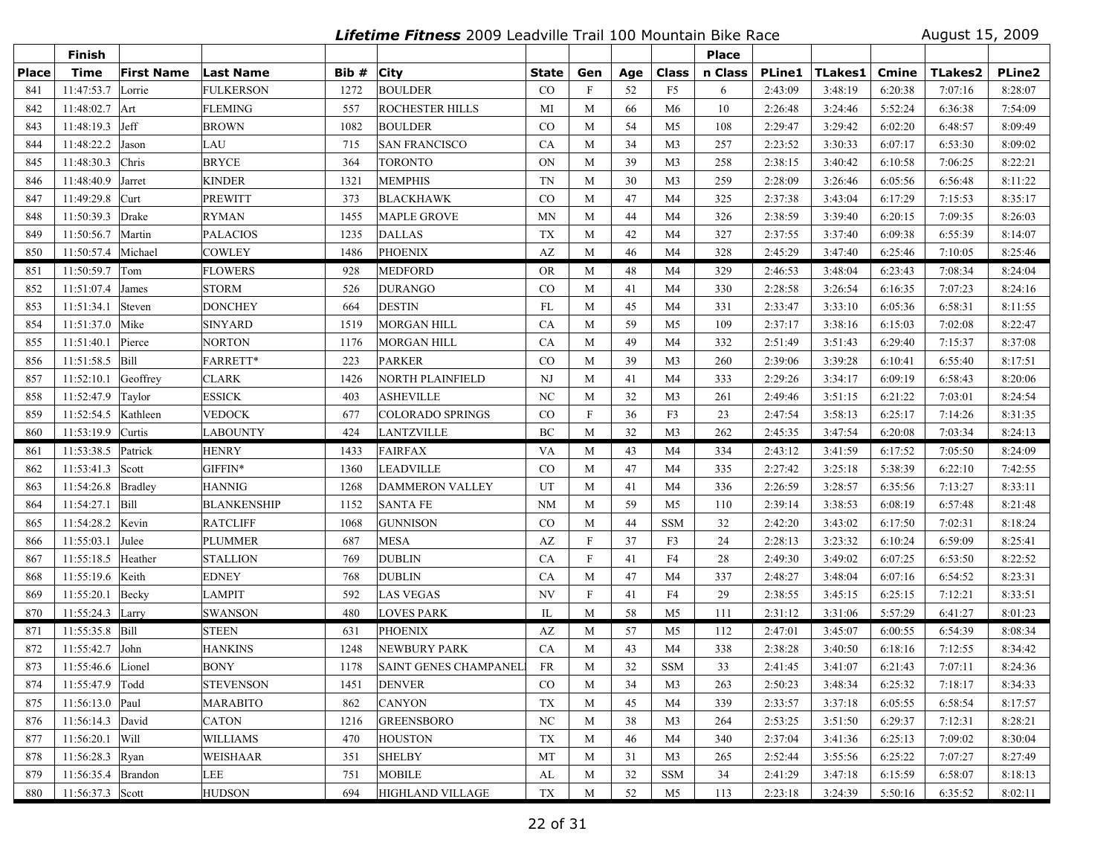**Lifetime Fitness** 2009 Leadville Trail 100 Mountain Bike Race August 15, 2009

|              | Finish                   |                   |                    |       |                              |                  |                           |     |                | <b>Place</b> |               |         |              |                |               |
|--------------|--------------------------|-------------------|--------------------|-------|------------------------------|------------------|---------------------------|-----|----------------|--------------|---------------|---------|--------------|----------------|---------------|
| <b>Place</b> | <b>Time</b>              | <b>First Name</b> | Last Name          | Bib # | <b>City</b>                  | <b>State</b>     | Gen                       | Age | Class          | n Class      | <b>PLine1</b> | TLakes1 | <b>Cmine</b> | <b>TLakes2</b> | <b>PLine2</b> |
| 841          | 11:47:53.7               | Lorrie            | <b>FULKERSON</b>   | 1272  | <b>BOULDER</b>               | CO               | $\mathbf{F}$              | 52  | F <sub>5</sub> | 6            | 2:43:09       | 3:48:19 | 6:20:38      | 7:07:16        | 8:28:07       |
| 842          | 11:48:02.7               | Art               | <b>FLEMING</b>     | 557   | <b>ROCHESTER HILLS</b>       | MI               | M                         | 66  | M <sub>6</sub> | 10           | 2:26:48       | 3:24:46 | 5:52:24      | 6:36:38        | 7:54:09       |
| 843          | 11:48:19.3               | Jeff              | <b>BROWN</b>       | 1082  | <b>BOULDER</b>               | CO               | M                         | 54  | M <sub>5</sub> | 108          | 2:29:47       | 3:29:42 | 6:02:20      | 6:48:57        | 8:09:49       |
| 844          | 11:48:22.2               | Jason             | LAU                | 715   | <b>SAN FRANCISCO</b>         | CA               | M                         | 34  | M <sub>3</sub> | 257          | 2:23:52       | 3:30:33 | 6:07:17      | 6:53:30        | 8:09:02       |
| 845          | 11:48:30.3               | Chris             | <b>BRYCE</b>       | 364   | <b>TORONTO</b>               | ON               | M                         | 39  | M <sub>3</sub> | 258          | 2:38:15       | 3:40:42 | 6:10:58      | 7:06:25        | 8:22:21       |
| 846          | 11:48:40.9               | Jarret            | <b>KINDER</b>      | 1321  | <b>MEMPHIS</b>               | TN               | M                         | 30  | M <sub>3</sub> | 259          | 2:28:09       | 3:26:46 | 6:05:56      | 6:56:48        | 8:11:22       |
| 847          | 11:49:29.8               | Curt              | <b>PREWITT</b>     | 373   | <b>BLACKHAWK</b>             | CO               | M                         | 47  | M <sub>4</sub> | 325          | 2:37:38       | 3:43:04 | 6:17:29      | 7:15:53        | 8:35:17       |
| 848          | 11:50:39.3               | Drake             | <b>RYMAN</b>       | 1455  | <b>MAPLE GROVE</b>           | MN               | M                         | 44  | M <sub>4</sub> | 326          | 2:38:59       | 3:39:40 | 6:20:15      | 7:09:35        | 8:26:03       |
| 849          | 11:50:56.7               | Martin            | <b>PALACIOS</b>    | 1235  | <b>DALLAS</b>                | <b>TX</b>        | M                         | 42  | M4             | 327          | 2:37:55       | 3:37:40 | 6:09:38      | 6:55:39        | 8:14:07       |
| 850          | 11:50:57.4   Michael     |                   | <b>COWLEY</b>      | 1486  | <b>PHOENIX</b>               | AZ               | M                         | 46  | M4             | 328          | 2:45:29       | 3:47:40 | 6:25:46      | 7:10:05        | 8:25:46       |
| 851          | 11:50:59.7               | Tom               | <b>FLOWERS</b>     | 928   | <b>MEDFORD</b>               | <b>OR</b>        | M                         | 48  | M <sub>4</sub> | 329          | 2:46:53       | 3:48:04 | 6:23:43      | 7:08:34        | 8:24:04       |
| 852          | 11:51:07.4               | James             | <b>STORM</b>       | 526   | <b>DURANGO</b>               | $_{\rm CO}$      | M                         | 41  | M4             | 330          | 2:28:58       | 3:26:54 | 6:16:35      | 7:07:23        | 8:24:16       |
| 853          | 11:51:34.1               | Steven            | <b>DONCHEY</b>     | 664   | <b>DESTIN</b>                | <b>FL</b>        | M                         | 45  | M4             | 331          | 2:33:47       | 3:33:10 | 6:05:36      | 6:58:31        | 8:11:55       |
| 854          | 11:51:37.0               | Mike              | <b>SINYARD</b>     | 1519  | <b>MORGAN HILL</b>           | CA               | M                         | 59  | M <sub>5</sub> | 109          | 2:37:17       | 3:38:16 | 6:15:03      | 7:02:08        | 8:22:47       |
| 855          | 11:51:40.1               | Pierce            | <b>NORTON</b>      | 1176  | <b>MORGAN HILL</b>           | CA               | M                         | 49  | M <sub>4</sub> | 332          | 2:51:49       | 3:51:43 | 6:29:40      | 7:15:37        | 8:37:08       |
| 856          | 11:51:58.5               | Bill              | FARRETT*           | 223   | <b>PARKER</b>                | CO               | M                         | 39  | M <sub>3</sub> | 260          | 2:39:06       | 3:39:28 | 6:10:41      | 6:55:40        | 8:17:51       |
| 857          | 11:52:10.1               | Geoffrey          | <b>CLARK</b>       | 1426  | NORTH PLAINFIELD             | NJ               | M                         | 41  | M4             | 333          | 2:29:26       | 3:34:17 | 6:09:19      | 6:58:43        | 8:20:06       |
| 858          | 11:52:47.9               | Taylor            | <b>ESSICK</b>      | 403   | <b>ASHEVILLE</b>             | NC               | M                         | 32  | M <sub>3</sub> | 261          | 2:49:46       | 3:51:15 | 6:21:22      | 7:03:01        | 8:24:54       |
| 859          | 11:52:54.5               | Kathleen          | <b>VEDOCK</b>      | 677   | <b>COLORADO SPRINGS</b>      | $\rm CO$         | F                         | 36  | F3             | 23           | 2:47:54       | 3:58:13 | 6:25:17      | 7:14:26        | 8:31:35       |
| 860          | 11:53:19.9               | Curtis            | <b>LABOUNTY</b>    | 424   | LANTZVILLE                   | BC               | M                         | 32  | M <sub>3</sub> | 262          | 2:45:35       | 3:47:54 | 6:20:08      | 7:03:34        | 8:24:13       |
| 861          | 11:53:38.5               | Patrick           | <b>HENRY</b>       | 1433  | <b>FAIRFAX</b>               | VA               | M                         | 43  | M4             | 334          | 2:43:12       | 3:41:59 | 6:17:52      | 7:05:50        | 8:24:09       |
| 862          | 11:53:41.3               | Scott             | GIFFIN*            | 1360  | <b>LEADVILLE</b>             | CO               | M                         | 47  | M <sub>4</sub> | 335          | 2:27:42       | 3:25:18 | 5:38:39      | 6:22:10        | 7:42:55       |
| 863          | 11:54:26.8               | <b>Bradley</b>    | <b>HANNIG</b>      | 1268  | <b>DAMMERON VALLEY</b>       | UT               | M                         | 41  | M <sub>4</sub> | 336          | 2:26:59       | 3:28:57 | 6:35:56      | 7:13:27        | 8:33:11       |
| 864          | 11:54:27.1               | Bill              | <b>BLANKENSHIP</b> | 1152  | <b>SANTA FE</b>              | <b>NM</b>        | M                         | 59  | M <sub>5</sub> | 110          | 2:39:14       | 3:38:53 | 6:08:19      | 6:57:48        | 8:21:48       |
| 865          | 11:54:28.2               | Kevin             | <b>RATCLIFF</b>    | 1068  | <b>GUNNISON</b>              | CO               | M                         | 44  | <b>SSM</b>     | 32           | 2:42:20       | 3:43:02 | 6:17:50      | 7:02:31        | 8:18:24       |
| 866          | 11:55:03.1               | Julee             | <b>PLUMMER</b>     | 687   | <b>MESA</b>                  | AZ               | $\mathbf{F}$              | 37  | F3             | 24           | 2:28:13       | 3:23:32 | 6:10:24      | 6:59:09        | 8:25:41       |
| 867          | 11:55:18.5               | Heather           | <b>STALLION</b>    | 769   | <b>DUBLIN</b>                | CA               | F                         | 41  | F4             | 28           | 2:49:30       | 3:49:02 | 6:07:25      | 6:53:50        | 8:22:52       |
| 868          | 11:55:19.6               | Keith             | <b>EDNEY</b>       | 768   | <b>DUBLIN</b>                | CA               | M                         | 47  | M <sub>4</sub> | 337          | 2:48:27       | 3:48:04 | 6:07:16      | 6:54:52        | 8:23:31       |
| 869          | 11:55:20.1               | Becky             | <b>LAMPIT</b>      | 592   | <b>LAS VEGAS</b>             | NV               | $\boldsymbol{\mathrm{F}}$ | 41  | F4             | 29           | 2:38:55       | 3:45:15 | 6:25:15      | 7:12:21        | 8:33:51       |
| 870          | 11:55:24.3 $\vert$ Larry |                   | <b>SWANSON</b>     | 480   | <b>LOVES PARK</b>            | IL               | M                         | 58  | M <sub>5</sub> | 111          | 2:31:12       | 3:31:06 | 5:57:29      | 6:41:27        | 8:01:23       |
| 871          | 11:55:35.8 Bill          |                   | <b>STEEN</b>       | 631   | <b>PHOENIX</b>               | AZ               | M                         | 57  | M5             | 112          | 2:47:01       | 3:45:07 | 6:00:55      | 6:54:39        | 8:08:34       |
| 872          | 11:55:42.7               | John              | <b>HANKINS</b>     | 1248  | NEWBURY PARK                 | CA               | M                         | 43  | M4             | 338          | 2:38:28       | 3:40:50 | 6:18:16      | 7:12:55        | 8:34:42       |
| 873          | 11:55:46.6 Lionel        |                   | <b>BONY</b>        | 1178  | <b>SAINT GENES CHAMPANEL</b> | FR               | M                         | 32  | <b>SSM</b>     | 33           | 2:41:45       | 3:41:07 | 6:21:43      | 7:07:11        | 8:24:36       |
| 874          | $11:55:47.9$ Todd        |                   | <b>STEVENSON</b>   | 1451  | <b>DENVER</b>                | CO.              | M                         | 34  | M3             | 263          | 2:50:23       | 3:48:34 | 6:25:32      | 7:18:17        | 8:34:33       |
| 875          | 11:56:13.0 Paul          |                   | <b>MARABITO</b>    | 862   | <b>CANYON</b>                | TX               | M                         | 45  | M4             | 339          | 2:33:57       | 3:37:18 | 6:05:55      | 6:58:54        | 8:17:57       |
| 876          | 11:56:14.3 David         |                   | <b>CATON</b>       | 1216  | <b>GREENSBORO</b>            | $_{\mathrm{NC}}$ | M                         | 38  | M3             | 264          | 2:53:25       | 3:51:50 | 6:29:37      | 7:12:31        | 8:28:21       |
| 877          | 11:56:20.1               | Will              | <b>WILLIAMS</b>    | 470   | <b>HOUSTON</b>               | TX               | M                         | 46  | M4             | 340          | 2:37:04       | 3:41:36 | 6:25:13      | 7:09:02        | 8:30:04       |
| 878          | 11:56:28.3 Ryan          |                   | <b>WEISHAAR</b>    | 351   | <b>SHELBY</b>                | MT               | M                         | 31  | M3             | 265          | 2:52:44       | 3:55:56 | 6:25:22      | 7:07:27        | 8:27:49       |
| 879          | 11:56:35.4 Brandon       |                   | <b>LEE</b>         | 751   | <b>MOBILE</b>                | AL               | M                         | 32  | <b>SSM</b>     | 34           | 2:41:29       | 3:47:18 | 6:15:59      | 6:58:07        | 8:18:13       |
| 880          | 11:56:37.3 Scott         |                   | <b>HUDSON</b>      | 694   | HIGHLAND VILLAGE             | TX               | M                         | 52  | M5             | 113          | 2:23:18       | 3:24:39 | 5:50:16      | 6:35:52        | 8:02:11       |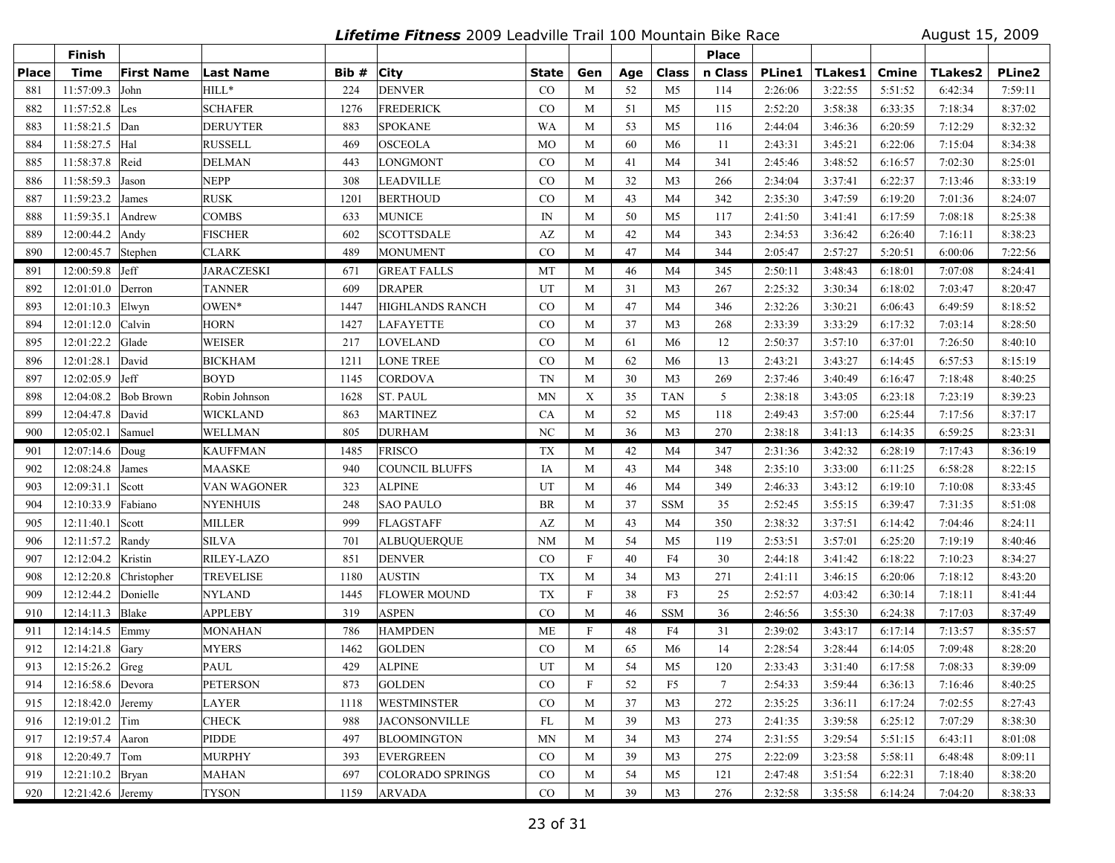**Lifetime Fitness** 2009 Leadville Trail 100 Mountain Bike Race August 15, 2009

|              | <b>Finish</b>       |                   |                   |      |                        |              |                           |     |                | <b>Place</b> |               |                |         |                |               |
|--------------|---------------------|-------------------|-------------------|------|------------------------|--------------|---------------------------|-----|----------------|--------------|---------------|----------------|---------|----------------|---------------|
| <b>Place</b> | <b>Time</b>         | <b>First Name</b> | <b>Last Name</b>  | Bib# | <b>City</b>            | <b>State</b> | Gen                       | Age | <b>Class</b>   | n Class      | <b>PLine1</b> | <b>TLakes1</b> | Cmine   | <b>TLakes2</b> | <b>PLine2</b> |
| 881          | 11:57:09.3          | John              | HILL*             | 224  | <b>DENVER</b>          | CO           | M                         | 52  | M <sub>5</sub> | 114          | 2:26:06       | 3:22:55        | 5:51:52 | 6:42:34        | 7:59:11       |
| 882          | 11:57:52.8          | Les               | <b>SCHAFER</b>    | 1276 | <b>FREDERICK</b>       | CO           | M                         | 51  | M <sub>5</sub> | 115          | 2:52:20       | 3:58:38        | 6:33:35 | 7:18:34        | 8:37:02       |
| 883          | 11:58:21.5 Dan      |                   | DERUYTER          | 883  | <b>SPOKANE</b>         | <b>WA</b>    | M                         | 53  | M <sub>5</sub> | 116          | 2:44:04       | 3:46:36        | 6:20:59 | 7:12:29        | 8:32:32       |
| 884          | 11:58:27.5          | Hal               | <b>RUSSELL</b>    | 469  | <b>OSCEOLA</b>         | <b>MO</b>    | M                         | 60  | M6             | 11           | 2:43:31       | 3:45:21        | 6:22:06 | 7:15:04        | 8:34:38       |
| 885          | 11:58:37.8          | Reid              | DELMAN            | 443  | <b>LONGMONT</b>        | CO           | M                         | 41  | M4             | 341          | 2:45:46       | 3:48:52        | 6:16:57 | 7:02:30        | 8:25:01       |
| 886          | 11:58:59.3          | Jason             | <b>NEPP</b>       | 308  | <b>LEADVILLE</b>       | CO           | M                         | 32  | M <sub>3</sub> | 266          | 2:34:04       | 3:37:41        | 6:22:37 | 7:13:46        | 8:33:19       |
| 887          | 11:59:23.2 James    |                   | <b>RUSK</b>       | 1201 | <b>BERTHOUD</b>        | CO           | M                         | 43  | M4             | 342          | 2:35:30       | 3:47:59        | 6:19:20 | 7:01:36        | 8:24:07       |
| 888          | 11:59:35.1          | Andrew            | <b>COMBS</b>      | 633  | <b>MUNICE</b>          | IN           | M                         | 50  | M <sub>5</sub> | 117          | 2:41:50       | 3:41:41        | 6:17:59 | 7:08:18        | 8:25:38       |
| 889          | $12:00:44.2$ Andy   |                   | <b>FISCHER</b>    | 602  | <b>SCOTTSDALE</b>      | AZ           | M                         | 42  | M4             | 343          | 2:34:53       | 3:36:42        | 6:26:40 | 7:16:11        | 8:38:23       |
| 890          | 12:00:45.7 Stephen  |                   | <b>CLARK</b>      | 489  | <b>MONUMENT</b>        | CO           | M                         | 47  | M <sub>4</sub> | 344          | 2:05:47       | 2:57:27        | 5:20:51 | 6:00:06        | 7:22:56       |
| 891          | $12:00:59.8$ Jeff   |                   | <b>JARACZESKI</b> | 671  | <b>GREAT FALLS</b>     | MT           | M                         | 46  | M4             | 345          | 2:50:11       | 3:48:43        | 6:18:01 | 7:07:08        | 8:24:41       |
| 892          | 12:01:01.0          | Derron            | <b>TANNER</b>     | 609  | <b>DRAPER</b>          | UT           | M                         | 31  | M <sub>3</sub> | 267          | 2:25:32       | 3:30:34        | 6:18:02 | 7:03:47        | 8:20:47       |
| 893          | 12:01:10.3          | Elwyn             | OWEN*             | 1447 | <b>HIGHLANDS RANCH</b> | $\rm CO$     | M                         | 47  | M4             | 346          | 2:32:26       | 3:30:21        | 6:06:43 | 6:49:59        | 8:18:52       |
| 894          | 12:01:12.0          | Calvin            | <b>HORN</b>       | 1427 | <b>LAFAYETTE</b>       | CO           | M                         | 37  | M <sub>3</sub> | 268          | 2:33:39       | 3:33:29        | 6:17:32 | 7:03:14        | 8:28:50       |
| 895          | 12:01:22.2          | Glade             | WEISER            | 217  | LOVELAND               | CO           | M                         | 61  | M <sub>6</sub> | 12           | 2:50:37       | 3:57:10        | 6:37:01 | 7:26:50        | 8:40:10       |
| 896          | 12:01:28.1          | David             | <b>BICKHAM</b>    | 1211 | <b>LONE TREE</b>       | CO           | M                         | 62  | M <sub>6</sub> | 13           | 2:43:21       | 3:43:27        | 6:14:45 | 6:57:53        | 8:15:19       |
| 897          | 12:02:05.9          | Jeff              | <b>BOYD</b>       | 1145 | <b>CORDOVA</b>         | <b>TN</b>    | M                         | 30  | M <sub>3</sub> | 269          | 2:37:46       | 3:40:49        | 6:16:47 | 7:18:48        | 8:40:25       |
| 898          | 12:04:08.2          | <b>Bob Brown</b>  | Robin Johnson     | 1628 | <b>ST. PAUL</b>        | MN           | $\mathbf X$               | 35  | <b>TAN</b>     | 5            | 2:38:18       | 3:43:05        | 6:23:18 | 7:23:19        | 8:39:23       |
| 899          | 12:04:47.8          | David             | <b>WICKLAND</b>   | 863  | <b>MARTINEZ</b>        | CA           | M                         | 52  | M5             | 118          | 2:49:43       | 3:57:00        | 6:25:44 | 7:17:56        | 8:37:17       |
| 900          | 12:05:02.1          | Samuel            | WELLMAN           | 805  | <b>DURHAM</b>          | NC           | M                         | 36  | M <sub>3</sub> | 270          | 2:38:18       | 3:41:13        | 6:14:35 | 6:59:25        | 8:23:31       |
| 901          | 12:07:14.6          | $\vert$ Doug      | <b>KAUFFMAN</b>   | 1485 | <b>FRISCO</b>          | TX           | M                         | 42  | M4             | 347          | 2:31:36       | 3:42:32        | 6:28:19 | 7:17:43        | 8:36:19       |
| 902          | 12:08:24.8 James    |                   | <b>MAASKE</b>     | 940  | <b>COUNCIL BLUFFS</b>  | IA           | M                         | 43  | M4             | 348          | 2:35:10       | 3:33:00        | 6:11:25 | 6:58:28        | 8:22:15       |
| 903          | 12:09:31.1          | Scott             | VAN WAGONER       | 323  | <b>ALPINE</b>          | UT           | M                         | 46  | M4             | 349          | 2:46:33       | 3:43:12        | 6:19:10 | 7:10:08        | 8:33:45       |
| 904          | 12:10:33.9          | Fabiano           | <b>NYENHUIS</b>   | 248  | <b>SAO PAULO</b>       | <b>BR</b>    | M                         | 37  | <b>SSM</b>     | 35           | 2:52:45       | 3:55:15        | 6:39:47 | 7:31:35        | 8:51:08       |
| 905          | 12:11:40.1          | Scott             | MILLER            | 999  | <b>FLAGSTAFF</b>       | AZ           | M                         | 43  | M <sub>4</sub> | 350          | 2:38:32       | 3:37:51        | 6:14:42 | 7:04:46        | 8:24:11       |
| 906          | 12:11:57.2 Randy    |                   | SILVA             | 701  | <b>ALBUQUERQUE</b>     | <b>NM</b>    | M                         | 54  | M <sub>5</sub> | 119          | 2:53:51       | 3:57:01        | 6:25:20 | 7:19:19        | 8:40:46       |
| 907          | 12:12:04.2          | Kristin           | RILEY-LAZO        | 851  | <b>DENVER</b>          | CO           | $\boldsymbol{\mathrm{F}}$ | 40  | F4             | 30           | 2:44:18       | 3:41:42        | 6:18:22 | 7:10:23        | 8:34:27       |
| 908          | 12:12:20.8          | Christopher       | <b>TREVELISE</b>  | 1180 | <b>AUSTIN</b>          | <b>TX</b>    | M                         | 34  | M <sub>3</sub> | 271          | 2:41:11       | 3:46:15        | 6:20:06 | 7:18:12        | 8:43:20       |
| 909          | 12:12:44.2          | Donielle          | <b>NYLAND</b>     | 1445 | <b>FLOWER MOUND</b>    | <b>TX</b>    | $\boldsymbol{\mathrm{F}}$ | 38  | F3             | 25           | 2:52:57       | 4:03:42        | 6:30:14 | 7:18:11        | 8:41:44       |
| 910          | 12:14:11.3 Blake    |                   | <b>APPLEBY</b>    | 319  | <b>ASPEN</b>           | $\rm CO$     | M                         | 46  | <b>SSM</b>     | 36           | 2:46:56       | 3:55:30        | 6:24:38 | 7:17:03        | 8:37:49       |
| 911          | $12:14:14.5$ Emmy   |                   | <b>MONAHAN</b>    | 786  | <b>HAMPDEN</b>         | <b>ME</b>    | $\boldsymbol{\mathrm{F}}$ | 48  | F4             | 31           | 2:39:02       | 3:43:17        | 6:17:14 | 7:13:57        | 8:35:57       |
| 912          | 12:14:21.8          | Gary              | <b>MYERS</b>      | 1462 | <b>GOLDEN</b>          | $\rm CO$     | M                         | 65  | M6             | 14           | 2:28:54       | 3:28:44        | 6:14:05 | 7:09:48        | 8:28:20       |
| 913          | 12:15:26.2 Greg     |                   | PAUL              | 429  | <b>ALPINE</b>          | UT           | M                         | 54  | M5             | 120          | 2:33:43       | 3:31:40        | 6:17:58 | 7:08:33        | 8:39:09       |
| 914          | 12:16:58.6 Devora   |                   | <b>PETERSON</b>   | 873  | <b>GOLDEN</b>          | $\rm CO$     | F                         | 52  | F <sub>5</sub> | $\tau$       | 2:54:33       | 3:59:44        | 6:36:13 | 7:16:46        | 8:40:25       |
| 915          | $12:18:42.0$ Jeremy |                   | <b>LAYER</b>      | 1118 | <b>WESTMINSTER</b>     | CO           | M                         | 37  | M3             | 272          | 2:35:25       | 3:36:11        | 6:17:24 | 7:02:55        | 8:27:43       |
| 916          | $12:19:01.2$ Tim    |                   | <b>CHECK</b>      | 988  | <b>JACONSONVILLE</b>   | FL           | M                         | 39  | M3             | 273          | 2:41:35       | 3:39:58        | 6:25:12 | 7:07:29        | 8:38:30       |
| 917          | 12:19:57.4 Aaron    |                   | PIDDE             | 497  | <b>BLOOMINGTON</b>     | MN           | M                         | 34  | M3             | 274          | 2:31:55       | 3:29:54        | 5:51:15 | 6:43:11        | 8:01:08       |
| 918          | $12:20:49.7$ Tom    |                   | <b>MURPHY</b>     | 393  | <b>EVERGREEN</b>       | $\rm CO$     | M                         | 39  | M3             | 275          | 2:22:09       | 3:23:58        | 5:58:11 | 6:48:48        | 8:09:11       |
| 919          | 12:21:10.2 Bryan    |                   | <b>MAHAN</b>      | 697  | COLORADO SPRINGS       | $\rm CO$     | M                         | 54  | M5             | 121          | 2:47:48       | 3:51:54        | 6:22:31 | 7:18:40        | 8:38:20       |
| 920          | $12:21:42.6$ Jeremy |                   | <b>TYSON</b>      | 1159 | <b>ARVADA</b>          | $\rm CO$     | M                         | 39  | M3             | 276          | 2:32:58       | 3:35:58        | 6:14:24 | 7:04:20        | 8:38:33       |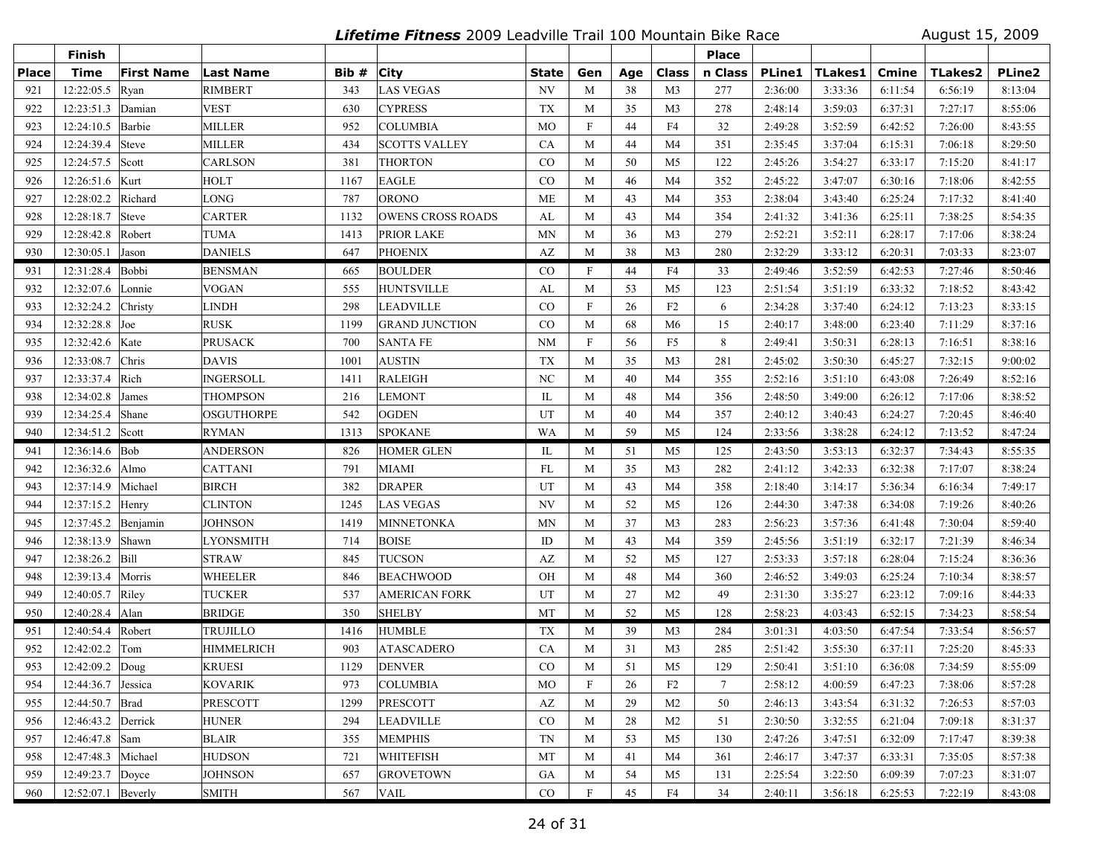**Lifetime Fitness** 2009 Leadville Trail 100 Mountain Bike Race August 15, 2009

|              | <b>Finish</b>           |                   |                   |       |                          |                        |                           |     |                | <b>Place</b> |               |         |         |                |               |
|--------------|-------------------------|-------------------|-------------------|-------|--------------------------|------------------------|---------------------------|-----|----------------|--------------|---------------|---------|---------|----------------|---------------|
| <b>Place</b> | <b>Time</b>             | <b>First Name</b> | <b>Last Name</b>  | Bib # | <b>City</b>              | State                  | Gen                       | Age | Class          | n Class      | <b>PLine1</b> | TLakes1 | Cmine   | <b>TLakes2</b> | <b>PLine2</b> |
| 921          | 12:22:05.5              | Ryan              | <b>RIMBERT</b>    | 343   | <b>LAS VEGAS</b>         | NV                     | M                         | 38  | M <sub>3</sub> | 277          | 2:36:00       | 3:33:36 | 6:11:54 | 6:56:19        | 8:13:04       |
| 922          | 12:23:51.3              | Damian            | VEST              | 630   | <b>CYPRESS</b>           | <b>TX</b>              | M                         | 35  | M <sub>3</sub> | 278          | 2:48:14       | 3:59:03 | 6:37:31 | 7:27:17        | 8:55:06       |
| 923          | 12:24:10.5              | Barbie            | <b>MILLER</b>     | 952   | <b>COLUMBIA</b>          | <b>MO</b>              | $\boldsymbol{\mathrm{F}}$ | 44  | F4             | 32           | 2:49:28       | 3:52:59 | 6:42:52 | 7:26:00        | 8:43:55       |
| 924          | 12:24:39.4              | Steve             | <b>MILLER</b>     | 434   | <b>SCOTTS VALLEY</b>     | CA                     | M                         | 44  | M <sub>4</sub> | 351          | 2:35:45       | 3:37:04 | 6:15:31 | 7:06:18        | 8:29:50       |
| 925          | 12:24:57.5              | Scott             | <b>CARLSON</b>    | 381   | <b>THORTON</b>           | CO                     | M                         | 50  | M <sub>5</sub> | 122          | 2:45:26       | 3:54:27 | 6:33:17 | 7:15:20        | 8:41:17       |
| 926          | 12:26:51.6 Kurt         |                   | <b>HOLT</b>       | 1167  | <b>EAGLE</b>             | CO                     | M                         | 46  | M4             | 352          | 2:45:22       | 3:47:07 | 6:30:16 | 7:18:06        | 8:42:55       |
| 927          | 12:28:02.2              | Richard           | LONG              | 787   | <b>ORONO</b>             | <b>ME</b>              | M                         | 43  | M <sub>4</sub> | 353          | 2:38:04       | 3:43:40 | 6:25:24 | 7:17:32        | 8:41:40       |
| 928          | 12:28:18.7              | Steve             | <b>CARTER</b>     | 1132  | <b>OWENS CROSS ROADS</b> | AL                     | M                         | 43  | M <sub>4</sub> | 354          | 2:41:32       | 3:41:36 | 6:25:11 | 7:38:25        | 8:54:35       |
| 929          | 12:28:42.8              | Robert            | TUMA              | 1413  | <b>PRIOR LAKE</b>        | <b>MN</b>              | M                         | 36  | M <sub>3</sub> | 279          | 2:52:21       | 3:52:11 | 6:28:17 | 7:17:06        | 8:38:24       |
| 930          | 12:30:05.1              | Jason             | DANIELS           | 647   | <b>PHOENIX</b>           | $\mathbf{A}\mathbf{Z}$ | M                         | 38  | M <sub>3</sub> | 280          | 2:32:29       | 3:33:12 | 6:20:31 | 7:03:33        | 8:23:07       |
| 931          | 12:31:28.4              | Bobbi             | <b>BENSMAN</b>    | 665   | <b>BOULDER</b>           | CO                     | F                         | 44  | F4             | 33           | 2:49:46       | 3:52:59 | 6:42:53 | 7:27:46        | 8:50:46       |
| 932          | 12:32:07.6              | Lonnie            | VOGAN             | 555   | <b>HUNTSVILLE</b>        | AL                     | M                         | 53  | M <sub>5</sub> | 123          | 2:51:54       | 3:51:19 | 6:33:32 | 7:18:52        | 8:43:42       |
| 933          | 12:32:24.2              | Christy           | <b>LINDH</b>      | 298   | LEADVILLE                | CO                     | $\boldsymbol{\mathrm{F}}$ | 26  | F2             | 6            | 2:34:28       | 3:37:40 | 6:24:12 | 7:13:23        | 8:33:15       |
| 934          | 12:32:28.8              | $\int$ Joe        | <b>RUSK</b>       | 1199  | <b>GRAND JUNCTION</b>    | $\rm CO$               | M                         | 68  | M <sub>6</sub> | 15           | 2:40:17       | 3:48:00 | 6:23:40 | 7:11:29        | 8:37:16       |
| 935          | 12:32:42.6 Kate         |                   | <b>PRUSACK</b>    | 700   | <b>SANTA FE</b>          | <b>NM</b>              | $\boldsymbol{\mathrm{F}}$ | 56  | F <sub>5</sub> | 8            | 2:49:41       | 3:50:31 | 6:28:13 | 7:16:51        | 8:38:16       |
| 936          | 12:33:08.7              | Chris             | <b>DAVIS</b>      | 1001  | <b>AUSTIN</b>            | <b>TX</b>              | M                         | 35  | M <sub>3</sub> | 281          | 2:45:02       | 3:50:30 | 6:45:27 | 7:32:15        | 9:00:02       |
| 937          | 12:33:37.4              | Rich              | <b>INGERSOLL</b>  | 1411  | <b>RALEIGH</b>           | N <sub>C</sub>         | M                         | 40  | M <sub>4</sub> | 355          | 2:52:16       | 3:51:10 | 6:43:08 | 7:26:49        | 8:52:16       |
| 938          | 12:34:02.8              | James             | <b>THOMPSON</b>   | 216   | <b>LEMONT</b>            | IL                     | M                         | 48  | M4             | 356          | 2:48:50       | 3:49:00 | 6:26:12 | 7:17:06        | 8:38:52       |
| 939          | 12:34:25.4              | Shane             | <b>OSGUTHORPE</b> | 542   | <b>OGDEN</b>             | UT                     | M                         | 40  | M <sub>4</sub> | 357          | 2:40:12       | 3:40:43 | 6:24:27 | 7:20:45        | 8:46:40       |
| 940          | 12:34:51.2 Scott        |                   | <b>RYMAN</b>      | 1313  | <b>SPOKANE</b>           | WA                     | M                         | 59  | M <sub>5</sub> | 124          | 2:33:56       | 3:38:28 | 6:24:12 | 7:13:52        | 8:47:24       |
| 941          | $12:36:14.6$ Bob        |                   | <b>ANDERSON</b>   | 826   | <b>HOMER GLEN</b>        | IL                     | M                         | 51  | M5             | 125          | 2:43:50       | 3:53:13 | 6:32:37 | 7:34:43        | 8:55:35       |
| 942          | 12:36:32.6 Almo         |                   | <b>CATTANI</b>    | 791   | <b>MIAMI</b>             | FL                     | M                         | 35  | M <sub>3</sub> | 282          | 2:41:12       | 3:42:33 | 6:32:38 | 7:17:07        | 8:38:24       |
| 943          | 12:37:14.9              | Michael           | <b>BIRCH</b>      | 382   | <b>DRAPER</b>            | UT                     | M                         | 43  | M <sub>4</sub> | 358          | 2:18:40       | 3:14:17 | 5:36:34 | 6:16:34        | 7:49:17       |
| 944          | 12:37:15.2 Henry        |                   | <b>CLINTON</b>    | 1245  | <b>LAS VEGAS</b>         | NV                     | M                         | 52  | M <sub>5</sub> | 126          | 2:44:30       | 3:47:38 | 6:34:08 | 7:19:26        | 8:40:26       |
| 945          | 12:37:45.2 Benjamin     |                   | <b>JOHNSON</b>    | 1419  | <b>MINNETONKA</b>        | <b>MN</b>              | M                         | 37  | M <sub>3</sub> | 283          | 2:56:23       | 3:57:36 | 6:41:48 | 7:30:04        | 8:59:40       |
| 946          | 12:38:13.9              | Shawn             | <b>LYONSMITH</b>  | 714   | <b>BOISE</b>             | ID                     | M                         | 43  | M4             | 359          | 2:45:56       | 3:51:19 | 6:32:17 | 7:21:39        | 8:46:34       |
| 947          | 12:38:26.2              | Bill              | <b>STRAW</b>      | 845   | <b>TUCSON</b>            | AZ                     | M                         | 52  | M5             | 127          | 2:53:33       | 3:57:18 | 6:28:04 | 7:15:24        | 8:36:36       |
| 948          | 12:39:13.4              | Morris            | <b>WHEELER</b>    | 846   | <b>BEACHWOOD</b>         | OH                     | M                         | 48  | M <sub>4</sub> | 360          | 2:46:52       | 3:49:03 | 6:25:24 | 7:10:34        | 8:38:57       |
| 949          | 12:40:05.7 Riley        |                   | <b>TUCKER</b>     | 537   | <b>AMERICAN FORK</b>     | UT                     | M                         | 27  | M <sub>2</sub> | 49           | 2:31:30       | 3:35:27 | 6:23:12 | 7:09:16        | 8:44:33       |
| 950          | 12:40:28.4 Alan         |                   | <b>BRIDGE</b>     | 350   | <b>SHELBY</b>            | MT                     | M                         | 52  | M <sub>5</sub> | 128          | 2:58:23       | 4:03:43 | 6:52:15 | 7:34:23        | 8:58:54       |
| 951          | 12:40:54.4 Robert       |                   | <b>TRUJILLO</b>   | 1416  | <b>HUMBLE</b>            | TX                     | M                         | 39  | M <sub>3</sub> | 284          | 3:01:31       | 4:03:50 | 6:47:54 | 7:33:54        | 8:56:57       |
| 952          | 12:42:02.2              | Tom               | <b>HIMMELRICH</b> | 903   | <b>ATASCADERO</b>        | CA                     | M                         | 31  | M <sub>3</sub> | 285          | 2:51:42       | 3:55:30 | 6:37:11 | 7:25:20        | 8:45:33       |
| 953          | 12:42:09.2 $\vert$ Doug |                   | <b>KRUESI</b>     | 1129  | <b>DENVER</b>            | CO                     | M                         | 51  | M <sub>5</sub> | 129          | 2:50:41       | 3:51:10 | 6:36:08 | 7:34:59        | 8:55:09       |
| 954          | 12:44:36.7 Jessica      |                   | KOVARIK           | 973   | <b>COLUMBIA</b>          | МO                     | F                         | 26  | F <sub>2</sub> | 7            | 2:58:12       | 4:00:59 | 6:47:23 | 7:38:06        | 8:57:28       |
| 955          | 12:44:50.7 Brad         |                   | <b>PRESCOTT</b>   | 1299  | <b>PRESCOTT</b>          | AZ                     | M                         | 29  | M <sub>2</sub> | 50           | 2:46:13       | 3:43:54 | 6:31:32 | 7:26:53        | 8:57:03       |
| 956          | 12:46:43.2 Derrick      |                   | <b>HUNER</b>      | 294   | <b>LEADVILLE</b>         | $\rm CO$               | M                         | 28  | M <sub>2</sub> | 51           | 2:30:50       | 3:32:55 | 6:21:04 | 7:09:18        | 8:31:37       |
| 957          | 12:46:47.8 Sam          |                   | <b>BLAIR</b>      | 355   | <b>MEMPHIS</b>           | TN                     | M                         | 53  | M5             | 130          | 2:47:26       | 3:47:51 | 6:32:09 | 7:17:47        | 8:39:38       |
| 958          | 12:47:48.3 Michael      |                   | <b>HUDSON</b>     | 721   | <b>WHITEFISH</b>         | MT                     | M                         | 41  | M4             | 361          | 2:46:17       | 3:47:37 | 6:33:31 | 7:35:05        | 8:57:38       |
| 959          | 12:49:23.7 Doyce        |                   | <b>JOHNSON</b>    | 657   | <b>GROVETOWN</b>         | GA                     | M                         | 54  | M5             | 131          | 2:25:54       | 3:22:50 | 6:09:39 | 7:07:23        | 8:31:07       |
| 960          | 12:52:07.1 Beverly      |                   | <b>SMITH</b>      | 567   | <b>VAIL</b>              | CO                     | $\mathbf F$               | 45  | ${\rm F4}$     | 34           | 2:40:11       | 3:56:18 | 6:25:53 | 7:22:19        | 8:43:08       |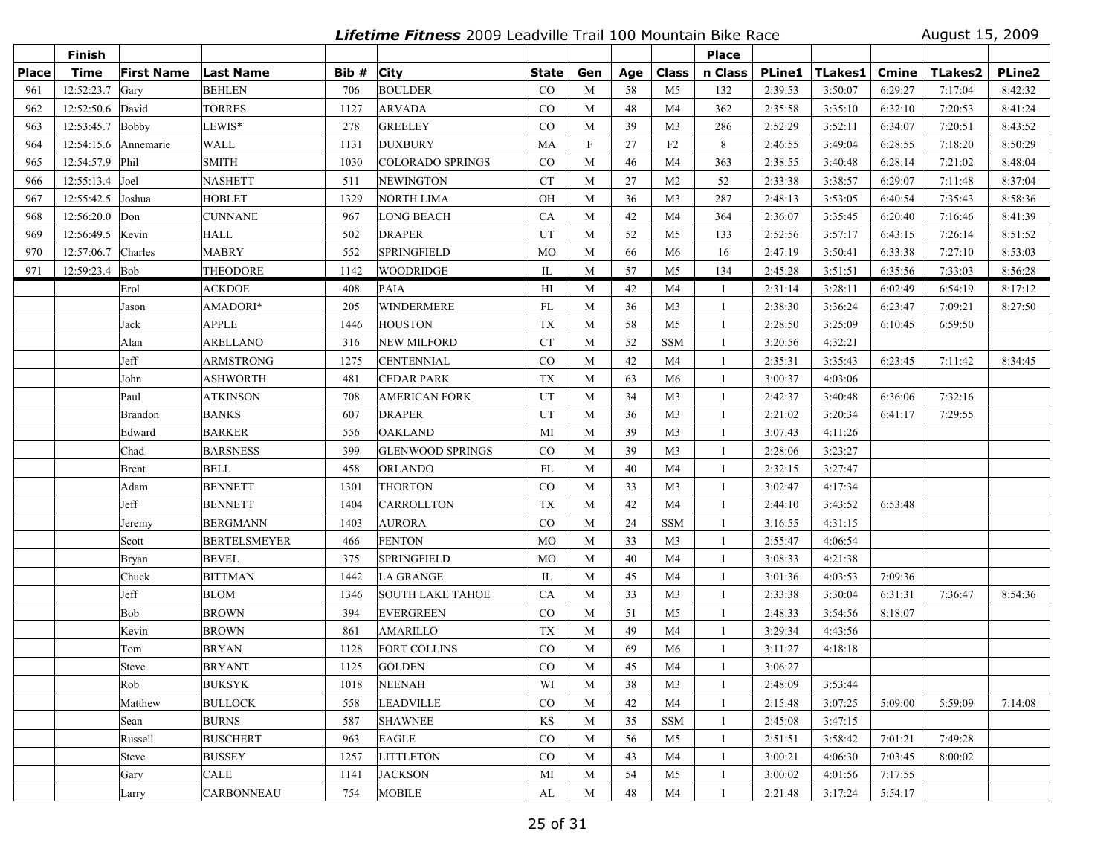**Lifetime Fitness** 2009 Leadville Trail 100 Mountain Bike Race August 15, 2009

|              | <b>Finish</b>     |                   |                     |       |                         |              |             |     |                | <b>Place</b> |               |         |              |                |               |
|--------------|-------------------|-------------------|---------------------|-------|-------------------------|--------------|-------------|-----|----------------|--------------|---------------|---------|--------------|----------------|---------------|
| <b>Place</b> | <b>Time</b>       | <b>First Name</b> | <b>Last Name</b>    | Bib # | <b>City</b>             | <b>State</b> | Gen         | Age | <b>Class</b>   | n Class      | <b>PLine1</b> | TLakes1 | <b>Cmine</b> | <b>TLakes2</b> | <b>PLine2</b> |
| 961          | 12:52:23.7        | Gary              | <b>BEHLEN</b>       | 706   | <b>BOULDER</b>          | CO           | M           | 58  | M <sub>5</sub> | 132          | 2:39:53       | 3:50:07 | 6:29:27      | 7:17:04        | 8:42:32       |
| 962          | 12:52:50.6        | David             | <b>TORRES</b>       | 1127  | <b>ARVADA</b>           | CO           | M           | 48  | M4             | 362          | 2:35:58       | 3:35:10 | 6:32:10      | 7:20:53        | 8:41:24       |
| 963          | 12:53:45.7        | Bobby             | LEWIS*              | 278   | <b>GREELEY</b>          | CO           | M           | 39  | M <sub>3</sub> | 286          | 2:52:29       | 3:52:11 | 6:34:07      | 7:20:51        | 8:43:52       |
| 964          | 12:54:15.6        | Annemarie         | <b>WALL</b>         | 1131  | <b>DUXBURY</b>          | MA           | $\mathbf F$ | 27  | F2             | 8            | 2:46:55       | 3:49:04 | 6:28:55      | 7:18:20        | 8:50:29       |
| 965          | 12:54:57.9        | Phil              | <b>SMITH</b>        | 1030  | <b>COLORADO SPRINGS</b> | $_{\rm CO}$  | M           | 46  | M <sub>4</sub> | 363          | 2:38:55       | 3:40:48 | 6:28:14      | 7:21:02        | 8:48:04       |
| 966          | $12:55:13.4$ Joel |                   | <b>NASHETT</b>      | 511   | <b>NEWINGTON</b>        | <b>CT</b>    | M           | 27  | M <sub>2</sub> | 52           | 2:33:38       | 3:38:57 | 6:29:07      | 7:11:48        | 8:37:04       |
| 967          | 12:55:42.5        | Joshua            | <b>HOBLET</b>       | 1329  | <b>NORTH LIMA</b>       | OH           | M           | 36  | M <sub>3</sub> | 287          | 2:48:13       | 3:53:05 | 6:40:54      | 7:35:43        | 8:58:36       |
| 968          | 12:56:20.0        | Don               | <b>CUNNANE</b>      | 967   | LONG BEACH              | CA           | M           | 42  | M4             | 364          | 2:36:07       | 3:35:45 | 6:20:40      | 7:16:46        | 8:41:39       |
| 969          | 12:56:49.5        | Kevin             | <b>HALL</b>         | 502   | <b>DRAPER</b>           | UT           | M           | 52  | M <sub>5</sub> | 133          | 2:52:56       | 3:57:17 | 6:43:15      | 7:26:14        | 8:51:52       |
| 970          | 12:57:06.7        | Charles           | <b>MABRY</b>        | 552   | SPRINGFIELD             | MO           | M           | 66  | M6             | 16           | 2:47:19       | 3:50:41 | 6:33:38      | 7:27:10        | 8:53:03       |
| 971          | 12:59:23.4        | Bob               | <b>THEODORE</b>     | 1142  | <b>WOODRIDGE</b>        | IL           | M           | 57  | M <sub>5</sub> | 134          | 2:45:28       | 3:51:51 | 6:35:56      | 7:33:03        | 8:56:28       |
|              |                   | Erol              | <b>ACKDOE</b>       | 408   | PAIA                    | H            | M           | 42  | M4             | -1           | 2:31:14       | 3:28:11 | 6:02:49      | 6:54:19        | 8:17:12       |
|              |                   | Jason             | AMADORI*            | 205   | WINDERMERE              | FL           | M           | 36  | M <sub>3</sub> | 1            | 2:38:30       | 3:36:24 | 6:23:47      | 7:09:21        | 8:27:50       |
|              |                   | Jack              | <b>APPLE</b>        | 1446  | <b>HOUSTON</b>          | TX           | M           | 58  | M <sub>5</sub> | -1           | 2:28:50       | 3:25:09 | 6:10:45      | 6:59:50        |               |
|              |                   | Alan              | <b>ARELLANO</b>     | 316   | NEW MILFORD             | <b>CT</b>    | M           | 52  | <b>SSM</b>     | -1           | 3:20:56       | 4:32:21 |              |                |               |
|              |                   | Jeff              | <b>ARMSTRONG</b>    | 1275  | <b>CENTENNIAL</b>       | $_{\rm CO}$  | M           | 42  | M4             | -1           | 2:35:31       | 3:35:43 | 6:23:45      | 7:11:42        | 8:34:45       |
|              |                   | John              | <b>ASHWORTH</b>     | 481   | <b>CEDAR PARK</b>       | TX           | M           | 63  | M6             | 1            | 3:00:37       | 4:03:06 |              |                |               |
|              |                   | Paul              | <b>ATKINSON</b>     | 708   | <b>AMERICAN FORK</b>    | UT           | M           | 34  | M <sub>3</sub> | 1            | 2:42:37       | 3:40:48 | 6:36:06      | 7:32:16        |               |
|              |                   | <b>Brandon</b>    | <b>BANKS</b>        | 607   | <b>DRAPER</b>           | UT           | M           | 36  | M <sub>3</sub> | 1            | 2:21:02       | 3:20:34 | 6:41:17      | 7:29:55        |               |
|              |                   | Edward            | <b>BARKER</b>       | 556   | <b>OAKLAND</b>          | MI           | M           | 39  | M <sub>3</sub> | 1            | 3:07:43       | 4:11:26 |              |                |               |
|              |                   | Chad              | <b>BARSNESS</b>     | 399   | <b>GLENWOOD SPRINGS</b> | CO           | M           | 39  | M <sub>3</sub> | 1            | 2:28:06       | 3:23:27 |              |                |               |
|              |                   | Brent             | <b>BELL</b>         | 458   | ORLANDO                 | FL           | M           | 40  | M4             | 1            | 2:32:15       | 3:27:47 |              |                |               |
|              |                   | Adam              | <b>BENNETT</b>      | 1301  | <b>THORTON</b>          | CO           | M           | 33  | M <sub>3</sub> | 1            | 3:02:47       | 4:17:34 |              |                |               |
|              |                   | Jeff              | <b>BENNETT</b>      | 1404  | CARROLLTON              | TX           | M           | 42  | M <sub>4</sub> | 1            | 2:44:10       | 3:43:52 | 6:53:48      |                |               |
|              |                   | Jeremy            | <b>BERGMANN</b>     | 1403  | <b>AURORA</b>           | $\rm CO$     | M           | 24  | <b>SSM</b>     | 1            | 3:16:55       | 4:31:15 |              |                |               |
|              |                   | Scott             | <b>BERTELSMEYER</b> | 466   | <b>FENTON</b>           | MO           | M           | 33  | M <sub>3</sub> | 1            | 2:55:47       | 4:06:54 |              |                |               |
|              |                   | Bryan             | <b>BEVEL</b>        | 375   | SPRINGFIELD             | MO           | M           | 40  | M <sub>4</sub> | 1            | 3:08:33       | 4:21:38 |              |                |               |
|              |                   | Chuck             | <b>BITTMAN</b>      | 1442  | LA GRANGE               | IL           | M           | 45  | M4             | 1            | 3:01:36       | 4:03:53 | 7:09:36      |                |               |
|              |                   | Jeff              | <b>BLOM</b>         | 1346  | <b>SOUTH LAKE TAHOE</b> | CA           | M           | 33  | M <sub>3</sub> | 1            | 2:33:38       | 3:30:04 | 6:31:31      | 7:36:47        | 8:54:36       |
|              |                   | Bob               | <b>BROWN</b>        | 394   | <b>EVERGREEN</b>        | CO           | M           | 51  | M <sub>5</sub> | -1           | 2:48:33       | 3:54:56 | 8:18:07      |                |               |
|              |                   | Kevin             | <b>BROWN</b>        | 861   | <b>AMARILLO</b>         | TX           | M           | 49  | M <sub>4</sub> | 1            | 3:29:34       | 4:43:56 |              |                |               |
|              |                   | Tom               | <b>BRYAN</b>        | 1128  | <b>FORT COLLINS</b>     | $_{\rm CO}$  | M           | 69  | M6             | -1           | 3:11:27       | 4:18:18 |              |                |               |
|              |                   | <b>Steve</b>      | <b>BRYANT</b>       | 1125  | <b>GOLDEN</b>           | CO           | M           | 45  | M4             | -1           | 3:06:27       |         |              |                |               |
|              |                   | Rob               | <b>BUKSYK</b>       | 1018  | NEENAH                  | WI           | M           | 38  | M3             | -1           | 2:48:09       | 3:53:44 |              |                |               |
|              |                   | Matthew           | <b>BULLOCK</b>      | 558   | <b>LEADVILLE</b>        | $\rm CO$     | M           | 42  | M4             | 1            | 2:15:48       | 3:07:25 | 5:09:00      | 5:59:09        | 7:14:08       |
|              |                   | Sean              | <b>BURNS</b>        | 587   | <b>SHAWNEE</b>          | KS           | M           | 35  | <b>SSM</b>     | 1            | 2:45:08       | 3:47:15 |              |                |               |
|              |                   | Russell           | <b>BUSCHERT</b>     | 963   | <b>EAGLE</b>            | $_{\rm CO}$  | M           | 56  | M5             | 1            | 2:51:51       | 3:58:42 | 7:01:21      | 7:49:28        |               |
|              |                   | <b>Steve</b>      | <b>BUSSEY</b>       | 1257  | <b>LITTLETON</b>        | $\rm CO$     | M           | 43  | M4             | 1            | 3:00:21       | 4:06:30 | 7:03:45      | 8:00:02        |               |
|              |                   | Gary              | <b>CALE</b>         | 1141  | <b>JACKSON</b>          | MI           | M           | 54  | M5             | 1            | 3:00:02       | 4:01:56 | 7:17:55      |                |               |
|              |                   | Larry             | <b>CARBONNEAU</b>   | 754   | <b>MOBILE</b>           | AL           | M           | 48  | M4             | -1           | 2:21:48       | 3:17:24 | 5:54:17      |                |               |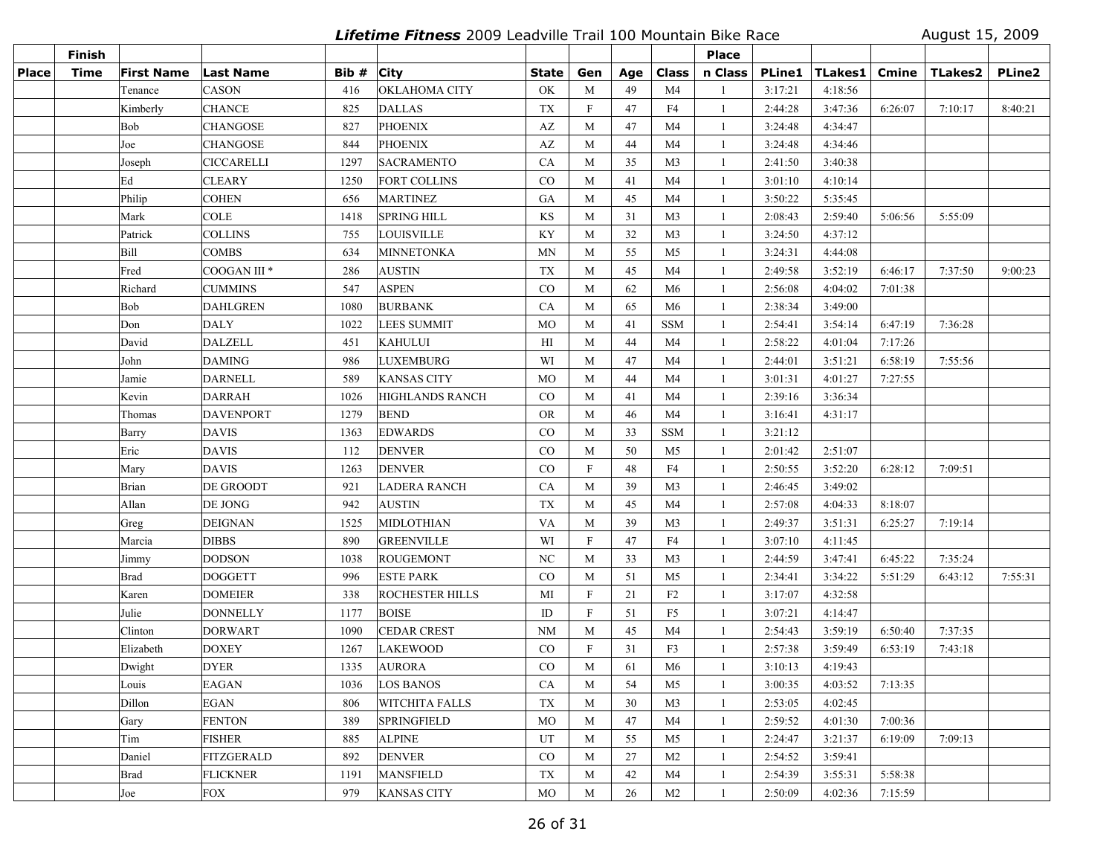**Lifetime Fitness** 2009 Leadville Trail 100 Mountain Bike Race August 15, 2009

|       | <b>Finish</b> |                   |                         |       |                        |              |              |     |                | Place        |         |                  |              |                |               |
|-------|---------------|-------------------|-------------------------|-------|------------------------|--------------|--------------|-----|----------------|--------------|---------|------------------|--------------|----------------|---------------|
| Place | <b>Time</b>   | <b>First Name</b> | <b>Last Name</b>        | Bib # | <b>City</b>            | <b>State</b> | Gen          | Age | <b>Class</b>   | n Class      |         | PLine1   TLakes1 | <b>Cmine</b> | <b>TLakes2</b> | <b>PLine2</b> |
|       |               | Tenance           | <b>CASON</b>            | 416   | <b>OKLAHOMA CITY</b>   | OK           | M            | 49  | M4             |              | 3:17:21 | 4:18:56          |              |                |               |
|       |               | Kimberly          | <b>CHANCE</b>           | 825   | <b>DALLAS</b>          | <b>TX</b>    | $\mathbf F$  | 47  | F4             | -1           | 2:44:28 | 3:47:36          | 6:26:07      | 7:10:17        | 8:40:21       |
|       |               | Bob               | <b>CHANGOSE</b>         | 827   | <b>PHOENIX</b>         | AZ           | M            | 47  | M <sub>4</sub> | -1           | 3:24:48 | 4:34:47          |              |                |               |
|       |               | Joe               | <b>CHANGOSE</b>         | 844   | <b>PHOENIX</b>         | AZ           | M            | 44  | M <sub>4</sub> | 1            | 3:24:48 | 4:34:46          |              |                |               |
|       |               | Joseph            | <b>CICCARELLI</b>       | 1297  | <b>SACRAMENTO</b>      | CA           | M            | 35  | M <sub>3</sub> | -1           | 2:41:50 | 3:40:38          |              |                |               |
|       |               | Ed                | <b>CLEARY</b>           | 1250  | <b>FORT COLLINS</b>    | CO           | M            | 41  | M4             | -1           | 3:01:10 | 4:10:14          |              |                |               |
|       |               | Philip            | <b>COHEN</b>            | 656   | <b>MARTINEZ</b>        | GA           | M            | 45  | M4             | -1           | 3:50:22 | 5:35:45          |              |                |               |
|       |               | Mark              | <b>COLE</b>             | 1418  | SPRING HILL            | KS           | M            | 31  | M <sub>3</sub> | -1           | 2:08:43 | 2:59:40          | 5:06:56      | 5:55:09        |               |
|       |               | Patrick           | <b>COLLINS</b>          | 755   | <b>LOUISVILLE</b>      | KY           | M            | 32  | M <sub>3</sub> | 1            | 3:24:50 | 4:37:12          |              |                |               |
|       |               | Bill              | <b>COMBS</b>            | 634   | MINNETONKA             | <b>MN</b>    | M            | 55  | M <sub>5</sub> | -1           | 3:24:31 | 4:44:08          |              |                |               |
|       |               | Fred              | COOGAN III <sup>*</sup> | 286   | <b>AUSTIN</b>          | <b>TX</b>    | M            | 45  | M <sub>4</sub> | -1           | 2:49:58 | 3:52:19          | 6:46:17      | 7:37:50        | 9:00:23       |
|       |               | Richard           | <b>CUMMINS</b>          | 547   | <b>ASPEN</b>           | CO           | M            | 62  | M <sub>6</sub> | -1           | 2:56:08 | 4:04:02          | 7:01:38      |                |               |
|       |               | Bob               | <b>DAHLGREN</b>         | 1080  | <b>BURBANK</b>         | CA           | M            | 65  | M <sub>6</sub> | -1           | 2:38:34 | 3:49:00          |              |                |               |
|       |               | Don               | <b>DALY</b>             | 1022  | <b>LEES SUMMIT</b>     | MO           | M            | 41  | <b>SSM</b>     | -1           | 2:54:41 | 3:54:14          | 6:47:19      | 7:36:28        |               |
|       |               | David             | <b>DALZELL</b>          | 451   | <b>KAHULUI</b>         | H            | M            | 44  | M4             | -1           | 2:58:22 | 4:01:04          | 7:17:26      |                |               |
|       |               | John              | <b>DAMING</b>           | 986   | <b>LUXEMBURG</b>       | WI           | M            | 47  | M4             | 1            | 2:44:01 | 3:51:21          | 6:58:19      | 7:55:56        |               |
|       |               | Jamie             | <b>DARNELL</b>          | 589   | <b>KANSAS CITY</b>     | <b>MO</b>    | M            | 44  | M4             | 1            | 3:01:31 | 4:01:27          | 7:27:55      |                |               |
|       |               | Kevin             | <b>DARRAH</b>           | 1026  | <b>HIGHLANDS RANCH</b> | $\rm CO$     | M            | 41  | M4             | -1           | 2:39:16 | 3:36:34          |              |                |               |
|       |               | Thomas            | DAVENPORT               | 1279  | <b>BEND</b>            | <b>OR</b>    | M            | 46  | M4             | -1           | 3:16:41 | 4:31:17          |              |                |               |
|       |               | Barry             | <b>DAVIS</b>            | 1363  | <b>EDWARDS</b>         | CO           | M            | 33  | <b>SSM</b>     | -1           | 3:21:12 |                  |              |                |               |
|       |               | Eric              | <b>DAVIS</b>            | 112   | <b>DENVER</b>          | CO           | M            | 50  | M <sub>5</sub> | -1           | 2:01:42 | 2:51:07          |              |                |               |
|       |               | Mary              | <b>DAVIS</b>            | 1263  | <b>DENVER</b>          | CO           | $\mathbf{F}$ | 48  | F4             | -1           | 2:50:55 | 3:52:20          | 6:28:12      | 7:09:51        |               |
|       |               | <b>Brian</b>      | DE GROODT               | 921   | <b>LADERA RANCH</b>    | CA           | M            | 39  | M <sub>3</sub> | -1           | 2:46:45 | 3:49:02          |              |                |               |
|       |               | Allan             | DE JONG                 | 942   | <b>AUSTIN</b>          | TX           | M            | 45  | M4             | 1            | 2:57:08 | 4:04:33          | 8:18:07      |                |               |
|       |               | Greg              | <b>DEIGNAN</b>          | 1525  | MIDLOTHIAN             | <b>VA</b>    | M            | 39  | M <sub>3</sub> | -1           | 2:49:37 | 3:51:31          | 6:25:27      | 7:19:14        |               |
|       |               | Marcia            | <b>DIBBS</b>            | 890   | <b>GREENVILLE</b>      | WI           | $\mathbf{F}$ | 47  | F4             | -1           | 3:07:10 | 4:11:45          |              |                |               |
|       |               | Jimmy             | <b>DODSON</b>           | 1038  | <b>ROUGEMONT</b>       | NC           | M            | 33  | M <sub>3</sub> | -1           | 2:44:59 | 3:47:41          | 6:45:22      | 7:35:24        |               |
|       |               | <b>Brad</b>       | <b>DOGGETT</b>          | 996   | <b>ESTE PARK</b>       | CO           | M            | 51  | M <sub>5</sub> | -1           | 2:34:41 | 3:34:22          | 5:51:29      | 6:43:12        | 7:55:31       |
|       |               | Karen             | <b>DOMEIER</b>          | 338   | <b>ROCHESTER HILLS</b> | MI           | $\mathbf{F}$ | 21  | F <sub>2</sub> | -1           | 3:17:07 | 4:32:58          |              |                |               |
|       |               | Julie             | <b>DONNELLY</b>         | 1177  | <b>BOISE</b>           | ID           | $\mathbf{F}$ | 51  | F <sub>5</sub> | -1           | 3:07:21 | 4:14:47          |              |                |               |
|       |               | Clinton           | <b>DORWART</b>          | 1090  | <b>CEDAR CREST</b>     | <b>NM</b>    | M            | 45  | M4             | -1           | 2:54:43 | 3:59:19          | 6:50:40      | 7:37:35        |               |
|       |               | Elizabeth         | <b>DOXEY</b>            | 1267  | <b>LAKEWOOD</b>        | $\rm CO$     | $\mathbf{F}$ | 31  | F3             | -1           | 2:57:38 | 3:59:49          | 6:53:19      | 7:43:18        |               |
|       |               | Dwight            | <b>DYER</b>             | 1335  | <b>AURORA</b>          | CO           | M            | 61  | M6             | 1            | 3:10:13 | 4:19:43          |              |                |               |
|       |               | Louis             | <b>EAGAN</b>            | 1036  | <b>LOS BANOS</b>       | CA           | M            | 54  | M5             | -1           | 3:00:35 | 4:03:52          | 7:13:35      |                |               |
|       |               | Dillon            | EGAN                    | 806   | <b>WITCHITA FALLS</b>  | TX           | M            | 30  | M <sub>3</sub> | -1           | 2:53:05 | 4:02:45          |              |                |               |
|       |               | Gary              | <b>FENTON</b>           | 389   | <b>SPRINGFIELD</b>     | MO           | M            | 47  | M <sub>4</sub> | -1           | 2:59:52 | 4:01:30          | 7:00:36      |                |               |
|       |               | Tim               | <b>FISHER</b>           | 885   | <b>ALPINE</b>          | UT           | M            | 55  | M5             | -1           | 2:24:47 | 3:21:37          | 6:19:09      | 7:09:13        |               |
|       |               | Daniel            | FITZGERALD              | 892   | <b>DENVER</b>          | $\rm CO$     | M            | 27  | M <sub>2</sub> | -1           | 2:54:52 | 3:59:41          |              |                |               |
|       |               | Brad              | <b>FLICKNER</b>         | 1191  | <b>MANSFIELD</b>       | TX           | M            | 42  | M4             | $\mathbf{1}$ | 2:54:39 | 3:55:31          | 5:58:38      |                |               |
|       |               | Joe               | <b>FOX</b>              | 979   | <b>KANSAS CITY</b>     | MO           | M            | 26  | M <sub>2</sub> | -1           | 2:50:09 | 4:02:36          | 7:15:59      |                |               |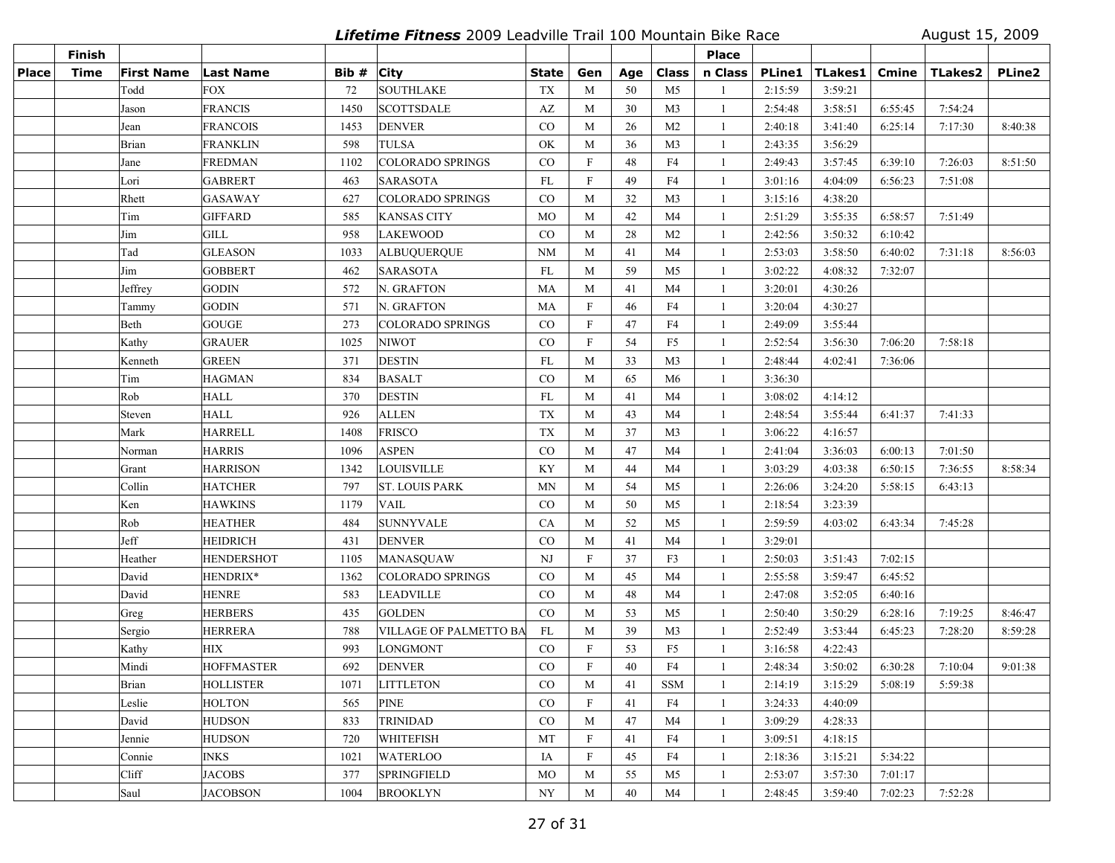**Lifetime Fitness** 2009 Leadville Trail 100 Mountain Bike Race August 15, 2009

|       | Finish      |            |                   |       |                         |                        |              |     |                | <b>Place</b> |               |         |         |                |               |
|-------|-------------|------------|-------------------|-------|-------------------------|------------------------|--------------|-----|----------------|--------------|---------------|---------|---------|----------------|---------------|
| Place | <b>Time</b> | First Name | <b>Last Name</b>  | Bib # | <b>City</b>             | <b>State</b>           | Gen          | Age | <b>Class</b>   | n Class      | <b>PLine1</b> | TLakes1 | Cmine   | <b>TLakes2</b> | <b>PLine2</b> |
|       |             | Todd       | <b>FOX</b>        | 72    | <b>SOUTHLAKE</b>        | TX                     | M            | 50  | M <sub>5</sub> | $\mathbf{1}$ | 2:15:59       | 3:59:21 |         |                |               |
|       |             | Jason      | <b>FRANCIS</b>    | 1450  | SCOTTSDALE              | $\mathbf{A}\mathbf{Z}$ | M            | 30  | M <sub>3</sub> | -1           | 2:54:48       | 3:58:51 | 6:55:45 | 7:54:24        |               |
|       |             | Jean       | <b>FRANCOIS</b>   | 1453  | <b>DENVER</b>           | CO                     | M            | 26  | M <sub>2</sub> | -1           | 2:40:18       | 3:41:40 | 6:25:14 | 7:17:30        | 8:40:38       |
|       |             | Brian      | FRANKLIN          | 598   | <b>TULSA</b>            | OK                     | M            | 36  | M <sub>3</sub> | 1            | 2:43:35       | 3:56:29 |         |                |               |
|       |             | Jane       | <b>FREDMAN</b>    | 1102  | <b>COLORADO SPRINGS</b> | $\rm CO$               | $\mathbf{F}$ | 48  | F4             | 1            | 2:49:43       | 3:57:45 | 6:39:10 | 7:26:03        | 8:51:50       |
|       |             | Lori       | <b>GABRERT</b>    | 463   | <b>SARASOTA</b>         | FL                     | $\mathbf{F}$ | 49  | F4             | 1            | 3:01:16       | 4:04:09 | 6:56:23 | 7:51:08        |               |
|       |             | Rhett      | <b>GASAWAY</b>    | 627   | <b>COLORADO SPRINGS</b> | $\rm CO$               | M            | 32  | M <sub>3</sub> | -1           | 3:15:16       | 4:38:20 |         |                |               |
|       |             | Tim        | <b>GIFFARD</b>    | 585   | <b>KANSAS CITY</b>      | MO                     | M            | 42  | M <sub>4</sub> | -1           | 2:51:29       | 3:55:35 | 6:58:57 | 7:51:49        |               |
|       |             | Jim        | GILL              | 958   | <b>LAKEWOOD</b>         | $\rm CO$               | M            | 28  | M <sub>2</sub> | -1           | 2:42:56       | 3:50:32 | 6:10:42 |                |               |
|       |             | Tad        | <b>GLEASON</b>    | 1033  | <b>ALBUQUERQUE</b>      | <b>NM</b>              | M            | 41  | M4             | -1           | 2:53:03       | 3:58:50 | 6:40:02 | 7:31:18        | 8:56:03       |
|       |             | Jim        | <b>GOBBERT</b>    | 462   | <b>SARASOTA</b>         | FL                     | M            | 59  | M <sub>5</sub> | -1           | 3:02:22       | 4:08:32 | 7:32:07 |                |               |
|       |             | Jeffrey    | <b>GODIN</b>      | 572   | N. GRAFTON              | MA                     | M            | 41  | M <sub>4</sub> | -1           | 3:20:01       | 4:30:26 |         |                |               |
|       |             | Tammy      | <b>GODIN</b>      | 571   | N. GRAFTON              | MA                     | $\mathbf F$  | 46  | F4             | -1           | 3:20:04       | 4:30:27 |         |                |               |
|       |             | Beth       | <b>GOUGE</b>      | 273   | <b>COLORADO SPRINGS</b> | CO                     | $\mathbf F$  | 47  | F4             | -1           | 2:49:09       | 3:55:44 |         |                |               |
|       |             | Kathy      | <b>GRAUER</b>     | 1025  | <b>NIWOT</b>            | CO                     | $\mathbf F$  | 54  | F <sub>5</sub> | -1           | 2:52:54       | 3:56:30 | 7:06:20 | 7:58:18        |               |
|       |             | Kenneth    | <b>GREEN</b>      | 371   | <b>DESTIN</b>           | FL                     | M            | 33  | M <sub>3</sub> | -1           | 2:48:44       | 4:02:41 | 7:36:06 |                |               |
|       |             | Tim        | <b>HAGMAN</b>     | 834   | <b>BASALT</b>           | CO                     | M            | 65  | M <sub>6</sub> | $\mathbf{1}$ | 3:36:30       |         |         |                |               |
|       |             | Rob        | <b>HALL</b>       | 370   | DESTIN                  | FL                     | M            | 41  | M4             | 1            | 3:08:02       | 4:14:12 |         |                |               |
|       |             | Steven     | <b>HALL</b>       | 926   | <b>ALLEN</b>            | <b>TX</b>              | M            | 43  | M <sub>4</sub> | -1           | 2:48:54       | 3:55:44 | 6:41:37 | 7:41:33        |               |
|       |             | Mark       | <b>HARRELL</b>    | 1408  | <b>FRISCO</b>           | TX                     | M            | 37  | M <sub>3</sub> | -1           | 3:06:22       | 4:16:57 |         |                |               |
|       |             | Norman     | <b>HARRIS</b>     | 1096  | <b>ASPEN</b>            | CO                     | M            | 47  | M4             | $\mathbf{1}$ | 2:41:04       | 3:36:03 | 6:00:13 | 7:01:50        |               |
|       |             | Grant      | <b>HARRISON</b>   | 1342  | LOUISVILLE              | KY                     | M            | 44  | M4             | $\mathbf{1}$ | 3:03:29       | 4:03:38 | 6:50:15 | 7:36:55        | 8:58:34       |
|       |             | Collin     | <b>HATCHER</b>    | 797   | <b>ST. LOUIS PARK</b>   | <b>MN</b>              | M            | 54  | M5             | -1           | 2:26:06       | 3:24:20 | 5:58:15 | 6:43:13        |               |
|       |             | Ken        | <b>HAWKINS</b>    | 1179  | <b>VAIL</b>             | $_{\rm CO}$            | M            | 50  | M <sub>5</sub> | -1           | 2:18:54       | 3:23:39 |         |                |               |
|       |             | Rob        | <b>HEATHER</b>    | 484   | <b>SUNNYVALE</b>        | CA                     | M            | 52  | M <sub>5</sub> | -1           | 2:59:59       | 4:03:02 | 6:43:34 | 7:45:28        |               |
|       |             | Jeff       | <b>HEIDRICH</b>   | 431   | <b>DENVER</b>           | CO                     | M            | 41  | M <sub>4</sub> | -1           | 3:29:01       |         |         |                |               |
|       |             | Heather    | <b>HENDERSHOT</b> | 1105  | <b>MANASOUAW</b>        | NJ                     | $\mathbf{F}$ | 37  | F3             | -1           | 2:50:03       | 3:51:43 | 7:02:15 |                |               |
|       |             | David      | HENDRIX*          | 1362  | COLORADO SPRINGS        | $\rm CO$               | M            | 45  | M <sub>4</sub> | -1           | 2:55:58       | 3:59:47 | 6:45:52 |                |               |
|       |             | David      | <b>HENRE</b>      | 583   | <b>LEADVILLE</b>        | CO                     | M            | 48  | M4             | -1           | 2:47:08       | 3:52:05 | 6:40:16 |                |               |
|       |             | Greg       | <b>HERBERS</b>    | 435   | <b>GOLDEN</b>           | CO                     | M            | 53  | M <sub>5</sub> | -1           | 2:50:40       | 3:50:29 | 6:28:16 | 7:19:25        | 8:46:47       |
|       |             | Sergio     | <b>HERRERA</b>    | 788   | VILLAGE OF PALMETTO BA  | FL                     | M            | 39  | M <sub>3</sub> | 1            | 2:52:49       | 3:53:44 | 6:45:23 | 7:28:20        | 8:59:28       |
|       |             | Kathy      | <b>HIX</b>        | 993   | LONGMONT                | CO                     | $\mathbf{F}$ | 53  | F <sub>5</sub> | -1           | 3:16:58       | 4:22:43 |         |                |               |
|       |             | Mindi      | <b>HOFFMASTER</b> | 692   | <b>DENVER</b>           | CO                     | $\mathbf{F}$ | 40  | F4             | 1            | 2:48:34       | 3:50:02 | 6:30:28 | 7:10:04        | 9:01:38       |
|       |             | Brian      | HOLLISTER         | 1071  | <b>LITTLETON</b>        | $_{\rm CO}$            | M            | 41  | SSM            | -1           | 2:14:19       | 3:15:29 | 5:08:19 | 5:59:38        |               |
|       |             | Leslie     | <b>HOLTON</b>     | 565   | <b>PINE</b>             | $\rm CO$               | $\mathbf{F}$ | 41  | F4             | -1           | 3:24:33       | 4:40:09 |         |                |               |
|       |             | David      | <b>HUDSON</b>     | 833   | <b>TRINIDAD</b>         | $_{\rm CO}$            | M            | 47  | M4             | -1           | 3:09:29       | 4:28:33 |         |                |               |
|       |             | Jennie     | <b>HUDSON</b>     | 720   | WHITEFISH               | MT                     | $\mathbf{F}$ | 41  | F4             | -1           | 3:09:51       | 4:18:15 |         |                |               |
|       |             | Connie     | <b>INKS</b>       | 1021  | <b>WATERLOO</b>         | IA                     | $\mathbf{F}$ | 45  | F4             | $\mathbf{1}$ | 2:18:36       | 3:15:21 | 5:34:22 |                |               |
|       |             | Cliff      | <b>JACOBS</b>     | 377   | <b>SPRINGFIELD</b>      | MO                     | M            | 55  | M5             | $\mathbf{1}$ | 2:53:07       | 3:57:30 | 7:01:17 |                |               |
|       |             | Saul       | <b>JACOBSON</b>   | 1004  | <b>BROOKLYN</b>         | NY                     | M            | 40  | M <sub>4</sub> | -1           | 2:48:45       | 3:59:40 | 7:02:23 | 7:52:28        |               |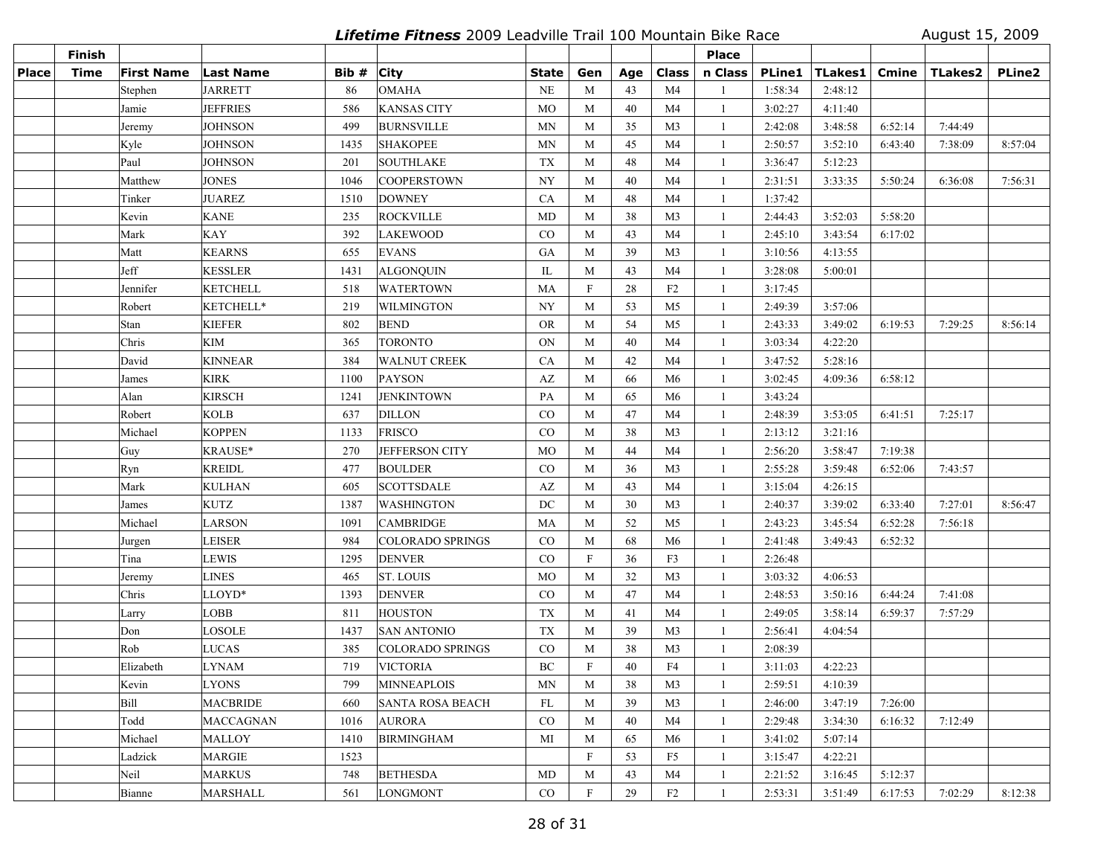**Lifetime Fitness** 2009 Leadville Trail 100 Mountain Bike Race August 15, 2009

|              | <b>Finish</b> |                   |                  |       |                         |                        |                           |     |                | Place        |               |         |         |                |               |
|--------------|---------------|-------------------|------------------|-------|-------------------------|------------------------|---------------------------|-----|----------------|--------------|---------------|---------|---------|----------------|---------------|
| <b>Place</b> | <b>Time</b>   | <b>First Name</b> | Last Name        | Bib # | City                    | <b>State</b>           | Gen                       | Age | <b>Class</b>   | n Class      | <b>PLine1</b> | TLakes1 | Cmine   | <b>TLakes2</b> | <b>PLine2</b> |
|              |               | Stephen           | <b>JARRETT</b>   | 86    | <b>OMAHA</b>            | NE                     | M                         | 43  | M <sub>4</sub> |              | 1:58:34       | 2:48:12 |         |                |               |
|              |               | Jamie             | <b>JEFFRIES</b>  | 586   | <b>KANSAS CITY</b>      | $_{\rm MO}$            | M                         | 40  | M4             | -1           | 3:02:27       | 4:11:40 |         |                |               |
|              |               | Jeremy            | <b>JOHNSON</b>   | 499   | <b>BURNSVILLE</b>       | <b>MN</b>              | M                         | 35  | M <sub>3</sub> | -1           | 2:42:08       | 3:48:58 | 6:52:14 | 7:44:49        |               |
|              |               | Kyle              | <b>JOHNSON</b>   | 1435  | <b>SHAKOPEE</b>         | <b>MN</b>              | M                         | 45  | M <sub>4</sub> | $\mathbf{1}$ | 2:50:57       | 3:52:10 | 6:43:40 | 7:38:09        | 8:57:04       |
|              |               | Paul              | <b>JOHNSON</b>   | 201   | <b>SOUTHLAKE</b>        | TX                     | M                         | 48  | M <sub>4</sub> | -1           | 3:36:47       | 5:12:23 |         |                |               |
|              |               | Matthew           | <b>JONES</b>     | 1046  | <b>COOPERSTOWN</b>      | <b>NY</b>              | M                         | 40  | M4             | -1           | 2:31:51       | 3:33:35 | 5:50:24 | 6:36:08        | 7:56:31       |
|              |               | Tinker            | <b>JUAREZ</b>    | 1510  | <b>DOWNEY</b>           | CA                     | M                         | 48  | M4             | -1           | 1:37:42       |         |         |                |               |
|              |               | Kevin             | <b>KANE</b>      | 235   | <b>ROCKVILLE</b>        | MD                     | M                         | 38  | M <sub>3</sub> | -1           | 2:44:43       | 3:52:03 | 5:58:20 |                |               |
|              |               | Mark              | <b>KAY</b>       | 392   | LAKEWOOD                | CO                     | M                         | 43  | M4             | -1           | 2:45:10       | 3:43:54 | 6:17:02 |                |               |
|              |               | Matt              | <b>KEARNS</b>    | 655   | <b>EVANS</b>            | GA                     | M                         | 39  | M <sub>3</sub> | -1           | 3:10:56       | 4:13:55 |         |                |               |
|              |               | Jeff              | <b>KESSLER</b>   | 1431  | <b>ALGONQUIN</b>        | IL                     | M                         | 43  | M4             | -1           | 3:28:08       | 5:00:01 |         |                |               |
|              |               | Jennifer          | <b>KETCHELL</b>  | 518   | <b>WATERTOWN</b>        | MA                     | $\boldsymbol{\mathrm{F}}$ | 28  | F2             | -1           | 3:17:45       |         |         |                |               |
|              |               | Robert            | KETCHELL*        | 219   | <b>WILMINGTON</b>       | NY                     | M                         | 53  | M <sub>5</sub> | $\mathbf{1}$ | 2:49:39       | 3:57:06 |         |                |               |
|              |               | Stan              | <b>KIEFER</b>    | 802   | <b>BEND</b>             | <b>OR</b>              | M                         | 54  | M <sub>5</sub> | -1           | 2:43:33       | 3:49:02 | 6:19:53 | 7:29:25        | 8:56:14       |
|              |               | Chris             | <b>KIM</b>       | 365   | <b>TORONTO</b>          | ON                     | M                         | 40  | M4             | -1           | 3:03:34       | 4:22:20 |         |                |               |
|              |               | David             | <b>KINNEAR</b>   | 384   | <b>WALNUT CREEK</b>     | CA                     | M                         | 42  | M4             | -1           | 3:47:52       | 5:28:16 |         |                |               |
|              |               | James             | <b>KIRK</b>      | 1100  | <b>PAYSON</b>           | AZ                     | M                         | 66  | M <sub>6</sub> | 1            | 3:02:45       | 4:09:36 | 6:58:12 |                |               |
|              |               | Alan              | <b>KIRSCH</b>    | 1241  | <b>JENKINTOWN</b>       | PA                     | M                         | 65  | M6             | -1           | 3:43:24       |         |         |                |               |
|              |               | Robert            | <b>KOLB</b>      | 637   | <b>DILLON</b>           | CO                     | M                         | 47  | M4             | -1           | 2:48:39       | 3:53:05 | 6:41:51 | 7:25:17        |               |
|              |               | Michael           | <b>KOPPEN</b>    | 1133  | <b>FRISCO</b>           | CO                     | M                         | 38  | M3             | $\mathbf{1}$ | 2:13:12       | 3:21:16 |         |                |               |
|              |               | Guy               | KRAUSE*          | 270   | JEFFERSON CITY          | MO                     | M                         | 44  | M4             | -1           | 2:56:20       | 3:58:47 | 7:19:38 |                |               |
|              |               | Ryn               | <b>KREIDL</b>    | 477   | <b>BOULDER</b>          | $\rm CO$               | M                         | 36  | M <sub>3</sub> | -1           | 2:55:28       | 3:59:48 | 6:52:06 | 7:43:57        |               |
|              |               | Mark              | <b>KULHAN</b>    | 605   | <b>SCOTTSDALE</b>       | $\mathbf{A}\mathbf{Z}$ | M                         | 43  | M <sub>4</sub> | -1           | 3:15:04       | 4:26:15 |         |                |               |
|              |               | James             | <b>KUTZ</b>      | 1387  | <b>WASHINGTON</b>       | DC                     | M                         | 30  | M <sub>3</sub> | -1           | 2:40:37       | 3:39:02 | 6:33:40 | 7:27:01        | 8:56:47       |
|              |               | Michael           | LARSON           | 1091  | <b>CAMBRIDGE</b>        | MA                     | M                         | 52  | M <sub>5</sub> | -1           | 2:43:23       | 3:45:54 | 6:52:28 | 7:56:18        |               |
|              |               | Jurgen            | <b>LEISER</b>    | 984   | <b>COLORADO SPRINGS</b> | CO                     | M                         | 68  | M <sub>6</sub> | -1           | 2:41:48       | 3:49:43 | 6:52:32 |                |               |
|              |               | Tina              | <b>LEWIS</b>     | 1295  | <b>DENVER</b>           | CO                     | $\boldsymbol{\mathrm{F}}$ | 36  | F <sub>3</sub> | -1           | 2:26:48       |         |         |                |               |
|              |               | Jeremy            | <b>LINES</b>     | 465   | <b>ST. LOUIS</b>        | MO                     | M                         | 32  | M <sub>3</sub> | -1           | 3:03:32       | 4:06:53 |         |                |               |
|              |               | Chris             | LLOYD*           | 1393  | <b>DENVER</b>           | CO                     | M                         | 47  | M4             | -1           | 2:48:53       | 3:50:16 | 6:44:24 | 7:41:08        |               |
|              |               | Larry             | <b>LOBB</b>      | 811   | <b>HOUSTON</b>          | TX                     | M                         | 41  | M4             | -1           | 2:49:05       | 3:58:14 | 6:59:37 | 7:57:29        |               |
|              |               | Don               | LOSOLE           | 1437  | <b>SAN ANTONIO</b>      | TX                     | M                         | 39  | M3             | -1           | 2:56:41       | 4:04:54 |         |                |               |
|              |               | Rob               | <b>LUCAS</b>     | 385   | <b>COLORADO SPRINGS</b> | CO                     | M                         | 38  | M <sub>3</sub> | -1           | 2:08:39       |         |         |                |               |
|              |               | Elizabeth         | <b>LYNAM</b>     | 719   | <b>VICTORIA</b>         | $\operatorname{BC}$    | $\mathbf{F}$              | 40  | F4             | 1            | 3:11:03       | 4:22:23 |         |                |               |
|              |               | Kevin             | <b>LYONS</b>     | 799   | <b>MINNEAPLOIS</b>      | ΜN                     | M                         | 38  | M3             | -1           | 2:59:51       | 4:10:39 |         |                |               |
|              |               | Bill              | <b>MACBRIDE</b>  | 660   | <b>SANTA ROSA BEACH</b> | FL                     | M                         | 39  | M <sub>3</sub> | 1            | 2:46:00       | 3:47:19 | 7:26:00 |                |               |
|              |               | Todd              | <b>MACCAGNAN</b> | 1016  | <b>AURORA</b>           | CO                     | M                         | 40  | M4             | $\mathbf{1}$ | 2:29:48       | 3:34:30 | 6:16:32 | 7:12:49        |               |
|              |               | Michael           | <b>MALLOY</b>    | 1410  | <b>BIRMINGHAM</b>       | MI                     | M                         | 65  | M6             | -1           | 3:41:02       | 5:07:14 |         |                |               |
|              |               | Ladzick           | <b>MARGIE</b>    | 1523  |                         |                        | $\mathbf F$               | 53  | F5             | -1           | 3:15:47       | 4:22:21 |         |                |               |
|              |               | Neil              | <b>MARKUS</b>    | 748   | <b>BETHESDA</b>         | MD                     | M                         | 43  | M4             | -1           | 2:21:52       | 3:16:45 | 5:12:37 |                |               |
|              |               | Bianne            | <b>MARSHALL</b>  | 561   | <b>LONGMONT</b>         | $\rm CO$               | F                         | 29  | F2             | -1           | 2:53:31       | 3:51:49 | 6:17:53 | 7:02:29        | 8:12:38       |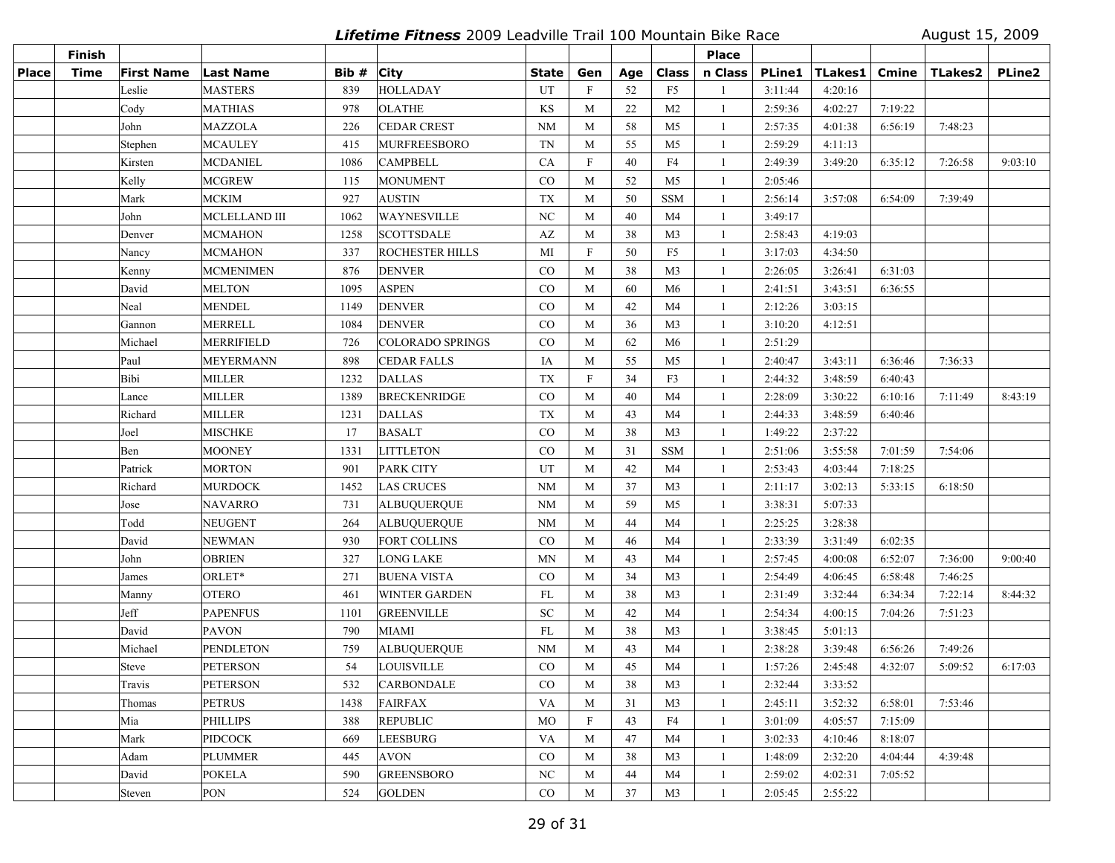**Lifetime Fitness** 2009 Leadville Trail 100 Mountain Bike Race August 15, 2009

|              | Finish      |                   |                      |       |                         |                  |                           |     |                | <b>Place</b>   |         |                  |         |         |         |
|--------------|-------------|-------------------|----------------------|-------|-------------------------|------------------|---------------------------|-----|----------------|----------------|---------|------------------|---------|---------|---------|
| <b>Place</b> | <b>Time</b> | <b>First Name</b> | Last Name            | Bib # | <b>City</b>             | State            | Gen                       | Age | <b>Class</b>   | n Class        |         | PLine1   TLakes1 | Cmine   | TLakes2 | PLine2  |
|              |             | Leslie            | <b>MASTERS</b>       | 839   | <b>HOLLADAY</b>         | UT               | $\mathbf F$               | 52  | F <sub>5</sub> | $\mathbf{1}$   | 3:11:44 | 4:20:16          |         |         |         |
|              |             | Cody              | <b>MATHIAS</b>       | 978   | <b>OLATHE</b>           | KS               | M                         | 22  | M <sub>2</sub> | -1             | 2:59:36 | 4:02:27          | 7:19:22 |         |         |
|              |             | John              | <b>MAZZOLA</b>       | 226   | <b>CEDAR CREST</b>      | <b>NM</b>        | M                         | 58  | M <sub>5</sub> | -1             | 2:57:35 | 4:01:38          | 6:56:19 | 7:48:23 |         |
|              |             | Stephen           | <b>MCAULEY</b>       | 415   | <b>MURFREESBORO</b>     | <b>TN</b>        | M                         | 55  | M <sub>5</sub> | -1             | 2:59:29 | 4:11:13          |         |         |         |
|              |             | Kirsten           | <b>MCDANIEL</b>      | 1086  | <b>CAMPBELL</b>         | CA               | $\mathbf F$               | 40  | F4             | -1             | 2:49:39 | 3:49:20          | 6:35:12 | 7:26:58 | 9:03:10 |
|              |             | Kelly             | <b>MCGREW</b>        | 115   | <b>MONUMENT</b>         | CO               | M                         | 52  | M <sub>5</sub> | 1              | 2:05:46 |                  |         |         |         |
|              |             | Mark              | <b>MCKIM</b>         | 927   | <b>AUSTIN</b>           | <b>TX</b>        | M                         | 50  | <b>SSM</b>     | -1             | 2:56:14 | 3:57:08          | 6:54:09 | 7:39:49 |         |
|              |             | John              | <b>MCLELLAND III</b> | 1062  | <b>WAYNESVILLE</b>      | NC               | M                         | 40  | M4             | -1             | 3:49:17 |                  |         |         |         |
|              |             | Denver            | <b>MCMAHON</b>       | 1258  | <b>SCOTTSDALE</b>       | AZ               | M                         | 38  | M <sub>3</sub> | -1             | 2:58:43 | 4:19:03          |         |         |         |
|              |             | Nancy             | <b>MCMAHON</b>       | 337   | ROCHESTER HILLS         | MI               | $\boldsymbol{\mathrm{F}}$ | 50  | F <sub>5</sub> | -1             | 3:17:03 | 4:34:50          |         |         |         |
|              |             | Kenny             | <b>MCMENIMEN</b>     | 876   | <b>DENVER</b>           | $\rm CO$         | M                         | 38  | M <sub>3</sub> | -1             | 2:26:05 | 3:26:41          | 6:31:03 |         |         |
|              |             | David             | <b>MELTON</b>        | 1095  | <b>ASPEN</b>            | CO               | M                         | 60  | M6             | -1             | 2:41:51 | 3:43:51          | 6:36:55 |         |         |
|              |             | Neal              | <b>MENDEL</b>        | 1149  | DENVER                  | CO               | M                         | 42  | M4             | 1              | 2:12:26 | 3:03:15          |         |         |         |
|              |             | Gannon            | <b>MERRELL</b>       | 1084  | <b>DENVER</b>           | CO               | M                         | 36  | M <sub>3</sub> | 1              | 3:10:20 | 4:12:51          |         |         |         |
|              |             | Michael           | <b>MERRIFIELD</b>    | 726   | <b>COLORADO SPRINGS</b> | $\rm CO$         | M                         | 62  | M6             | -1             | 2:51:29 |                  |         |         |         |
|              |             | Paul              | <b>MEYERMANN</b>     | 898   | <b>CEDAR FALLS</b>      | IA               | M                         | 55  | M <sub>5</sub> | $\overline{1}$ | 2:40:47 | 3:43:11          | 6:36:46 | 7:36:33 |         |
|              |             | Bibi              | <b>MILLER</b>        | 1232  | <b>DALLAS</b>           | <b>TX</b>        | $\mathbf F$               | 34  | F3             | -1             | 2:44:32 | 3:48:59          | 6:40:43 |         |         |
|              |             | Lance             | <b>MILLER</b>        | 1389  | <b>BRECKENRIDGE</b>     | CO               | M                         | 40  | M4             | -1             | 2:28:09 | 3:30:22          | 6:10:16 | 7:11:49 | 8:43:19 |
|              |             | Richard           | <b>MILLER</b>        | 1231  | <b>DALLAS</b>           | <b>TX</b>        | M                         | 43  | M4             | $\mathbf{1}$   | 2:44:33 | 3:48:59          | 6:40:46 |         |         |
|              |             | Joel              | <b>MISCHKE</b>       | 17    | <b>BASALT</b>           | CO               | M                         | 38  | M <sub>3</sub> | $\mathbf{1}$   | 1:49:22 | 2:37:22          |         |         |         |
|              |             | Ben               | <b>MOONEY</b>        | 1331  | <b>LITTLETON</b>        | $_{\rm CO}$      | M                         | 31  | <b>SSM</b>     | 1              | 2:51:06 | 3:55:58          | 7:01:59 | 7:54:06 |         |
|              |             | Patrick           | <b>MORTON</b>        | 901   | PARK CITY               | UT               | M                         | 42  | M4             | -1             | 2:53:43 | 4:03:44          | 7:18:25 |         |         |
|              |             | Richard           | <b>MURDOCK</b>       | 1452  | <b>LAS CRUCES</b>       | <b>NM</b>        | M                         | 37  | M <sub>3</sub> | -1             | 2:11:17 | 3:02:13          | 5:33:15 | 6:18:50 |         |
|              |             | Jose              | <b>NAVARRO</b>       | 731   | <b>ALBUQUERQUE</b>      | NM               | M                         | 59  | M <sub>5</sub> | $\overline{1}$ | 3:38:31 | 5:07:33          |         |         |         |
|              |             | Todd              | <b>NEUGENT</b>       | 264   | <b>ALBUQUERQUE</b>      | <b>NM</b>        | M                         | 44  | M4             | -1             | 2:25:25 | 3:28:38          |         |         |         |
|              |             | David             | <b>NEWMAN</b>        | 930   | <b>FORT COLLINS</b>     | $\rm CO$         | M                         | 46  | M4             | $\overline{1}$ | 2:33:39 | 3:31:49          | 6:02:35 |         |         |
|              |             | John              | <b>OBRIEN</b>        | 327   | LONG LAKE               | <b>MN</b>        | M                         | 43  | M4             | -1             | 2:57:45 | 4:00:08          | 6:52:07 | 7:36:00 | 9:00:40 |
|              |             | James             | ORLET*               | 271   | <b>BUENA VISTA</b>      | $\rm CO$         | M                         | 34  | M <sub>3</sub> | -1             | 2:54:49 | 4:06:45          | 6:58:48 | 7:46:25 |         |
|              |             | Manny             | <b>OTERO</b>         | 461   | WINTER GARDEN           | FL               | M                         | 38  | M <sub>3</sub> | 1              | 2:31:49 | 3:32:44          | 6:34:34 | 7:22:14 | 8:44:32 |
|              |             | Jeff              | <b>PAPENFUS</b>      | 1101  | <b>GREENVILLE</b>       | <b>SC</b>        | M                         | 42  | M4             | -1             | 2:54:34 | 4:00:15          | 7:04:26 | 7:51:23 |         |
|              |             | David             | <b>PAVON</b>         | 790   | MIAMI                   | FL               | M                         | 38  | M <sub>3</sub> | -1             | 3:38:45 | 5:01:13          |         |         |         |
|              |             | Michael           | <b>PENDLETON</b>     | 759   | <b>ALBUQUERQUE</b>      | <b>NM</b>        | M                         | 43  | M <sub>4</sub> | -1             | 2:38:28 | 3:39:48          | 6:56:26 | 7:49:26 |         |
|              |             | <b>Steve</b>      | <b>PETERSON</b>      | 54    | LOUISVILLE              | CO               | M                         | 45  | M4             | -1             | 1:57:26 | 2:45:48          | 4:32:07 | 5:09:52 | 6:17:03 |
|              |             | Travis            | <b>PETERSON</b>      | 532   | <b>CARBONDALE</b>       | $_{\rm CO}$      | M                         | 38  | M3             |                | 2:32:44 | 3:33:52          |         |         |         |
|              |             | Thomas            | <b>PETRUS</b>        | 1438  | <b>FAIRFAX</b>          | VA               | M                         | 31  | M3             | -1             | 2:45:11 | 3:52:32          | 6:58:01 | 7:53:46 |         |
|              |             | Mia               | <b>PHILLIPS</b>      | 388   | <b>REPUBLIC</b>         | <b>MO</b>        | F                         | 43  | F4             | 1              | 3:01:09 | 4:05:57          | 7:15:09 |         |         |
|              |             | Mark              | <b>PIDCOCK</b>       | 669   | <b>LEESBURG</b>         | VA               | M                         | 47  | M4             | 1              | 3:02:33 | 4:10:46          | 8:18:07 |         |         |
|              |             | Adam              | PLUMMER              | 445   | <b>AVON</b>             | $\rm CO$         | M                         | 38  | M3             | -1             | 1:48:09 | 2:32:20          | 4:04:44 | 4:39:48 |         |
|              |             | David             | <b>POKELA</b>        | 590   | <b>GREENSBORO</b>       | $_{\mathrm{NC}}$ | M                         | 44  | M4             | -1             | 2:59:02 | 4:02:31          | 7:05:52 |         |         |
|              |             | Steven            | PON                  | 524   | <b>GOLDEN</b>           | $\rm CO$         | M                         | 37  | M <sub>3</sub> | $\mathbf{1}$   | 2:05:45 | 2:55:22          |         |         |         |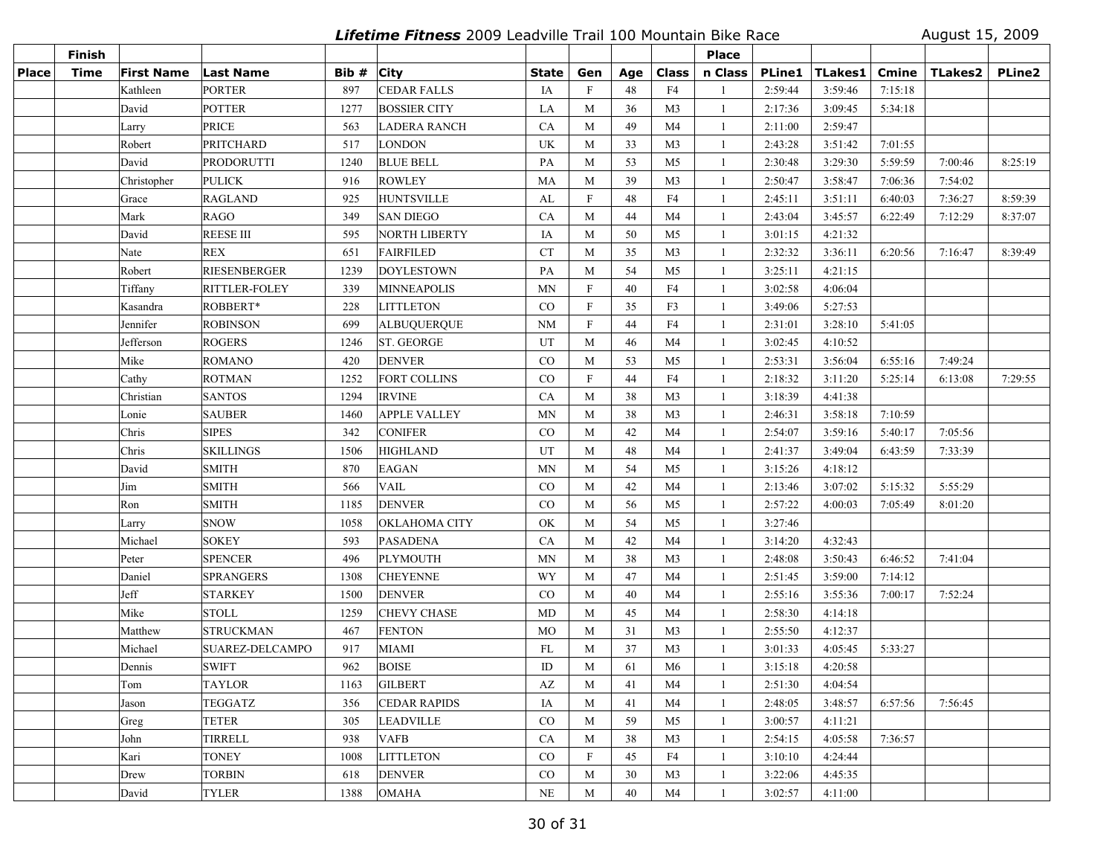**Lifetime Fitness** 2009 Leadville Trail 100 Mountain Bike Race August 15, 2009

|              | <b>Finish</b> |                   |                        |       |                     |              |                           |     |                | <b>Place</b> |               |         |              |         |               |
|--------------|---------------|-------------------|------------------------|-------|---------------------|--------------|---------------------------|-----|----------------|--------------|---------------|---------|--------------|---------|---------------|
| <b>Place</b> | <b>Time</b>   | <b>First Name</b> | Last Name              | Bib # | <b>City</b>         | <b>State</b> | Gen                       | Age | <b>Class</b>   | n Class      | <b>PLine1</b> | TLakes1 | <b>Cmine</b> | TLakes2 | <b>PLine2</b> |
|              |               | Kathleen          | <b>PORTER</b>          | 897   | <b>CEDAR FALLS</b>  | IA           | $\mathbf{F}$              | 48  | F4             |              | 2:59:44       | 3:59:46 | 7:15:18      |         |               |
|              |               | David             | <b>POTTER</b>          | 1277  | <b>BOSSIER CITY</b> | LA           | M                         | 36  | M <sub>3</sub> | -1           | 2:17:36       | 3:09:45 | 5:34:18      |         |               |
|              |               | Larry             | <b>PRICE</b>           | 563   | <b>LADERA RANCH</b> | CA           | M                         | 49  | M4             | 1            | 2:11:00       | 2:59:47 |              |         |               |
|              |               | Robert            | PRITCHARD              | 517   | LONDON              | UK           | M                         | 33  | M <sub>3</sub> | -1           | 2:43:28       | 3:51:42 | 7:01:55      |         |               |
|              |               | David             | PRODORUTTI             | 1240  | <b>BLUE BELL</b>    | PA           | M                         | 53  | M <sub>5</sub> | -1           | 2:30:48       | 3:29:30 | 5:59:59      | 7:00:46 | 8:25:19       |
|              |               | Christopher       | <b>PULICK</b>          | 916   | <b>ROWLEY</b>       | MA           | M                         | 39  | M <sub>3</sub> | -1           | 2:50:47       | 3:58:47 | 7:06:36      | 7:54:02 |               |
|              |               | Grace             | <b>RAGLAND</b>         | 925   | <b>HUNTSVILLE</b>   | AL           | $\boldsymbol{\mathrm{F}}$ | 48  | F4             | 1            | 2:45:11       | 3:51:11 | 6:40:03      | 7:36:27 | 8:59:39       |
|              |               | Mark              | <b>RAGO</b>            | 349   | <b>SAN DIEGO</b>    | CA           | M                         | 44  | M <sub>4</sub> | -1           | 2:43:04       | 3:45:57 | 6:22:49      | 7:12:29 | 8:37:07       |
|              |               | David             | <b>REESE III</b>       | 595   | NORTH LIBERTY       | IA           | M                         | 50  | M <sub>5</sub> | -1           | 3:01:15       | 4:21:32 |              |         |               |
|              |               | Nate              | <b>REX</b>             | 651   | <b>FAIRFILED</b>    | <b>CT</b>    | M                         | 35  | M <sub>3</sub> | -1           | 2:32:32       | 3:36:11 | 6:20:56      | 7:16:47 | 8:39:49       |
|              |               | Robert            | <b>RIESENBERGER</b>    | 1239  | DOYLESTOWN          | PA           | M                         | 54  | M <sub>5</sub> | -1           | 3:25:11       | 4:21:15 |              |         |               |
|              |               | Tiffany           | <b>RITTLER-FOLEY</b>   | 339   | <b>MINNEAPOLIS</b>  | <b>MN</b>    | $\mathbf{F}$              | 40  | F4             | -1           | 3:02:58       | 4:06:04 |              |         |               |
|              |               | Kasandra          | ROBBERT*               | 228   | <b>LITTLETON</b>    | CO           | $\mathbf{F}$              | 35  | F3             | -1           | 3:49:06       | 5:27:53 |              |         |               |
|              |               | Jennifer          | <b>ROBINSON</b>        | 699   | <b>ALBUQUERQUE</b>  | <b>NM</b>    | $\overline{F}$            | 44  | F4             | -1           | 2:31:01       | 3:28:10 | 5:41:05      |         |               |
|              |               | Jefferson         | <b>ROGERS</b>          | 1246  | <b>ST. GEORGE</b>   | UT           | M                         | 46  | M <sub>4</sub> | -1           | 3:02:45       | 4:10:52 |              |         |               |
|              |               | Mike              | <b>ROMANO</b>          | 420   | <b>DENVER</b>       | CO           | M                         | 53  | M <sub>5</sub> | -1           | 2:53:31       | 3:56:04 | 6:55:16      | 7:49:24 |               |
|              |               | Cathy             | <b>ROTMAN</b>          | 1252  | FORT COLLINS        | $_{\rm CO}$  | $\boldsymbol{\mathrm{F}}$ | 44  | F <sub>4</sub> | -1           | 2:18:32       | 3:11:20 | 5:25:14      | 6:13:08 | 7:29:55       |
|              |               | Christian         | <b>SANTOS</b>          | 1294  | <b>IRVINE</b>       | CA           | M                         | 38  | M <sub>3</sub> | -1           | 3:18:39       | 4:41:38 |              |         |               |
|              |               | Lonie             | <b>SAUBER</b>          | 1460  | <b>APPLE VALLEY</b> | <b>MN</b>    | M                         | 38  | M <sub>3</sub> | -1           | 2:46:31       | 3:58:18 | 7:10:59      |         |               |
|              |               | Chris             | <b>SIPES</b>           | 342   | <b>CONIFER</b>      | $\rm CO$     | M                         | 42  | M4             | -1           | 2:54:07       | 3:59:16 | 5:40:17      | 7:05:56 |               |
|              |               | Chris             | <b>SKILLINGS</b>       | 1506  | <b>HIGHLAND</b>     | UT           | M                         | 48  | M <sub>4</sub> | -1           | 2:41:37       | 3:49:04 | 6:43:59      | 7:33:39 |               |
|              |               | David             | <b>SMITH</b>           | 870   | <b>EAGAN</b>        | MN           | M                         | 54  | M <sub>5</sub> | -1           | 3:15:26       | 4:18:12 |              |         |               |
|              |               | Jim               | <b>SMITH</b>           | 566   | <b>VAIL</b>         | CO           | M                         | 42  | M <sub>4</sub> | -1           | 2:13:46       | 3:07:02 | 5:15:32      | 5:55:29 |               |
|              |               | Ron               | <b>SMITH</b>           | 1185  | <b>DENVER</b>       | $\rm CO$     | M                         | 56  | M <sub>5</sub> | -1           | 2:57:22       | 4:00:03 | 7:05:49      | 8:01:20 |               |
|              |               | Larry             | <b>SNOW</b>            | 1058  | OKLAHOMA CITY       | OK           | M                         | 54  | M <sub>5</sub> | -1           | 3:27:46       |         |              |         |               |
|              |               | Michael           | <b>SOKEY</b>           | 593   | <b>PASADENA</b>     | CA           | M                         | 42  | M <sub>4</sub> | 1            | 3:14:20       | 4:32:43 |              |         |               |
|              |               | Peter             | <b>SPENCER</b>         | 496   | <b>PLYMOUTH</b>     | <b>MN</b>    | M                         | 38  | M <sub>3</sub> | -1           | 2:48:08       | 3:50:43 | 6:46:52      | 7:41:04 |               |
|              |               | Daniel            | <b>SPRANGERS</b>       | 1308  | <b>CHEYENNE</b>     | WY           | M                         | 47  | M <sub>4</sub> | -1           | 2:51:45       | 3:59:00 | 7:14:12      |         |               |
|              |               | Jeff              | <b>STARKEY</b>         | 1500  | <b>DENVER</b>       | CO           | M                         | 40  | M4             | -1           | 2:55:16       | 3:55:36 | 7:00:17      | 7:52:24 |               |
|              |               | Mike              | <b>STOLL</b>           | 1259  | <b>CHEVY CHASE</b>  | MD           | M                         | 45  | M4             | -1           | 2:58:30       | 4:14:18 |              |         |               |
|              |               | Matthew           | <b>STRUCKMAN</b>       | 467   | <b>FENTON</b>       | MO           | M                         | 31  | M <sub>3</sub> | -1           | 2:55:50       | 4:12:37 |              |         |               |
|              |               | Michael           | <b>SUAREZ-DELCAMPO</b> | 917   | <b>MIAMI</b>        | FL           | M                         | 37  | M <sub>3</sub> | -1           | 3:01:33       | 4:05:45 | 5:33:27      |         |               |
|              |               | Dennis            | <b>SWIFT</b>           | 962   | <b>BOISE</b>        | ID           | M                         | 61  | M <sub>6</sub> | -1           | 3:15:18       | 4:20:58 |              |         |               |
|              |               | Tom               | <b>TAYLOR</b>          | 1163  | <b>GILBERT</b>      | AZ           | M                         | 41  | M4             | -1           | 2:51:30       | 4:04:54 |              |         |               |
|              |               | Jason             | <b>TEGGATZ</b>         | 356   | <b>CEDAR RAPIDS</b> | IA           | M                         | 41  | M4             | -1           | 2:48:05       | 3:48:57 | 6:57:56      | 7:56:45 |               |
|              |               | Greg              | <b>TETER</b>           | 305   | <b>LEADVILLE</b>    | CO           | M                         | 59  | M <sub>5</sub> | -1           | 3:00:57       | 4:11:21 |              |         |               |
|              |               | John              | TIRRELL                | 938   | <b>VAFB</b>         | CA           | M                         | 38  | M3             | $\mathbf{1}$ | 2:54:15       | 4:05:58 | 7:36:57      |         |               |
|              |               | Kari              | <b>TONEY</b>           | 1008  | <b>LITTLETON</b>    | CO           | $\mathbf F$               | 45  | F4             | -1           | 3:10:10       | 4:24:44 |              |         |               |
|              |               | Drew              | <b>TORBIN</b>          | 618   | <b>DENVER</b>       | $\rm CO$     | M                         | 30  | M <sub>3</sub> | -1           | 3:22:06       | 4:45:35 |              |         |               |
|              |               | David             | <b>TYLER</b>           | 1388  | <b>OMAHA</b>        | $\rm NE$     | M                         | 40  | M4             |              | 3:02:57       | 4:11:00 |              |         |               |